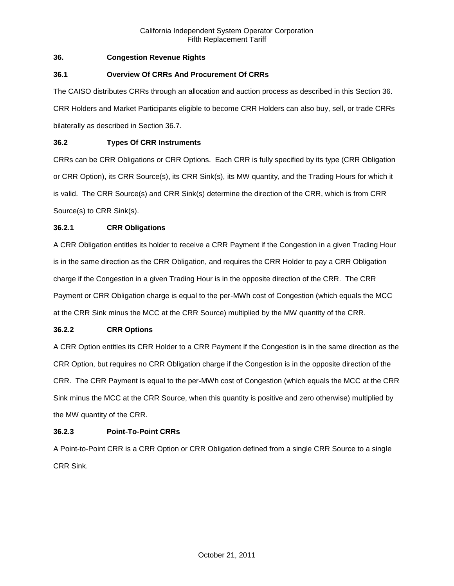# **36. Congestion Revenue Rights**

# **36.1 Overview Of CRRs And Procurement Of CRRs**

The CAISO distributes CRRs through an allocation and auction process as described in this Section 36. CRR Holders and Market Participants eligible to become CRR Holders can also buy, sell, or trade CRRs bilaterally as described in Section 36.7.

# **36.2 Types Of CRR Instruments**

CRRs can be CRR Obligations or CRR Options. Each CRR is fully specified by its type (CRR Obligation or CRR Option), its CRR Source(s), its CRR Sink(s), its MW quantity, and the Trading Hours for which it is valid. The CRR Source(s) and CRR Sink(s) determine the direction of the CRR, which is from CRR Source(s) to CRR Sink(s).

# **36.2.1 CRR Obligations**

A CRR Obligation entitles its holder to receive a CRR Payment if the Congestion in a given Trading Hour is in the same direction as the CRR Obligation, and requires the CRR Holder to pay a CRR Obligation charge if the Congestion in a given Trading Hour is in the opposite direction of the CRR. The CRR Payment or CRR Obligation charge is equal to the per-MWh cost of Congestion (which equals the MCC at the CRR Sink minus the MCC at the CRR Source) multiplied by the MW quantity of the CRR.

# **36.2.2 CRR Options**

A CRR Option entitles its CRR Holder to a CRR Payment if the Congestion is in the same direction as the CRR Option, but requires no CRR Obligation charge if the Congestion is in the opposite direction of the CRR. The CRR Payment is equal to the per-MWh cost of Congestion (which equals the MCC at the CRR Sink minus the MCC at the CRR Source, when this quantity is positive and zero otherwise) multiplied by the MW quantity of the CRR.

# **36.2.3 Point-To-Point CRRs**

A Point-to-Point CRR is a CRR Option or CRR Obligation defined from a single CRR Source to a single CRR Sink.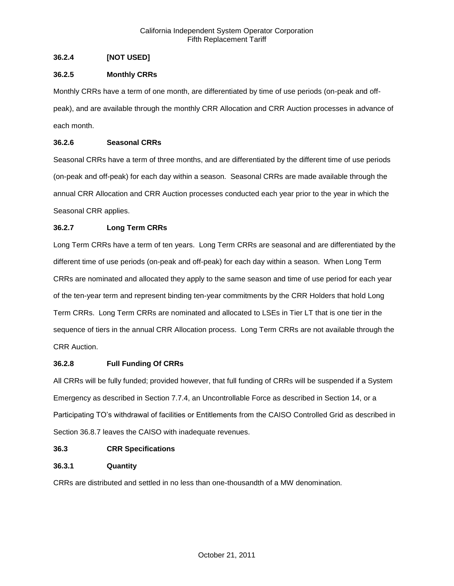# **36.2.4 [NOT USED]**

# **36.2.5 Monthly CRRs**

Monthly CRRs have a term of one month, are differentiated by time of use periods (on-peak and offpeak), and are available through the monthly CRR Allocation and CRR Auction processes in advance of each month.

# **36.2.6 Seasonal CRRs**

Seasonal CRRs have a term of three months, and are differentiated by the different time of use periods (on-peak and off-peak) for each day within a season. Seasonal CRRs are made available through the annual CRR Allocation and CRR Auction processes conducted each year prior to the year in which the Seasonal CRR applies.

# **36.2.7 Long Term CRRs**

Long Term CRRs have a term of ten years. Long Term CRRs are seasonal and are differentiated by the different time of use periods (on-peak and off-peak) for each day within a season. When Long Term CRRs are nominated and allocated they apply to the same season and time of use period for each year of the ten-year term and represent binding ten-year commitments by the CRR Holders that hold Long Term CRRs. Long Term CRRs are nominated and allocated to LSEs in Tier LT that is one tier in the sequence of tiers in the annual CRR Allocation process. Long Term CRRs are not available through the CRR Auction.

# **36.2.8 Full Funding Of CRRs**

All CRRs will be fully funded; provided however, that full funding of CRRs will be suspended if a System Emergency as described in Section 7.7.4, an Uncontrollable Force as described in Section 14, or a Participating TO's withdrawal of facilities or Entitlements from the CAISO Controlled Grid as described in Section 36.8.7 leaves the CAISO with inadequate revenues.

# **36.3 CRR Specifications**

# **36.3.1 Quantity**

CRRs are distributed and settled in no less than one-thousandth of a MW denomination.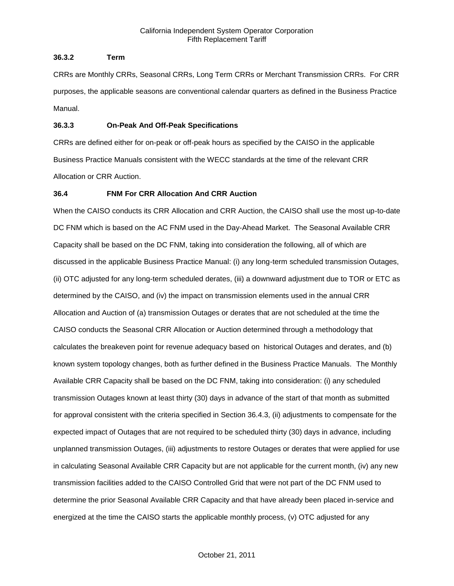# **36.3.2 Term**

CRRs are Monthly CRRs, Seasonal CRRs, Long Term CRRs or Merchant Transmission CRRs. For CRR purposes, the applicable seasons are conventional calendar quarters as defined in the Business Practice Manual.

# **36.3.3 On-Peak And Off-Peak Specifications**

CRRs are defined either for on-peak or off-peak hours as specified by the CAISO in the applicable Business Practice Manuals consistent with the WECC standards at the time of the relevant CRR Allocation or CRR Auction.

# **36.4 FNM For CRR Allocation And CRR Auction**

When the CAISO conducts its CRR Allocation and CRR Auction, the CAISO shall use the most up-to-date DC FNM which is based on the AC FNM used in the Day-Ahead Market. The Seasonal Available CRR Capacity shall be based on the DC FNM, taking into consideration the following, all of which are discussed in the applicable Business Practice Manual: (i) any long-term scheduled transmission Outages, (ii) OTC adjusted for any long-term scheduled derates, (iii) a downward adjustment due to TOR or ETC as determined by the CAISO, and (iv) the impact on transmission elements used in the annual CRR Allocation and Auction of (a) transmission Outages or derates that are not scheduled at the time the CAISO conducts the Seasonal CRR Allocation or Auction determined through a methodology that calculates the breakeven point for revenue adequacy based on historical Outages and derates, and (b) known system topology changes, both as further defined in the Business Practice Manuals. The Monthly Available CRR Capacity shall be based on the DC FNM, taking into consideration: (i) any scheduled transmission Outages known at least thirty (30) days in advance of the start of that month as submitted for approval consistent with the criteria specified in Section 36.4.3, (ii) adjustments to compensate for the expected impact of Outages that are not required to be scheduled thirty (30) days in advance, including unplanned transmission Outages, (iii) adjustments to restore Outages or derates that were applied for use in calculating Seasonal Available CRR Capacity but are not applicable for the current month, (iv) any new transmission facilities added to the CAISO Controlled Grid that were not part of the DC FNM used to determine the prior Seasonal Available CRR Capacity and that have already been placed in-service and energized at the time the CAISO starts the applicable monthly process, (v) OTC adjusted for any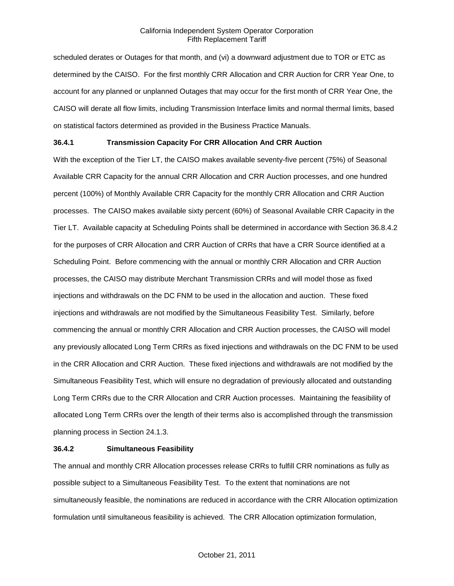scheduled derates or Outages for that month, and (vi) a downward adjustment due to TOR or ETC as determined by the CAISO. For the first monthly CRR Allocation and CRR Auction for CRR Year One, to account for any planned or unplanned Outages that may occur for the first month of CRR Year One, the CAISO will derate all flow limits, including Transmission Interface limits and normal thermal limits, based on statistical factors determined as provided in the Business Practice Manuals.

# **36.4.1 Transmission Capacity For CRR Allocation And CRR Auction**

With the exception of the Tier LT, the CAISO makes available seventy-five percent (75%) of Seasonal Available CRR Capacity for the annual CRR Allocation and CRR Auction processes, and one hundred percent (100%) of Monthly Available CRR Capacity for the monthly CRR Allocation and CRR Auction processes. The CAISO makes available sixty percent (60%) of Seasonal Available CRR Capacity in the Tier LT. Available capacity at Scheduling Points shall be determined in accordance with Section 36.8.4.2 for the purposes of CRR Allocation and CRR Auction of CRRs that have a CRR Source identified at a Scheduling Point. Before commencing with the annual or monthly CRR Allocation and CRR Auction processes, the CAISO may distribute Merchant Transmission CRRs and will model those as fixed injections and withdrawals on the DC FNM to be used in the allocation and auction. These fixed injections and withdrawals are not modified by the Simultaneous Feasibility Test. Similarly, before commencing the annual or monthly CRR Allocation and CRR Auction processes, the CAISO will model any previously allocated Long Term CRRs as fixed injections and withdrawals on the DC FNM to be used in the CRR Allocation and CRR Auction. These fixed injections and withdrawals are not modified by the Simultaneous Feasibility Test, which will ensure no degradation of previously allocated and outstanding Long Term CRRs due to the CRR Allocation and CRR Auction processes. Maintaining the feasibility of allocated Long Term CRRs over the length of their terms also is accomplished through the transmission planning process in Section 24.1.3.

#### **36.4.2 Simultaneous Feasibility**

The annual and monthly CRR Allocation processes release CRRs to fulfill CRR nominations as fully as possible subject to a Simultaneous Feasibility Test. To the extent that nominations are not simultaneously feasible, the nominations are reduced in accordance with the CRR Allocation optimization formulation until simultaneous feasibility is achieved. The CRR Allocation optimization formulation,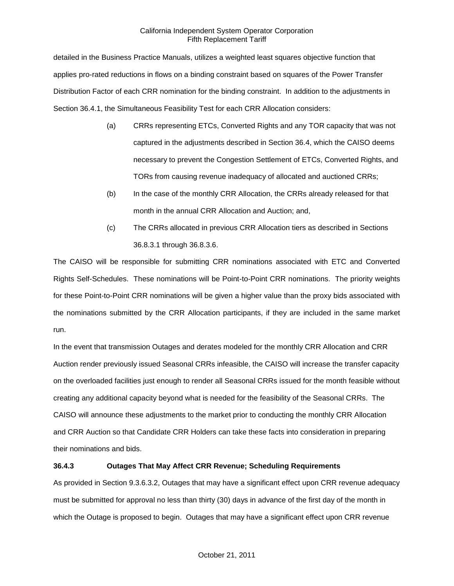detailed in the Business Practice Manuals, utilizes a weighted least squares objective function that applies pro-rated reductions in flows on a binding constraint based on squares of the Power Transfer Distribution Factor of each CRR nomination for the binding constraint. In addition to the adjustments in Section 36.4.1, the Simultaneous Feasibility Test for each CRR Allocation considers:

- (a) CRRs representing ETCs, Converted Rights and any TOR capacity that was not captured in the adjustments described in Section 36.4, which the CAISO deems necessary to prevent the Congestion Settlement of ETCs, Converted Rights, and TORs from causing revenue inadequacy of allocated and auctioned CRRs;
- (b) In the case of the monthly CRR Allocation, the CRRs already released for that month in the annual CRR Allocation and Auction; and,
- (c) The CRRs allocated in previous CRR Allocation tiers as described in Sections 36.8.3.1 through 36.8.3.6.

The CAISO will be responsible for submitting CRR nominations associated with ETC and Converted Rights Self-Schedules. These nominations will be Point-to-Point CRR nominations. The priority weights for these Point-to-Point CRR nominations will be given a higher value than the proxy bids associated with the nominations submitted by the CRR Allocation participants, if they are included in the same market run.

In the event that transmission Outages and derates modeled for the monthly CRR Allocation and CRR Auction render previously issued Seasonal CRRs infeasible, the CAISO will increase the transfer capacity on the overloaded facilities just enough to render all Seasonal CRRs issued for the month feasible without creating any additional capacity beyond what is needed for the feasibility of the Seasonal CRRs. The CAISO will announce these adjustments to the market prior to conducting the monthly CRR Allocation and CRR Auction so that Candidate CRR Holders can take these facts into consideration in preparing their nominations and bids.

# **36.4.3 Outages That May Affect CRR Revenue; Scheduling Requirements**

As provided in Section 9.3.6.3.2, Outages that may have a significant effect upon CRR revenue adequacy must be submitted for approval no less than thirty (30) days in advance of the first day of the month in which the Outage is proposed to begin. Outages that may have a significant effect upon CRR revenue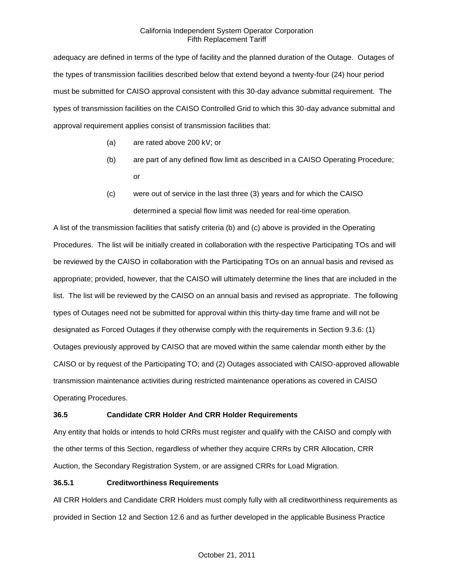adequacy are defined in terms of the type of facility and the planned duration of the Outage. Outages of the types of transmission facilities described below that extend beyond a twenty-four (24) hour period must be submitted for CAISO approval consistent with this 30-day advance submittal requirement. The types of transmission facilities on the CAISO Controlled Grid to which this 30-day advance submittal and approval requirement applies consist of transmission facilities that:

- (a) are rated above 200 kV; or
- (b) are part of any defined flow limit as described in a CAISO Operating Procedure; or
- (c) were out of service in the last three (3) years and for which the CAISO determined a special flow limit was needed for real-time operation.

A list of the transmission facilities that satisfy criteria (b) and (c) above is provided in the Operating Procedures. The list will be initially created in collaboration with the respective Participating TOs and will be reviewed by the CAISO in collaboration with the Participating TOs on an annual basis and revised as appropriate; provided, however, that the CAISO will ultimately determine the lines that are included in the list. The list will be reviewed by the CAISO on an annual basis and revised as appropriate. The following types of Outages need not be submitted for approval within this thirty-day time frame and will not be designated as Forced Outages if they otherwise comply with the requirements in Section 9.3.6: (1) Outages previously approved by CAISO that are moved within the same calendar month either by the CAISO or by request of the Participating TO; and (2) Outages associated with CAISO-approved allowable transmission maintenance activities during restricted maintenance operations as covered in CAISO Operating Procedures.

# **36.5 Candidate CRR Holder And CRR Holder Requirements**

Any entity that holds or intends to hold CRRs must register and qualify with the CAISO and comply with the other terms of this Section, regardless of whether they acquire CRRs by CRR Allocation, CRR Auction, the Secondary Registration System, or are assigned CRRs for Load Migration.

# **36.5.1 Creditworthiness Requirements**

All CRR Holders and Candidate CRR Holders must comply fully with all creditworthiness requirements as provided in Section 12 and Section 12.6 and as further developed in the applicable Business Practice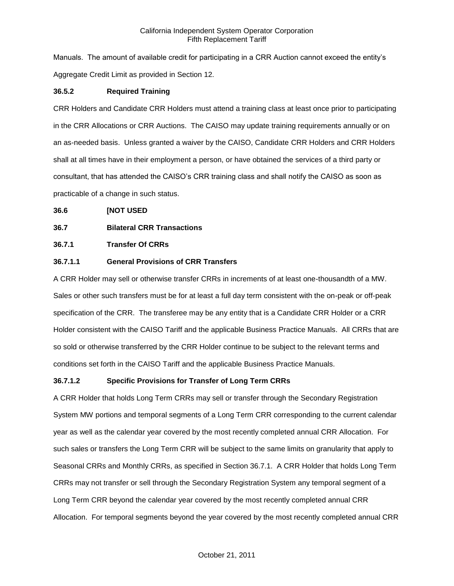Manuals. The amount of available credit for participating in a CRR Auction cannot exceed the entity's Aggregate Credit Limit as provided in Section 12.

# **36.5.2 Required Training**

CRR Holders and Candidate CRR Holders must attend a training class at least once prior to participating in the CRR Allocations or CRR Auctions. The CAISO may update training requirements annually or on an as-needed basis. Unless granted a waiver by the CAISO, Candidate CRR Holders and CRR Holders shall at all times have in their employment a person, or have obtained the services of a third party or consultant, that has attended the CAISO's CRR training class and shall notify the CAISO as soon as practicable of a change in such status.

# **36.6 [NOT USED**

# **36.7 Bilateral CRR Transactions**

# **36.7.1 Transfer Of CRRs**

# **36.7.1.1 General Provisions of CRR Transfers**

A CRR Holder may sell or otherwise transfer CRRs in increments of at least one-thousandth of a MW. Sales or other such transfers must be for at least a full day term consistent with the on-peak or off-peak specification of the CRR. The transferee may be any entity that is a Candidate CRR Holder or a CRR Holder consistent with the CAISO Tariff and the applicable Business Practice Manuals. All CRRs that are so sold or otherwise transferred by the CRR Holder continue to be subject to the relevant terms and conditions set forth in the CAISO Tariff and the applicable Business Practice Manuals.

# **36.7.1.2 Specific Provisions for Transfer of Long Term CRRs**

A CRR Holder that holds Long Term CRRs may sell or transfer through the Secondary Registration System MW portions and temporal segments of a Long Term CRR corresponding to the current calendar year as well as the calendar year covered by the most recently completed annual CRR Allocation. For such sales or transfers the Long Term CRR will be subject to the same limits on granularity that apply to Seasonal CRRs and Monthly CRRs, as specified in Section 36.7.1. A CRR Holder that holds Long Term CRRs may not transfer or sell through the Secondary Registration System any temporal segment of a Long Term CRR beyond the calendar year covered by the most recently completed annual CRR Allocation. For temporal segments beyond the year covered by the most recently completed annual CRR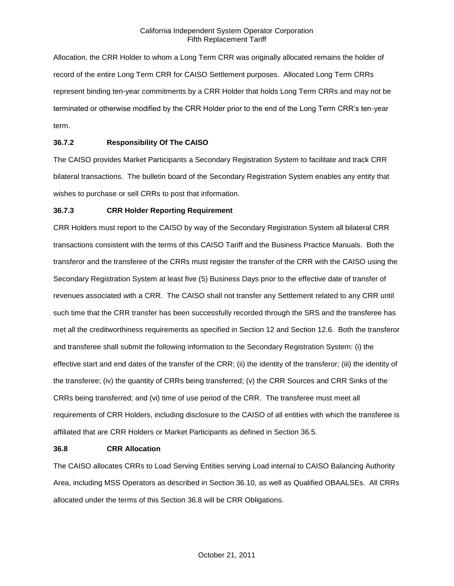Allocation, the CRR Holder to whom a Long Term CRR was originally allocated remains the holder of record of the entire Long Term CRR for CAISO Settlement purposes. Allocated Long Term CRRs represent binding ten-year commitments by a CRR Holder that holds Long Term CRRs and may not be terminated or otherwise modified by the CRR Holder prior to the end of the Long Term CRR's ten-year term.

# **36.7.2 Responsibility Of The CAISO**

The CAISO provides Market Participants a Secondary Registration System to facilitate and track CRR bilateral transactions. The bulletin board of the Secondary Registration System enables any entity that wishes to purchase or sell CRRs to post that information.

#### **36.7.3 CRR Holder Reporting Requirement**

CRR Holders must report to the CAISO by way of the Secondary Registration System all bilateral CRR transactions consistent with the terms of this CAISO Tariff and the Business Practice Manuals. Both the transferor and the transferee of the CRRs must register the transfer of the CRR with the CAISO using the Secondary Registration System at least five (5) Business Days prior to the effective date of transfer of revenues associated with a CRR. The CAISO shall not transfer any Settlement related to any CRR until such time that the CRR transfer has been successfully recorded through the SRS and the transferee has met all the creditworthiness requirements as specified in Section 12 and Section 12.6. Both the transferor and transferee shall submit the following information to the Secondary Registration System: (i) the effective start and end dates of the transfer of the CRR; (ii) the identity of the transferor; (iii) the identity of the transferee; (iv) the quantity of CRRs being transferred; (v) the CRR Sources and CRR Sinks of the CRRs being transferred; and (vi) time of use period of the CRR. The transferee must meet all requirements of CRR Holders, including disclosure to the CAISO of all entities with which the transferee is affiliated that are CRR Holders or Market Participants as defined in Section 36.5.

#### **36.8 CRR Allocation**

The CAISO allocates CRRs to Load Serving Entities serving Load internal to CAISO Balancing Authority Area, including MSS Operators as described in Section 36.10, as well as Qualified OBAALSEs. All CRRs allocated under the terms of this Section 36.8 will be CRR Obligations.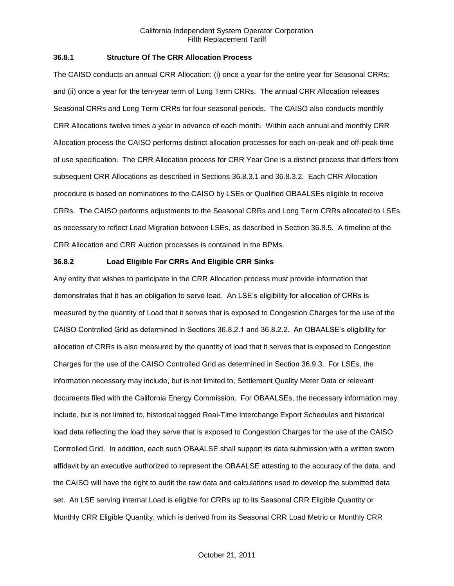# **36.8.1 Structure Of The CRR Allocation Process**

The CAISO conducts an annual CRR Allocation: (i) once a year for the entire year for Seasonal CRRs; and (ii) once a year for the ten-year term of Long Term CRRs. The annual CRR Allocation releases Seasonal CRRs and Long Term CRRs for four seasonal periods. The CAISO also conducts monthly CRR Allocations twelve times a year in advance of each month. Within each annual and monthly CRR Allocation process the CAISO performs distinct allocation processes for each on-peak and off-peak time of use specification. The CRR Allocation process for CRR Year One is a distinct process that differs from subsequent CRR Allocations as described in Sections 36.8.3.1 and 36.8.3.2. Each CRR Allocation procedure is based on nominations to the CAISO by LSEs or Qualified OBAALSEs eligible to receive CRRs. The CAISO performs adjustments to the Seasonal CRRs and Long Term CRRs allocated to LSEs as necessary to reflect Load Migration between LSEs, as described in Section 36.8.5. A timeline of the CRR Allocation and CRR Auction processes is contained in the BPMs.

## **36.8.2 Load Eligible For CRRs And Eligible CRR Sinks**

Any entity that wishes to participate in the CRR Allocation process must provide information that demonstrates that it has an obligation to serve load. An LSE's eligibility for allocation of CRRs is measured by the quantity of Load that it serves that is exposed to Congestion Charges for the use of the CAISO Controlled Grid as determined in Sections 36.8.2.1 and 36.8.2.2. An OBAALSE's eligibility for allocation of CRRs is also measured by the quantity of load that it serves that is exposed to Congestion Charges for the use of the CAISO Controlled Grid as determined in Section 36.9.3. For LSEs, the information necessary may include, but is not limited to, Settlement Quality Meter Data or relevant documents filed with the California Energy Commission. For OBAALSEs, the necessary information may include, but is not limited to, historical tagged Real-Time Interchange Export Schedules and historical load data reflecting the load they serve that is exposed to Congestion Charges for the use of the CAISO Controlled Grid. In addition, each such OBAALSE shall support its data submission with a written sworn affidavit by an executive authorized to represent the OBAALSE attesting to the accuracy of the data, and the CAISO will have the right to audit the raw data and calculations used to develop the submitted data set. An LSE serving internal Load is eligible for CRRs up to its Seasonal CRR Eligible Quantity or Monthly CRR Eligible Quantity, which is derived from its Seasonal CRR Load Metric or Monthly CRR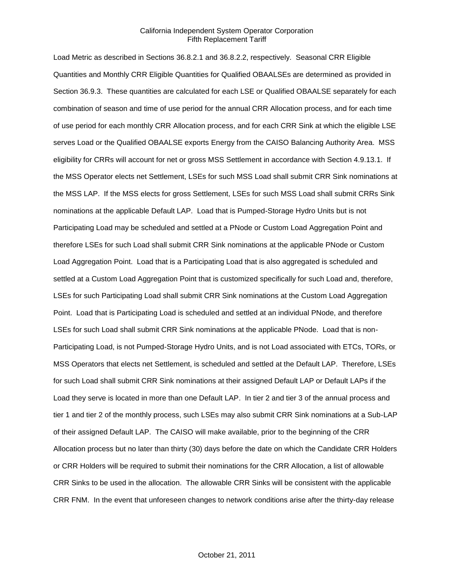Load Metric as described in Sections 36.8.2.1 and 36.8.2.2, respectively. Seasonal CRR Eligible Quantities and Monthly CRR Eligible Quantities for Qualified OBAALSEs are determined as provided in Section 36.9.3. These quantities are calculated for each LSE or Qualified OBAALSE separately for each combination of season and time of use period for the annual CRR Allocation process, and for each time of use period for each monthly CRR Allocation process, and for each CRR Sink at which the eligible LSE serves Load or the Qualified OBAALSE exports Energy from the CAISO Balancing Authority Area. MSS eligibility for CRRs will account for net or gross MSS Settlement in accordance with Section 4.9.13.1. If the MSS Operator elects net Settlement, LSEs for such MSS Load shall submit CRR Sink nominations at the MSS LAP. If the MSS elects for gross Settlement, LSEs for such MSS Load shall submit CRRs Sink nominations at the applicable Default LAP. Load that is Pumped-Storage Hydro Units but is not Participating Load may be scheduled and settled at a PNode or Custom Load Aggregation Point and therefore LSEs for such Load shall submit CRR Sink nominations at the applicable PNode or Custom Load Aggregation Point. Load that is a Participating Load that is also aggregated is scheduled and settled at a Custom Load Aggregation Point that is customized specifically for such Load and, therefore, LSEs for such Participating Load shall submit CRR Sink nominations at the Custom Load Aggregation Point. Load that is Participating Load is scheduled and settled at an individual PNode, and therefore LSEs for such Load shall submit CRR Sink nominations at the applicable PNode. Load that is non-Participating Load, is not Pumped-Storage Hydro Units, and is not Load associated with ETCs, TORs, or MSS Operators that elects net Settlement, is scheduled and settled at the Default LAP. Therefore, LSEs for such Load shall submit CRR Sink nominations at their assigned Default LAP or Default LAPs if the Load they serve is located in more than one Default LAP. In tier 2 and tier 3 of the annual process and tier 1 and tier 2 of the monthly process, such LSEs may also submit CRR Sink nominations at a Sub-LAP of their assigned Default LAP. The CAISO will make available, prior to the beginning of the CRR Allocation process but no later than thirty (30) days before the date on which the Candidate CRR Holders or CRR Holders will be required to submit their nominations for the CRR Allocation, a list of allowable CRR Sinks to be used in the allocation. The allowable CRR Sinks will be consistent with the applicable CRR FNM. In the event that unforeseen changes to network conditions arise after the thirty-day release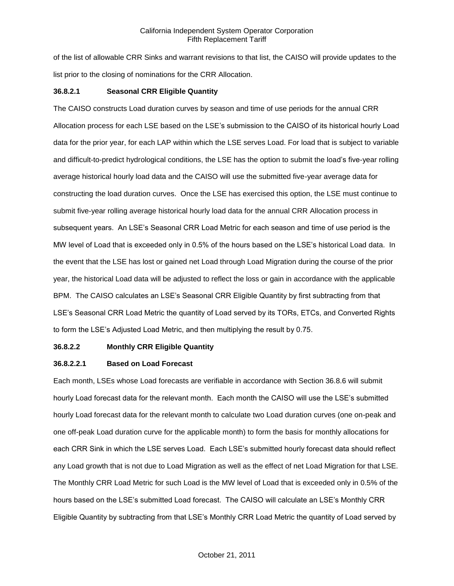of the list of allowable CRR Sinks and warrant revisions to that list, the CAISO will provide updates to the list prior to the closing of nominations for the CRR Allocation.

# **36.8.2.1 Seasonal CRR Eligible Quantity**

The CAISO constructs Load duration curves by season and time of use periods for the annual CRR Allocation process for each LSE based on the LSE's submission to the CAISO of its historical hourly Load data for the prior year, for each LAP within which the LSE serves Load. For load that is subject to variable and difficult-to-predict hydrological conditions, the LSE has the option to submit the load's five-year rolling average historical hourly load data and the CAISO will use the submitted five-year average data for constructing the load duration curves. Once the LSE has exercised this option, the LSE must continue to submit five-year rolling average historical hourly load data for the annual CRR Allocation process in subsequent years. An LSE's Seasonal CRR Load Metric for each season and time of use period is the MW level of Load that is exceeded only in 0.5% of the hours based on the LSE's historical Load data. In the event that the LSE has lost or gained net Load through Load Migration during the course of the prior year, the historical Load data will be adjusted to reflect the loss or gain in accordance with the applicable BPM. The CAISO calculates an LSE's Seasonal CRR Eligible Quantity by first subtracting from that LSE's Seasonal CRR Load Metric the quantity of Load served by its TORs, ETCs, and Converted Rights to form the LSE's Adjusted Load Metric, and then multiplying the result by 0.75.

# **36.8.2.2 Monthly CRR Eligible Quantity**

# **36.8.2.2.1 Based on Load Forecast**

Each month, LSEs whose Load forecasts are verifiable in accordance with Section 36.8.6 will submit hourly Load forecast data for the relevant month. Each month the CAISO will use the LSE's submitted hourly Load forecast data for the relevant month to calculate two Load duration curves (one on-peak and one off-peak Load duration curve for the applicable month) to form the basis for monthly allocations for each CRR Sink in which the LSE serves Load. Each LSE's submitted hourly forecast data should reflect any Load growth that is not due to Load Migration as well as the effect of net Load Migration for that LSE. The Monthly CRR Load Metric for such Load is the MW level of Load that is exceeded only in 0.5% of the hours based on the LSE's submitted Load forecast. The CAISO will calculate an LSE's Monthly CRR Eligible Quantity by subtracting from that LSE's Monthly CRR Load Metric the quantity of Load served by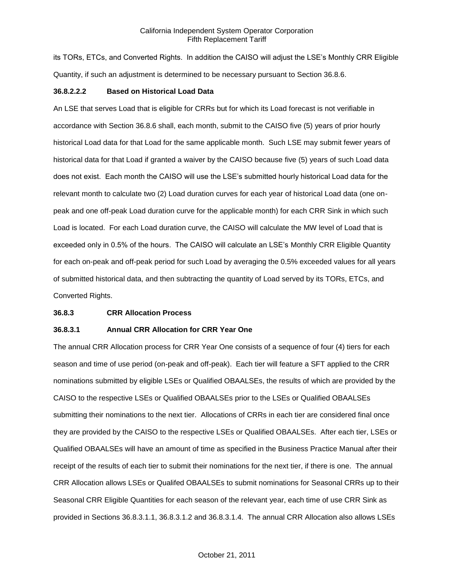its TORs, ETCs, and Converted Rights. In addition the CAISO will adjust the LSE's Monthly CRR Eligible Quantity, if such an adjustment is determined to be necessary pursuant to Section 36.8.6.

#### **36.8.2.2.2 Based on Historical Load Data**

An LSE that serves Load that is eligible for CRRs but for which its Load forecast is not verifiable in accordance with Section 36.8.6 shall, each month, submit to the CAISO five (5) years of prior hourly historical Load data for that Load for the same applicable month. Such LSE may submit fewer years of historical data for that Load if granted a waiver by the CAISO because five (5) years of such Load data does not exist. Each month the CAISO will use the LSE's submitted hourly historical Load data for the relevant month to calculate two (2) Load duration curves for each year of historical Load data (one onpeak and one off-peak Load duration curve for the applicable month) for each CRR Sink in which such Load is located. For each Load duration curve, the CAISO will calculate the MW level of Load that is exceeded only in 0.5% of the hours. The CAISO will calculate an LSE's Monthly CRR Eligible Quantity for each on-peak and off-peak period for such Load by averaging the 0.5% exceeded values for all years of submitted historical data, and then subtracting the quantity of Load served by its TORs, ETCs, and Converted Rights.

#### **36.8.3 CRR Allocation Process**

## **36.8.3.1 Annual CRR Allocation for CRR Year One**

The annual CRR Allocation process for CRR Year One consists of a sequence of four (4) tiers for each season and time of use period (on-peak and off-peak). Each tier will feature a SFT applied to the CRR nominations submitted by eligible LSEs or Qualified OBAALSEs, the results of which are provided by the CAISO to the respective LSEs or Qualified OBAALSEs prior to the LSEs or Qualified OBAALSEs submitting their nominations to the next tier. Allocations of CRRs in each tier are considered final once they are provided by the CAISO to the respective LSEs or Qualified OBAALSEs. After each tier, LSEs or Qualified OBAALSEs will have an amount of time as specified in the Business Practice Manual after their receipt of the results of each tier to submit their nominations for the next tier, if there is one. The annual CRR Allocation allows LSEs or Qualifed OBAALSEs to submit nominations for Seasonal CRRs up to their Seasonal CRR Eligible Quantities for each season of the relevant year, each time of use CRR Sink as provided in Sections 36.8.3.1.1, 36.8.3.1.2 and 36.8.3.1.4. The annual CRR Allocation also allows LSEs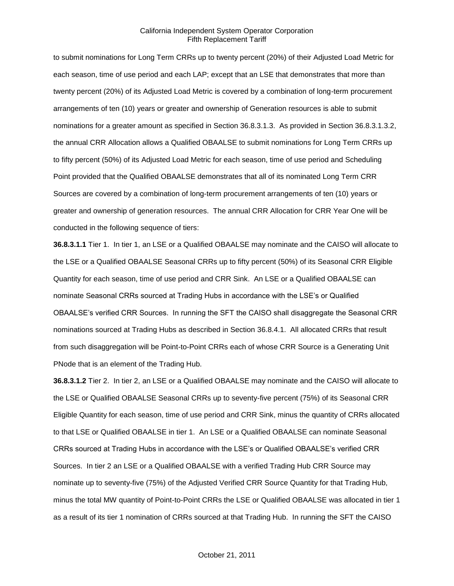to submit nominations for Long Term CRRs up to twenty percent (20%) of their Adjusted Load Metric for each season, time of use period and each LAP; except that an LSE that demonstrates that more than twenty percent (20%) of its Adjusted Load Metric is covered by a combination of long-term procurement arrangements of ten (10) years or greater and ownership of Generation resources is able to submit nominations for a greater amount as specified in Section 36.8.3.1.3. As provided in Section 36.8.3.1.3.2, the annual CRR Allocation allows a Qualified OBAALSE to submit nominations for Long Term CRRs up to fifty percent (50%) of its Adjusted Load Metric for each season, time of use period and Scheduling Point provided that the Qualified OBAALSE demonstrates that all of its nominated Long Term CRR Sources are covered by a combination of long-term procurement arrangements of ten (10) years or greater and ownership of generation resources. The annual CRR Allocation for CRR Year One will be conducted in the following sequence of tiers:

**36.8.3.1.1** Tier 1. In tier 1, an LSE or a Qualified OBAALSE may nominate and the CAISO will allocate to the LSE or a Qualified OBAALSE Seasonal CRRs up to fifty percent (50%) of its Seasonal CRR Eligible Quantity for each season, time of use period and CRR Sink. An LSE or a Qualified OBAALSE can nominate Seasonal CRRs sourced at Trading Hubs in accordance with the LSE's or Qualified OBAALSE's verified CRR Sources. In running the SFT the CAISO shall disaggregate the Seasonal CRR nominations sourced at Trading Hubs as described in Section 36.8.4.1. All allocated CRRs that result from such disaggregation will be Point-to-Point CRRs each of whose CRR Source is a Generating Unit PNode that is an element of the Trading Hub.

**36.8.3.1.2** Tier 2. In tier 2, an LSE or a Qualified OBAALSE may nominate and the CAISO will allocate to the LSE or Qualified OBAALSE Seasonal CRRs up to seventy-five percent (75%) of its Seasonal CRR Eligible Quantity for each season, time of use period and CRR Sink, minus the quantity of CRRs allocated to that LSE or Qualified OBAALSE in tier 1. An LSE or a Qualified OBAALSE can nominate Seasonal CRRs sourced at Trading Hubs in accordance with the LSE's or Qualified OBAALSE's verified CRR Sources. In tier 2 an LSE or a Qualified OBAALSE with a verified Trading Hub CRR Source may nominate up to seventy-five (75%) of the Adjusted Verified CRR Source Quantity for that Trading Hub, minus the total MW quantity of Point-to-Point CRRs the LSE or Qualified OBAALSE was allocated in tier 1 as a result of its tier 1 nomination of CRRs sourced at that Trading Hub. In running the SFT the CAISO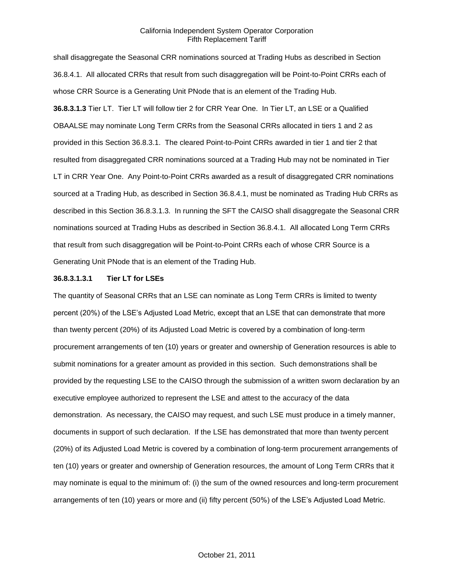shall disaggregate the Seasonal CRR nominations sourced at Trading Hubs as described in Section 36.8.4.1. All allocated CRRs that result from such disaggregation will be Point-to-Point CRRs each of whose CRR Source is a Generating Unit PNode that is an element of the Trading Hub. **36.8.3.1.3** Tier LT. Tier LT will follow tier 2 for CRR Year One. In Tier LT, an LSE or a Qualified OBAALSE may nominate Long Term CRRs from the Seasonal CRRs allocated in tiers 1 and 2 as provided in this Section 36.8.3.1. The cleared Point-to-Point CRRs awarded in tier 1 and tier 2 that resulted from disaggregated CRR nominations sourced at a Trading Hub may not be nominated in Tier LT in CRR Year One. Any Point-to-Point CRRs awarded as a result of disaggregated CRR nominations sourced at a Trading Hub, as described in Section 36.8.4.1, must be nominated as Trading Hub CRRs as described in this Section 36.8.3.1.3. In running the SFT the CAISO shall disaggregate the Seasonal CRR nominations sourced at Trading Hubs as described in Section 36.8.4.1. All allocated Long Term CRRs that result from such disaggregation will be Point-to-Point CRRs each of whose CRR Source is a Generating Unit PNode that is an element of the Trading Hub.

# **36.8.3.1.3.1 Tier LT for LSEs**

The quantity of Seasonal CRRs that an LSE can nominate as Long Term CRRs is limited to twenty percent (20%) of the LSE's Adjusted Load Metric, except that an LSE that can demonstrate that more than twenty percent (20%) of its Adjusted Load Metric is covered by a combination of long-term procurement arrangements of ten (10) years or greater and ownership of Generation resources is able to submit nominations for a greater amount as provided in this section. Such demonstrations shall be provided by the requesting LSE to the CAISO through the submission of a written sworn declaration by an executive employee authorized to represent the LSE and attest to the accuracy of the data demonstration. As necessary, the CAISO may request, and such LSE must produce in a timely manner, documents in support of such declaration. If the LSE has demonstrated that more than twenty percent (20%) of its Adjusted Load Metric is covered by a combination of long-term procurement arrangements of ten (10) years or greater and ownership of Generation resources, the amount of Long Term CRRs that it may nominate is equal to the minimum of: (i) the sum of the owned resources and long-term procurement arrangements of ten (10) years or more and (ii) fifty percent (50%) of the LSE's Adjusted Load Metric.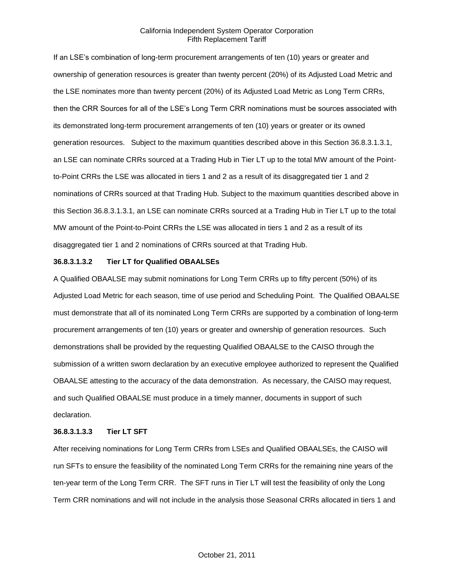If an LSE's combination of long-term procurement arrangements of ten (10) years or greater and ownership of generation resources is greater than twenty percent (20%) of its Adjusted Load Metric and the LSE nominates more than twenty percent (20%) of its Adjusted Load Metric as Long Term CRRs, then the CRR Sources for all of the LSE's Long Term CRR nominations must be sources associated with its demonstrated long-term procurement arrangements of ten (10) years or greater or its owned generation resources. Subject to the maximum quantities described above in this Section 36.8.3.1.3.1, an LSE can nominate CRRs sourced at a Trading Hub in Tier LT up to the total MW amount of the Pointto-Point CRRs the LSE was allocated in tiers 1 and 2 as a result of its disaggregated tier 1 and 2 nominations of CRRs sourced at that Trading Hub. Subject to the maximum quantities described above in this Section 36.8.3.1.3.1, an LSE can nominate CRRs sourced at a Trading Hub in Tier LT up to the total MW amount of the Point-to-Point CRRs the LSE was allocated in tiers 1 and 2 as a result of its disaggregated tier 1 and 2 nominations of CRRs sourced at that Trading Hub.

#### **36.8.3.1.3.2 Tier LT for Qualified OBAALSEs**

A Qualified OBAALSE may submit nominations for Long Term CRRs up to fifty percent (50%) of its Adjusted Load Metric for each season, time of use period and Scheduling Point. The Qualified OBAALSE must demonstrate that all of its nominated Long Term CRRs are supported by a combination of long-term procurement arrangements of ten (10) years or greater and ownership of generation resources. Such demonstrations shall be provided by the requesting Qualified OBAALSE to the CAISO through the submission of a written sworn declaration by an executive employee authorized to represent the Qualified OBAALSE attesting to the accuracy of the data demonstration. As necessary, the CAISO may request, and such Qualified OBAALSE must produce in a timely manner, documents in support of such declaration.

#### **36.8.3.1.3.3 Tier LT SFT**

After receiving nominations for Long Term CRRs from LSEs and Qualified OBAALSEs, the CAISO will run SFTs to ensure the feasibility of the nominated Long Term CRRs for the remaining nine years of the ten-year term of the Long Term CRR. The SFT runs in Tier LT will test the feasibility of only the Long Term CRR nominations and will not include in the analysis those Seasonal CRRs allocated in tiers 1 and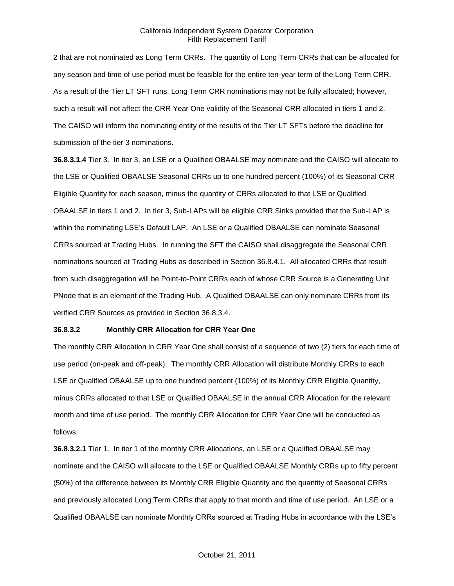2 that are not nominated as Long Term CRRs. The quantity of Long Term CRRs that can be allocated for any season and time of use period must be feasible for the entire ten-year term of the Long Term CRR. As a result of the Tier LT SFT runs, Long Term CRR nominations may not be fully allocated; however, such a result will not affect the CRR Year One validity of the Seasonal CRR allocated in tiers 1 and 2. The CAISO will inform the nominating entity of the results of the Tier LT SFTs before the deadline for submission of the tier 3 nominations.

**36.8.3.1.4** Tier 3. In tier 3, an LSE or a Qualified OBAALSE may nominate and the CAISO will allocate to the LSE or Qualified OBAALSE Seasonal CRRs up to one hundred percent (100%) of its Seasonal CRR Eligible Quantity for each season, minus the quantity of CRRs allocated to that LSE or Qualified OBAALSE in tiers 1 and 2. In tier 3, Sub-LAPs will be eligible CRR Sinks provided that the Sub-LAP is within the nominating LSE's Default LAP. An LSE or a Qualified OBAALSE can nominate Seasonal CRRs sourced at Trading Hubs. In running the SFT the CAISO shall disaggregate the Seasonal CRR nominations sourced at Trading Hubs as described in Section 36.8.4.1. All allocated CRRs that result from such disaggregation will be Point-to-Point CRRs each of whose CRR Source is a Generating Unit PNode that is an element of the Trading Hub. A Qualified OBAALSE can only nominate CRRs from its verified CRR Sources as provided in Section 36.8.3.4.

# **36.8.3.2 Monthly CRR Allocation for CRR Year One**

The monthly CRR Allocation in CRR Year One shall consist of a sequence of two (2) tiers for each time of use period (on-peak and off-peak). The monthly CRR Allocation will distribute Monthly CRRs to each LSE or Qualified OBAALSE up to one hundred percent (100%) of its Monthly CRR Eligible Quantity, minus CRRs allocated to that LSE or Qualified OBAALSE in the annual CRR Allocation for the relevant month and time of use period. The monthly CRR Allocation for CRR Year One will be conducted as follows:

**36.8.3.2.1** Tier 1. In tier 1 of the monthly CRR Allocations, an LSE or a Qualified OBAALSE may nominate and the CAISO will allocate to the LSE or Qualified OBAALSE Monthly CRRs up to fifty percent (50%) of the difference between its Monthly CRR Eligible Quantity and the quantity of Seasonal CRRs and previously allocated Long Term CRRs that apply to that month and time of use period. An LSE or a Qualified OBAALSE can nominate Monthly CRRs sourced at Trading Hubs in accordance with the LSE's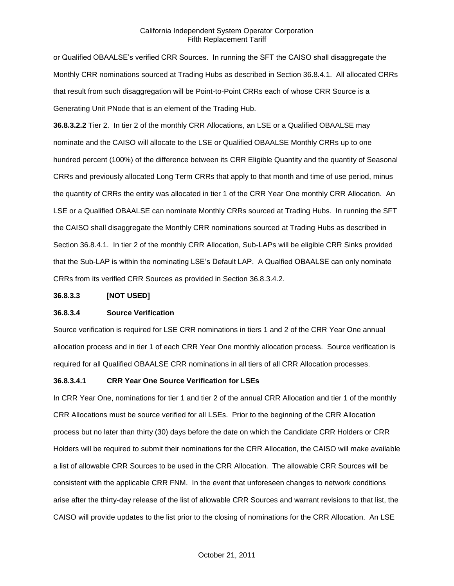or Qualified OBAALSE's verified CRR Sources. In running the SFT the CAISO shall disaggregate the Monthly CRR nominations sourced at Trading Hubs as described in Section 36.8.4.1. All allocated CRRs that result from such disaggregation will be Point-to-Point CRRs each of whose CRR Source is a Generating Unit PNode that is an element of the Trading Hub.

**36.8.3.2.2** Tier 2. In tier 2 of the monthly CRR Allocations, an LSE or a Qualified OBAALSE may nominate and the CAISO will allocate to the LSE or Qualified OBAALSE Monthly CRRs up to one hundred percent (100%) of the difference between its CRR Eligible Quantity and the quantity of Seasonal CRRs and previously allocated Long Term CRRs that apply to that month and time of use period, minus the quantity of CRRs the entity was allocated in tier 1 of the CRR Year One monthly CRR Allocation. An LSE or a Qualified OBAALSE can nominate Monthly CRRs sourced at Trading Hubs. In running the SFT the CAISO shall disaggregate the Monthly CRR nominations sourced at Trading Hubs as described in Section 36.8.4.1. In tier 2 of the monthly CRR Allocation, Sub-LAPs will be eligible CRR Sinks provided that the Sub-LAP is within the nominating LSE's Default LAP. A Qualfied OBAALSE can only nominate CRRs from its verified CRR Sources as provided in Section 36.8.3.4.2.

#### **36.8.3.3 [NOT USED]**

#### **36.8.3.4 Source Verification**

Source verification is required for LSE CRR nominations in tiers 1 and 2 of the CRR Year One annual allocation process and in tier 1 of each CRR Year One monthly allocation process. Source verification is required for all Qualified OBAALSE CRR nominations in all tiers of all CRR Allocation processes.

# **36.8.3.4.1 CRR Year One Source Verification for LSEs**

In CRR Year One, nominations for tier 1 and tier 2 of the annual CRR Allocation and tier 1 of the monthly CRR Allocations must be source verified for all LSEs. Prior to the beginning of the CRR Allocation process but no later than thirty (30) days before the date on which the Candidate CRR Holders or CRR Holders will be required to submit their nominations for the CRR Allocation, the CAISO will make available a list of allowable CRR Sources to be used in the CRR Allocation. The allowable CRR Sources will be consistent with the applicable CRR FNM. In the event that unforeseen changes to network conditions arise after the thirty-day release of the list of allowable CRR Sources and warrant revisions to that list, the CAISO will provide updates to the list prior to the closing of nominations for the CRR Allocation. An LSE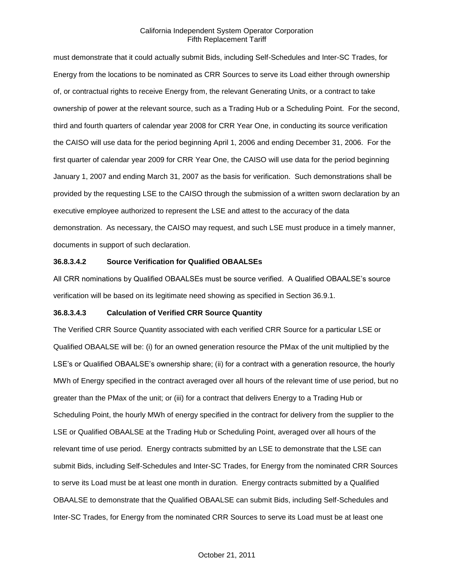must demonstrate that it could actually submit Bids, including Self-Schedules and Inter-SC Trades, for Energy from the locations to be nominated as CRR Sources to serve its Load either through ownership of, or contractual rights to receive Energy from, the relevant Generating Units, or a contract to take ownership of power at the relevant source, such as a Trading Hub or a Scheduling Point. For the second, third and fourth quarters of calendar year 2008 for CRR Year One, in conducting its source verification the CAISO will use data for the period beginning April 1, 2006 and ending December 31, 2006. For the first quarter of calendar year 2009 for CRR Year One, the CAISO will use data for the period beginning January 1, 2007 and ending March 31, 2007 as the basis for verification. Such demonstrations shall be provided by the requesting LSE to the CAISO through the submission of a written sworn declaration by an executive employee authorized to represent the LSE and attest to the accuracy of the data demonstration. As necessary, the CAISO may request, and such LSE must produce in a timely manner, documents in support of such declaration.

# **36.8.3.4.2 Source Verification for Qualified OBAALSEs**

All CRR nominations by Qualified OBAALSEs must be source verified. A Qualified OBAALSE's source verification will be based on its legitimate need showing as specified in Section 36.9.1.

# **36.8.3.4.3 Calculation of Verified CRR Source Quantity**

The Verified CRR Source Quantity associated with each verified CRR Source for a particular LSE or Qualified OBAALSE will be: (i) for an owned generation resource the PMax of the unit multiplied by the LSE's or Qualified OBAALSE's ownership share; (ii) for a contract with a generation resource, the hourly MWh of Energy specified in the contract averaged over all hours of the relevant time of use period, but no greater than the PMax of the unit; or (iii) for a contract that delivers Energy to a Trading Hub or Scheduling Point, the hourly MWh of energy specified in the contract for delivery from the supplier to the LSE or Qualified OBAALSE at the Trading Hub or Scheduling Point, averaged over all hours of the relevant time of use period. Energy contracts submitted by an LSE to demonstrate that the LSE can submit Bids, including Self-Schedules and Inter-SC Trades, for Energy from the nominated CRR Sources to serve its Load must be at least one month in duration. Energy contracts submitted by a Qualified OBAALSE to demonstrate that the Qualified OBAALSE can submit Bids, including Self-Schedules and Inter-SC Trades, for Energy from the nominated CRR Sources to serve its Load must be at least one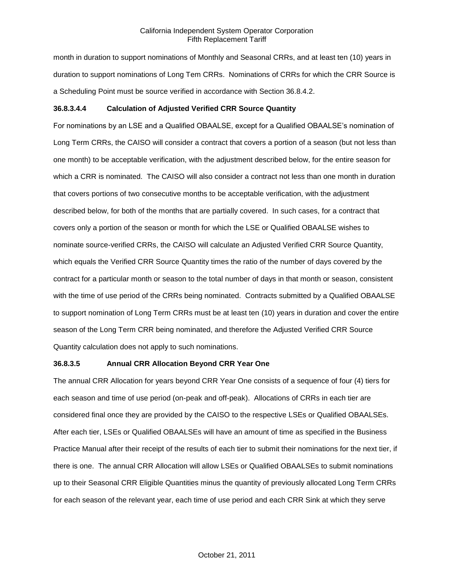month in duration to support nominations of Monthly and Seasonal CRRs, and at least ten (10) years in duration to support nominations of Long Tem CRRs. Nominations of CRRs for which the CRR Source is a Scheduling Point must be source verified in accordance with Section 36.8.4.2.

# **36.8.3.4.4 Calculation of Adjusted Verified CRR Source Quantity**

For nominations by an LSE and a Qualified OBAALSE, except for a Qualified OBAALSE's nomination of Long Term CRRs, the CAISO will consider a contract that covers a portion of a season (but not less than one month) to be acceptable verification, with the adjustment described below, for the entire season for which a CRR is nominated. The CAISO will also consider a contract not less than one month in duration that covers portions of two consecutive months to be acceptable verification, with the adjustment described below, for both of the months that are partially covered. In such cases, for a contract that covers only a portion of the season or month for which the LSE or Qualified OBAALSE wishes to nominate source-verified CRRs, the CAISO will calculate an Adjusted Verified CRR Source Quantity, which equals the Verified CRR Source Quantity times the ratio of the number of days covered by the contract for a particular month or season to the total number of days in that month or season, consistent with the time of use period of the CRRs being nominated. Contracts submitted by a Qualified OBAALSE to support nomination of Long Term CRRs must be at least ten (10) years in duration and cover the entire season of the Long Term CRR being nominated, and therefore the Adjusted Verified CRR Source Quantity calculation does not apply to such nominations.

# **36.8.3.5 Annual CRR Allocation Beyond CRR Year One**

The annual CRR Allocation for years beyond CRR Year One consists of a sequence of four (4) tiers for each season and time of use period (on-peak and off-peak). Allocations of CRRs in each tier are considered final once they are provided by the CAISO to the respective LSEs or Qualified OBAALSEs. After each tier, LSEs or Qualified OBAALSEs will have an amount of time as specified in the Business Practice Manual after their receipt of the results of each tier to submit their nominations for the next tier, if there is one. The annual CRR Allocation will allow LSEs or Qualified OBAALSEs to submit nominations up to their Seasonal CRR Eligible Quantities minus the quantity of previously allocated Long Term CRRs for each season of the relevant year, each time of use period and each CRR Sink at which they serve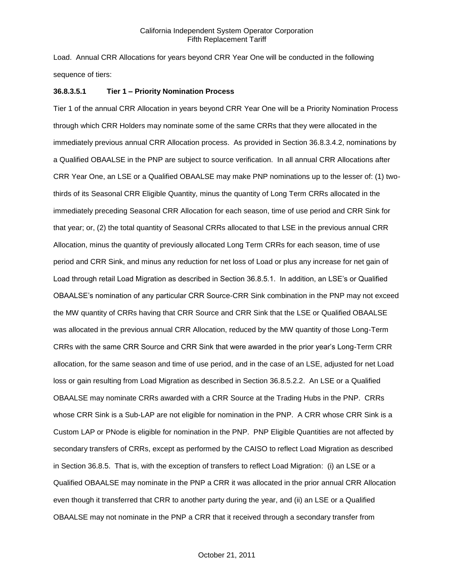Load. Annual CRR Allocations for years beyond CRR Year One will be conducted in the following sequence of tiers:

#### **36.8.3.5.1 Tier 1 – Priority Nomination Process**

Tier 1 of the annual CRR Allocation in years beyond CRR Year One will be a Priority Nomination Process through which CRR Holders may nominate some of the same CRRs that they were allocated in the immediately previous annual CRR Allocation process. As provided in Section 36.8.3.4.2, nominations by a Qualified OBAALSE in the PNP are subject to source verification. In all annual CRR Allocations after CRR Year One, an LSE or a Qualified OBAALSE may make PNP nominations up to the lesser of: (1) twothirds of its Seasonal CRR Eligible Quantity, minus the quantity of Long Term CRRs allocated in the immediately preceding Seasonal CRR Allocation for each season, time of use period and CRR Sink for that year; or, (2) the total quantity of Seasonal CRRs allocated to that LSE in the previous annual CRR Allocation, minus the quantity of previously allocated Long Term CRRs for each season, time of use period and CRR Sink, and minus any reduction for net loss of Load or plus any increase for net gain of Load through retail Load Migration as described in Section 36.8.5.1. In addition, an LSE's or Qualified OBAALSE's nomination of any particular CRR Source-CRR Sink combination in the PNP may not exceed the MW quantity of CRRs having that CRR Source and CRR Sink that the LSE or Qualified OBAALSE was allocated in the previous annual CRR Allocation, reduced by the MW quantity of those Long-Term CRRs with the same CRR Source and CRR Sink that were awarded in the prior year's Long-Term CRR allocation, for the same season and time of use period, and in the case of an LSE, adjusted for net Load loss or gain resulting from Load Migration as described in Section 36.8.5.2.2. An LSE or a Qualified OBAALSE may nominate CRRs awarded with a CRR Source at the Trading Hubs in the PNP. CRRs whose CRR Sink is a Sub-LAP are not eligible for nomination in the PNP. A CRR whose CRR Sink is a Custom LAP or PNode is eligible for nomination in the PNP. PNP Eligible Quantities are not affected by secondary transfers of CRRs, except as performed by the CAISO to reflect Load Migration as described in Section 36.8.5. That is, with the exception of transfers to reflect Load Migration: (i) an LSE or a Qualified OBAALSE may nominate in the PNP a CRR it was allocated in the prior annual CRR Allocation even though it transferred that CRR to another party during the year, and (ii) an LSE or a Qualified OBAALSE may not nominate in the PNP a CRR that it received through a secondary transfer from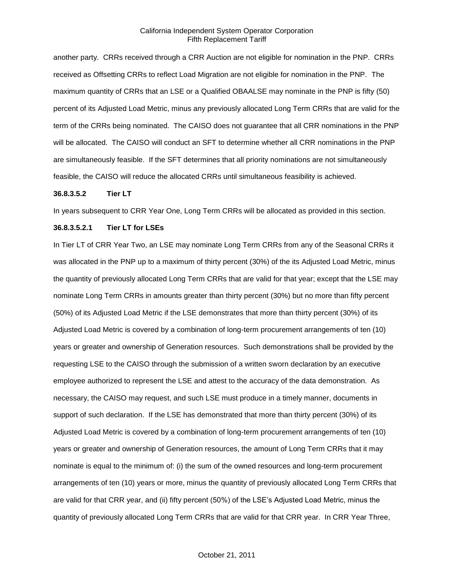another party. CRRs received through a CRR Auction are not eligible for nomination in the PNP. CRRs received as Offsetting CRRs to reflect Load Migration are not eligible for nomination in the PNP. The maximum quantity of CRRs that an LSE or a Qualified OBAALSE may nominate in the PNP is fifty (50) percent of its Adjusted Load Metric, minus any previously allocated Long Term CRRs that are valid for the term of the CRRs being nominated. The CAISO does not guarantee that all CRR nominations in the PNP will be allocated. The CAISO will conduct an SFT to determine whether all CRR nominations in the PNP are simultaneously feasible. If the SFT determines that all priority nominations are not simultaneously feasible, the CAISO will reduce the allocated CRRs until simultaneous feasibility is achieved.

#### **36.8.3.5.2 Tier LT**

In years subsequent to CRR Year One, Long Term CRRs will be allocated as provided in this section.

# **36.8.3.5.2.1 Tier LT for LSEs**

In Tier LT of CRR Year Two, an LSE may nominate Long Term CRRs from any of the Seasonal CRRs it was allocated in the PNP up to a maximum of thirty percent (30%) of the its Adjusted Load Metric, minus the quantity of previously allocated Long Term CRRs that are valid for that year; except that the LSE may nominate Long Term CRRs in amounts greater than thirty percent (30%) but no more than fifty percent (50%) of its Adjusted Load Metric if the LSE demonstrates that more than thirty percent (30%) of its Adjusted Load Metric is covered by a combination of long-term procurement arrangements of ten (10) years or greater and ownership of Generation resources. Such demonstrations shall be provided by the requesting LSE to the CAISO through the submission of a written sworn declaration by an executive employee authorized to represent the LSE and attest to the accuracy of the data demonstration. As necessary, the CAISO may request, and such LSE must produce in a timely manner, documents in support of such declaration. If the LSE has demonstrated that more than thirty percent (30%) of its Adjusted Load Metric is covered by a combination of long-term procurement arrangements of ten (10) years or greater and ownership of Generation resources, the amount of Long Term CRRs that it may nominate is equal to the minimum of: (i) the sum of the owned resources and long-term procurement arrangements of ten (10) years or more, minus the quantity of previously allocated Long Term CRRs that are valid for that CRR year, and (ii) fifty percent (50%) of the LSE's Adjusted Load Metric, minus the quantity of previously allocated Long Term CRRs that are valid for that CRR year. In CRR Year Three,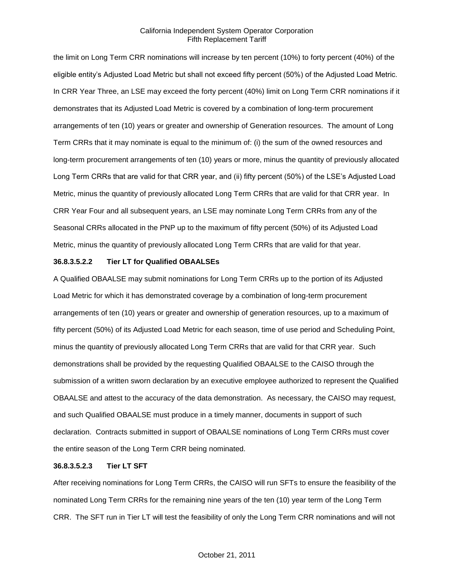the limit on Long Term CRR nominations will increase by ten percent (10%) to forty percent (40%) of the eligible entity's Adjusted Load Metric but shall not exceed fifty percent (50%) of the Adjusted Load Metric. In CRR Year Three, an LSE may exceed the forty percent (40%) limit on Long Term CRR nominations if it demonstrates that its Adjusted Load Metric is covered by a combination of long-term procurement arrangements of ten (10) years or greater and ownership of Generation resources. The amount of Long Term CRRs that it may nominate is equal to the minimum of: (i) the sum of the owned resources and long-term procurement arrangements of ten (10) years or more, minus the quantity of previously allocated Long Term CRRs that are valid for that CRR year, and (ii) fifty percent (50%) of the LSE's Adjusted Load Metric, minus the quantity of previously allocated Long Term CRRs that are valid for that CRR year. In CRR Year Four and all subsequent years, an LSE may nominate Long Term CRRs from any of the Seasonal CRRs allocated in the PNP up to the maximum of fifty percent (50%) of its Adjusted Load Metric, minus the quantity of previously allocated Long Term CRRs that are valid for that year.

#### **36.8.3.5.2.2 Tier LT for Qualified OBAALSEs**

A Qualified OBAALSE may submit nominations for Long Term CRRs up to the portion of its Adjusted Load Metric for which it has demonstrated coverage by a combination of long-term procurement arrangements of ten (10) years or greater and ownership of generation resources, up to a maximum of fifty percent (50%) of its Adjusted Load Metric for each season, time of use period and Scheduling Point, minus the quantity of previously allocated Long Term CRRs that are valid for that CRR year. Such demonstrations shall be provided by the requesting Qualified OBAALSE to the CAISO through the submission of a written sworn declaration by an executive employee authorized to represent the Qualified OBAALSE and attest to the accuracy of the data demonstration. As necessary, the CAISO may request, and such Qualified OBAALSE must produce in a timely manner, documents in support of such declaration. Contracts submitted in support of OBAALSE nominations of Long Term CRRs must cover the entire season of the Long Term CRR being nominated.

#### **36.8.3.5.2.3 Tier LT SFT**

After receiving nominations for Long Term CRRs, the CAISO will run SFTs to ensure the feasibility of the nominated Long Term CRRs for the remaining nine years of the ten (10) year term of the Long Term CRR. The SFT run in Tier LT will test the feasibility of only the Long Term CRR nominations and will not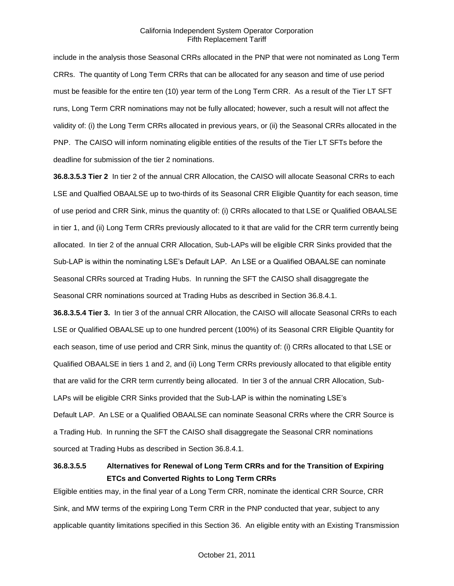include in the analysis those Seasonal CRRs allocated in the PNP that were not nominated as Long Term CRRs. The quantity of Long Term CRRs that can be allocated for any season and time of use period must be feasible for the entire ten (10) year term of the Long Term CRR. As a result of the Tier LT SFT runs, Long Term CRR nominations may not be fully allocated; however, such a result will not affect the validity of: (i) the Long Term CRRs allocated in previous years, or (ii) the Seasonal CRRs allocated in the PNP. The CAISO will inform nominating eligible entities of the results of the Tier LT SFTs before the deadline for submission of the tier 2 nominations.

**36.8.3.5.3 Tier 2** In tier 2 of the annual CRR Allocation, the CAISO will allocate Seasonal CRRs to each LSE and Qualfied OBAALSE up to two-thirds of its Seasonal CRR Eligible Quantity for each season, time of use period and CRR Sink, minus the quantity of: (i) CRRs allocated to that LSE or Qualified OBAALSE in tier 1, and (ii) Long Term CRRs previously allocated to it that are valid for the CRR term currently being allocated. In tier 2 of the annual CRR Allocation, Sub-LAPs will be eligible CRR Sinks provided that the Sub-LAP is within the nominating LSE's Default LAP. An LSE or a Qualified OBAALSE can nominate Seasonal CRRs sourced at Trading Hubs. In running the SFT the CAISO shall disaggregate the Seasonal CRR nominations sourced at Trading Hubs as described in Section 36.8.4.1.

**36.8.3.5.4 Tier 3.** In tier 3 of the annual CRR Allocation, the CAISO will allocate Seasonal CRRs to each LSE or Qualified OBAALSE up to one hundred percent (100%) of its Seasonal CRR Eligible Quantity for each season, time of use period and CRR Sink, minus the quantity of: (i) CRRs allocated to that LSE or Qualified OBAALSE in tiers 1 and 2, and (ii) Long Term CRRs previously allocated to that eligible entity that are valid for the CRR term currently being allocated. In tier 3 of the annual CRR Allocation, Sub-LAPs will be eligible CRR Sinks provided that the Sub-LAP is within the nominating LSE's Default LAP. An LSE or a Qualified OBAALSE can nominate Seasonal CRRs where the CRR Source is a Trading Hub. In running the SFT the CAISO shall disaggregate the Seasonal CRR nominations sourced at Trading Hubs as described in Section 36.8.4.1.

# **36.8.3.5.5 Alternatives for Renewal of Long Term CRRs and for the Transition of Expiring ETCs and Converted Rights to Long Term CRRs**

Eligible entities may, in the final year of a Long Term CRR, nominate the identical CRR Source, CRR Sink, and MW terms of the expiring Long Term CRR in the PNP conducted that year, subject to any applicable quantity limitations specified in this Section 36. An eligible entity with an Existing Transmission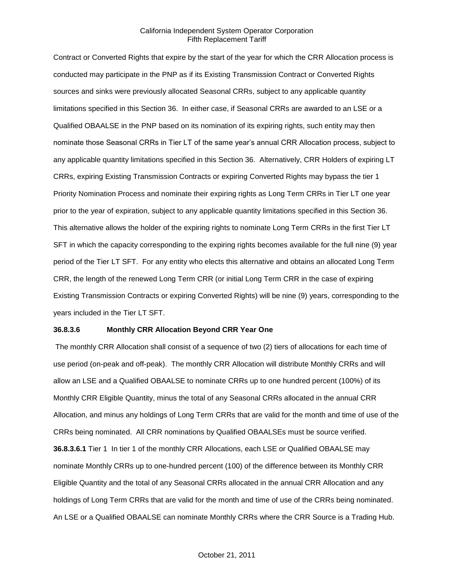Contract or Converted Rights that expire by the start of the year for which the CRR Allocation process is conducted may participate in the PNP as if its Existing Transmission Contract or Converted Rights sources and sinks were previously allocated Seasonal CRRs, subject to any applicable quantity limitations specified in this Section 36. In either case, if Seasonal CRRs are awarded to an LSE or a Qualified OBAALSE in the PNP based on its nomination of its expiring rights, such entity may then nominate those Seasonal CRRs in Tier LT of the same year's annual CRR Allocation process, subject to any applicable quantity limitations specified in this Section 36. Alternatively, CRR Holders of expiring LT CRRs, expiring Existing Transmission Contracts or expiring Converted Rights may bypass the tier 1 Priority Nomination Process and nominate their expiring rights as Long Term CRRs in Tier LT one year prior to the year of expiration, subject to any applicable quantity limitations specified in this Section 36. This alternative allows the holder of the expiring rights to nominate Long Term CRRs in the first Tier LT SFT in which the capacity corresponding to the expiring rights becomes available for the full nine (9) year period of the Tier LT SFT. For any entity who elects this alternative and obtains an allocated Long Term CRR, the length of the renewed Long Term CRR (or initial Long Term CRR in the case of expiring Existing Transmission Contracts or expiring Converted Rights) will be nine (9) years, corresponding to the years included in the Tier LT SFT.

## **36.8.3.6 Monthly CRR Allocation Beyond CRR Year One**

The monthly CRR Allocation shall consist of a sequence of two (2) tiers of allocations for each time of use period (on-peak and off-peak). The monthly CRR Allocation will distribute Monthly CRRs and will allow an LSE and a Qualified OBAALSE to nominate CRRs up to one hundred percent (100%) of its Monthly CRR Eligible Quantity, minus the total of any Seasonal CRRs allocated in the annual CRR Allocation, and minus any holdings of Long Term CRRs that are valid for the month and time of use of the CRRs being nominated. All CRR nominations by Qualified OBAALSEs must be source verified. **36.8.3.6.1** Tier 1 In tier 1 of the monthly CRR Allocations, each LSE or Qualified OBAALSE may nominate Monthly CRRs up to one-hundred percent (100) of the difference between its Monthly CRR Eligible Quantity and the total of any Seasonal CRRs allocated in the annual CRR Allocation and any holdings of Long Term CRRs that are valid for the month and time of use of the CRRs being nominated. An LSE or a Qualified OBAALSE can nominate Monthly CRRs where the CRR Source is a Trading Hub.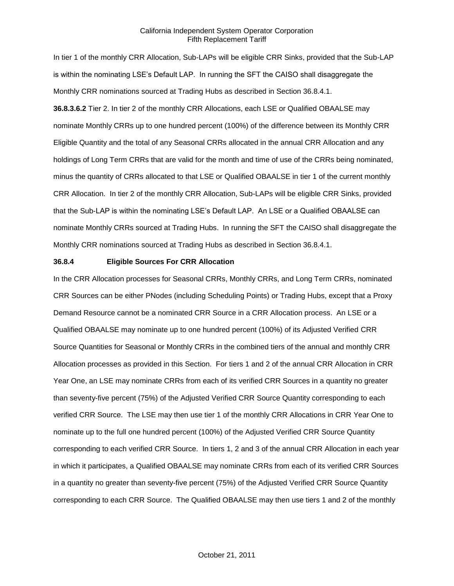In tier 1 of the monthly CRR Allocation, Sub-LAPs will be eligible CRR Sinks, provided that the Sub-LAP is within the nominating LSE's Default LAP. In running the SFT the CAISO shall disaggregate the Monthly CRR nominations sourced at Trading Hubs as described in Section 36.8.4.1. **36.8.3.6.2** Tier 2. In tier 2 of the monthly CRR Allocations, each LSE or Qualified OBAALSE may nominate Monthly CRRs up to one hundred percent (100%) of the difference between its Monthly CRR Eligible Quantity and the total of any Seasonal CRRs allocated in the annual CRR Allocation and any holdings of Long Term CRRs that are valid for the month and time of use of the CRRs being nominated, minus the quantity of CRRs allocated to that LSE or Qualified OBAALSE in tier 1 of the current monthly CRR Allocation. In tier 2 of the monthly CRR Allocation, Sub-LAPs will be eligible CRR Sinks, provided that the Sub-LAP is within the nominating LSE's Default LAP. An LSE or a Qualified OBAALSE can nominate Monthly CRRs sourced at Trading Hubs. In running the SFT the CAISO shall disaggregate the Monthly CRR nominations sourced at Trading Hubs as described in Section 36.8.4.1.

#### **36.8.4 Eligible Sources For CRR Allocation**

In the CRR Allocation processes for Seasonal CRRs, Monthly CRRs, and Long Term CRRs, nominated CRR Sources can be either PNodes (including Scheduling Points) or Trading Hubs, except that a Proxy Demand Resource cannot be a nominated CRR Source in a CRR Allocation process. An LSE or a Qualified OBAALSE may nominate up to one hundred percent (100%) of its Adjusted Verified CRR Source Quantities for Seasonal or Monthly CRRs in the combined tiers of the annual and monthly CRR Allocation processes as provided in this Section. For tiers 1 and 2 of the annual CRR Allocation in CRR Year One, an LSE may nominate CRRs from each of its verified CRR Sources in a quantity no greater than seventy-five percent (75%) of the Adjusted Verified CRR Source Quantity corresponding to each verified CRR Source. The LSE may then use tier 1 of the monthly CRR Allocations in CRR Year One to nominate up to the full one hundred percent (100%) of the Adjusted Verified CRR Source Quantity corresponding to each verified CRR Source. In tiers 1, 2 and 3 of the annual CRR Allocation in each year in which it participates, a Qualified OBAALSE may nominate CRRs from each of its verified CRR Sources in a quantity no greater than seventy-five percent (75%) of the Adjusted Verified CRR Source Quantity corresponding to each CRR Source. The Qualified OBAALSE may then use tiers 1 and 2 of the monthly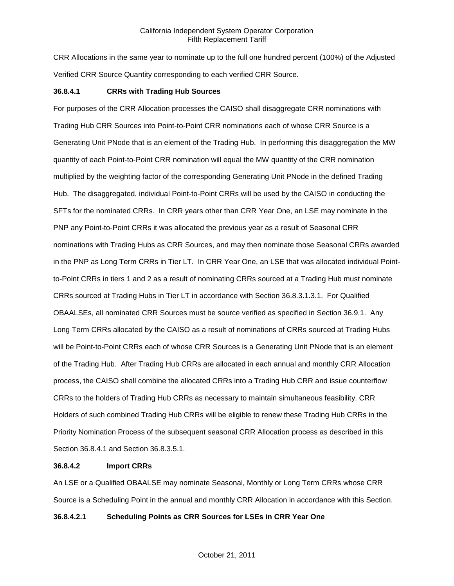CRR Allocations in the same year to nominate up to the full one hundred percent (100%) of the Adjusted Verified CRR Source Quantity corresponding to each verified CRR Source.

#### **36.8.4.1 CRRs with Trading Hub Sources**

For purposes of the CRR Allocation processes the CAISO shall disaggregate CRR nominations with Trading Hub CRR Sources into Point-to-Point CRR nominations each of whose CRR Source is a Generating Unit PNode that is an element of the Trading Hub. In performing this disaggregation the MW quantity of each Point-to-Point CRR nomination will equal the MW quantity of the CRR nomination multiplied by the weighting factor of the corresponding Generating Unit PNode in the defined Trading Hub. The disaggregated, individual Point-to-Point CRRs will be used by the CAISO in conducting the SFTs for the nominated CRRs. In CRR years other than CRR Year One, an LSE may nominate in the PNP any Point-to-Point CRRs it was allocated the previous year as a result of Seasonal CRR nominations with Trading Hubs as CRR Sources, and may then nominate those Seasonal CRRs awarded in the PNP as Long Term CRRs in Tier LT. In CRR Year One, an LSE that was allocated individual Pointto-Point CRRs in tiers 1 and 2 as a result of nominating CRRs sourced at a Trading Hub must nominate CRRs sourced at Trading Hubs in Tier LT in accordance with Section 36.8.3.1.3.1. For Qualified OBAALSEs, all nominated CRR Sources must be source verified as specified in Section 36.9.1. Any Long Term CRRs allocated by the CAISO as a result of nominations of CRRs sourced at Trading Hubs will be Point-to-Point CRRs each of whose CRR Sources is a Generating Unit PNode that is an element of the Trading Hub. After Trading Hub CRRs are allocated in each annual and monthly CRR Allocation process, the CAISO shall combine the allocated CRRs into a Trading Hub CRR and issue counterflow CRRs to the holders of Trading Hub CRRs as necessary to maintain simultaneous feasibility. CRR Holders of such combined Trading Hub CRRs will be eligible to renew these Trading Hub CRRs in the Priority Nomination Process of the subsequent seasonal CRR Allocation process as described in this Section 36.8.4.1 and Section 36.8.3.5.1.

# **36.8.4.2 Import CRRs**

An LSE or a Qualified OBAALSE may nominate Seasonal, Monthly or Long Term CRRs whose CRR Source is a Scheduling Point in the annual and monthly CRR Allocation in accordance with this Section.

# **36.8.4.2.1 Scheduling Points as CRR Sources for LSEs in CRR Year One**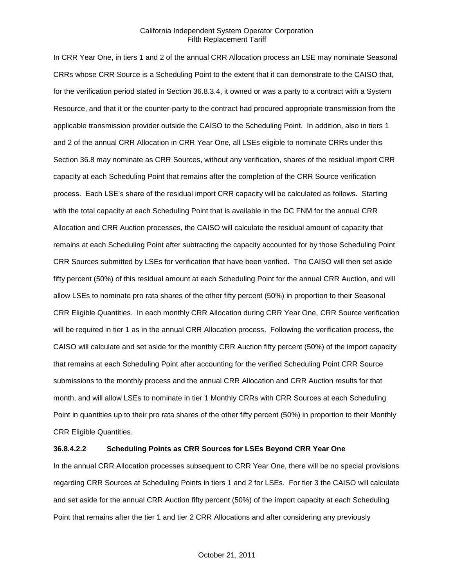In CRR Year One, in tiers 1 and 2 of the annual CRR Allocation process an LSE may nominate Seasonal CRRs whose CRR Source is a Scheduling Point to the extent that it can demonstrate to the CAISO that, for the verification period stated in Section 36.8.3.4, it owned or was a party to a contract with a System Resource, and that it or the counter-party to the contract had procured appropriate transmission from the applicable transmission provider outside the CAISO to the Scheduling Point. In addition, also in tiers 1 and 2 of the annual CRR Allocation in CRR Year One, all LSEs eligible to nominate CRRs under this Section 36.8 may nominate as CRR Sources, without any verification, shares of the residual import CRR capacity at each Scheduling Point that remains after the completion of the CRR Source verification process. Each LSE's share of the residual import CRR capacity will be calculated as follows. Starting with the total capacity at each Scheduling Point that is available in the DC FNM for the annual CRR Allocation and CRR Auction processes, the CAISO will calculate the residual amount of capacity that remains at each Scheduling Point after subtracting the capacity accounted for by those Scheduling Point CRR Sources submitted by LSEs for verification that have been verified. The CAISO will then set aside fifty percent (50%) of this residual amount at each Scheduling Point for the annual CRR Auction, and will allow LSEs to nominate pro rata shares of the other fifty percent (50%) in proportion to their Seasonal CRR Eligible Quantities. In each monthly CRR Allocation during CRR Year One, CRR Source verification will be required in tier 1 as in the annual CRR Allocation process. Following the verification process, the CAISO will calculate and set aside for the monthly CRR Auction fifty percent (50%) of the import capacity that remains at each Scheduling Point after accounting for the verified Scheduling Point CRR Source submissions to the monthly process and the annual CRR Allocation and CRR Auction results for that month, and will allow LSEs to nominate in tier 1 Monthly CRRs with CRR Sources at each Scheduling Point in quantities up to their pro rata shares of the other fifty percent (50%) in proportion to their Monthly CRR Eligible Quantities.

# **36.8.4.2.2 Scheduling Points as CRR Sources for LSEs Beyond CRR Year One**

In the annual CRR Allocation processes subsequent to CRR Year One, there will be no special provisions regarding CRR Sources at Scheduling Points in tiers 1 and 2 for LSEs. For tier 3 the CAISO will calculate and set aside for the annual CRR Auction fifty percent (50%) of the import capacity at each Scheduling Point that remains after the tier 1 and tier 2 CRR Allocations and after considering any previously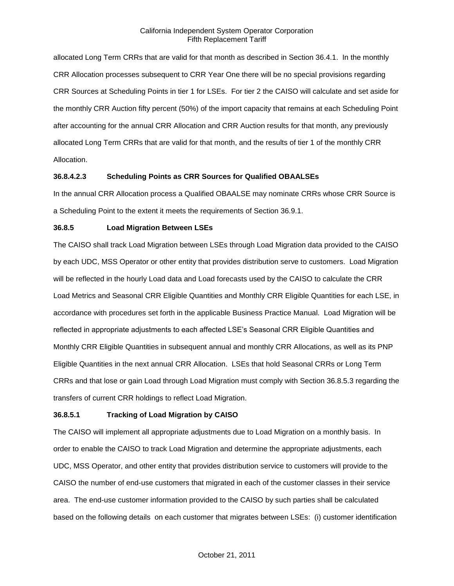allocated Long Term CRRs that are valid for that month as described in Section 36.4.1. In the monthly CRR Allocation processes subsequent to CRR Year One there will be no special provisions regarding CRR Sources at Scheduling Points in tier 1 for LSEs. For tier 2 the CAISO will calculate and set aside for the monthly CRR Auction fifty percent (50%) of the import capacity that remains at each Scheduling Point after accounting for the annual CRR Allocation and CRR Auction results for that month, any previously allocated Long Term CRRs that are valid for that month, and the results of tier 1 of the monthly CRR Allocation.

# **36.8.4.2.3 Scheduling Points as CRR Sources for Qualified OBAALSEs**

In the annual CRR Allocation process a Qualified OBAALSE may nominate CRRs whose CRR Source is a Scheduling Point to the extent it meets the requirements of Section 36.9.1.

#### **36.8.5 Load Migration Between LSEs**

The CAISO shall track Load Migration between LSEs through Load Migration data provided to the CAISO by each UDC, MSS Operator or other entity that provides distribution serve to customers. Load Migration will be reflected in the hourly Load data and Load forecasts used by the CAISO to calculate the CRR Load Metrics and Seasonal CRR Eligible Quantities and Monthly CRR Eligible Quantities for each LSE, in accordance with procedures set forth in the applicable Business Practice Manual. Load Migration will be reflected in appropriate adjustments to each affected LSE's Seasonal CRR Eligible Quantities and Monthly CRR Eligible Quantities in subsequent annual and monthly CRR Allocations, as well as its PNP Eligible Quantities in the next annual CRR Allocation. LSEs that hold Seasonal CRRs or Long Term CRRs and that lose or gain Load through Load Migration must comply with Section 36.8.5.3 regarding the transfers of current CRR holdings to reflect Load Migration.

#### **36.8.5.1 Tracking of Load Migration by CAISO**

The CAISO will implement all appropriate adjustments due to Load Migration on a monthly basis. In order to enable the CAISO to track Load Migration and determine the appropriate adjustments, each UDC, MSS Operator, and other entity that provides distribution service to customers will provide to the CAISO the number of end-use customers that migrated in each of the customer classes in their service area. The end-use customer information provided to the CAISO by such parties shall be calculated based on the following details on each customer that migrates between LSEs: (i) customer identification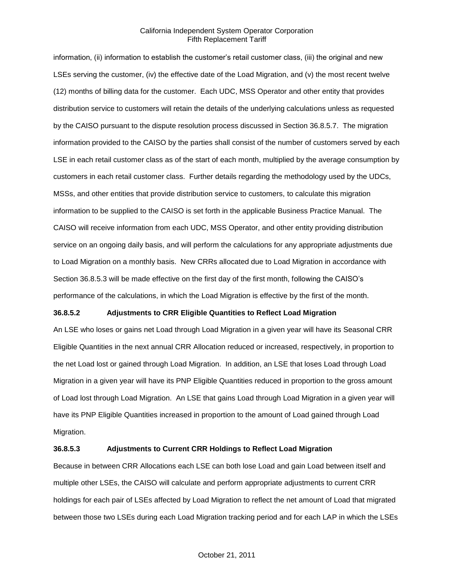information, (ii) information to establish the customer's retail customer class, (iii) the original and new LSEs serving the customer, (iv) the effective date of the Load Migration, and (v) the most recent twelve (12) months of billing data for the customer. Each UDC, MSS Operator and other entity that provides distribution service to customers will retain the details of the underlying calculations unless as requested by the CAISO pursuant to the dispute resolution process discussed in Section 36.8.5.7. The migration information provided to the CAISO by the parties shall consist of the number of customers served by each LSE in each retail customer class as of the start of each month, multiplied by the average consumption by customers in each retail customer class. Further details regarding the methodology used by the UDCs, MSSs, and other entities that provide distribution service to customers, to calculate this migration information to be supplied to the CAISO is set forth in the applicable Business Practice Manual. The CAISO will receive information from each UDC, MSS Operator, and other entity providing distribution service on an ongoing daily basis, and will perform the calculations for any appropriate adjustments due to Load Migration on a monthly basis. New CRRs allocated due to Load Migration in accordance with Section 36.8.5.3 will be made effective on the first day of the first month, following the CAISO's performance of the calculations, in which the Load Migration is effective by the first of the month.

#### **36.8.5.2 Adjustments to CRR Eligible Quantities to Reflect Load Migration**

An LSE who loses or gains net Load through Load Migration in a given year will have its Seasonal CRR Eligible Quantities in the next annual CRR Allocation reduced or increased, respectively, in proportion to the net Load lost or gained through Load Migration. In addition, an LSE that loses Load through Load Migration in a given year will have its PNP Eligible Quantities reduced in proportion to the gross amount of Load lost through Load Migration. An LSE that gains Load through Load Migration in a given year will have its PNP Eligible Quantities increased in proportion to the amount of Load gained through Load Migration.

## **36.8.5.3 Adjustments to Current CRR Holdings to Reflect Load Migration**

Because in between CRR Allocations each LSE can both lose Load and gain Load between itself and multiple other LSEs, the CAISO will calculate and perform appropriate adjustments to current CRR holdings for each pair of LSEs affected by Load Migration to reflect the net amount of Load that migrated between those two LSEs during each Load Migration tracking period and for each LAP in which the LSEs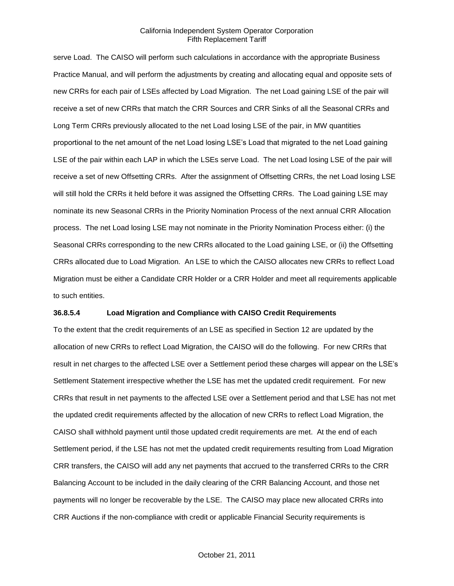serve Load. The CAISO will perform such calculations in accordance with the appropriate Business Practice Manual, and will perform the adjustments by creating and allocating equal and opposite sets of new CRRs for each pair of LSEs affected by Load Migration. The net Load gaining LSE of the pair will receive a set of new CRRs that match the CRR Sources and CRR Sinks of all the Seasonal CRRs and Long Term CRRs previously allocated to the net Load losing LSE of the pair, in MW quantities proportional to the net amount of the net Load losing LSE's Load that migrated to the net Load gaining LSE of the pair within each LAP in which the LSEs serve Load. The net Load losing LSE of the pair will receive a set of new Offsetting CRRs. After the assignment of Offsetting CRRs, the net Load losing LSE will still hold the CRRs it held before it was assigned the Offsetting CRRs. The Load gaining LSE may nominate its new Seasonal CRRs in the Priority Nomination Process of the next annual CRR Allocation process. The net Load losing LSE may not nominate in the Priority Nomination Process either: (i) the Seasonal CRRs corresponding to the new CRRs allocated to the Load gaining LSE, or (ii) the Offsetting CRRs allocated due to Load Migration. An LSE to which the CAISO allocates new CRRs to reflect Load Migration must be either a Candidate CRR Holder or a CRR Holder and meet all requirements applicable to such entities.

#### **36.8.5.4 Load Migration and Compliance with CAISO Credit Requirements**

To the extent that the credit requirements of an LSE as specified in Section 12 are updated by the allocation of new CRRs to reflect Load Migration, the CAISO will do the following. For new CRRs that result in net charges to the affected LSE over a Settlement period these charges will appear on the LSE's Settlement Statement irrespective whether the LSE has met the updated credit requirement. For new CRRs that result in net payments to the affected LSE over a Settlement period and that LSE has not met the updated credit requirements affected by the allocation of new CRRs to reflect Load Migration, the CAISO shall withhold payment until those updated credit requirements are met. At the end of each Settlement period, if the LSE has not met the updated credit requirements resulting from Load Migration CRR transfers, the CAISO will add any net payments that accrued to the transferred CRRs to the CRR Balancing Account to be included in the daily clearing of the CRR Balancing Account, and those net payments will no longer be recoverable by the LSE. The CAISO may place new allocated CRRs into CRR Auctions if the non-compliance with credit or applicable Financial Security requirements is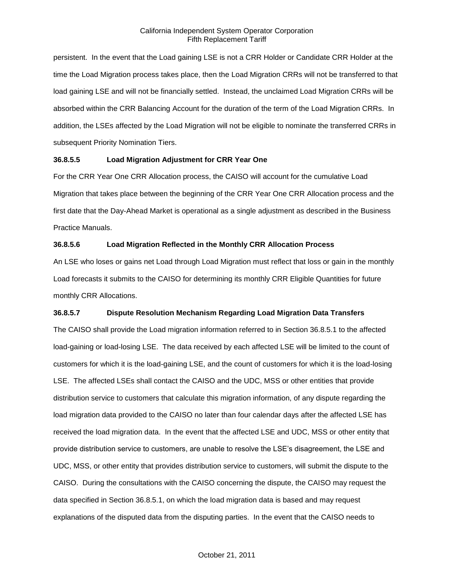persistent. In the event that the Load gaining LSE is not a CRR Holder or Candidate CRR Holder at the time the Load Migration process takes place, then the Load Migration CRRs will not be transferred to that load gaining LSE and will not be financially settled. Instead, the unclaimed Load Migration CRRs will be absorbed within the CRR Balancing Account for the duration of the term of the Load Migration CRRs. In addition, the LSEs affected by the Load Migration will not be eligible to nominate the transferred CRRs in subsequent Priority Nomination Tiers.

# **36.8.5.5 Load Migration Adjustment for CRR Year One**

For the CRR Year One CRR Allocation process, the CAISO will account for the cumulative Load Migration that takes place between the beginning of the CRR Year One CRR Allocation process and the first date that the Day-Ahead Market is operational as a single adjustment as described in the Business Practice Manuals.

# **36.8.5.6 Load Migration Reflected in the Monthly CRR Allocation Process**

An LSE who loses or gains net Load through Load Migration must reflect that loss or gain in the monthly Load forecasts it submits to the CAISO for determining its monthly CRR Eligible Quantities for future monthly CRR Allocations.

# **36.8.5.7 Dispute Resolution Mechanism Regarding Load Migration Data Transfers**

The CAISO shall provide the Load migration information referred to in Section 36.8.5.1 to the affected load-gaining or load-losing LSE. The data received by each affected LSE will be limited to the count of customers for which it is the load-gaining LSE, and the count of customers for which it is the load-losing LSE. The affected LSEs shall contact the CAISO and the UDC, MSS or other entities that provide distribution service to customers that calculate this migration information, of any dispute regarding the load migration data provided to the CAISO no later than four calendar days after the affected LSE has received the load migration data. In the event that the affected LSE and UDC, MSS or other entity that provide distribution service to customers, are unable to resolve the LSE's disagreement, the LSE and UDC, MSS, or other entity that provides distribution service to customers, will submit the dispute to the CAISO. During the consultations with the CAISO concerning the dispute, the CAISO may request the data specified in Section 36.8.5.1, on which the load migration data is based and may request explanations of the disputed data from the disputing parties. In the event that the CAISO needs to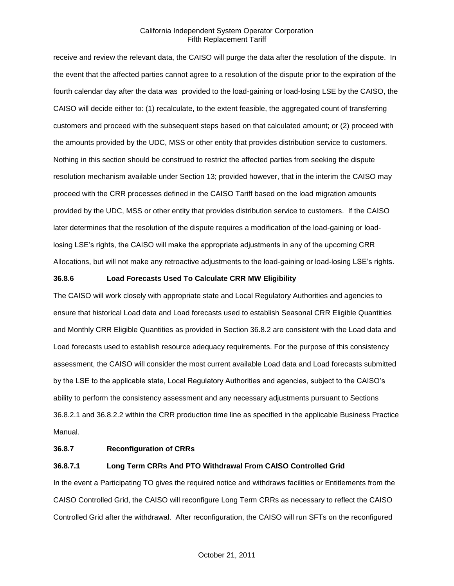receive and review the relevant data, the CAISO will purge the data after the resolution of the dispute. In the event that the affected parties cannot agree to a resolution of the dispute prior to the expiration of the fourth calendar day after the data was provided to the load-gaining or load-losing LSE by the CAISO, the CAISO will decide either to: (1) recalculate, to the extent feasible, the aggregated count of transferring customers and proceed with the subsequent steps based on that calculated amount; or (2) proceed with the amounts provided by the UDC, MSS or other entity that provides distribution service to customers. Nothing in this section should be construed to restrict the affected parties from seeking the dispute resolution mechanism available under Section 13; provided however, that in the interim the CAISO may proceed with the CRR processes defined in the CAISO Tariff based on the load migration amounts provided by the UDC, MSS or other entity that provides distribution service to customers. If the CAISO later determines that the resolution of the dispute requires a modification of the load-gaining or loadlosing LSE's rights, the CAISO will make the appropriate adjustments in any of the upcoming CRR Allocations, but will not make any retroactive adjustments to the load-gaining or load-losing LSE's rights.

## **36.8.6 Load Forecasts Used To Calculate CRR MW Eligibility**

The CAISO will work closely with appropriate state and Local Regulatory Authorities and agencies to ensure that historical Load data and Load forecasts used to establish Seasonal CRR Eligible Quantities and Monthly CRR Eligible Quantities as provided in Section 36.8.2 are consistent with the Load data and Load forecasts used to establish resource adequacy requirements. For the purpose of this consistency assessment, the CAISO will consider the most current available Load data and Load forecasts submitted by the LSE to the applicable state, Local Regulatory Authorities and agencies, subject to the CAISO's ability to perform the consistency assessment and any necessary adjustments pursuant to Sections 36.8.2.1 and 36.8.2.2 within the CRR production time line as specified in the applicable Business Practice Manual.

#### **36.8.7 Reconfiguration of CRRs**

## **36.8.7.1 Long Term CRRs And PTO Withdrawal From CAISO Controlled Grid**

In the event a Participating TO gives the required notice and withdraws facilities or Entitlements from the CAISO Controlled Grid, the CAISO will reconfigure Long Term CRRs as necessary to reflect the CAISO Controlled Grid after the withdrawal. After reconfiguration, the CAISO will run SFTs on the reconfigured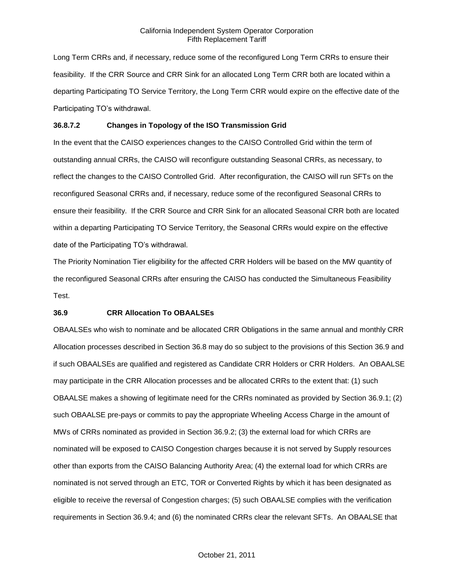Long Term CRRs and, if necessary, reduce some of the reconfigured Long Term CRRs to ensure their feasibility. If the CRR Source and CRR Sink for an allocated Long Term CRR both are located within a departing Participating TO Service Territory, the Long Term CRR would expire on the effective date of the Participating TO's withdrawal.

## **36.8.7.2 Changes in Topology of the ISO Transmission Grid**

In the event that the CAISO experiences changes to the CAISO Controlled Grid within the term of outstanding annual CRRs, the CAISO will reconfigure outstanding Seasonal CRRs, as necessary, to reflect the changes to the CAISO Controlled Grid. After reconfiguration, the CAISO will run SFTs on the reconfigured Seasonal CRRs and, if necessary, reduce some of the reconfigured Seasonal CRRs to ensure their feasibility. If the CRR Source and CRR Sink for an allocated Seasonal CRR both are located within a departing Participating TO Service Territory, the Seasonal CRRs would expire on the effective date of the Participating TO's withdrawal.

The Priority Nomination Tier eligibility for the affected CRR Holders will be based on the MW quantity of the reconfigured Seasonal CRRs after ensuring the CAISO has conducted the Simultaneous Feasibility Test.

#### **36.9 CRR Allocation To OBAALSEs**

OBAALSEs who wish to nominate and be allocated CRR Obligations in the same annual and monthly CRR Allocation processes described in Section 36.8 may do so subject to the provisions of this Section 36.9 and if such OBAALSEs are qualified and registered as Candidate CRR Holders or CRR Holders. An OBAALSE may participate in the CRR Allocation processes and be allocated CRRs to the extent that: (1) such OBAALSE makes a showing of legitimate need for the CRRs nominated as provided by Section 36.9.1; (2) such OBAALSE pre-pays or commits to pay the appropriate Wheeling Access Charge in the amount of MWs of CRRs nominated as provided in Section 36.9.2; (3) the external load for which CRRs are nominated will be exposed to CAISO Congestion charges because it is not served by Supply resources other than exports from the CAISO Balancing Authority Area; (4) the external load for which CRRs are nominated is not served through an ETC, TOR or Converted Rights by which it has been designated as eligible to receive the reversal of Congestion charges; (5) such OBAALSE complies with the verification requirements in Section 36.9.4; and (6) the nominated CRRs clear the relevant SFTs. An OBAALSE that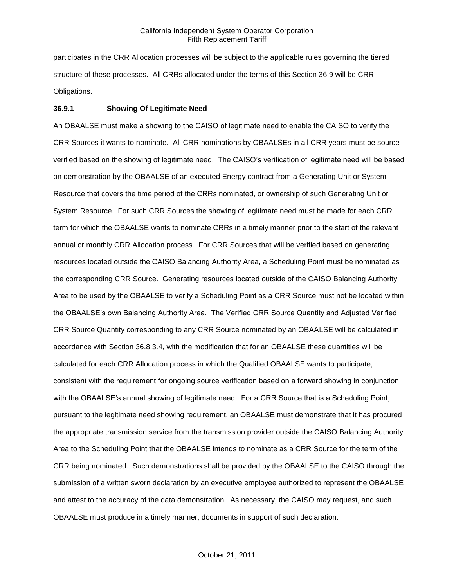participates in the CRR Allocation processes will be subject to the applicable rules governing the tiered structure of these processes. All CRRs allocated under the terms of this Section 36.9 will be CRR Obligations.

#### **36.9.1 Showing Of Legitimate Need**

An OBAALSE must make a showing to the CAISO of legitimate need to enable the CAISO to verify the CRR Sources it wants to nominate. All CRR nominations by OBAALSEs in all CRR years must be source verified based on the showing of legitimate need. The CAISO's verification of legitimate need will be based on demonstration by the OBAALSE of an executed Energy contract from a Generating Unit or System Resource that covers the time period of the CRRs nominated, or ownership of such Generating Unit or System Resource. For such CRR Sources the showing of legitimate need must be made for each CRR term for which the OBAALSE wants to nominate CRRs in a timely manner prior to the start of the relevant annual or monthly CRR Allocation process. For CRR Sources that will be verified based on generating resources located outside the CAISO Balancing Authority Area, a Scheduling Point must be nominated as the corresponding CRR Source. Generating resources located outside of the CAISO Balancing Authority Area to be used by the OBAALSE to verify a Scheduling Point as a CRR Source must not be located within the OBAALSE's own Balancing Authority Area. The Verified CRR Source Quantity and Adjusted Verified CRR Source Quantity corresponding to any CRR Source nominated by an OBAALSE will be calculated in accordance with Section 36.8.3.4, with the modification that for an OBAALSE these quantities will be calculated for each CRR Allocation process in which the Qualified OBAALSE wants to participate, consistent with the requirement for ongoing source verification based on a forward showing in conjunction with the OBAALSE's annual showing of legitimate need. For a CRR Source that is a Scheduling Point, pursuant to the legitimate need showing requirement, an OBAALSE must demonstrate that it has procured the appropriate transmission service from the transmission provider outside the CAISO Balancing Authority Area to the Scheduling Point that the OBAALSE intends to nominate as a CRR Source for the term of the CRR being nominated. Such demonstrations shall be provided by the OBAALSE to the CAISO through the submission of a written sworn declaration by an executive employee authorized to represent the OBAALSE and attest to the accuracy of the data demonstration. As necessary, the CAISO may request, and such OBAALSE must produce in a timely manner, documents in support of such declaration.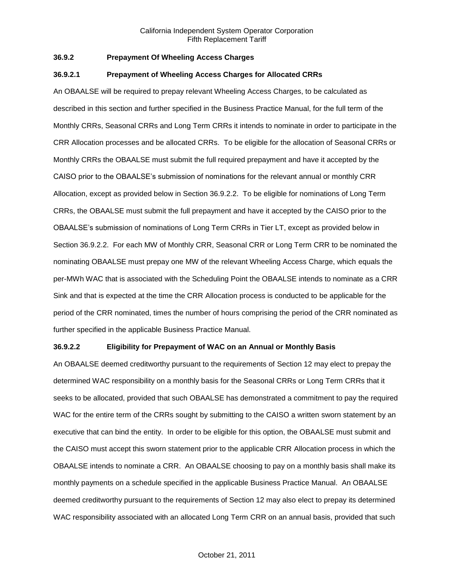# **36.9.2 Prepayment Of Wheeling Access Charges**

#### **36.9.2.1 Prepayment of Wheeling Access Charges for Allocated CRRs**

An OBAALSE will be required to prepay relevant Wheeling Access Charges, to be calculated as described in this section and further specified in the Business Practice Manual, for the full term of the Monthly CRRs, Seasonal CRRs and Long Term CRRs it intends to nominate in order to participate in the CRR Allocation processes and be allocated CRRs. To be eligible for the allocation of Seasonal CRRs or Monthly CRRs the OBAALSE must submit the full required prepayment and have it accepted by the CAISO prior to the OBAALSE's submission of nominations for the relevant annual or monthly CRR Allocation, except as provided below in Section 36.9.2.2. To be eligible for nominations of Long Term CRRs, the OBAALSE must submit the full prepayment and have it accepted by the CAISO prior to the OBAALSE's submission of nominations of Long Term CRRs in Tier LT, except as provided below in Section 36.9.2.2. For each MW of Monthly CRR, Seasonal CRR or Long Term CRR to be nominated the nominating OBAALSE must prepay one MW of the relevant Wheeling Access Charge, which equals the per-MWh WAC that is associated with the Scheduling Point the OBAALSE intends to nominate as a CRR Sink and that is expected at the time the CRR Allocation process is conducted to be applicable for the period of the CRR nominated, times the number of hours comprising the period of the CRR nominated as further specified in the applicable Business Practice Manual.

#### **36.9.2.2 Eligibility for Prepayment of WAC on an Annual or Monthly Basis**

An OBAALSE deemed creditworthy pursuant to the requirements of Section 12 may elect to prepay the determined WAC responsibility on a monthly basis for the Seasonal CRRs or Long Term CRRs that it seeks to be allocated, provided that such OBAALSE has demonstrated a commitment to pay the required WAC for the entire term of the CRRs sought by submitting to the CAISO a written sworn statement by an executive that can bind the entity. In order to be eligible for this option, the OBAALSE must submit and the CAISO must accept this sworn statement prior to the applicable CRR Allocation process in which the OBAALSE intends to nominate a CRR. An OBAALSE choosing to pay on a monthly basis shall make its monthly payments on a schedule specified in the applicable Business Practice Manual. An OBAALSE deemed creditworthy pursuant to the requirements of Section 12 may also elect to prepay its determined WAC responsibility associated with an allocated Long Term CRR on an annual basis, provided that such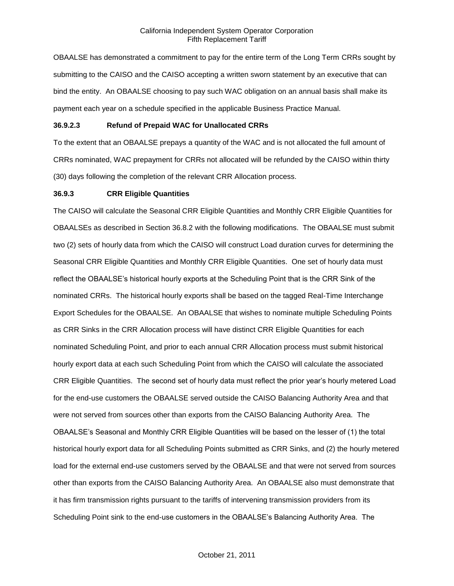OBAALSE has demonstrated a commitment to pay for the entire term of the Long Term CRRs sought by submitting to the CAISO and the CAISO accepting a written sworn statement by an executive that can bind the entity. An OBAALSE choosing to pay such WAC obligation on an annual basis shall make its payment each year on a schedule specified in the applicable Business Practice Manual.

# **36.9.2.3 Refund of Prepaid WAC for Unallocated CRRs**

To the extent that an OBAALSE prepays a quantity of the WAC and is not allocated the full amount of CRRs nominated, WAC prepayment for CRRs not allocated will be refunded by the CAISO within thirty (30) days following the completion of the relevant CRR Allocation process.

#### **36.9.3 CRR Eligible Quantities**

The CAISO will calculate the Seasonal CRR Eligible Quantities and Monthly CRR Eligible Quantities for OBAALSEs as described in Section 36.8.2 with the following modifications. The OBAALSE must submit two (2) sets of hourly data from which the CAISO will construct Load duration curves for determining the Seasonal CRR Eligible Quantities and Monthly CRR Eligible Quantities. One set of hourly data must reflect the OBAALSE's historical hourly exports at the Scheduling Point that is the CRR Sink of the nominated CRRs. The historical hourly exports shall be based on the tagged Real-Time Interchange Export Schedules for the OBAALSE. An OBAALSE that wishes to nominate multiple Scheduling Points as CRR Sinks in the CRR Allocation process will have distinct CRR Eligible Quantities for each nominated Scheduling Point, and prior to each annual CRR Allocation process must submit historical hourly export data at each such Scheduling Point from which the CAISO will calculate the associated CRR Eligible Quantities. The second set of hourly data must reflect the prior year's hourly metered Load for the end-use customers the OBAALSE served outside the CAISO Balancing Authority Area and that were not served from sources other than exports from the CAISO Balancing Authority Area. The OBAALSE's Seasonal and Monthly CRR Eligible Quantities will be based on the lesser of (1) the total historical hourly export data for all Scheduling Points submitted as CRR Sinks, and (2) the hourly metered load for the external end-use customers served by the OBAALSE and that were not served from sources other than exports from the CAISO Balancing Authority Area. An OBAALSE also must demonstrate that it has firm transmission rights pursuant to the tariffs of intervening transmission providers from its Scheduling Point sink to the end-use customers in the OBAALSE's Balancing Authority Area. The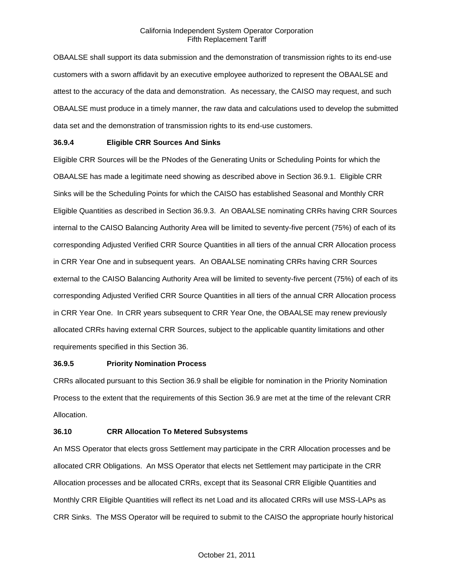OBAALSE shall support its data submission and the demonstration of transmission rights to its end-use customers with a sworn affidavit by an executive employee authorized to represent the OBAALSE and attest to the accuracy of the data and demonstration. As necessary, the CAISO may request, and such OBAALSE must produce in a timely manner, the raw data and calculations used to develop the submitted data set and the demonstration of transmission rights to its end-use customers.

### **36.9.4 Eligible CRR Sources And Sinks**

Eligible CRR Sources will be the PNodes of the Generating Units or Scheduling Points for which the OBAALSE has made a legitimate need showing as described above in Section 36.9.1. Eligible CRR Sinks will be the Scheduling Points for which the CAISO has established Seasonal and Monthly CRR Eligible Quantities as described in Section 36.9.3. An OBAALSE nominating CRRs having CRR Sources internal to the CAISO Balancing Authority Area will be limited to seventy-five percent (75%) of each of its corresponding Adjusted Verified CRR Source Quantities in all tiers of the annual CRR Allocation process in CRR Year One and in subsequent years. An OBAALSE nominating CRRs having CRR Sources external to the CAISO Balancing Authority Area will be limited to seventy-five percent (75%) of each of its corresponding Adjusted Verified CRR Source Quantities in all tiers of the annual CRR Allocation process in CRR Year One. In CRR years subsequent to CRR Year One, the OBAALSE may renew previously allocated CRRs having external CRR Sources, subject to the applicable quantity limitations and other requirements specified in this Section 36.

### **36.9.5 Priority Nomination Process**

CRRs allocated pursuant to this Section 36.9 shall be eligible for nomination in the Priority Nomination Process to the extent that the requirements of this Section 36.9 are met at the time of the relevant CRR Allocation.

### **36.10 CRR Allocation To Metered Subsystems**

An MSS Operator that elects gross Settlement may participate in the CRR Allocation processes and be allocated CRR Obligations. An MSS Operator that elects net Settlement may participate in the CRR Allocation processes and be allocated CRRs, except that its Seasonal CRR Eligible Quantities and Monthly CRR Eligible Quantities will reflect its net Load and its allocated CRRs will use MSS-LAPs as CRR Sinks. The MSS Operator will be required to submit to the CAISO the appropriate hourly historical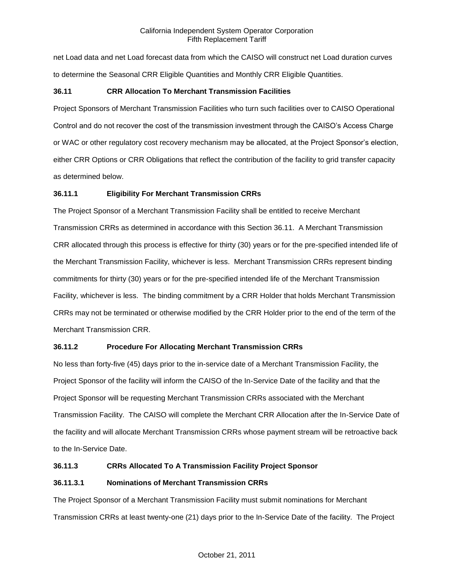net Load data and net Load forecast data from which the CAISO will construct net Load duration curves to determine the Seasonal CRR Eligible Quantities and Monthly CRR Eligible Quantities.

## **36.11 CRR Allocation To Merchant Transmission Facilities**

Project Sponsors of Merchant Transmission Facilities who turn such facilities over to CAISO Operational Control and do not recover the cost of the transmission investment through the CAISO's Access Charge or WAC or other regulatory cost recovery mechanism may be allocated, at the Project Sponsor's election, either CRR Options or CRR Obligations that reflect the contribution of the facility to grid transfer capacity as determined below.

## **36.11.1 Eligibility For Merchant Transmission CRRs**

The Project Sponsor of a Merchant Transmission Facility shall be entitled to receive Merchant Transmission CRRs as determined in accordance with this Section 36.11. A Merchant Transmission CRR allocated through this process is effective for thirty (30) years or for the pre-specified intended life of the Merchant Transmission Facility, whichever is less. Merchant Transmission CRRs represent binding commitments for thirty (30) years or for the pre-specified intended life of the Merchant Transmission Facility, whichever is less. The binding commitment by a CRR Holder that holds Merchant Transmission CRRs may not be terminated or otherwise modified by the CRR Holder prior to the end of the term of the Merchant Transmission CRR.

### **36.11.2 Procedure For Allocating Merchant Transmission CRRs**

No less than forty-five (45) days prior to the in-service date of a Merchant Transmission Facility, the Project Sponsor of the facility will inform the CAISO of the In-Service Date of the facility and that the Project Sponsor will be requesting Merchant Transmission CRRs associated with the Merchant Transmission Facility. The CAISO will complete the Merchant CRR Allocation after the In-Service Date of the facility and will allocate Merchant Transmission CRRs whose payment stream will be retroactive back to the In-Service Date.

### **36.11.3 CRRs Allocated To A Transmission Facility Project Sponsor**

### **36.11.3.1 Nominations of Merchant Transmission CRRs**

The Project Sponsor of a Merchant Transmission Facility must submit nominations for Merchant Transmission CRRs at least twenty-one (21) days prior to the In-Service Date of the facility. The Project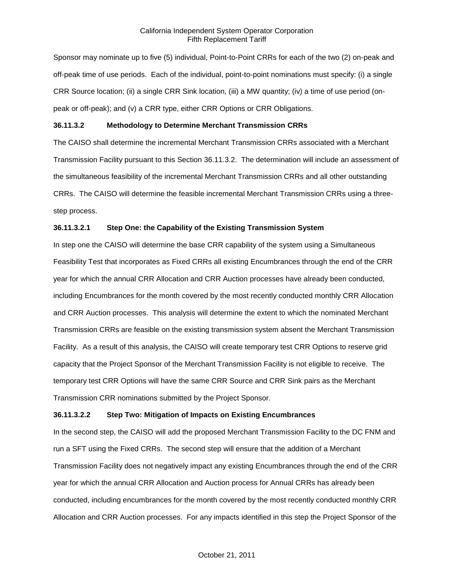Sponsor may nominate up to five (5) individual, Point-to-Point CRRs for each of the two (2) on-peak and off-peak time of use periods. Each of the individual, point-to-point nominations must specify: (i) a single CRR Source location; (ii) a single CRR Sink location, (iii) a MW quantity; (iv) a time of use period (onpeak or off-peak); and (v) a CRR type, either CRR Options or CRR Obligations.

### **36.11.3.2 Methodology to Determine Merchant Transmission CRRs**

The CAISO shall determine the incremental Merchant Transmission CRRs associated with a Merchant Transmission Facility pursuant to this Section 36.11.3.2. The determination will include an assessment of the simultaneous feasibility of the incremental Merchant Transmission CRRs and all other outstanding CRRs. The CAISO will determine the feasible incremental Merchant Transmission CRRs using a threestep process.

### **36.11.3.2.1 Step One: the Capability of the Existing Transmission System**

In step one the CAISO will determine the base CRR capability of the system using a Simultaneous Feasibility Test that incorporates as Fixed CRRs all existing Encumbrances through the end of the CRR year for which the annual CRR Allocation and CRR Auction processes have already been conducted, including Encumbrances for the month covered by the most recently conducted monthly CRR Allocation and CRR Auction processes. This analysis will determine the extent to which the nominated Merchant Transmission CRRs are feasible on the existing transmission system absent the Merchant Transmission Facility. As a result of this analysis, the CAISO will create temporary test CRR Options to reserve grid capacity that the Project Sponsor of the Merchant Transmission Facility is not eligible to receive. The temporary test CRR Options will have the same CRR Source and CRR Sink pairs as the Merchant Transmission CRR nominations submitted by the Project Sponsor.

### **36.11.3.2.2 Step Two: Mitigation of Impacts on Existing Encumbrances**

In the second step, the CAISO will add the proposed Merchant Transmission Facility to the DC FNM and run a SFT using the Fixed CRRs. The second step will ensure that the addition of a Merchant Transmission Facility does not negatively impact any existing Encumbrances through the end of the CRR year for which the annual CRR Allocation and Auction process for Annual CRRs has already been conducted, including encumbrances for the month covered by the most recently conducted monthly CRR Allocation and CRR Auction processes. For any impacts identified in this step the Project Sponsor of the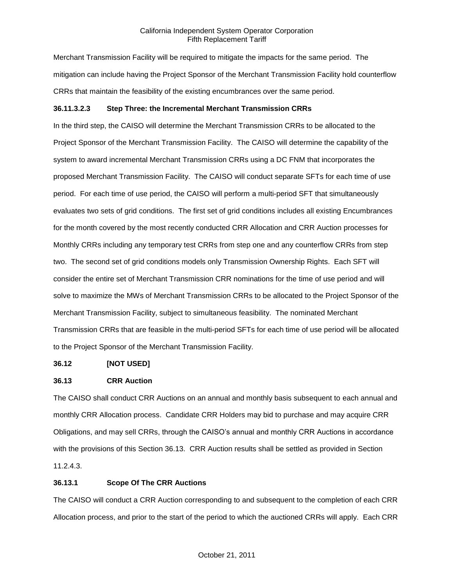Merchant Transmission Facility will be required to mitigate the impacts for the same period. The mitigation can include having the Project Sponsor of the Merchant Transmission Facility hold counterflow CRRs that maintain the feasibility of the existing encumbrances over the same period.

## **36.11.3.2.3 Step Three: the Incremental Merchant Transmission CRRs**

In the third step, the CAISO will determine the Merchant Transmission CRRs to be allocated to the Project Sponsor of the Merchant Transmission Facility. The CAISO will determine the capability of the system to award incremental Merchant Transmission CRRs using a DC FNM that incorporates the proposed Merchant Transmission Facility. The CAISO will conduct separate SFTs for each time of use period. For each time of use period, the CAISO will perform a multi-period SFT that simultaneously evaluates two sets of grid conditions. The first set of grid conditions includes all existing Encumbrances for the month covered by the most recently conducted CRR Allocation and CRR Auction processes for Monthly CRRs including any temporary test CRRs from step one and any counterflow CRRs from step two. The second set of grid conditions models only Transmission Ownership Rights. Each SFT will consider the entire set of Merchant Transmission CRR nominations for the time of use period and will solve to maximize the MWs of Merchant Transmission CRRs to be allocated to the Project Sponsor of the Merchant Transmission Facility, subject to simultaneous feasibility. The nominated Merchant Transmission CRRs that are feasible in the multi-period SFTs for each time of use period will be allocated to the Project Sponsor of the Merchant Transmission Facility.

### **36.12 [NOT USED]**

### **36.13 CRR Auction**

The CAISO shall conduct CRR Auctions on an annual and monthly basis subsequent to each annual and monthly CRR Allocation process. Candidate CRR Holders may bid to purchase and may acquire CRR Obligations, and may sell CRRs, through the CAISO's annual and monthly CRR Auctions in accordance with the provisions of this Section 36.13. CRR Auction results shall be settled as provided in Section 11.2.4.3.

### **36.13.1 Scope Of The CRR Auctions**

The CAISO will conduct a CRR Auction corresponding to and subsequent to the completion of each CRR Allocation process, and prior to the start of the period to which the auctioned CRRs will apply. Each CRR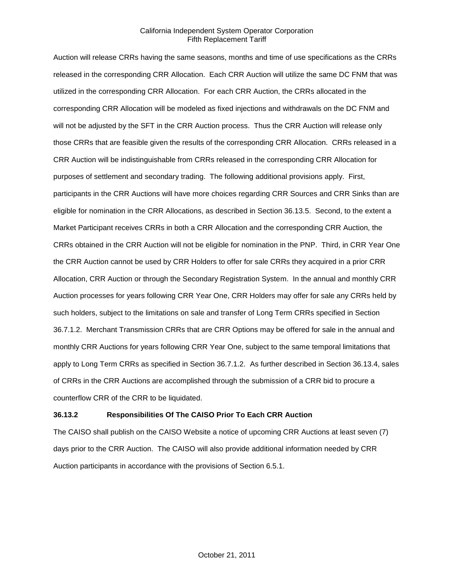Auction will release CRRs having the same seasons, months and time of use specifications as the CRRs released in the corresponding CRR Allocation. Each CRR Auction will utilize the same DC FNM that was utilized in the corresponding CRR Allocation. For each CRR Auction, the CRRs allocated in the corresponding CRR Allocation will be modeled as fixed injections and withdrawals on the DC FNM and will not be adjusted by the SFT in the CRR Auction process. Thus the CRR Auction will release only those CRRs that are feasible given the results of the corresponding CRR Allocation. CRRs released in a CRR Auction will be indistinguishable from CRRs released in the corresponding CRR Allocation for purposes of settlement and secondary trading. The following additional provisions apply. First, participants in the CRR Auctions will have more choices regarding CRR Sources and CRR Sinks than are eligible for nomination in the CRR Allocations, as described in Section 36.13.5. Second, to the extent a Market Participant receives CRRs in both a CRR Allocation and the corresponding CRR Auction, the CRRs obtained in the CRR Auction will not be eligible for nomination in the PNP. Third, in CRR Year One the CRR Auction cannot be used by CRR Holders to offer for sale CRRs they acquired in a prior CRR Allocation, CRR Auction or through the Secondary Registration System. In the annual and monthly CRR Auction processes for years following CRR Year One, CRR Holders may offer for sale any CRRs held by such holders, subject to the limitations on sale and transfer of Long Term CRRs specified in Section 36.7.1.2. Merchant Transmission CRRs that are CRR Options may be offered for sale in the annual and monthly CRR Auctions for years following CRR Year One, subject to the same temporal limitations that apply to Long Term CRRs as specified in Section 36.7.1.2. As further described in Section 36.13.4, sales of CRRs in the CRR Auctions are accomplished through the submission of a CRR bid to procure a counterflow CRR of the CRR to be liquidated.

### **36.13.2 Responsibilities Of The CAISO Prior To Each CRR Auction**

The CAISO shall publish on the CAISO Website a notice of upcoming CRR Auctions at least seven (7) days prior to the CRR Auction. The CAISO will also provide additional information needed by CRR Auction participants in accordance with the provisions of Section 6.5.1.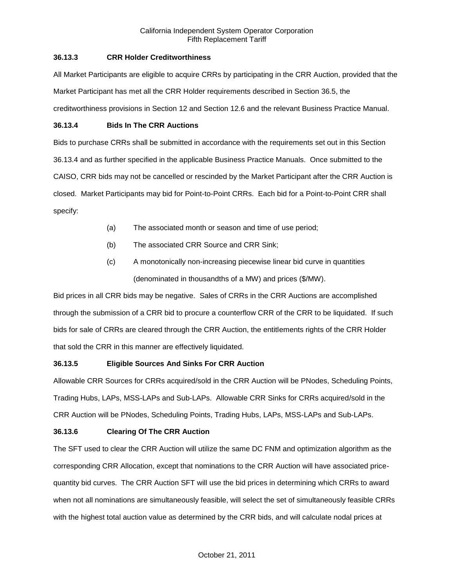## **36.13.3 CRR Holder Creditworthiness**

All Market Participants are eligible to acquire CRRs by participating in the CRR Auction, provided that the Market Participant has met all the CRR Holder requirements described in Section 36.5, the creditworthiness provisions in Section 12 and Section 12.6 and the relevant Business Practice Manual.

## **36.13.4 Bids In The CRR Auctions**

Bids to purchase CRRs shall be submitted in accordance with the requirements set out in this Section 36.13.4 and as further specified in the applicable Business Practice Manuals. Once submitted to the CAISO, CRR bids may not be cancelled or rescinded by the Market Participant after the CRR Auction is closed. Market Participants may bid for Point-to-Point CRRs. Each bid for a Point-to-Point CRR shall specify:

- (a) The associated month or season and time of use period;
- (b) The associated CRR Source and CRR Sink;
- (c) A monotonically non-increasing piecewise linear bid curve in quantities (denominated in thousandths of a MW) and prices (\$/MW).

Bid prices in all CRR bids may be negative. Sales of CRRs in the CRR Auctions are accomplished through the submission of a CRR bid to procure a counterflow CRR of the CRR to be liquidated. If such bids for sale of CRRs are cleared through the CRR Auction, the entitlements rights of the CRR Holder that sold the CRR in this manner are effectively liquidated.

# **36.13.5 Eligible Sources And Sinks For CRR Auction**

Allowable CRR Sources for CRRs acquired/sold in the CRR Auction will be PNodes, Scheduling Points, Trading Hubs, LAPs, MSS-LAPs and Sub-LAPs. Allowable CRR Sinks for CRRs acquired/sold in the CRR Auction will be PNodes, Scheduling Points, Trading Hubs, LAPs, MSS-LAPs and Sub-LAPs.

# **36.13.6 Clearing Of The CRR Auction**

The SFT used to clear the CRR Auction will utilize the same DC FNM and optimization algorithm as the corresponding CRR Allocation, except that nominations to the CRR Auction will have associated pricequantity bid curves. The CRR Auction SFT will use the bid prices in determining which CRRs to award when not all nominations are simultaneously feasible, will select the set of simultaneously feasible CRRs with the highest total auction value as determined by the CRR bids, and will calculate nodal prices at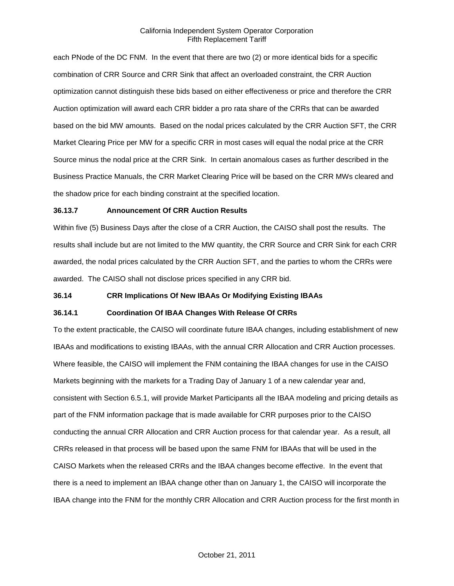each PNode of the DC FNM. In the event that there are two (2) or more identical bids for a specific combination of CRR Source and CRR Sink that affect an overloaded constraint, the CRR Auction optimization cannot distinguish these bids based on either effectiveness or price and therefore the CRR Auction optimization will award each CRR bidder a pro rata share of the CRRs that can be awarded based on the bid MW amounts. Based on the nodal prices calculated by the CRR Auction SFT, the CRR Market Clearing Price per MW for a specific CRR in most cases will equal the nodal price at the CRR Source minus the nodal price at the CRR Sink. In certain anomalous cases as further described in the Business Practice Manuals, the CRR Market Clearing Price will be based on the CRR MWs cleared and the shadow price for each binding constraint at the specified location.

#### **36.13.7 Announcement Of CRR Auction Results**

Within five (5) Business Days after the close of a CRR Auction, the CAISO shall post the results. The results shall include but are not limited to the MW quantity, the CRR Source and CRR Sink for each CRR awarded, the nodal prices calculated by the CRR Auction SFT, and the parties to whom the CRRs were awarded. The CAISO shall not disclose prices specified in any CRR bid.

### **36.14 CRR Implications Of New IBAAs Or Modifying Existing IBAAs**

#### **36.14.1 Coordination Of IBAA Changes With Release Of CRRs**

To the extent practicable, the CAISO will coordinate future IBAA changes, including establishment of new IBAAs and modifications to existing IBAAs, with the annual CRR Allocation and CRR Auction processes. Where feasible, the CAISO will implement the FNM containing the IBAA changes for use in the CAISO Markets beginning with the markets for a Trading Day of January 1 of a new calendar year and, consistent with Section 6.5.1, will provide Market Participants all the IBAA modeling and pricing details as part of the FNM information package that is made available for CRR purposes prior to the CAISO conducting the annual CRR Allocation and CRR Auction process for that calendar year. As a result, all CRRs released in that process will be based upon the same FNM for IBAAs that will be used in the CAISO Markets when the released CRRs and the IBAA changes become effective. In the event that there is a need to implement an IBAA change other than on January 1, the CAISO will incorporate the IBAA change into the FNM for the monthly CRR Allocation and CRR Auction process for the first month in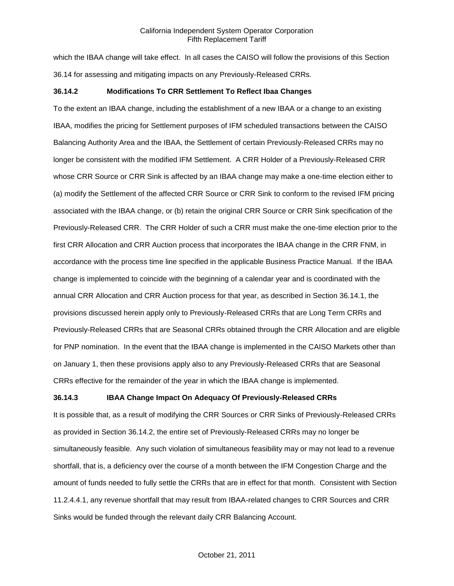which the IBAA change will take effect. In all cases the CAISO will follow the provisions of this Section 36.14 for assessing and mitigating impacts on any Previously-Released CRRs.

### **36.14.2 Modifications To CRR Settlement To Reflect Ibaa Changes**

To the extent an IBAA change, including the establishment of a new IBAA or a change to an existing IBAA, modifies the pricing for Settlement purposes of IFM scheduled transactions between the CAISO Balancing Authority Area and the IBAA, the Settlement of certain Previously-Released CRRs may no longer be consistent with the modified IFM Settlement. A CRR Holder of a Previously-Released CRR whose CRR Source or CRR Sink is affected by an IBAA change may make a one-time election either to (a) modify the Settlement of the affected CRR Source or CRR Sink to conform to the revised IFM pricing associated with the IBAA change, or (b) retain the original CRR Source or CRR Sink specification of the Previously-Released CRR. The CRR Holder of such a CRR must make the one-time election prior to the first CRR Allocation and CRR Auction process that incorporates the IBAA change in the CRR FNM, in accordance with the process time line specified in the applicable Business Practice Manual. If the IBAA change is implemented to coincide with the beginning of a calendar year and is coordinated with the annual CRR Allocation and CRR Auction process for that year, as described in Section 36.14.1, the provisions discussed herein apply only to Previously-Released CRRs that are Long Term CRRs and Previously-Released CRRs that are Seasonal CRRs obtained through the CRR Allocation and are eligible for PNP nomination. In the event that the IBAA change is implemented in the CAISO Markets other than on January 1, then these provisions apply also to any Previously-Released CRRs that are Seasonal CRRs effective for the remainder of the year in which the IBAA change is implemented.

### **36.14.3 IBAA Change Impact On Adequacy Of Previously-Released CRRs**

It is possible that, as a result of modifying the CRR Sources or CRR Sinks of Previously-Released CRRs as provided in Section 36.14.2, the entire set of Previously-Released CRRs may no longer be simultaneously feasible. Any such violation of simultaneous feasibility may or may not lead to a revenue shortfall, that is, a deficiency over the course of a month between the IFM Congestion Charge and the amount of funds needed to fully settle the CRRs that are in effect for that month. Consistent with Section 11.2.4.4.1, any revenue shortfall that may result from IBAA-related changes to CRR Sources and CRR Sinks would be funded through the relevant daily CRR Balancing Account.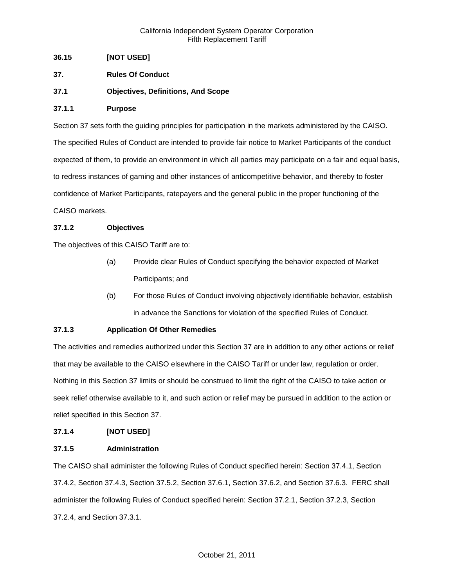## **36.15 [NOT USED]**

- **37. Rules Of Conduct**
- **37.1 Objectives, Definitions, And Scope**

### **37.1.1 Purpose**

Section 37 sets forth the guiding principles for participation in the markets administered by the CAISO. The specified Rules of Conduct are intended to provide fair notice to Market Participants of the conduct expected of them, to provide an environment in which all parties may participate on a fair and equal basis, to redress instances of gaming and other instances of anticompetitive behavior, and thereby to foster confidence of Market Participants, ratepayers and the general public in the proper functioning of the CAISO markets.

## **37.1.2 Objectives**

The objectives of this CAISO Tariff are to:

- (a) Provide clear Rules of Conduct specifying the behavior expected of Market Participants; and
- (b) For those Rules of Conduct involving objectively identifiable behavior, establish in advance the Sanctions for violation of the specified Rules of Conduct.

# **37.1.3 Application Of Other Remedies**

The activities and remedies authorized under this Section 37 are in addition to any other actions or relief that may be available to the CAISO elsewhere in the CAISO Tariff or under law, regulation or order. Nothing in this Section 37 limits or should be construed to limit the right of the CAISO to take action or seek relief otherwise available to it, and such action or relief may be pursued in addition to the action or relief specified in this Section 37.

### **37.1.4 [NOT USED]**

### **37.1.5 Administration**

The CAISO shall administer the following Rules of Conduct specified herein: Section 37.4.1, Section 37.4.2, Section 37.4.3, Section 37.5.2, Section 37.6.1, Section 37.6.2, and Section 37.6.3. FERC shall administer the following Rules of Conduct specified herein: Section 37.2.1, Section 37.2.3, Section 37.2.4, and Section 37.3.1.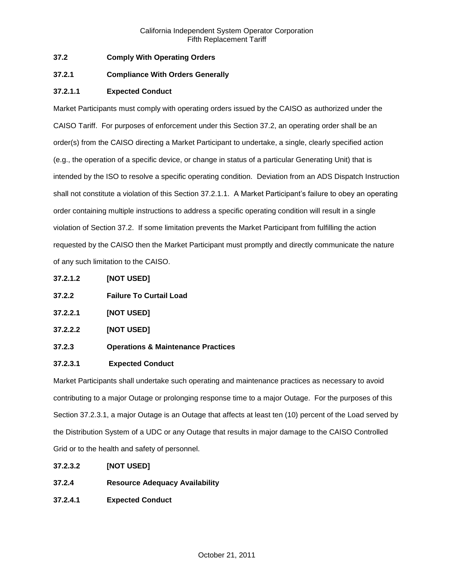## **37.2 Comply With Operating Orders**

## **37.2.1 Compliance With Orders Generally**

## **37.2.1.1 Expected Conduct**

Market Participants must comply with operating orders issued by the CAISO as authorized under the CAISO Tariff. For purposes of enforcement under this Section 37.2, an operating order shall be an order(s) from the CAISO directing a Market Participant to undertake, a single, clearly specified action (e.g., the operation of a specific device, or change in status of a particular Generating Unit) that is intended by the ISO to resolve a specific operating condition. Deviation from an ADS Dispatch Instruction shall not constitute a violation of this Section 37.2.1.1. A Market Participant's failure to obey an operating order containing multiple instructions to address a specific operating condition will result in a single violation of Section 37.2. If some limitation prevents the Market Participant from fulfilling the action requested by the CAISO then the Market Participant must promptly and directly communicate the nature of any such limitation to the CAISO.

- **37.2.1.2 [NOT USED]**
- **37.2.2 Failure To Curtail Load**
- **37.2.2.1 [NOT USED]**
- **37.2.2.2 [NOT USED]**
- **37.2.3 Operations & Maintenance Practices**

### **37.2.3.1 Expected Conduct**

Market Participants shall undertake such operating and maintenance practices as necessary to avoid contributing to a major Outage or prolonging response time to a major Outage. For the purposes of this Section 37.2.3.1, a major Outage is an Outage that affects at least ten (10) percent of the Load served by the Distribution System of a UDC or any Outage that results in major damage to the CAISO Controlled Grid or to the health and safety of personnel.

- **37.2.3.2 [NOT USED]**
- **37.2.4 Resource Adequacy Availability**
- **37.2.4.1 Expected Conduct**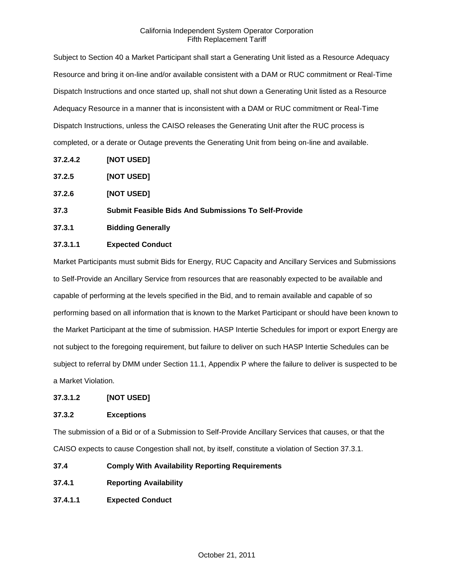Subject to Section 40 a Market Participant shall start a Generating Unit listed as a Resource Adequacy Resource and bring it on-line and/or available consistent with a DAM or RUC commitment or Real-Time Dispatch Instructions and once started up, shall not shut down a Generating Unit listed as a Resource Adequacy Resource in a manner that is inconsistent with a DAM or RUC commitment or Real-Time Dispatch Instructions, unless the CAISO releases the Generating Unit after the RUC process is completed, or a derate or Outage prevents the Generating Unit from being on-line and available.

- **37.2.4.2 [NOT USED]**
- **37.2.5 [NOT USED]**
- **37.2.6 [NOT USED]**
- **37.3 Submit Feasible Bids And Submissions To Self-Provide**
- **37.3.1 Bidding Generally**

# **37.3.1.1 Expected Conduct**

Market Participants must submit Bids for Energy, RUC Capacity and Ancillary Services and Submissions to Self-Provide an Ancillary Service from resources that are reasonably expected to be available and capable of performing at the levels specified in the Bid, and to remain available and capable of so performing based on all information that is known to the Market Participant or should have been known to the Market Participant at the time of submission. HASP Intertie Schedules for import or export Energy are not subject to the foregoing requirement, but failure to deliver on such HASP Intertie Schedules can be subject to referral by DMM under Section 11.1, Appendix P where the failure to deliver is suspected to be a Market Violation.

### **37.3.1.2 [NOT USED]**

# **37.3.2 Exceptions**

The submission of a Bid or of a Submission to Self-Provide Ancillary Services that causes, or that the CAISO expects to cause Congestion shall not, by itself, constitute a violation of Section 37.3.1.

- **37.4 Comply With Availability Reporting Requirements**
- **37.4.1 Reporting Availability**
- **37.4.1.1 Expected Conduct**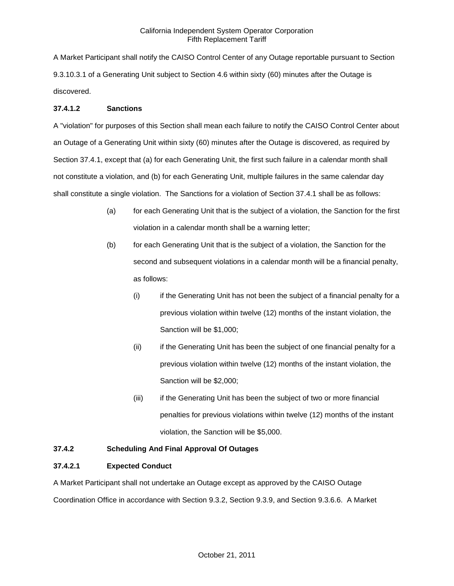A Market Participant shall notify the CAISO Control Center of any Outage reportable pursuant to Section 9.3.10.3.1 of a Generating Unit subject to Section 4.6 within sixty (60) minutes after the Outage is discovered.

### **37.4.1.2 Sanctions**

A "violation" for purposes of this Section shall mean each failure to notify the CAISO Control Center about an Outage of a Generating Unit within sixty (60) minutes after the Outage is discovered, as required by Section 37.4.1, except that (a) for each Generating Unit, the first such failure in a calendar month shall not constitute a violation, and (b) for each Generating Unit, multiple failures in the same calendar day shall constitute a single violation. The Sanctions for a violation of Section 37.4.1 shall be as follows:

- (a) for each Generating Unit that is the subject of a violation, the Sanction for the first violation in a calendar month shall be a warning letter;
- (b) for each Generating Unit that is the subject of a violation, the Sanction for the second and subsequent violations in a calendar month will be a financial penalty, as follows:
	- (i) if the Generating Unit has not been the subject of a financial penalty for a previous violation within twelve (12) months of the instant violation, the Sanction will be \$1,000;
	- (ii) if the Generating Unit has been the subject of one financial penalty for a previous violation within twelve (12) months of the instant violation, the Sanction will be \$2,000;
	- (iii) if the Generating Unit has been the subject of two or more financial penalties for previous violations within twelve (12) months of the instant violation, the Sanction will be \$5,000.

# **37.4.2 Scheduling And Final Approval Of Outages**

### **37.4.2.1 Expected Conduct**

A Market Participant shall not undertake an Outage except as approved by the CAISO Outage Coordination Office in accordance with Section 9.3.2, Section 9.3.9, and Section 9.3.6.6. A Market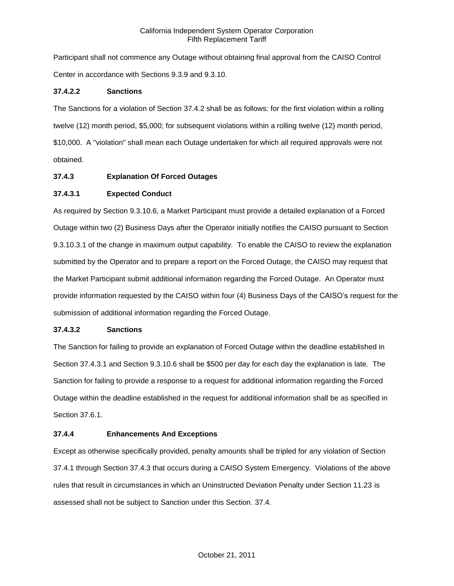Participant shall not commence any Outage without obtaining final approval from the CAISO Control Center in accordance with Sections 9.3.9 and 9.3.10.

## **37.4.2.2 Sanctions**

The Sanctions for a violation of Section 37.4.2 shall be as follows: for the first violation within a rolling twelve (12) month period, \$5,000; for subsequent violations within a rolling twelve (12) month period, \$10,000. A "violation" shall mean each Outage undertaken for which all required approvals were not obtained.

## **37.4.3 Explanation Of Forced Outages**

# **37.4.3.1 Expected Conduct**

As required by Section 9.3.10.6, a Market Participant must provide a detailed explanation of a Forced Outage within two (2) Business Days after the Operator initially notifies the CAISO pursuant to Section 9.3.10.3.1 of the change in maximum output capability. To enable the CAISO to review the explanation submitted by the Operator and to prepare a report on the Forced Outage, the CAISO may request that the Market Participant submit additional information regarding the Forced Outage. An Operator must provide information requested by the CAISO within four (4) Business Days of the CAISO's request for the submission of additional information regarding the Forced Outage.

### **37.4.3.2 Sanctions**

The Sanction for failing to provide an explanation of Forced Outage within the deadline established in Section 37.4.3.1 and Section 9.3.10.6 shall be \$500 per day for each day the explanation is late. The Sanction for failing to provide a response to a request for additional information regarding the Forced Outage within the deadline established in the request for additional information shall be as specified in Section 37.6.1.

### **37.4.4 Enhancements And Exceptions**

Except as otherwise specifically provided, penalty amounts shall be tripled for any violation of Section 37.4.1 through Section 37.4.3 that occurs during a CAISO System Emergency. Violations of the above rules that result in circumstances in which an Uninstructed Deviation Penalty under Section 11.23 is assessed shall not be subject to Sanction under this Section. 37.4.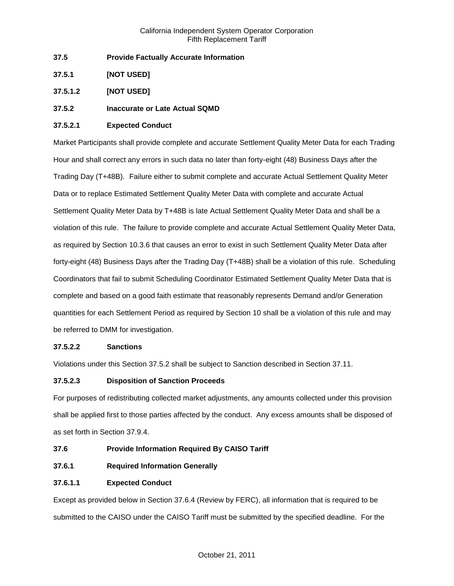- **37.5 Provide Factually Accurate Information**
- **37.5.1 [NOT USED]**
- **37.5.1.2 [NOT USED]**

# **37.5.2 Inaccurate or Late Actual SQMD**

## **37.5.2.1 Expected Conduct**

Market Participants shall provide complete and accurate Settlement Quality Meter Data for each Trading Hour and shall correct any errors in such data no later than forty-eight (48) Business Days after the Trading Day (T+48B). Failure either to submit complete and accurate Actual Settlement Quality Meter Data or to replace Estimated Settlement Quality Meter Data with complete and accurate Actual Settlement Quality Meter Data by T+48B is late Actual Settlement Quality Meter Data and shall be a violation of this rule. The failure to provide complete and accurate Actual Settlement Quality Meter Data, as required by Section 10.3.6 that causes an error to exist in such Settlement Quality Meter Data after forty-eight (48) Business Days after the Trading Day (T+48B) shall be a violation of this rule. Scheduling Coordinators that fail to submit Scheduling Coordinator Estimated Settlement Quality Meter Data that is complete and based on a good faith estimate that reasonably represents Demand and/or Generation quantities for each Settlement Period as required by Section 10 shall be a violation of this rule and may be referred to DMM for investigation.

# **37.5.2.2 Sanctions**

Violations under this Section 37.5.2 shall be subject to Sanction described in Section 37.11.

# **37.5.2.3 Disposition of Sanction Proceeds**

For purposes of redistributing collected market adjustments, any amounts collected under this provision shall be applied first to those parties affected by the conduct. Any excess amounts shall be disposed of as set forth in Section 37.9.4.

- **37.6 Provide Information Required By CAISO Tariff**
- **37.6.1 Required Information Generally**

# **37.6.1.1 Expected Conduct**

Except as provided below in Section 37.6.4 (Review by FERC), all information that is required to be submitted to the CAISO under the CAISO Tariff must be submitted by the specified deadline. For the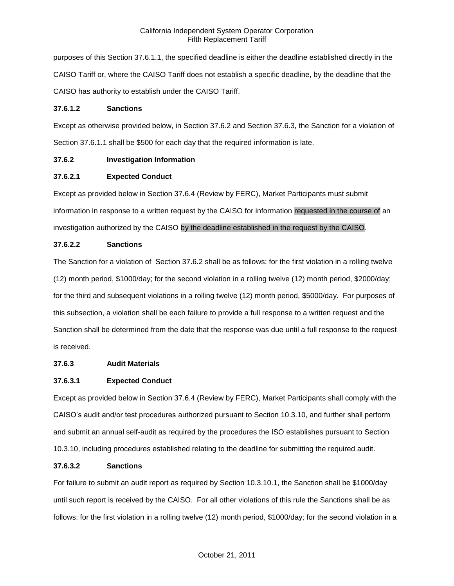purposes of this Section 37.6.1.1, the specified deadline is either the deadline established directly in the CAISO Tariff or, where the CAISO Tariff does not establish a specific deadline, by the deadline that the CAISO has authority to establish under the CAISO Tariff.

### **37.6.1.2 Sanctions**

Except as otherwise provided below, in Section 37.6.2 and Section 37.6.3, the Sanction for a violation of Section 37.6.1.1 shall be \$500 for each day that the required information is late.

# **37.6.2 Investigation Information**

# **37.6.2.1 Expected Conduct**

Except as provided below in Section 37.6.4 (Review by FERC), Market Participants must submit information in response to a written request by the CAISO for information requested in the course of an investigation authorized by the CAISO by the deadline established in the request by the CAISO.

# **37.6.2.2 Sanctions**

The Sanction for a violation of Section 37.6.2 shall be as follows: for the first violation in a rolling twelve (12) month period, \$1000/day; for the second violation in a rolling twelve (12) month period, \$2000/day; for the third and subsequent violations in a rolling twelve (12) month period, \$5000/day. For purposes of this subsection, a violation shall be each failure to provide a full response to a written request and the Sanction shall be determined from the date that the response was due until a full response to the request is received.

# **37.6.3 Audit Materials**

# **37.6.3.1 Expected Conduct**

Except as provided below in Section 37.6.4 (Review by FERC), Market Participants shall comply with the CAISO's audit and/or test procedures authorized pursuant to Section 10.3.10, and further shall perform and submit an annual self-audit as required by the procedures the ISO establishes pursuant to Section 10.3.10, including procedures established relating to the deadline for submitting the required audit.

# **37.6.3.2 Sanctions**

For failure to submit an audit report as required by Section 10.3.10.1, the Sanction shall be \$1000/day until such report is received by the CAISO. For all other violations of this rule the Sanctions shall be as follows: for the first violation in a rolling twelve (12) month period, \$1000/day; for the second violation in a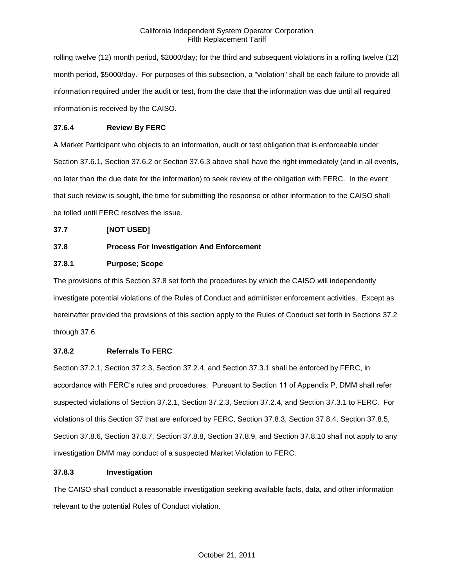rolling twelve (12) month period, \$2000/day; for the third and subsequent violations in a rolling twelve (12) month period, \$5000/day. For purposes of this subsection, a "violation" shall be each failure to provide all information required under the audit or test, from the date that the information was due until all required information is received by the CAISO.

# **37.6.4 Review By FERC**

A Market Participant who objects to an information, audit or test obligation that is enforceable under Section 37.6.1, Section 37.6.2 or Section 37.6.3 above shall have the right immediately (and in all events, no later than the due date for the information) to seek review of the obligation with FERC. In the event that such review is sought, the time for submitting the response or other information to the CAISO shall be tolled until FERC resolves the issue.

### **37.7 [NOT USED]**

# **37.8 Process For Investigation And Enforcement**

# **37.8.1 Purpose; Scope**

The provisions of this Section 37.8 set forth the procedures by which the CAISO will independently investigate potential violations of the Rules of Conduct and administer enforcement activities. Except as hereinafter provided the provisions of this section apply to the Rules of Conduct set forth in Sections 37.2 through 37.6.

## **37.8.2 Referrals To FERC**

Section 37.2.1, Section 37.2.3, Section 37.2.4, and Section 37.3.1 shall be enforced by FERC, in accordance with FERC's rules and procedures. Pursuant to Section 11 of Appendix P, DMM shall refer suspected violations of Section 37.2.1, Section 37.2.3, Section 37.2.4, and Section 37.3.1 to FERC. For violations of this Section 37 that are enforced by FERC, Section 37.8.3, Section 37.8.4, Section 37.8.5, Section 37.8.6, Section 37.8.7, Section 37.8.8, Section 37.8.9, and Section 37.8.10 shall not apply to any investigation DMM may conduct of a suspected Market Violation to FERC.

### **37.8.3 Investigation**

The CAISO shall conduct a reasonable investigation seeking available facts, data, and other information relevant to the potential Rules of Conduct violation.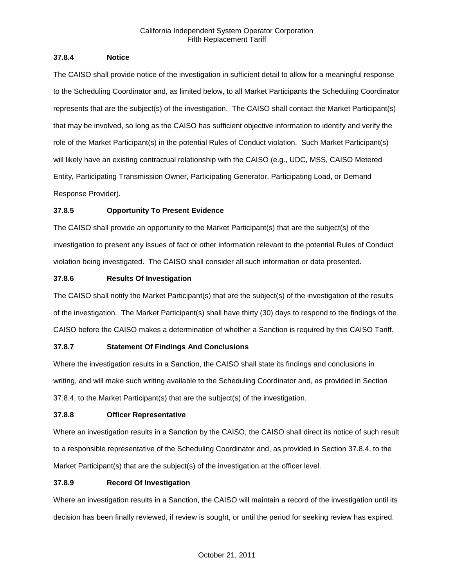## **37.8.4 Notice**

The CAISO shall provide notice of the investigation in sufficient detail to allow for a meaningful response to the Scheduling Coordinator and, as limited below, to all Market Participants the Scheduling Coordinator represents that are the subject(s) of the investigation. The CAISO shall contact the Market Participant(s) that may be involved, so long as the CAISO has sufficient objective information to identify and verify the role of the Market Participant(s) in the potential Rules of Conduct violation. Such Market Participant(s) will likely have an existing contractual relationship with the CAISO (e.g., UDC, MSS, CAISO Metered Entity, Participating Transmission Owner, Participating Generator, Participating Load, or Demand Response Provider).

# **37.8.5 Opportunity To Present Evidence**

The CAISO shall provide an opportunity to the Market Participant(s) that are the subject(s) of the investigation to present any issues of fact or other information relevant to the potential Rules of Conduct violation being investigated. The CAISO shall consider all such information or data presented.

# **37.8.6 Results Of Investigation**

The CAISO shall notify the Market Participant(s) that are the subject(s) of the investigation of the results of the investigation. The Market Participant(s) shall have thirty (30) days to respond to the findings of the CAISO before the CAISO makes a determination of whether a Sanction is required by this CAISO Tariff.

# **37.8.7 Statement Of Findings And Conclusions**

Where the investigation results in a Sanction, the CAISO shall state its findings and conclusions in writing, and will make such writing available to the Scheduling Coordinator and, as provided in Section 37.8.4, to the Market Participant(s) that are the subject(s) of the investigation.

# **37.8.8 Officer Representative**

Where an investigation results in a Sanction by the CAISO, the CAISO shall direct its notice of such result to a responsible representative of the Scheduling Coordinator and, as provided in Section 37.8.4, to the Market Participant(s) that are the subject(s) of the investigation at the officer level.

# **37.8.9 Record Of Investigation**

Where an investigation results in a Sanction, the CAISO will maintain a record of the investigation until its decision has been finally reviewed, if review is sought, or until the period for seeking review has expired.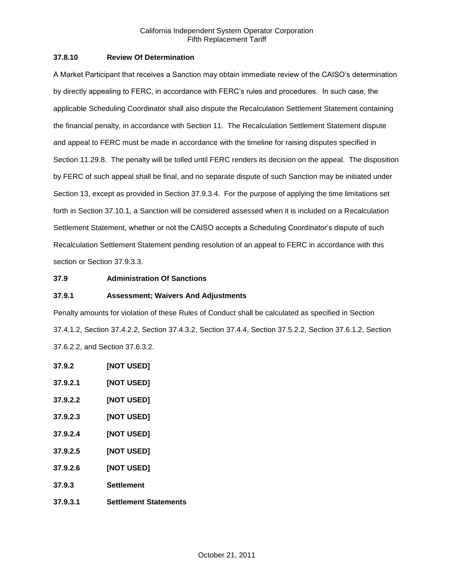## **37.8.10 Review Of Determination**

A Market Participant that receives a Sanction may obtain immediate review of the CAISO's determination by directly appealing to FERC, in accordance with FERC's rules and procedures. In such case, the applicable Scheduling Coordinator shall also dispute the Recalculation Settlement Statement containing the financial penalty, in accordance with Section 11. The Recalculation Settlement Statement dispute and appeal to FERC must be made in accordance with the timeline for raising disputes specified in Section 11.29.8. The penalty will be tolled until FERC renders its decision on the appeal. The disposition by FERC of such appeal shall be final, and no separate dispute of such Sanction may be initiated under Section 13, except as provided in Section 37.9.3.4. For the purpose of applying the time limitations set forth in Section 37.10.1, a Sanction will be considered assessed when it is included on a Recalculation Settlement Statement, whether or not the CAISO accepts a Scheduling Coordinator's dispute of such Recalculation Settlement Statement pending resolution of an appeal to FERC in accordance with this section or Section 37.9.3.3.

## **37.9 Administration Of Sanctions**

### **37.9.1 Assessment; Waivers And Adjustments**

Penalty amounts for violation of these Rules of Conduct shall be calculated as specified in Section 37.4.1.2, Section 37.4.2.2, Section 37.4.3.2, Section 37.4.4, Section 37.5.2.2, Section 37.6.1.2, Section 37.6.2.2, and Section 37.6.3.2.

**37.9.2 [NOT USED] 37.9.2.1 [NOT USED] 37.9.2.2 [NOT USED] 37.9.2.3 [NOT USED] 37.9.2.4 [NOT USED] 37.9.2.5 [NOT USED] 37.9.2.6 [NOT USED] 37.9.3 Settlement 37.9.3.1 Settlement Statements**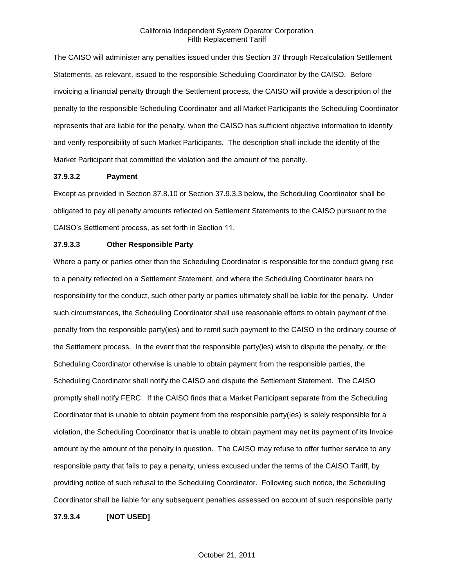The CAISO will administer any penalties issued under this Section 37 through Recalculation Settlement Statements, as relevant, issued to the responsible Scheduling Coordinator by the CAISO. Before invoicing a financial penalty through the Settlement process, the CAISO will provide a description of the penalty to the responsible Scheduling Coordinator and all Market Participants the Scheduling Coordinator represents that are liable for the penalty, when the CAISO has sufficient objective information to identify and verify responsibility of such Market Participants. The description shall include the identity of the Market Participant that committed the violation and the amount of the penalty.

#### **37.9.3.2 Payment**

Except as provided in Section 37.8.10 or Section 37.9.3.3 below, the Scheduling Coordinator shall be obligated to pay all penalty amounts reflected on Settlement Statements to the CAISO pursuant to the CAISO's Settlement process, as set forth in Section 11.

#### **37.9.3.3 Other Responsible Party**

Where a party or parties other than the Scheduling Coordinator is responsible for the conduct giving rise to a penalty reflected on a Settlement Statement, and where the Scheduling Coordinator bears no responsibility for the conduct, such other party or parties ultimately shall be liable for the penalty. Under such circumstances, the Scheduling Coordinator shall use reasonable efforts to obtain payment of the penalty from the responsible party(ies) and to remit such payment to the CAISO in the ordinary course of the Settlement process. In the event that the responsible party(ies) wish to dispute the penalty, or the Scheduling Coordinator otherwise is unable to obtain payment from the responsible parties, the Scheduling Coordinator shall notify the CAISO and dispute the Settlement Statement. The CAISO promptly shall notify FERC. If the CAISO finds that a Market Participant separate from the Scheduling Coordinator that is unable to obtain payment from the responsible party(ies) is solely responsible for a violation, the Scheduling Coordinator that is unable to obtain payment may net its payment of its Invoice amount by the amount of the penalty in question. The CAISO may refuse to offer further service to any responsible party that fails to pay a penalty, unless excused under the terms of the CAISO Tariff, by providing notice of such refusal to the Scheduling Coordinator. Following such notice, the Scheduling Coordinator shall be liable for any subsequent penalties assessed on account of such responsible party.

**37.9.3.4 [NOT USED]**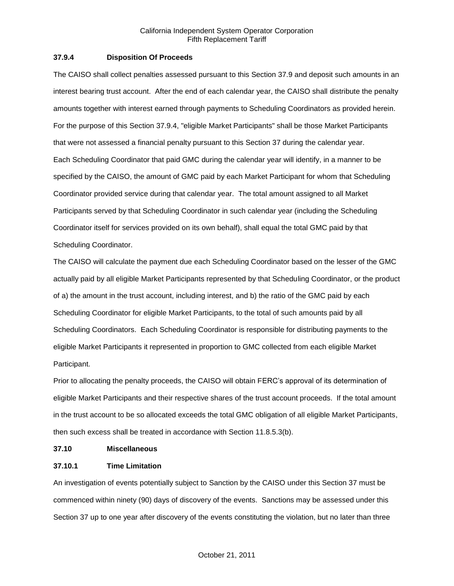## **37.9.4 Disposition Of Proceeds**

The CAISO shall collect penalties assessed pursuant to this Section 37.9 and deposit such amounts in an interest bearing trust account. After the end of each calendar year, the CAISO shall distribute the penalty amounts together with interest earned through payments to Scheduling Coordinators as provided herein. For the purpose of this Section 37.9.4, "eligible Market Participants" shall be those Market Participants that were not assessed a financial penalty pursuant to this Section 37 during the calendar year. Each Scheduling Coordinator that paid GMC during the calendar year will identify, in a manner to be specified by the CAISO, the amount of GMC paid by each Market Participant for whom that Scheduling Coordinator provided service during that calendar year. The total amount assigned to all Market Participants served by that Scheduling Coordinator in such calendar year (including the Scheduling Coordinator itself for services provided on its own behalf), shall equal the total GMC paid by that Scheduling Coordinator.

The CAISO will calculate the payment due each Scheduling Coordinator based on the lesser of the GMC actually paid by all eligible Market Participants represented by that Scheduling Coordinator, or the product of a) the amount in the trust account, including interest, and b) the ratio of the GMC paid by each Scheduling Coordinator for eligible Market Participants, to the total of such amounts paid by all Scheduling Coordinators. Each Scheduling Coordinator is responsible for distributing payments to the eligible Market Participants it represented in proportion to GMC collected from each eligible Market Participant.

Prior to allocating the penalty proceeds, the CAISO will obtain FERC's approval of its determination of eligible Market Participants and their respective shares of the trust account proceeds. If the total amount in the trust account to be so allocated exceeds the total GMC obligation of all eligible Market Participants, then such excess shall be treated in accordance with Section 11.8.5.3(b).

#### **37.10 Miscellaneous**

### **37.10.1 Time Limitation**

An investigation of events potentially subject to Sanction by the CAISO under this Section 37 must be commenced within ninety (90) days of discovery of the events. Sanctions may be assessed under this Section 37 up to one year after discovery of the events constituting the violation, but no later than three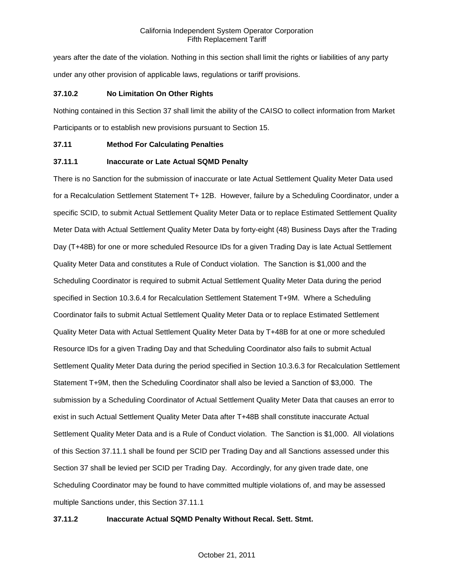years after the date of the violation. Nothing in this section shall limit the rights or liabilities of any party under any other provision of applicable laws, regulations or tariff provisions.

## **37.10.2 No Limitation On Other Rights**

Nothing contained in this Section 37 shall limit the ability of the CAISO to collect information from Market Participants or to establish new provisions pursuant to Section 15.

### **37.11 Method For Calculating Penalties**

## **37.11.1 Inaccurate or Late Actual SQMD Penalty**

There is no Sanction for the submission of inaccurate or late Actual Settlement Quality Meter Data used for a Recalculation Settlement Statement T+ 12B. However, failure by a Scheduling Coordinator, under a specific SCID, to submit Actual Settlement Quality Meter Data or to replace Estimated Settlement Quality Meter Data with Actual Settlement Quality Meter Data by forty-eight (48) Business Days after the Trading Day (T+48B) for one or more scheduled Resource IDs for a given Trading Day is late Actual Settlement Quality Meter Data and constitutes a Rule of Conduct violation. The Sanction is \$1,000 and the Scheduling Coordinator is required to submit Actual Settlement Quality Meter Data during the period specified in Section 10.3.6.4 for Recalculation Settlement Statement T+9M. Where a Scheduling Coordinator fails to submit Actual Settlement Quality Meter Data or to replace Estimated Settlement Quality Meter Data with Actual Settlement Quality Meter Data by T+48B for at one or more scheduled Resource IDs for a given Trading Day and that Scheduling Coordinator also fails to submit Actual Settlement Quality Meter Data during the period specified in Section 10.3.6.3 for Recalculation Settlement Statement T+9M, then the Scheduling Coordinator shall also be levied a Sanction of \$3,000. The submission by a Scheduling Coordinator of Actual Settlement Quality Meter Data that causes an error to exist in such Actual Settlement Quality Meter Data after T+48B shall constitute inaccurate Actual Settlement Quality Meter Data and is a Rule of Conduct violation. The Sanction is \$1,000. All violations of this Section 37.11.1 shall be found per SCID per Trading Day and all Sanctions assessed under this Section 37 shall be levied per SCID per Trading Day. Accordingly, for any given trade date, one Scheduling Coordinator may be found to have committed multiple violations of, and may be assessed multiple Sanctions under, this Section 37.11.1

# **37.11.2 Inaccurate Actual SQMD Penalty Without Recal. Sett. Stmt.**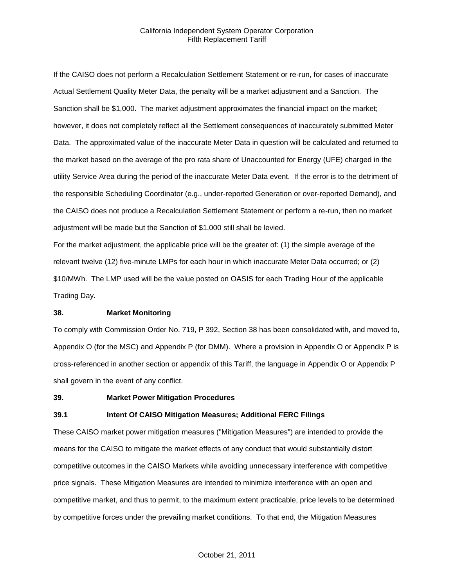If the CAISO does not perform a Recalculation Settlement Statement or re-run, for cases of inaccurate Actual Settlement Quality Meter Data, the penalty will be a market adjustment and a Sanction. The Sanction shall be \$1,000. The market adjustment approximates the financial impact on the market; however, it does not completely reflect all the Settlement consequences of inaccurately submitted Meter Data. The approximated value of the inaccurate Meter Data in question will be calculated and returned to the market based on the average of the pro rata share of Unaccounted for Energy (UFE) charged in the utility Service Area during the period of the inaccurate Meter Data event. If the error is to the detriment of the responsible Scheduling Coordinator (e.g., under-reported Generation or over-reported Demand), and the CAISO does not produce a Recalculation Settlement Statement or perform a re-run, then no market adjustment will be made but the Sanction of \$1,000 still shall be levied.

For the market adjustment, the applicable price will be the greater of: (1) the simple average of the relevant twelve (12) five-minute LMPs for each hour in which inaccurate Meter Data occurred; or (2) \$10/MWh. The LMP used will be the value posted on OASIS for each Trading Hour of the applicable Trading Day.

#### **38. Market Monitoring**

To comply with Commission Order No. 719, P 392, Section 38 has been consolidated with, and moved to, Appendix O (for the MSC) and Appendix P (for DMM). Where a provision in Appendix O or Appendix P is cross-referenced in another section or appendix of this Tariff, the language in Appendix O or Appendix P shall govern in the event of any conflict.

#### **39. Market Power Mitigation Procedures**

#### **39.1 Intent Of CAISO Mitigation Measures; Additional FERC Filings**

These CAISO market power mitigation measures ("Mitigation Measures") are intended to provide the means for the CAISO to mitigate the market effects of any conduct that would substantially distort competitive outcomes in the CAISO Markets while avoiding unnecessary interference with competitive price signals. These Mitigation Measures are intended to minimize interference with an open and competitive market, and thus to permit, to the maximum extent practicable, price levels to be determined by competitive forces under the prevailing market conditions. To that end, the Mitigation Measures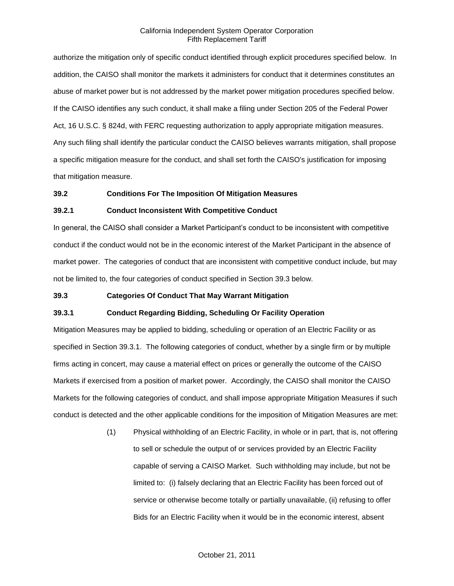authorize the mitigation only of specific conduct identified through explicit procedures specified below. In addition, the CAISO shall monitor the markets it administers for conduct that it determines constitutes an abuse of market power but is not addressed by the market power mitigation procedures specified below. If the CAISO identifies any such conduct, it shall make a filing under Section 205 of the Federal Power Act, 16 U.S.C. § 824d, with FERC requesting authorization to apply appropriate mitigation measures. Any such filing shall identify the particular conduct the CAISO believes warrants mitigation, shall propose a specific mitigation measure for the conduct, and shall set forth the CAISO's justification for imposing that mitigation measure.

### **39.2 Conditions For The Imposition Of Mitigation Measures**

#### **39.2.1 Conduct Inconsistent With Competitive Conduct**

In general, the CAISO shall consider a Market Participant's conduct to be inconsistent with competitive conduct if the conduct would not be in the economic interest of the Market Participant in the absence of market power. The categories of conduct that are inconsistent with competitive conduct include, but may not be limited to, the four categories of conduct specified in Section 39.3 below.

#### **39.3 Categories Of Conduct That May Warrant Mitigation**

### **39.3.1 Conduct Regarding Bidding, Scheduling Or Facility Operation**

Mitigation Measures may be applied to bidding, scheduling or operation of an Electric Facility or as specified in Section 39.3.1. The following categories of conduct, whether by a single firm or by multiple firms acting in concert, may cause a material effect on prices or generally the outcome of the CAISO Markets if exercised from a position of market power. Accordingly, the CAISO shall monitor the CAISO Markets for the following categories of conduct, and shall impose appropriate Mitigation Measures if such conduct is detected and the other applicable conditions for the imposition of Mitigation Measures are met:

> (1) Physical withholding of an Electric Facility, in whole or in part, that is, not offering to sell or schedule the output of or services provided by an Electric Facility capable of serving a CAISO Market. Such withholding may include, but not be limited to: (i) falsely declaring that an Electric Facility has been forced out of service or otherwise become totally or partially unavailable, (ii) refusing to offer Bids for an Electric Facility when it would be in the economic interest, absent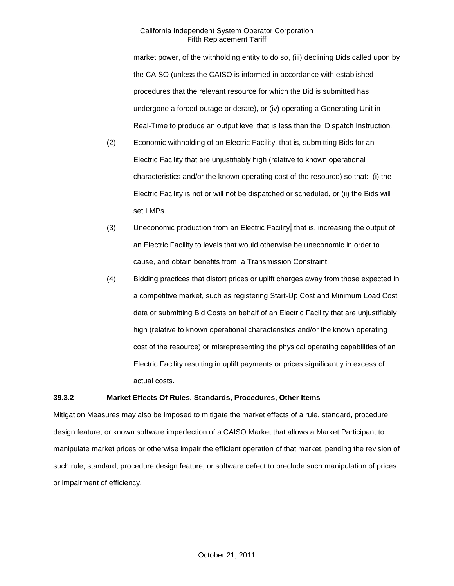market power, of the withholding entity to do so, (iii) declining Bids called upon by the CAISO (unless the CAISO is informed in accordance with established procedures that the relevant resource for which the Bid is submitted has undergone a forced outage or derate), or (iv) operating a Generating Unit in Real-Time to produce an output level that is less than the Dispatch Instruction.

- (2) Economic withholding of an Electric Facility, that is, submitting Bids for an Electric Facility that are unjustifiably high (relative to known operational characteristics and/or the known operating cost of the resource) so that: (i) the Electric Facility is not or will not be dispatched or scheduled, or (ii) the Bids will set LMPs.
- (3) Uneconomic production from an Electric Facility, that is, increasing the output of an Electric Facility to levels that would otherwise be uneconomic in order to cause, and obtain benefits from, a Transmission Constraint.
- (4) Bidding practices that distort prices or uplift charges away from those expected in a competitive market, such as registering Start-Up Cost and Minimum Load Cost data or submitting Bid Costs on behalf of an Electric Facility that are unjustifiably high (relative to known operational characteristics and/or the known operating cost of the resource) or misrepresenting the physical operating capabilities of an Electric Facility resulting in uplift payments or prices significantly in excess of actual costs.

### **39.3.2 Market Effects Of Rules, Standards, Procedures, Other Items**

Mitigation Measures may also be imposed to mitigate the market effects of a rule, standard, procedure, design feature, or known software imperfection of a CAISO Market that allows a Market Participant to manipulate market prices or otherwise impair the efficient operation of that market, pending the revision of such rule, standard, procedure design feature, or software defect to preclude such manipulation of prices or impairment of efficiency.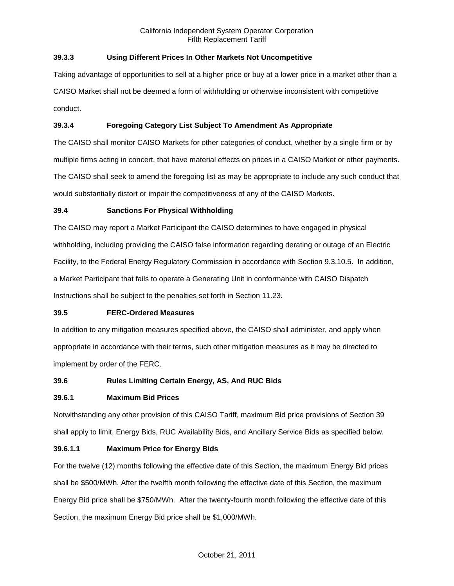# **39.3.3 Using Different Prices In Other Markets Not Uncompetitive**

Taking advantage of opportunities to sell at a higher price or buy at a lower price in a market other than a CAISO Market shall not be deemed a form of withholding or otherwise inconsistent with competitive conduct.

# **39.3.4 Foregoing Category List Subject To Amendment As Appropriate**

The CAISO shall monitor CAISO Markets for other categories of conduct, whether by a single firm or by multiple firms acting in concert, that have material effects on prices in a CAISO Market or other payments. The CAISO shall seek to amend the foregoing list as may be appropriate to include any such conduct that would substantially distort or impair the competitiveness of any of the CAISO Markets.

## **39.4 Sanctions For Physical Withholding**

The CAISO may report a Market Participant the CAISO determines to have engaged in physical withholding, including providing the CAISO false information regarding derating or outage of an Electric Facility, to the Federal Energy Regulatory Commission in accordance with Section 9.3.10.5. In addition, a Market Participant that fails to operate a Generating Unit in conformance with CAISO Dispatch Instructions shall be subject to the penalties set forth in Section 11.23.

# **39.5 FERC-Ordered Measures**

In addition to any mitigation measures specified above, the CAISO shall administer, and apply when appropriate in accordance with their terms, such other mitigation measures as it may be directed to implement by order of the FERC.

# **39.6 Rules Limiting Certain Energy, AS, And RUC Bids**

### **39.6.1 Maximum Bid Prices**

Notwithstanding any other provision of this CAISO Tariff, maximum Bid price provisions of Section 39 shall apply to limit, Energy Bids, RUC Availability Bids, and Ancillary Service Bids as specified below.

### **39.6.1.1 Maximum Price for Energy Bids**

For the twelve (12) months following the effective date of this Section, the maximum Energy Bid prices shall be \$500/MWh. After the twelfth month following the effective date of this Section, the maximum Energy Bid price shall be \$750/MWh. After the twenty-fourth month following the effective date of this Section, the maximum Energy Bid price shall be \$1,000/MWh.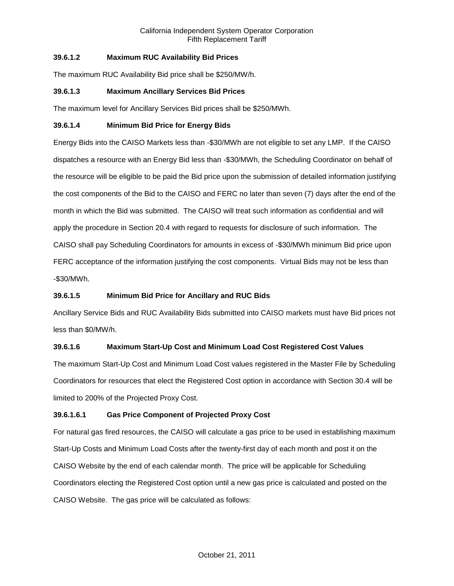# **39.6.1.2 Maximum RUC Availability Bid Prices**

The maximum RUC Availability Bid price shall be \$250/MW/h.

## **39.6.1.3 Maximum Ancillary Services Bid Prices**

The maximum level for Ancillary Services Bid prices shall be \$250/MWh.

### **39.6.1.4 Minimum Bid Price for Energy Bids**

Energy Bids into the CAISO Markets less than -\$30/MWh are not eligible to set any LMP. If the CAISO dispatches a resource with an Energy Bid less than -\$30/MWh, the Scheduling Coordinator on behalf of the resource will be eligible to be paid the Bid price upon the submission of detailed information justifying the cost components of the Bid to the CAISO and FERC no later than seven (7) days after the end of the month in which the Bid was submitted. The CAISO will treat such information as confidential and will apply the procedure in Section 20.4 with regard to requests for disclosure of such information. The CAISO shall pay Scheduling Coordinators for amounts in excess of -\$30/MWh minimum Bid price upon FERC acceptance of the information justifying the cost components. Virtual Bids may not be less than -\$30/MWh.

## **39.6.1.5 Minimum Bid Price for Ancillary and RUC Bids**

Ancillary Service Bids and RUC Availability Bids submitted into CAISO markets must have Bid prices not less than \$0/MW/h.

# **39.6.1.6 Maximum Start-Up Cost and Minimum Load Cost Registered Cost Values**

The maximum Start-Up Cost and Minimum Load Cost values registered in the Master File by Scheduling Coordinators for resources that elect the Registered Cost option in accordance with Section 30.4 will be limited to 200% of the Projected Proxy Cost.

### **39.6.1.6.1 Gas Price Component of Projected Proxy Cost**

For natural gas fired resources, the CAISO will calculate a gas price to be used in establishing maximum Start-Up Costs and Minimum Load Costs after the twenty-first day of each month and post it on the CAISO Website by the end of each calendar month. The price will be applicable for Scheduling Coordinators electing the Registered Cost option until a new gas price is calculated and posted on the CAISO Website. The gas price will be calculated as follows: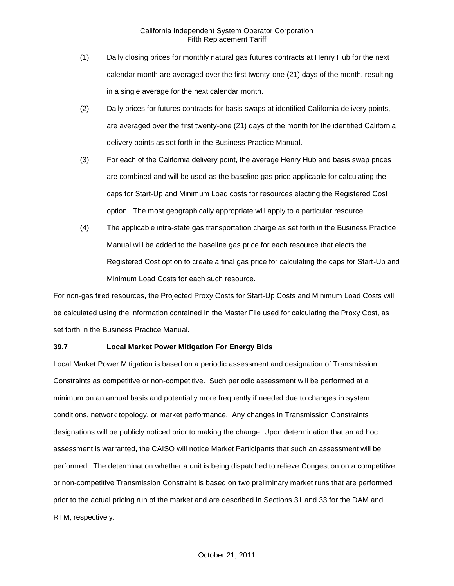- (1) Daily closing prices for monthly natural gas futures contracts at Henry Hub for the next calendar month are averaged over the first twenty-one (21) days of the month, resulting in a single average for the next calendar month.
- (2) Daily prices for futures contracts for basis swaps at identified California delivery points, are averaged over the first twenty-one (21) days of the month for the identified California delivery points as set forth in the Business Practice Manual.
- (3) For each of the California delivery point, the average Henry Hub and basis swap prices are combined and will be used as the baseline gas price applicable for calculating the caps for Start-Up and Minimum Load costs for resources electing the Registered Cost option. The most geographically appropriate will apply to a particular resource.
- (4) The applicable intra-state gas transportation charge as set forth in the Business Practice Manual will be added to the baseline gas price for each resource that elects the Registered Cost option to create a final gas price for calculating the caps for Start-Up and Minimum Load Costs for each such resource.

For non-gas fired resources, the Projected Proxy Costs for Start-Up Costs and Minimum Load Costs will be calculated using the information contained in the Master File used for calculating the Proxy Cost, as set forth in the Business Practice Manual.

### **39.7 Local Market Power Mitigation For Energy Bids**

Local Market Power Mitigation is based on a periodic assessment and designation of Transmission Constraints as competitive or non-competitive. Such periodic assessment will be performed at a minimum on an annual basis and potentially more frequently if needed due to changes in system conditions, network topology, or market performance. Any changes in Transmission Constraints designations will be publicly noticed prior to making the change. Upon determination that an ad hoc assessment is warranted, the CAISO will notice Market Participants that such an assessment will be performed. The determination whether a unit is being dispatched to relieve Congestion on a competitive or non-competitive Transmission Constraint is based on two preliminary market runs that are performed prior to the actual pricing run of the market and are described in Sections 31 and 33 for the DAM and RTM, respectively.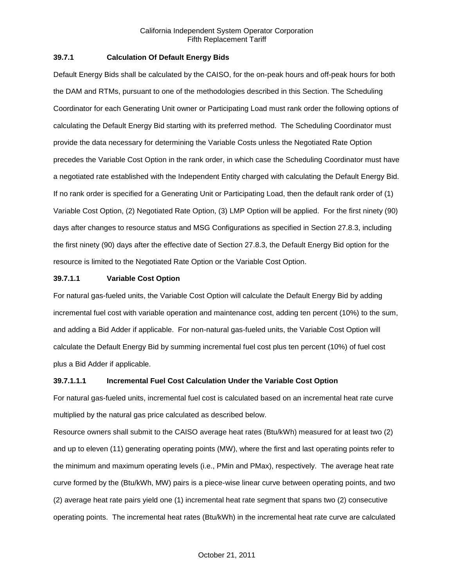### **39.7.1 Calculation Of Default Energy Bids**

Default Energy Bids shall be calculated by the CAISO, for the on-peak hours and off-peak hours for both the DAM and RTMs, pursuant to one of the methodologies described in this Section. The Scheduling Coordinator for each Generating Unit owner or Participating Load must rank order the following options of calculating the Default Energy Bid starting with its preferred method. The Scheduling Coordinator must provide the data necessary for determining the Variable Costs unless the Negotiated Rate Option precedes the Variable Cost Option in the rank order, in which case the Scheduling Coordinator must have a negotiated rate established with the Independent Entity charged with calculating the Default Energy Bid. If no rank order is specified for a Generating Unit or Participating Load, then the default rank order of (1) Variable Cost Option, (2) Negotiated Rate Option, (3) LMP Option will be applied. For the first ninety (90) days after changes to resource status and MSG Configurations as specified in Section 27.8.3, including the first ninety (90) days after the effective date of Section 27.8.3, the Default Energy Bid option for the resource is limited to the Negotiated Rate Option or the Variable Cost Option.

## **39.7.1.1 Variable Cost Option**

For natural gas-fueled units, the Variable Cost Option will calculate the Default Energy Bid by adding incremental fuel cost with variable operation and maintenance cost, adding ten percent (10%) to the sum, and adding a Bid Adder if applicable. For non-natural gas-fueled units, the Variable Cost Option will calculate the Default Energy Bid by summing incremental fuel cost plus ten percent (10%) of fuel cost plus a Bid Adder if applicable.

### **39.7.1.1.1 Incremental Fuel Cost Calculation Under the Variable Cost Option**

For natural gas-fueled units, incremental fuel cost is calculated based on an incremental heat rate curve multiplied by the natural gas price calculated as described below.

Resource owners shall submit to the CAISO average heat rates (Btu/kWh) measured for at least two (2) and up to eleven (11) generating operating points (MW), where the first and last operating points refer to the minimum and maximum operating levels (i.e., PMin and PMax), respectively. The average heat rate curve formed by the (Btu/kWh, MW) pairs is a piece-wise linear curve between operating points, and two (2) average heat rate pairs yield one (1) incremental heat rate segment that spans two (2) consecutive operating points. The incremental heat rates (Btu/kWh) in the incremental heat rate curve are calculated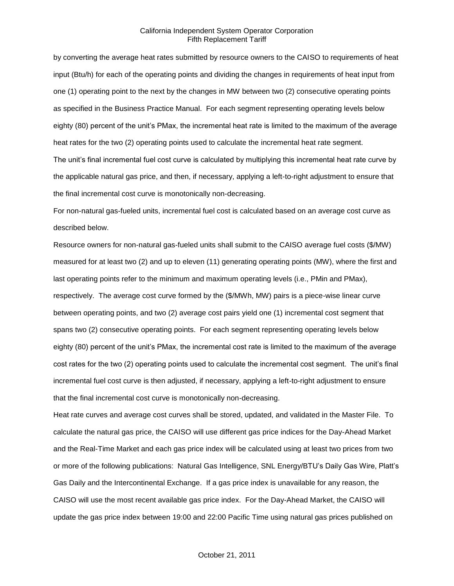by converting the average heat rates submitted by resource owners to the CAISO to requirements of heat input (Btu/h) for each of the operating points and dividing the changes in requirements of heat input from one (1) operating point to the next by the changes in MW between two (2) consecutive operating points as specified in the Business Practice Manual. For each segment representing operating levels below eighty (80) percent of the unit's PMax, the incremental heat rate is limited to the maximum of the average heat rates for the two (2) operating points used to calculate the incremental heat rate segment. The unit's final incremental fuel cost curve is calculated by multiplying this incremental heat rate curve by the applicable natural gas price, and then, if necessary, applying a left-to-right adjustment to ensure that the final incremental cost curve is monotonically non-decreasing.

For non-natural gas-fueled units, incremental fuel cost is calculated based on an average cost curve as described below.

Resource owners for non-natural gas-fueled units shall submit to the CAISO average fuel costs (\$/MW) measured for at least two (2) and up to eleven (11) generating operating points (MW), where the first and last operating points refer to the minimum and maximum operating levels (i.e., PMin and PMax), respectively. The average cost curve formed by the (\$/MWh, MW) pairs is a piece-wise linear curve between operating points, and two (2) average cost pairs yield one (1) incremental cost segment that spans two (2) consecutive operating points. For each segment representing operating levels below eighty (80) percent of the unit's PMax, the incremental cost rate is limited to the maximum of the average cost rates for the two (2) operating points used to calculate the incremental cost segment. The unit's final incremental fuel cost curve is then adjusted, if necessary, applying a left-to-right adjustment to ensure that the final incremental cost curve is monotonically non-decreasing.

Heat rate curves and average cost curves shall be stored, updated, and validated in the Master File. To calculate the natural gas price, the CAISO will use different gas price indices for the Day-Ahead Market and the Real-Time Market and each gas price index will be calculated using at least two prices from two or more of the following publications: Natural Gas Intelligence, SNL Energy/BTU's Daily Gas Wire, Platt's Gas Daily and the Intercontinental Exchange. If a gas price index is unavailable for any reason, the CAISO will use the most recent available gas price index. For the Day-Ahead Market, the CAISO will update the gas price index between 19:00 and 22:00 Pacific Time using natural gas prices published on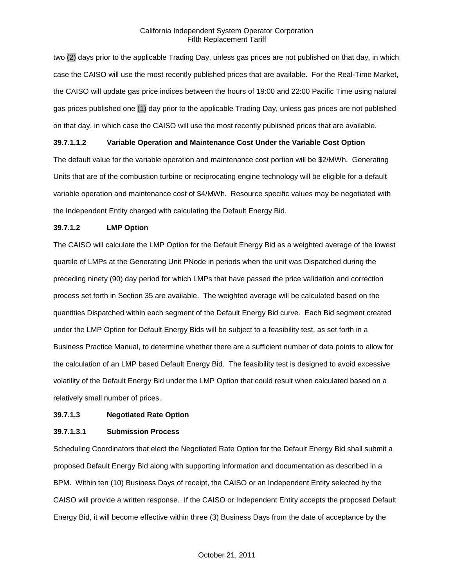two (2) days prior to the applicable Trading Day, unless gas prices are not published on that day, in which case the CAISO will use the most recently published prices that are available. For the Real-Time Market, the CAISO will update gas price indices between the hours of 19:00 and 22:00 Pacific Time using natural gas prices published one (1) day prior to the applicable Trading Day, unless gas prices are not published on that day, in which case the CAISO will use the most recently published prices that are available.

### **39.7.1.1.2 Variable Operation and Maintenance Cost Under the Variable Cost Option**

The default value for the variable operation and maintenance cost portion will be \$2/MWh. Generating Units that are of the combustion turbine or reciprocating engine technology will be eligible for a default variable operation and maintenance cost of \$4/MWh. Resource specific values may be negotiated with the Independent Entity charged with calculating the Default Energy Bid.

## **39.7.1.2 LMP Option**

The CAISO will calculate the LMP Option for the Default Energy Bid as a weighted average of the lowest quartile of LMPs at the Generating Unit PNode in periods when the unit was Dispatched during the preceding ninety (90) day period for which LMPs that have passed the price validation and correction process set forth in Section 35 are available. The weighted average will be calculated based on the quantities Dispatched within each segment of the Default Energy Bid curve. Each Bid segment created under the LMP Option for Default Energy Bids will be subject to a feasibility test, as set forth in a Business Practice Manual, to determine whether there are a sufficient number of data points to allow for the calculation of an LMP based Default Energy Bid. The feasibility test is designed to avoid excessive volatility of the Default Energy Bid under the LMP Option that could result when calculated based on a relatively small number of prices.

## **39.7.1.3 Negotiated Rate Option**

### **39.7.1.3.1 Submission Process**

Scheduling Coordinators that elect the Negotiated Rate Option for the Default Energy Bid shall submit a proposed Default Energy Bid along with supporting information and documentation as described in a BPM. Within ten (10) Business Days of receipt, the CAISO or an Independent Entity selected by the CAISO will provide a written response. If the CAISO or Independent Entity accepts the proposed Default Energy Bid, it will become effective within three (3) Business Days from the date of acceptance by the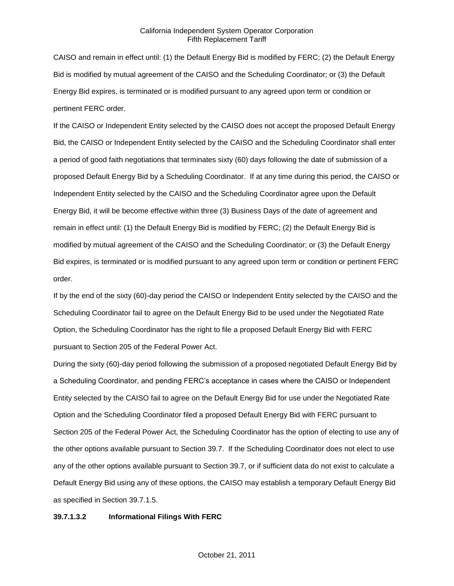CAISO and remain in effect until: (1) the Default Energy Bid is modified by FERC; (2) the Default Energy Bid is modified by mutual agreement of the CAISO and the Scheduling Coordinator; or (3) the Default Energy Bid expires, is terminated or is modified pursuant to any agreed upon term or condition or pertinent FERC order.

If the CAISO or Independent Entity selected by the CAISO does not accept the proposed Default Energy Bid, the CAISO or Independent Entity selected by the CAISO and the Scheduling Coordinator shall enter a period of good faith negotiations that terminates sixty (60) days following the date of submission of a proposed Default Energy Bid by a Scheduling Coordinator. If at any time during this period, the CAISO or Independent Entity selected by the CAISO and the Scheduling Coordinator agree upon the Default Energy Bid, it will be become effective within three (3) Business Days of the date of agreement and remain in effect until: (1) the Default Energy Bid is modified by FERC; (2) the Default Energy Bid is modified by mutual agreement of the CAISO and the Scheduling Coordinator; or (3) the Default Energy Bid expires, is terminated or is modified pursuant to any agreed upon term or condition or pertinent FERC order.

If by the end of the sixty (60)-day period the CAISO or Independent Entity selected by the CAISO and the Scheduling Coordinator fail to agree on the Default Energy Bid to be used under the Negotiated Rate Option, the Scheduling Coordinator has the right to file a proposed Default Energy Bid with FERC pursuant to Section 205 of the Federal Power Act.

During the sixty (60)-day period following the submission of a proposed negotiated Default Energy Bid by a Scheduling Coordinator, and pending FERC's acceptance in cases where the CAISO or Independent Entity selected by the CAISO fail to agree on the Default Energy Bid for use under the Negotiated Rate Option and the Scheduling Coordinator filed a proposed Default Energy Bid with FERC pursuant to Section 205 of the Federal Power Act, the Scheduling Coordinator has the option of electing to use any of the other options available pursuant to Section 39.7. If the Scheduling Coordinator does not elect to use any of the other options available pursuant to Section 39.7, or if sufficient data do not exist to calculate a Default Energy Bid using any of these options, the CAISO may establish a temporary Default Energy Bid as specified in Section 39.7.1.5.

#### **39.7.1.3.2 Informational Filings With FERC**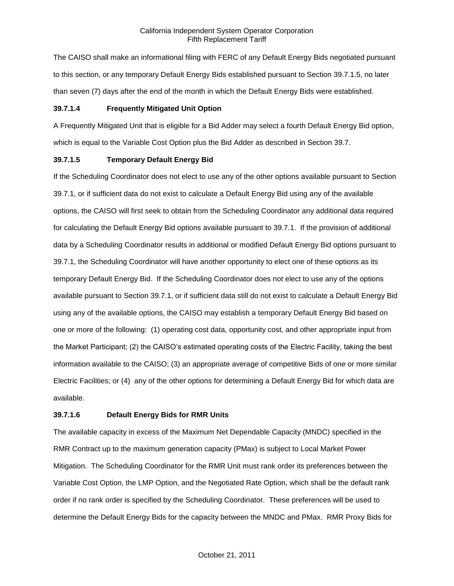The CAISO shall make an informational filing with FERC of any Default Energy Bids negotiated pursuant to this section, or any temporary Default Energy Bids established pursuant to Section 39.7.1.5, no later than seven (7) days after the end of the month in which the Default Energy Bids were established.

### **39.7.1.4 Frequently Mitigated Unit Option**

A Frequently Mitigated Unit that is eligible for a Bid Adder may select a fourth Default Energy Bid option, which is equal to the Variable Cost Option plus the Bid Adder as described in Section 39.7.

#### **39.7.1.5 Temporary Default Energy Bid**

If the Scheduling Coordinator does not elect to use any of the other options available pursuant to Section 39.7.1, or if sufficient data do not exist to calculate a Default Energy Bid using any of the available options, the CAISO will first seek to obtain from the Scheduling Coordinator any additional data required for calculating the Default Energy Bid options available pursuant to 39.7.1. If the provision of additional data by a Scheduling Coordinator results in additional or modified Default Energy Bid options pursuant to 39.7.1, the Scheduling Coordinator will have another opportunity to elect one of these options as its temporary Default Energy Bid. If the Scheduling Coordinator does not elect to use any of the options available pursuant to Section 39.7.1, or if sufficient data still do not exist to calculate a Default Energy Bid using any of the available options, the CAISO may establish a temporary Default Energy Bid based on one or more of the following: (1) operating cost data, opportunity cost, and other appropriate input from the Market Participant; (2) the CAISO's estimated operating costs of the Electric Facility, taking the best information available to the CAISO; (3) an appropriate average of competitive Bids of one or more similar Electric Facilities; or (4) any of the other options for determining a Default Energy Bid for which data are available.

### **39.7.1.6 Default Energy Bids for RMR Units**

The available capacity in excess of the Maximum Net Dependable Capacity (MNDC) specified in the RMR Contract up to the maximum generation capacity (PMax) is subject to Local Market Power Mitigation. The Scheduling Coordinator for the RMR Unit must rank order its preferences between the Variable Cost Option, the LMP Option, and the Negotiated Rate Option, which shall be the default rank order if no rank order is specified by the Scheduling Coordinator. These preferences will be used to determine the Default Energy Bids for the capacity between the MNDC and PMax. RMR Proxy Bids for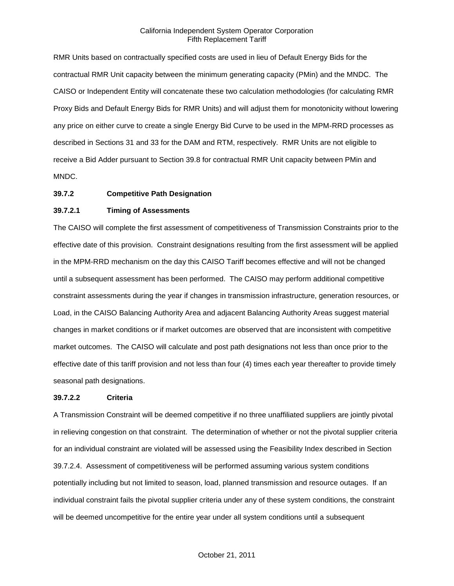RMR Units based on contractually specified costs are used in lieu of Default Energy Bids for the contractual RMR Unit capacity between the minimum generating capacity (PMin) and the MNDC. The CAISO or Independent Entity will concatenate these two calculation methodologies (for calculating RMR Proxy Bids and Default Energy Bids for RMR Units) and will adjust them for monotonicity without lowering any price on either curve to create a single Energy Bid Curve to be used in the MPM-RRD processes as described in Sections 31 and 33 for the DAM and RTM, respectively. RMR Units are not eligible to receive a Bid Adder pursuant to Section 39.8 for contractual RMR Unit capacity between PMin and MNDC.

#### **39.7.2 Competitive Path Designation**

### **39.7.2.1 Timing of Assessments**

The CAISO will complete the first assessment of competitiveness of Transmission Constraints prior to the effective date of this provision. Constraint designations resulting from the first assessment will be applied in the MPM-RRD mechanism on the day this CAISO Tariff becomes effective and will not be changed until a subsequent assessment has been performed. The CAISO may perform additional competitive constraint assessments during the year if changes in transmission infrastructure, generation resources, or Load, in the CAISO Balancing Authority Area and adjacent Balancing Authority Areas suggest material changes in market conditions or if market outcomes are observed that are inconsistent with competitive market outcomes. The CAISO will calculate and post path designations not less than once prior to the effective date of this tariff provision and not less than four (4) times each year thereafter to provide timely seasonal path designations.

#### **39.7.2.2 Criteria**

A Transmission Constraint will be deemed competitive if no three unaffiliated suppliers are jointly pivotal in relieving congestion on that constraint. The determination of whether or not the pivotal supplier criteria for an individual constraint are violated will be assessed using the Feasibility Index described in Section 39.7.2.4. Assessment of competitiveness will be performed assuming various system conditions potentially including but not limited to season, load, planned transmission and resource outages. If an individual constraint fails the pivotal supplier criteria under any of these system conditions, the constraint will be deemed uncompetitive for the entire year under all system conditions until a subsequent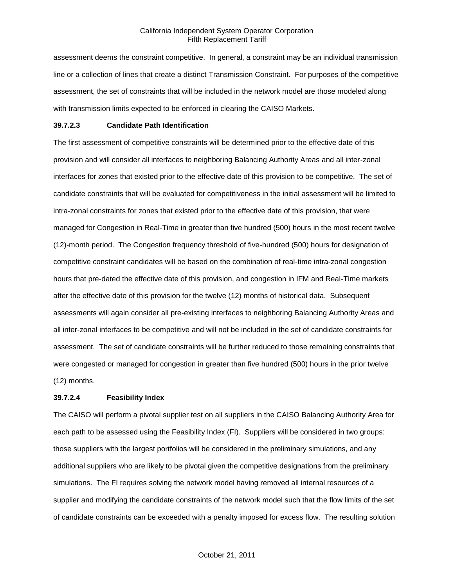assessment deems the constraint competitive. In general, a constraint may be an individual transmission line or a collection of lines that create a distinct Transmission Constraint. For purposes of the competitive assessment, the set of constraints that will be included in the network model are those modeled along with transmission limits expected to be enforced in clearing the CAISO Markets.

#### **39.7.2.3 Candidate Path Identification**

The first assessment of competitive constraints will be determined prior to the effective date of this provision and will consider all interfaces to neighboring Balancing Authority Areas and all inter-zonal interfaces for zones that existed prior to the effective date of this provision to be competitive. The set of candidate constraints that will be evaluated for competitiveness in the initial assessment will be limited to intra-zonal constraints for zones that existed prior to the effective date of this provision, that were managed for Congestion in Real-Time in greater than five hundred (500) hours in the most recent twelve (12)-month period. The Congestion frequency threshold of five-hundred (500) hours for designation of competitive constraint candidates will be based on the combination of real-time intra-zonal congestion hours that pre-dated the effective date of this provision, and congestion in IFM and Real-Time markets after the effective date of this provision for the twelve (12) months of historical data. Subsequent assessments will again consider all pre-existing interfaces to neighboring Balancing Authority Areas and all inter-zonal interfaces to be competitive and will not be included in the set of candidate constraints for assessment. The set of candidate constraints will be further reduced to those remaining constraints that were congested or managed for congestion in greater than five hundred (500) hours in the prior twelve (12) months.

### **39.7.2.4 Feasibility Index**

The CAISO will perform a pivotal supplier test on all suppliers in the CAISO Balancing Authority Area for each path to be assessed using the Feasibility Index (FI). Suppliers will be considered in two groups: those suppliers with the largest portfolios will be considered in the preliminary simulations, and any additional suppliers who are likely to be pivotal given the competitive designations from the preliminary simulations. The FI requires solving the network model having removed all internal resources of a supplier and modifying the candidate constraints of the network model such that the flow limits of the set of candidate constraints can be exceeded with a penalty imposed for excess flow. The resulting solution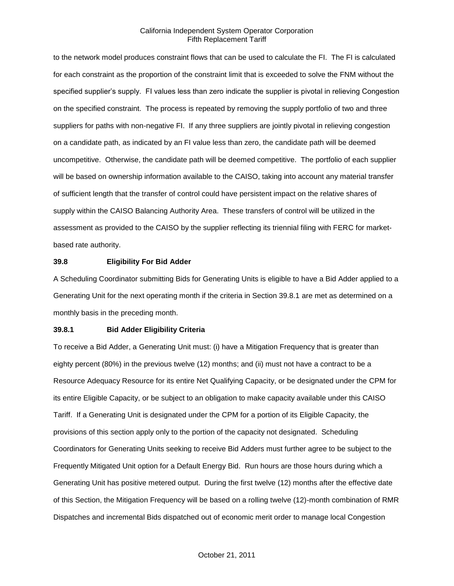to the network model produces constraint flows that can be used to calculate the FI. The FI is calculated for each constraint as the proportion of the constraint limit that is exceeded to solve the FNM without the specified supplier's supply. FI values less than zero indicate the supplier is pivotal in relieving Congestion on the specified constraint. The process is repeated by removing the supply portfolio of two and three suppliers for paths with non-negative FI. If any three suppliers are jointly pivotal in relieving congestion on a candidate path, as indicated by an FI value less than zero, the candidate path will be deemed uncompetitive. Otherwise, the candidate path will be deemed competitive. The portfolio of each supplier will be based on ownership information available to the CAISO, taking into account any material transfer of sufficient length that the transfer of control could have persistent impact on the relative shares of supply within the CAISO Balancing Authority Area. These transfers of control will be utilized in the assessment as provided to the CAISO by the supplier reflecting its triennial filing with FERC for marketbased rate authority.

#### **39.8 Eligibility For Bid Adder**

A Scheduling Coordinator submitting Bids for Generating Units is eligible to have a Bid Adder applied to a Generating Unit for the next operating month if the criteria in Section 39.8.1 are met as determined on a monthly basis in the preceding month.

#### **39.8.1 Bid Adder Eligibility Criteria**

To receive a Bid Adder, a Generating Unit must: (i) have a Mitigation Frequency that is greater than eighty percent (80%) in the previous twelve (12) months; and (ii) must not have a contract to be a Resource Adequacy Resource for its entire Net Qualifying Capacity, or be designated under the CPM for its entire Eligible Capacity, or be subject to an obligation to make capacity available under this CAISO Tariff. If a Generating Unit is designated under the CPM for a portion of its Eligible Capacity, the provisions of this section apply only to the portion of the capacity not designated. Scheduling Coordinators for Generating Units seeking to receive Bid Adders must further agree to be subject to the Frequently Mitigated Unit option for a Default Energy Bid. Run hours are those hours during which a Generating Unit has positive metered output. During the first twelve (12) months after the effective date of this Section, the Mitigation Frequency will be based on a rolling twelve (12)-month combination of RMR Dispatches and incremental Bids dispatched out of economic merit order to manage local Congestion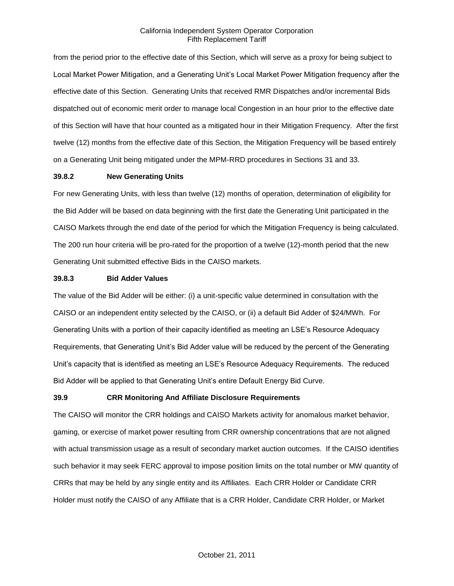from the period prior to the effective date of this Section, which will serve as a proxy for being subject to Local Market Power Mitigation, and a Generating Unit's Local Market Power Mitigation frequency after the effective date of this Section. Generating Units that received RMR Dispatches and/or incremental Bids dispatched out of economic merit order to manage local Congestion in an hour prior to the effective date of this Section will have that hour counted as a mitigated hour in their Mitigation Frequency. After the first twelve (12) months from the effective date of this Section, the Mitigation Frequency will be based entirely on a Generating Unit being mitigated under the MPM-RRD procedures in Sections 31 and 33.

### **39.8.2 New Generating Units**

For new Generating Units, with less than twelve (12) months of operation, determination of eligibility for the Bid Adder will be based on data beginning with the first date the Generating Unit participated in the CAISO Markets through the end date of the period for which the Mitigation Frequency is being calculated. The 200 run hour criteria will be pro-rated for the proportion of a twelve (12)-month period that the new Generating Unit submitted effective Bids in the CAISO markets.

#### **39.8.3 Bid Adder Values**

The value of the Bid Adder will be either: (i) a unit-specific value determined in consultation with the CAISO or an independent entity selected by the CAISO, or (ii) a default Bid Adder of \$24/MWh. For Generating Units with a portion of their capacity identified as meeting an LSE's Resource Adequacy Requirements, that Generating Unit's Bid Adder value will be reduced by the percent of the Generating Unit's capacity that is identified as meeting an LSE's Resource Adequacy Requirements. The reduced Bid Adder will be applied to that Generating Unit's entire Default Energy Bid Curve.

### **39.9 CRR Monitoring And Affiliate Disclosure Requirements**

The CAISO will monitor the CRR holdings and CAISO Markets activity for anomalous market behavior, gaming, or exercise of market power resulting from CRR ownership concentrations that are not aligned with actual transmission usage as a result of secondary market auction outcomes. If the CAISO identifies such behavior it may seek FERC approval to impose position limits on the total number or MW quantity of CRRs that may be held by any single entity and its Affiliates. Each CRR Holder or Candidate CRR Holder must notify the CAISO of any Affiliate that is a CRR Holder, Candidate CRR Holder, or Market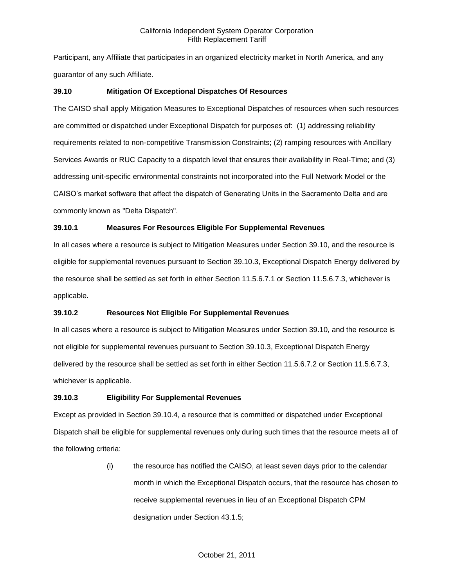Participant, any Affiliate that participates in an organized electricity market in North America, and any guarantor of any such Affiliate.

## **39.10 Mitigation Of Exceptional Dispatches Of Resources**

The CAISO shall apply Mitigation Measures to Exceptional Dispatches of resources when such resources are committed or dispatched under Exceptional Dispatch for purposes of: (1) addressing reliability requirements related to non-competitive Transmission Constraints; (2) ramping resources with Ancillary Services Awards or RUC Capacity to a dispatch level that ensures their availability in Real-Time; and (3) addressing unit-specific environmental constraints not incorporated into the Full Network Model or the CAISO's market software that affect the dispatch of Generating Units in the Sacramento Delta and are commonly known as "Delta Dispatch".

## **39.10.1 Measures For Resources Eligible For Supplemental Revenues**

In all cases where a resource is subject to Mitigation Measures under Section 39.10, and the resource is eligible for supplemental revenues pursuant to Section 39.10.3, Exceptional Dispatch Energy delivered by the resource shall be settled as set forth in either Section 11.5.6.7.1 or Section 11.5.6.7.3, whichever is applicable.

## **39.10.2 Resources Not Eligible For Supplemental Revenues**

In all cases where a resource is subject to Mitigation Measures under Section 39.10, and the resource is not eligible for supplemental revenues pursuant to Section 39.10.3, Exceptional Dispatch Energy delivered by the resource shall be settled as set forth in either Section 11.5.6.7.2 or Section 11.5.6.7.3, whichever is applicable.

## **39.10.3 Eligibility For Supplemental Revenues**

Except as provided in Section 39.10.4, a resource that is committed or dispatched under Exceptional Dispatch shall be eligible for supplemental revenues only during such times that the resource meets all of the following criteria:

> (i) the resource has notified the CAISO, at least seven days prior to the calendar month in which the Exceptional Dispatch occurs, that the resource has chosen to receive supplemental revenues in lieu of an Exceptional Dispatch CPM designation under Section 43.1.5;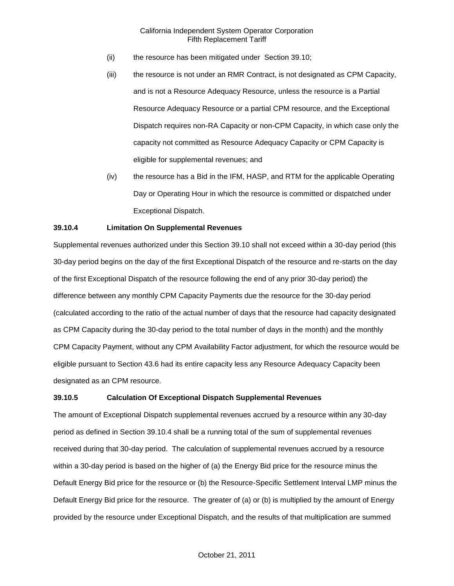- (ii) the resource has been mitigated under Section 39.10;
- (iii) the resource is not under an RMR Contract, is not designated as CPM Capacity, and is not a Resource Adequacy Resource, unless the resource is a Partial Resource Adequacy Resource or a partial CPM resource, and the Exceptional Dispatch requires non-RA Capacity or non-CPM Capacity, in which case only the capacity not committed as Resource Adequacy Capacity or CPM Capacity is eligible for supplemental revenues; and
- (iv) the resource has a Bid in the IFM, HASP, and RTM for the applicable Operating Day or Operating Hour in which the resource is committed or dispatched under Exceptional Dispatch.

## **39.10.4 Limitation On Supplemental Revenues**

Supplemental revenues authorized under this Section 39.10 shall not exceed within a 30-day period (this 30-day period begins on the day of the first Exceptional Dispatch of the resource and re-starts on the day of the first Exceptional Dispatch of the resource following the end of any prior 30-day period) the difference between any monthly CPM Capacity Payments due the resource for the 30-day period (calculated according to the ratio of the actual number of days that the resource had capacity designated as CPM Capacity during the 30-day period to the total number of days in the month) and the monthly CPM Capacity Payment, without any CPM Availability Factor adjustment, for which the resource would be eligible pursuant to Section 43.6 had its entire capacity less any Resource Adequacy Capacity been designated as an CPM resource.

#### **39.10.5 Calculation Of Exceptional Dispatch Supplemental Revenues**

The amount of Exceptional Dispatch supplemental revenues accrued by a resource within any 30-day period as defined in Section 39.10.4 shall be a running total of the sum of supplemental revenues received during that 30-day period. The calculation of supplemental revenues accrued by a resource within a 30-day period is based on the higher of (a) the Energy Bid price for the resource minus the Default Energy Bid price for the resource or (b) the Resource-Specific Settlement Interval LMP minus the Default Energy Bid price for the resource. The greater of (a) or (b) is multiplied by the amount of Energy provided by the resource under Exceptional Dispatch, and the results of that multiplication are summed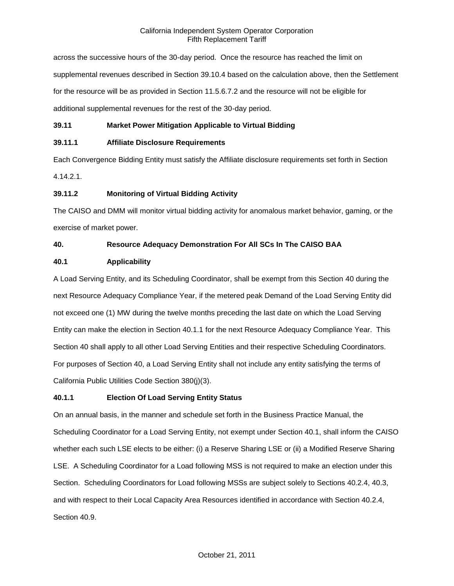across the successive hours of the 30-day period. Once the resource has reached the limit on supplemental revenues described in Section 39.10.4 based on the calculation above, then the Settlement for the resource will be as provided in Section 11.5.6.7.2 and the resource will not be eligible for additional supplemental revenues for the rest of the 30-day period.

## **39.11 Market Power Mitigation Applicable to Virtual Bidding**

## **39.11.1 Affiliate Disclosure Requirements**

Each Convergence Bidding Entity must satisfy the Affiliate disclosure requirements set forth in Section 4.14.2.1.

## **39.11.2 Monitoring of Virtual Bidding Activity**

The CAISO and DMM will monitor virtual bidding activity for anomalous market behavior, gaming, or the exercise of market power.

## **40. Resource Adequacy Demonstration For All SCs In The CAISO BAA**

## **40.1 Applicability**

A Load Serving Entity, and its Scheduling Coordinator, shall be exempt from this Section 40 during the next Resource Adequacy Compliance Year, if the metered peak Demand of the Load Serving Entity did not exceed one (1) MW during the twelve months preceding the last date on which the Load Serving Entity can make the election in Section 40.1.1 for the next Resource Adequacy Compliance Year. This Section 40 shall apply to all other Load Serving Entities and their respective Scheduling Coordinators. For purposes of Section 40, a Load Serving Entity shall not include any entity satisfying the terms of California Public Utilities Code Section 380(j)(3).

## **40.1.1 Election Of Load Serving Entity Status**

On an annual basis, in the manner and schedule set forth in the Business Practice Manual, the Scheduling Coordinator for a Load Serving Entity, not exempt under Section 40.1, shall inform the CAISO whether each such LSE elects to be either: (i) a Reserve Sharing LSE or (ii) a Modified Reserve Sharing LSE. A Scheduling Coordinator for a Load following MSS is not required to make an election under this Section. Scheduling Coordinators for Load following MSSs are subject solely to Sections 40.2.4, 40.3, and with respect to their Local Capacity Area Resources identified in accordance with Section 40.2.4, Section 40.9.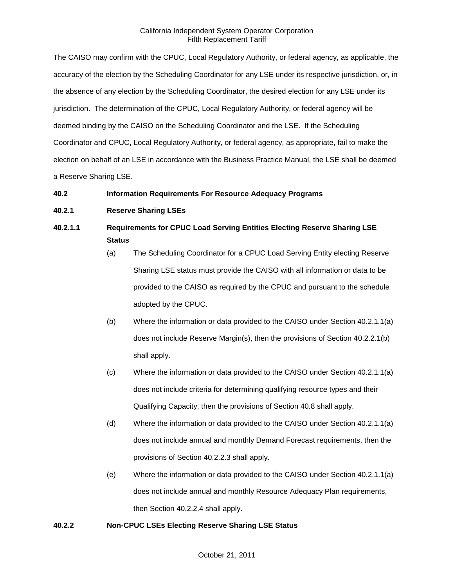The CAISO may confirm with the CPUC, Local Regulatory Authority, or federal agency, as applicable, the accuracy of the election by the Scheduling Coordinator for any LSE under its respective jurisdiction, or, in the absence of any election by the Scheduling Coordinator, the desired election for any LSE under its jurisdiction. The determination of the CPUC, Local Regulatory Authority, or federal agency will be deemed binding by the CAISO on the Scheduling Coordinator and the LSE. If the Scheduling Coordinator and CPUC, Local Regulatory Authority, or federal agency, as appropriate, fail to make the election on behalf of an LSE in accordance with the Business Practice Manual, the LSE shall be deemed a Reserve Sharing LSE.

## **40.2 Information Requirements For Resource Adequacy Programs**

## **40.2.1 Reserve Sharing LSEs**

# **40.2.1.1 Requirements for CPUC Load Serving Entities Electing Reserve Sharing LSE Status**

- (a) The Scheduling Coordinator for a CPUC Load Serving Entity electing Reserve Sharing LSE status must provide the CAISO with all information or data to be provided to the CAISO as required by the CPUC and pursuant to the schedule adopted by the CPUC.
- (b) Where the information or data provided to the CAISO under Section 40.2.1.1(a) does not include Reserve Margin(s), then the provisions of Section 40.2.2.1(b) shall apply.
- (c) Where the information or data provided to the CAISO under Section 40.2.1.1(a) does not include criteria for determining qualifying resource types and their Qualifying Capacity, then the provisions of Section 40.8 shall apply.
- (d) Where the information or data provided to the CAISO under Section 40.2.1.1(a) does not include annual and monthly Demand Forecast requirements, then the provisions of Section 40.2.2.3 shall apply.
- (e) Where the information or data provided to the CAISO under Section 40.2.1.1(a) does not include annual and monthly Resource Adequacy Plan requirements, then Section 40.2.2.4 shall apply.

## **40.2.2 Non-CPUC LSEs Electing Reserve Sharing LSE Status**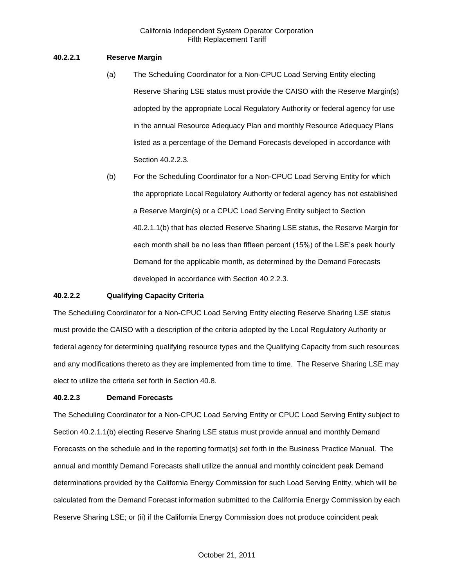## **40.2.2.1 Reserve Margin**

- (a) The Scheduling Coordinator for a Non-CPUC Load Serving Entity electing Reserve Sharing LSE status must provide the CAISO with the Reserve Margin(s) adopted by the appropriate Local Regulatory Authority or federal agency for use in the annual Resource Adequacy Plan and monthly Resource Adequacy Plans listed as a percentage of the Demand Forecasts developed in accordance with Section 40.2.2.3.
- (b) For the Scheduling Coordinator for a Non-CPUC Load Serving Entity for which the appropriate Local Regulatory Authority or federal agency has not established a Reserve Margin(s) or a CPUC Load Serving Entity subject to Section 40.2.1.1(b) that has elected Reserve Sharing LSE status, the Reserve Margin for each month shall be no less than fifteen percent (15%) of the LSE's peak hourly Demand for the applicable month, as determined by the Demand Forecasts developed in accordance with Section 40.2.2.3.

## **40.2.2.2 Qualifying Capacity Criteria**

The Scheduling Coordinator for a Non-CPUC Load Serving Entity electing Reserve Sharing LSE status must provide the CAISO with a description of the criteria adopted by the Local Regulatory Authority or federal agency for determining qualifying resource types and the Qualifying Capacity from such resources and any modifications thereto as they are implemented from time to time. The Reserve Sharing LSE may elect to utilize the criteria set forth in Section 40.8.

## **40.2.2.3 Demand Forecasts**

The Scheduling Coordinator for a Non-CPUC Load Serving Entity or CPUC Load Serving Entity subject to Section 40.2.1.1(b) electing Reserve Sharing LSE status must provide annual and monthly Demand Forecasts on the schedule and in the reporting format(s) set forth in the Business Practice Manual. The annual and monthly Demand Forecasts shall utilize the annual and monthly coincident peak Demand determinations provided by the California Energy Commission for such Load Serving Entity, which will be calculated from the Demand Forecast information submitted to the California Energy Commission by each Reserve Sharing LSE; or (ii) if the California Energy Commission does not produce coincident peak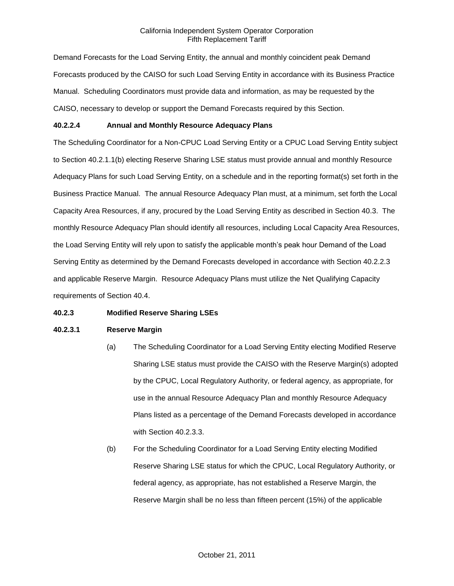Demand Forecasts for the Load Serving Entity, the annual and monthly coincident peak Demand Forecasts produced by the CAISO for such Load Serving Entity in accordance with its Business Practice Manual. Scheduling Coordinators must provide data and information, as may be requested by the CAISO, necessary to develop or support the Demand Forecasts required by this Section.

## **40.2.2.4 Annual and Monthly Resource Adequacy Plans**

The Scheduling Coordinator for a Non-CPUC Load Serving Entity or a CPUC Load Serving Entity subject to Section 40.2.1.1(b) electing Reserve Sharing LSE status must provide annual and monthly Resource Adequacy Plans for such Load Serving Entity, on a schedule and in the reporting format(s) set forth in the Business Practice Manual. The annual Resource Adequacy Plan must, at a minimum, set forth the Local Capacity Area Resources, if any, procured by the Load Serving Entity as described in Section 40.3. The monthly Resource Adequacy Plan should identify all resources, including Local Capacity Area Resources, the Load Serving Entity will rely upon to satisfy the applicable month's peak hour Demand of the Load Serving Entity as determined by the Demand Forecasts developed in accordance with Section 40.2.2.3 and applicable Reserve Margin. Resource Adequacy Plans must utilize the Net Qualifying Capacity requirements of Section 40.4.

## **40.2.3 Modified Reserve Sharing LSEs**

## **40.2.3.1 Reserve Margin**

- (a) The Scheduling Coordinator for a Load Serving Entity electing Modified Reserve Sharing LSE status must provide the CAISO with the Reserve Margin(s) adopted by the CPUC, Local Regulatory Authority, or federal agency, as appropriate, for use in the annual Resource Adequacy Plan and monthly Resource Adequacy Plans listed as a percentage of the Demand Forecasts developed in accordance with Section 40.2.3.3.
- (b) For the Scheduling Coordinator for a Load Serving Entity electing Modified Reserve Sharing LSE status for which the CPUC, Local Regulatory Authority, or federal agency, as appropriate, has not established a Reserve Margin, the Reserve Margin shall be no less than fifteen percent (15%) of the applicable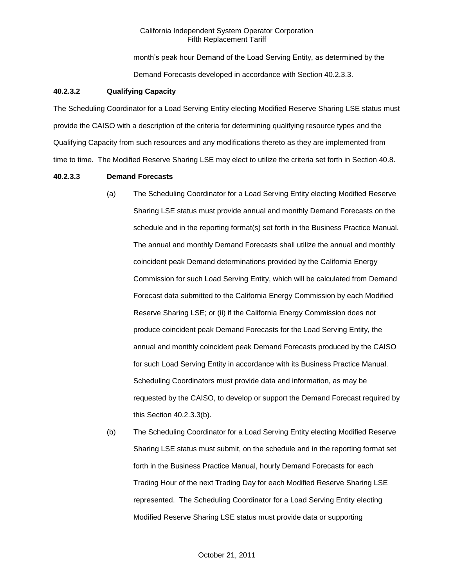month's peak hour Demand of the Load Serving Entity, as determined by the Demand Forecasts developed in accordance with Section 40.2.3.3.

#### **40.2.3.2 Qualifying Capacity**

The Scheduling Coordinator for a Load Serving Entity electing Modified Reserve Sharing LSE status must provide the CAISO with a description of the criteria for determining qualifying resource types and the Qualifying Capacity from such resources and any modifications thereto as they are implemented from time to time. The Modified Reserve Sharing LSE may elect to utilize the criteria set forth in Section 40.8.

#### **40.2.3.3 Demand Forecasts**

- (a) The Scheduling Coordinator for a Load Serving Entity electing Modified Reserve Sharing LSE status must provide annual and monthly Demand Forecasts on the schedule and in the reporting format(s) set forth in the Business Practice Manual. The annual and monthly Demand Forecasts shall utilize the annual and monthly coincident peak Demand determinations provided by the California Energy Commission for such Load Serving Entity, which will be calculated from Demand Forecast data submitted to the California Energy Commission by each Modified Reserve Sharing LSE; or (ii) if the California Energy Commission does not produce coincident peak Demand Forecasts for the Load Serving Entity, the annual and monthly coincident peak Demand Forecasts produced by the CAISO for such Load Serving Entity in accordance with its Business Practice Manual. Scheduling Coordinators must provide data and information, as may be requested by the CAISO, to develop or support the Demand Forecast required by this Section 40.2.3.3(b).
- (b) The Scheduling Coordinator for a Load Serving Entity electing Modified Reserve Sharing LSE status must submit, on the schedule and in the reporting format set forth in the Business Practice Manual, hourly Demand Forecasts for each Trading Hour of the next Trading Day for each Modified Reserve Sharing LSE represented. The Scheduling Coordinator for a Load Serving Entity electing Modified Reserve Sharing LSE status must provide data or supporting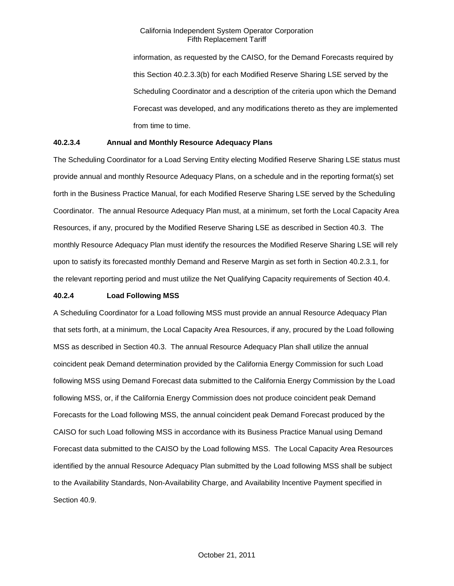information, as requested by the CAISO, for the Demand Forecasts required by this Section 40.2.3.3(b) for each Modified Reserve Sharing LSE served by the Scheduling Coordinator and a description of the criteria upon which the Demand Forecast was developed, and any modifications thereto as they are implemented from time to time.

## **40.2.3.4 Annual and Monthly Resource Adequacy Plans**

The Scheduling Coordinator for a Load Serving Entity electing Modified Reserve Sharing LSE status must provide annual and monthly Resource Adequacy Plans, on a schedule and in the reporting format(s) set forth in the Business Practice Manual, for each Modified Reserve Sharing LSE served by the Scheduling Coordinator. The annual Resource Adequacy Plan must, at a minimum, set forth the Local Capacity Area Resources, if any, procured by the Modified Reserve Sharing LSE as described in Section 40.3. The monthly Resource Adequacy Plan must identify the resources the Modified Reserve Sharing LSE will rely upon to satisfy its forecasted monthly Demand and Reserve Margin as set forth in Section 40.2.3.1, for the relevant reporting period and must utilize the Net Qualifying Capacity requirements of Section 40.4.

## **40.2.4 Load Following MSS**

A Scheduling Coordinator for a Load following MSS must provide an annual Resource Adequacy Plan that sets forth, at a minimum, the Local Capacity Area Resources, if any, procured by the Load following MSS as described in Section 40.3. The annual Resource Adequacy Plan shall utilize the annual coincident peak Demand determination provided by the California Energy Commission for such Load following MSS using Demand Forecast data submitted to the California Energy Commission by the Load following MSS, or, if the California Energy Commission does not produce coincident peak Demand Forecasts for the Load following MSS, the annual coincident peak Demand Forecast produced by the CAISO for such Load following MSS in accordance with its Business Practice Manual using Demand Forecast data submitted to the CAISO by the Load following MSS. The Local Capacity Area Resources identified by the annual Resource Adequacy Plan submitted by the Load following MSS shall be subject to the Availability Standards, Non-Availability Charge, and Availability Incentive Payment specified in Section 40.9.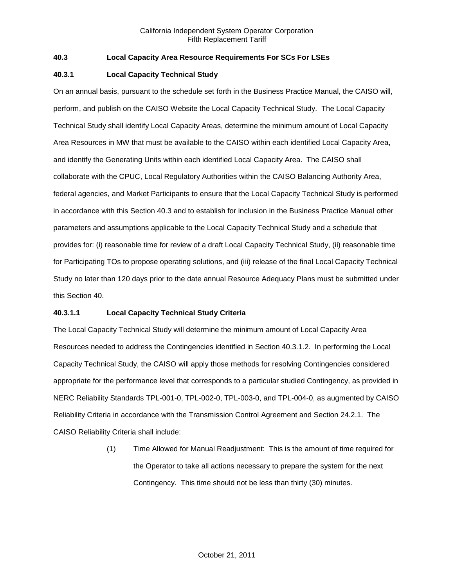## **40.3 Local Capacity Area Resource Requirements For SCs For LSEs**

## **40.3.1 Local Capacity Technical Study**

On an annual basis, pursuant to the schedule set forth in the Business Practice Manual, the CAISO will, perform, and publish on the CAISO Website the Local Capacity Technical Study. The Local Capacity Technical Study shall identify Local Capacity Areas, determine the minimum amount of Local Capacity Area Resources in MW that must be available to the CAISO within each identified Local Capacity Area, and identify the Generating Units within each identified Local Capacity Area. The CAISO shall collaborate with the CPUC, Local Regulatory Authorities within the CAISO Balancing Authority Area, federal agencies, and Market Participants to ensure that the Local Capacity Technical Study is performed in accordance with this Section 40.3 and to establish for inclusion in the Business Practice Manual other parameters and assumptions applicable to the Local Capacity Technical Study and a schedule that provides for: (i) reasonable time for review of a draft Local Capacity Technical Study, (ii) reasonable time for Participating TOs to propose operating solutions, and (iii) release of the final Local Capacity Technical Study no later than 120 days prior to the date annual Resource Adequacy Plans must be submitted under this Section 40.

## **40.3.1.1 Local Capacity Technical Study Criteria**

The Local Capacity Technical Study will determine the minimum amount of Local Capacity Area Resources needed to address the Contingencies identified in Section 40.3.1.2. In performing the Local Capacity Technical Study, the CAISO will apply those methods for resolving Contingencies considered appropriate for the performance level that corresponds to a particular studied Contingency, as provided in NERC Reliability Standards TPL-001-0, TPL-002-0, TPL-003-0, and TPL-004-0, as augmented by CAISO Reliability Criteria in accordance with the Transmission Control Agreement and Section 24.2.1. The CAISO Reliability Criteria shall include:

> (1) Time Allowed for Manual Readjustment: This is the amount of time required for the Operator to take all actions necessary to prepare the system for the next Contingency. This time should not be less than thirty (30) minutes.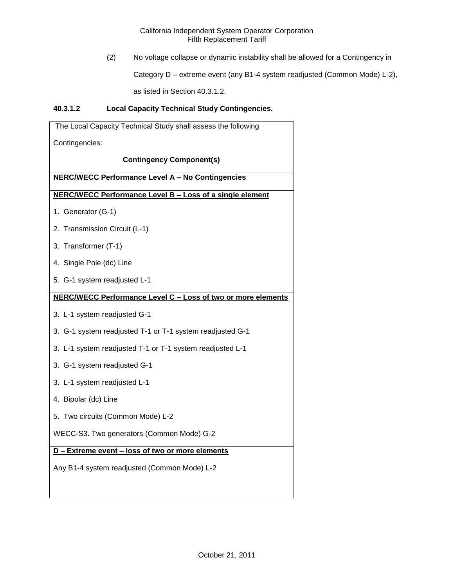(2) No voltage collapse or dynamic instability shall be allowed for a Contingency in

Category D – extreme event (any B1-4 system readjusted (Common Mode) L-2),

as listed in Section 40.3.1.2.

## **40.3.1.2 Local Capacity Technical Study Contingencies.**

| The Local Capacity Technical Study shall assess the following |
|---------------------------------------------------------------|
| Contingencies:                                                |
| <b>Contingency Component(s)</b>                               |
| <b>NERC/WECC Performance Level A - No Contingencies</b>       |
| NERC/WECC Performance Level B - Loss of a single element      |
| 1. Generator (G-1)                                            |
| 2. Transmission Circuit (L-1)                                 |
| 3. Transformer (T-1)                                          |
| 4. Single Pole (dc) Line                                      |
| 5. G-1 system readjusted L-1                                  |
| NERC/WECC Performance Level C - Loss of two or more elements  |
| 3. L-1 system readjusted G-1                                  |
| 3. G-1 system readjusted T-1 or T-1 system readjusted G-1     |
| 3. L-1 system readjusted T-1 or T-1 system readjusted L-1     |
| 3. G-1 system readjusted G-1                                  |
| 3. L-1 system readjusted L-1                                  |
| 4. Bipolar (dc) Line                                          |
| 5. Two circuits (Common Mode) L-2                             |
| WECC-S3. Two generators (Common Mode) G-2                     |
| D - Extreme event - loss of two or more elements              |
| Any B1-4 system readjusted (Common Mode) L-2                  |
|                                                               |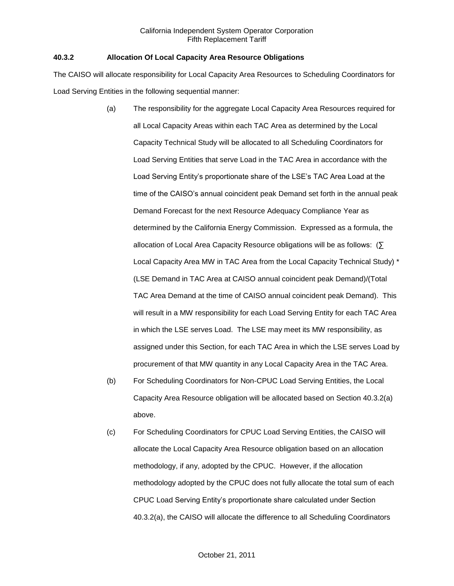## **40.3.2 Allocation Of Local Capacity Area Resource Obligations**

The CAISO will allocate responsibility for Local Capacity Area Resources to Scheduling Coordinators for Load Serving Entities in the following sequential manner:

- (a) The responsibility for the aggregate Local Capacity Area Resources required for all Local Capacity Areas within each TAC Area as determined by the Local Capacity Technical Study will be allocated to all Scheduling Coordinators for Load Serving Entities that serve Load in the TAC Area in accordance with the Load Serving Entity's proportionate share of the LSE's TAC Area Load at the time of the CAISO's annual coincident peak Demand set forth in the annual peak Demand Forecast for the next Resource Adequacy Compliance Year as determined by the California Energy Commission. Expressed as a formula, the allocation of Local Area Capacity Resource obligations will be as follows: (∑ Local Capacity Area MW in TAC Area from the Local Capacity Technical Study) \* (LSE Demand in TAC Area at CAISO annual coincident peak Demand)/(Total TAC Area Demand at the time of CAISO annual coincident peak Demand). This will result in a MW responsibility for each Load Serving Entity for each TAC Area in which the LSE serves Load. The LSE may meet its MW responsibility, as assigned under this Section, for each TAC Area in which the LSE serves Load by procurement of that MW quantity in any Local Capacity Area in the TAC Area.
- (b) For Scheduling Coordinators for Non-CPUC Load Serving Entities, the Local Capacity Area Resource obligation will be allocated based on Section 40.3.2(a) above.
- (c) For Scheduling Coordinators for CPUC Load Serving Entities, the CAISO will allocate the Local Capacity Area Resource obligation based on an allocation methodology, if any, adopted by the CPUC. However, if the allocation methodology adopted by the CPUC does not fully allocate the total sum of each CPUC Load Serving Entity's proportionate share calculated under Section 40.3.2(a), the CAISO will allocate the difference to all Scheduling Coordinators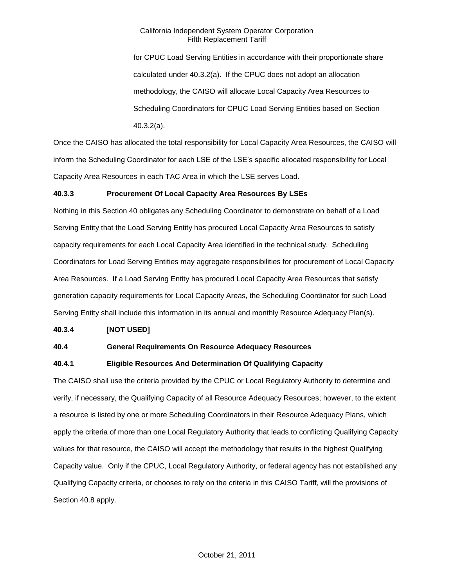for CPUC Load Serving Entities in accordance with their proportionate share calculated under 40.3.2(a). If the CPUC does not adopt an allocation methodology, the CAISO will allocate Local Capacity Area Resources to Scheduling Coordinators for CPUC Load Serving Entities based on Section 40.3.2(a).

Once the CAISO has allocated the total responsibility for Local Capacity Area Resources, the CAISO will inform the Scheduling Coordinator for each LSE of the LSE's specific allocated responsibility for Local Capacity Area Resources in each TAC Area in which the LSE serves Load.

## **40.3.3 Procurement Of Local Capacity Area Resources By LSEs**

Nothing in this Section 40 obligates any Scheduling Coordinator to demonstrate on behalf of a Load Serving Entity that the Load Serving Entity has procured Local Capacity Area Resources to satisfy capacity requirements for each Local Capacity Area identified in the technical study. Scheduling Coordinators for Load Serving Entities may aggregate responsibilities for procurement of Local Capacity Area Resources. If a Load Serving Entity has procured Local Capacity Area Resources that satisfy generation capacity requirements for Local Capacity Areas, the Scheduling Coordinator for such Load Serving Entity shall include this information in its annual and monthly Resource Adequacy Plan(s).

## **40.3.4 [NOT USED]**

## **40.4 General Requirements On Resource Adequacy Resources**

## **40.4.1 Eligible Resources And Determination Of Qualifying Capacity**

The CAISO shall use the criteria provided by the CPUC or Local Regulatory Authority to determine and verify, if necessary, the Qualifying Capacity of all Resource Adequacy Resources; however, to the extent a resource is listed by one or more Scheduling Coordinators in their Resource Adequacy Plans, which apply the criteria of more than one Local Regulatory Authority that leads to conflicting Qualifying Capacity values for that resource, the CAISO will accept the methodology that results in the highest Qualifying Capacity value. Only if the CPUC, Local Regulatory Authority, or federal agency has not established any Qualifying Capacity criteria, or chooses to rely on the criteria in this CAISO Tariff, will the provisions of Section 40.8 apply.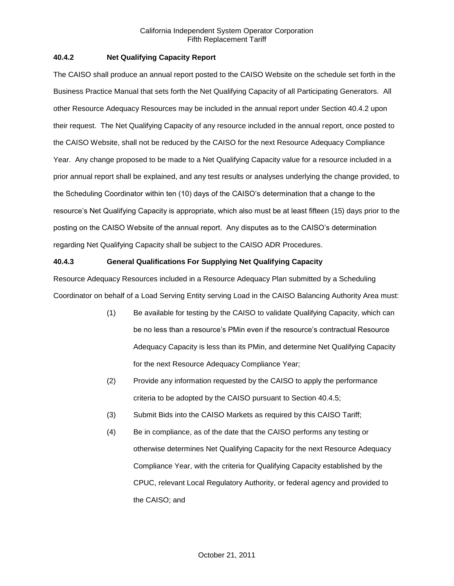## **40.4.2 Net Qualifying Capacity Report**

The CAISO shall produce an annual report posted to the CAISO Website on the schedule set forth in the Business Practice Manual that sets forth the Net Qualifying Capacity of all Participating Generators. All other Resource Adequacy Resources may be included in the annual report under Section 40.4.2 upon their request. The Net Qualifying Capacity of any resource included in the annual report, once posted to the CAISO Website, shall not be reduced by the CAISO for the next Resource Adequacy Compliance Year. Any change proposed to be made to a Net Qualifying Capacity value for a resource included in a prior annual report shall be explained, and any test results or analyses underlying the change provided, to the Scheduling Coordinator within ten (10) days of the CAISO's determination that a change to the resource's Net Qualifying Capacity is appropriate, which also must be at least fifteen (15) days prior to the posting on the CAISO Website of the annual report. Any disputes as to the CAISO's determination regarding Net Qualifying Capacity shall be subject to the CAISO ADR Procedures.

## **40.4.3 General Qualifications For Supplying Net Qualifying Capacity**

Resource Adequacy Resources included in a Resource Adequacy Plan submitted by a Scheduling Coordinator on behalf of a Load Serving Entity serving Load in the CAISO Balancing Authority Area must:

- (1) Be available for testing by the CAISO to validate Qualifying Capacity, which can be no less than a resource's PMin even if the resource's contractual Resource Adequacy Capacity is less than its PMin, and determine Net Qualifying Capacity for the next Resource Adequacy Compliance Year;
- (2) Provide any information requested by the CAISO to apply the performance criteria to be adopted by the CAISO pursuant to Section 40.4.5;
- (3) Submit Bids into the CAISO Markets as required by this CAISO Tariff;
- (4) Be in compliance, as of the date that the CAISO performs any testing or otherwise determines Net Qualifying Capacity for the next Resource Adequacy Compliance Year, with the criteria for Qualifying Capacity established by the CPUC, relevant Local Regulatory Authority, or federal agency and provided to the CAISO; and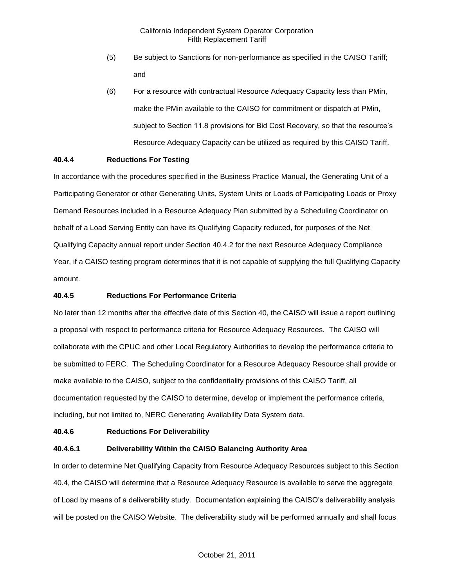- (5) Be subject to Sanctions for non-performance as specified in the CAISO Tariff; and
- (6) For a resource with contractual Resource Adequacy Capacity less than PMin, make the PMin available to the CAISO for commitment or dispatch at PMin, subject to Section 11.8 provisions for Bid Cost Recovery, so that the resource's Resource Adequacy Capacity can be utilized as required by this CAISO Tariff.

## **40.4.4 Reductions For Testing**

In accordance with the procedures specified in the Business Practice Manual, the Generating Unit of a Participating Generator or other Generating Units, System Units or Loads of Participating Loads or Proxy Demand Resources included in a Resource Adequacy Plan submitted by a Scheduling Coordinator on behalf of a Load Serving Entity can have its Qualifying Capacity reduced, for purposes of the Net Qualifying Capacity annual report under Section 40.4.2 for the next Resource Adequacy Compliance Year, if a CAISO testing program determines that it is not capable of supplying the full Qualifying Capacity amount.

## **40.4.5 Reductions For Performance Criteria**

No later than 12 months after the effective date of this Section 40, the CAISO will issue a report outlining a proposal with respect to performance criteria for Resource Adequacy Resources. The CAISO will collaborate with the CPUC and other Local Regulatory Authorities to develop the performance criteria to be submitted to FERC. The Scheduling Coordinator for a Resource Adequacy Resource shall provide or make available to the CAISO, subject to the confidentiality provisions of this CAISO Tariff, all documentation requested by the CAISO to determine, develop or implement the performance criteria, including, but not limited to, NERC Generating Availability Data System data.

## **40.4.6 Reductions For Deliverability**

## **40.4.6.1 Deliverability Within the CAISO Balancing Authority Area**

In order to determine Net Qualifying Capacity from Resource Adequacy Resources subject to this Section 40.4, the CAISO will determine that a Resource Adequacy Resource is available to serve the aggregate of Load by means of a deliverability study. Documentation explaining the CAISO's deliverability analysis will be posted on the CAISO Website. The deliverability study will be performed annually and shall focus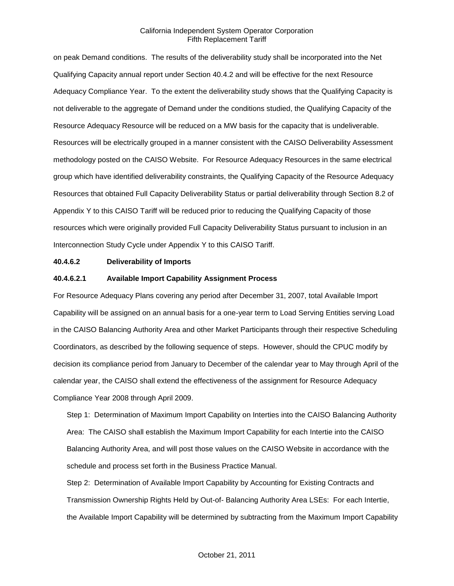on peak Demand conditions. The results of the deliverability study shall be incorporated into the Net Qualifying Capacity annual report under Section 40.4.2 and will be effective for the next Resource Adequacy Compliance Year. To the extent the deliverability study shows that the Qualifying Capacity is not deliverable to the aggregate of Demand under the conditions studied, the Qualifying Capacity of the Resource Adequacy Resource will be reduced on a MW basis for the capacity that is undeliverable. Resources will be electrically grouped in a manner consistent with the CAISO Deliverability Assessment methodology posted on the CAISO Website. For Resource Adequacy Resources in the same electrical group which have identified deliverability constraints, the Qualifying Capacity of the Resource Adequacy Resources that obtained Full Capacity Deliverability Status or partial deliverability through Section 8.2 of Appendix Y to this CAISO Tariff will be reduced prior to reducing the Qualifying Capacity of those resources which were originally provided Full Capacity Deliverability Status pursuant to inclusion in an Interconnection Study Cycle under Appendix Y to this CAISO Tariff.

#### **40.4.6.2 Deliverability of Imports**

#### **40.4.6.2.1 Available Import Capability Assignment Process**

For Resource Adequacy Plans covering any period after December 31, 2007, total Available Import Capability will be assigned on an annual basis for a one-year term to Load Serving Entities serving Load in the CAISO Balancing Authority Area and other Market Participants through their respective Scheduling Coordinators, as described by the following sequence of steps. However, should the CPUC modify by decision its compliance period from January to December of the calendar year to May through April of the calendar year, the CAISO shall extend the effectiveness of the assignment for Resource Adequacy Compliance Year 2008 through April 2009.

Step 1: Determination of Maximum Import Capability on Interties into the CAISO Balancing Authority Area: The CAISO shall establish the Maximum Import Capability for each Intertie into the CAISO Balancing Authority Area, and will post those values on the CAISO Website in accordance with the schedule and process set forth in the Business Practice Manual.

Step 2: Determination of Available Import Capability by Accounting for Existing Contracts and Transmission Ownership Rights Held by Out-of- Balancing Authority Area LSEs: For each Intertie, the Available Import Capability will be determined by subtracting from the Maximum Import Capability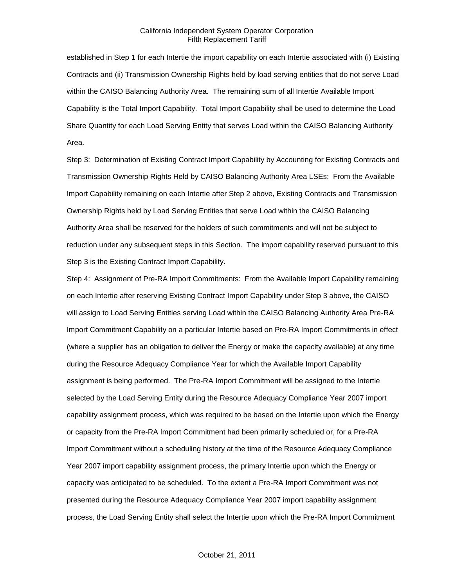established in Step 1 for each Intertie the import capability on each Intertie associated with (i) Existing Contracts and (ii) Transmission Ownership Rights held by load serving entities that do not serve Load within the CAISO Balancing Authority Area. The remaining sum of all Intertie Available Import Capability is the Total Import Capability. Total Import Capability shall be used to determine the Load Share Quantity for each Load Serving Entity that serves Load within the CAISO Balancing Authority Area.

Step 3: Determination of Existing Contract Import Capability by Accounting for Existing Contracts and Transmission Ownership Rights Held by CAISO Balancing Authority Area LSEs: From the Available Import Capability remaining on each Intertie after Step 2 above, Existing Contracts and Transmission Ownership Rights held by Load Serving Entities that serve Load within the CAISO Balancing Authority Area shall be reserved for the holders of such commitments and will not be subject to reduction under any subsequent steps in this Section. The import capability reserved pursuant to this Step 3 is the Existing Contract Import Capability.

Step 4: Assignment of Pre-RA Import Commitments: From the Available Import Capability remaining on each Intertie after reserving Existing Contract Import Capability under Step 3 above, the CAISO will assign to Load Serving Entities serving Load within the CAISO Balancing Authority Area Pre-RA Import Commitment Capability on a particular Intertie based on Pre-RA Import Commitments in effect (where a supplier has an obligation to deliver the Energy or make the capacity available) at any time during the Resource Adequacy Compliance Year for which the Available Import Capability assignment is being performed. The Pre-RA Import Commitment will be assigned to the Intertie selected by the Load Serving Entity during the Resource Adequacy Compliance Year 2007 import capability assignment process, which was required to be based on the Intertie upon which the Energy or capacity from the Pre-RA Import Commitment had been primarily scheduled or, for a Pre-RA Import Commitment without a scheduling history at the time of the Resource Adequacy Compliance Year 2007 import capability assignment process, the primary Intertie upon which the Energy or capacity was anticipated to be scheduled. To the extent a Pre-RA Import Commitment was not presented during the Resource Adequacy Compliance Year 2007 import capability assignment process, the Load Serving Entity shall select the Intertie upon which the Pre-RA Import Commitment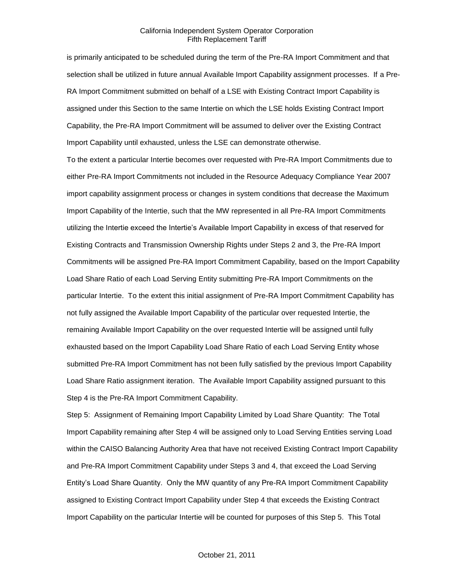is primarily anticipated to be scheduled during the term of the Pre-RA Import Commitment and that selection shall be utilized in future annual Available Import Capability assignment processes. If a Pre-RA Import Commitment submitted on behalf of a LSE with Existing Contract Import Capability is assigned under this Section to the same Intertie on which the LSE holds Existing Contract Import Capability, the Pre-RA Import Commitment will be assumed to deliver over the Existing Contract Import Capability until exhausted, unless the LSE can demonstrate otherwise.

To the extent a particular Intertie becomes over requested with Pre-RA Import Commitments due to either Pre-RA Import Commitments not included in the Resource Adequacy Compliance Year 2007 import capability assignment process or changes in system conditions that decrease the Maximum Import Capability of the Intertie, such that the MW represented in all Pre-RA Import Commitments utilizing the Intertie exceed the Intertie's Available Import Capability in excess of that reserved for Existing Contracts and Transmission Ownership Rights under Steps 2 and 3, the Pre-RA Import Commitments will be assigned Pre-RA Import Commitment Capability, based on the Import Capability Load Share Ratio of each Load Serving Entity submitting Pre-RA Import Commitments on the particular Intertie. To the extent this initial assignment of Pre-RA Import Commitment Capability has not fully assigned the Available Import Capability of the particular over requested Intertie, the remaining Available Import Capability on the over requested Intertie will be assigned until fully exhausted based on the Import Capability Load Share Ratio of each Load Serving Entity whose submitted Pre-RA Import Commitment has not been fully satisfied by the previous Import Capability Load Share Ratio assignment iteration. The Available Import Capability assigned pursuant to this Step 4 is the Pre-RA Import Commitment Capability.

Step 5: Assignment of Remaining Import Capability Limited by Load Share Quantity: The Total Import Capability remaining after Step 4 will be assigned only to Load Serving Entities serving Load within the CAISO Balancing Authority Area that have not received Existing Contract Import Capability and Pre-RA Import Commitment Capability under Steps 3 and 4, that exceed the Load Serving Entity's Load Share Quantity. Only the MW quantity of any Pre-RA Import Commitment Capability assigned to Existing Contract Import Capability under Step 4 that exceeds the Existing Contract Import Capability on the particular Intertie will be counted for purposes of this Step 5. This Total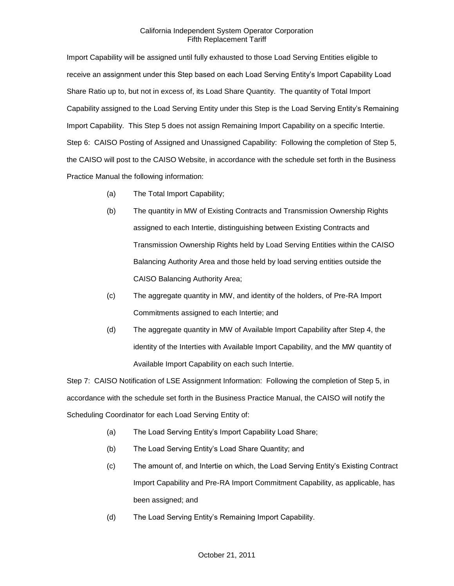Import Capability will be assigned until fully exhausted to those Load Serving Entities eligible to receive an assignment under this Step based on each Load Serving Entity's Import Capability Load Share Ratio up to, but not in excess of, its Load Share Quantity. The quantity of Total Import Capability assigned to the Load Serving Entity under this Step is the Load Serving Entity's Remaining Import Capability. This Step 5 does not assign Remaining Import Capability on a specific Intertie. Step 6: CAISO Posting of Assigned and Unassigned Capability: Following the completion of Step 5, the CAISO will post to the CAISO Website, in accordance with the schedule set forth in the Business Practice Manual the following information:

- (a) The Total Import Capability;
- (b) The quantity in MW of Existing Contracts and Transmission Ownership Rights assigned to each Intertie, distinguishing between Existing Contracts and Transmission Ownership Rights held by Load Serving Entities within the CAISO Balancing Authority Area and those held by load serving entities outside the CAISO Balancing Authority Area;
- (c) The aggregate quantity in MW, and identity of the holders, of Pre-RA Import Commitments assigned to each Intertie; and
- (d) The aggregate quantity in MW of Available Import Capability after Step 4, the identity of the Interties with Available Import Capability, and the MW quantity of Available Import Capability on each such Intertie.

Step 7: CAISO Notification of LSE Assignment Information: Following the completion of Step 5, in accordance with the schedule set forth in the Business Practice Manual, the CAISO will notify the Scheduling Coordinator for each Load Serving Entity of:

- (a) The Load Serving Entity's Import Capability Load Share;
- (b) The Load Serving Entity's Load Share Quantity; and
- (c) The amount of, and Intertie on which, the Load Serving Entity's Existing Contract Import Capability and Pre-RA Import Commitment Capability, as applicable, has been assigned; and
- (d) The Load Serving Entity's Remaining Import Capability.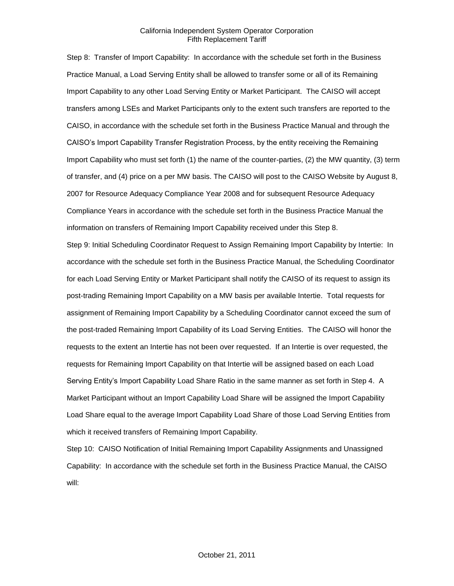Step 8: Transfer of Import Capability: In accordance with the schedule set forth in the Business Practice Manual, a Load Serving Entity shall be allowed to transfer some or all of its Remaining Import Capability to any other Load Serving Entity or Market Participant. The CAISO will accept transfers among LSEs and Market Participants only to the extent such transfers are reported to the CAISO, in accordance with the schedule set forth in the Business Practice Manual and through the CAISO's Import Capability Transfer Registration Process, by the entity receiving the Remaining Import Capability who must set forth (1) the name of the counter-parties, (2) the MW quantity, (3) term of transfer, and (4) price on a per MW basis. The CAISO will post to the CAISO Website by August 8, 2007 for Resource Adequacy Compliance Year 2008 and for subsequent Resource Adequacy Compliance Years in accordance with the schedule set forth in the Business Practice Manual the information on transfers of Remaining Import Capability received under this Step 8.

Step 9: Initial Scheduling Coordinator Request to Assign Remaining Import Capability by Intertie: In accordance with the schedule set forth in the Business Practice Manual, the Scheduling Coordinator for each Load Serving Entity or Market Participant shall notify the CAISO of its request to assign its post-trading Remaining Import Capability on a MW basis per available Intertie. Total requests for assignment of Remaining Import Capability by a Scheduling Coordinator cannot exceed the sum of the post-traded Remaining Import Capability of its Load Serving Entities. The CAISO will honor the requests to the extent an Intertie has not been over requested. If an Intertie is over requested, the requests for Remaining Import Capability on that Intertie will be assigned based on each Load Serving Entity's Import Capability Load Share Ratio in the same manner as set forth in Step 4. A Market Participant without an Import Capability Load Share will be assigned the Import Capability Load Share equal to the average Import Capability Load Share of those Load Serving Entities from which it received transfers of Remaining Import Capability.

Step 10: CAISO Notification of Initial Remaining Import Capability Assignments and Unassigned Capability: In accordance with the schedule set forth in the Business Practice Manual, the CAISO will: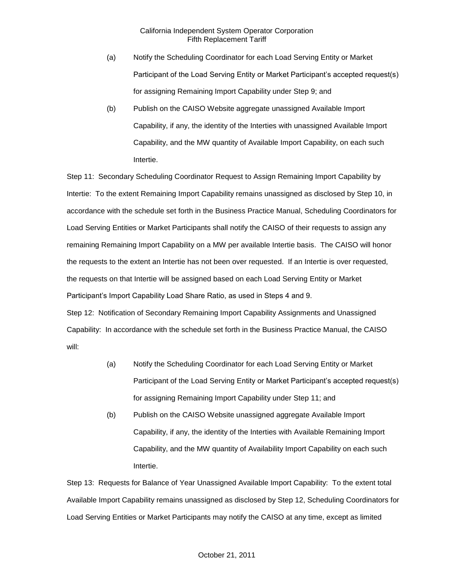- (a) Notify the Scheduling Coordinator for each Load Serving Entity or Market Participant of the Load Serving Entity or Market Participant's accepted request(s) for assigning Remaining Import Capability under Step 9; and
- (b) Publish on the CAISO Website aggregate unassigned Available Import Capability, if any, the identity of the Interties with unassigned Available Import Capability, and the MW quantity of Available Import Capability, on each such Intertie.

Step 11: Secondary Scheduling Coordinator Request to Assign Remaining Import Capability by Intertie: To the extent Remaining Import Capability remains unassigned as disclosed by Step 10, in accordance with the schedule set forth in the Business Practice Manual, Scheduling Coordinators for Load Serving Entities or Market Participants shall notify the CAISO of their requests to assign any remaining Remaining Import Capability on a MW per available Intertie basis. The CAISO will honor the requests to the extent an Intertie has not been over requested. If an Intertie is over requested, the requests on that Intertie will be assigned based on each Load Serving Entity or Market Participant's Import Capability Load Share Ratio, as used in Steps 4 and 9. Step 12: Notification of Secondary Remaining Import Capability Assignments and Unassigned Capability: In accordance with the schedule set forth in the Business Practice Manual, the CAISO will:

- (a) Notify the Scheduling Coordinator for each Load Serving Entity or Market Participant of the Load Serving Entity or Market Participant's accepted request(s) for assigning Remaining Import Capability under Step 11; and
- (b) Publish on the CAISO Website unassigned aggregate Available Import Capability, if any, the identity of the Interties with Available Remaining Import Capability, and the MW quantity of Availability Import Capability on each such Intertie.

Step 13: Requests for Balance of Year Unassigned Available Import Capability: To the extent total Available Import Capability remains unassigned as disclosed by Step 12, Scheduling Coordinators for Load Serving Entities or Market Participants may notify the CAISO at any time, except as limited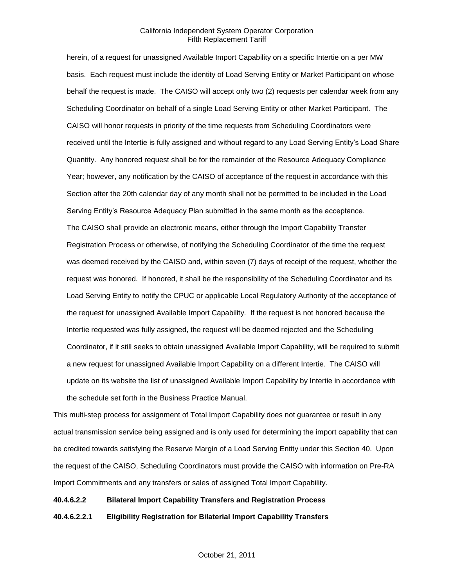herein, of a request for unassigned Available Import Capability on a specific Intertie on a per MW basis. Each request must include the identity of Load Serving Entity or Market Participant on whose behalf the request is made. The CAISO will accept only two (2) requests per calendar week from any Scheduling Coordinator on behalf of a single Load Serving Entity or other Market Participant. The CAISO will honor requests in priority of the time requests from Scheduling Coordinators were received until the Intertie is fully assigned and without regard to any Load Serving Entity's Load Share Quantity. Any honored request shall be for the remainder of the Resource Adequacy Compliance Year; however, any notification by the CAISO of acceptance of the request in accordance with this Section after the 20th calendar day of any month shall not be permitted to be included in the Load Serving Entity's Resource Adequacy Plan submitted in the same month as the acceptance. The CAISO shall provide an electronic means, either through the Import Capability Transfer Registration Process or otherwise, of notifying the Scheduling Coordinator of the time the request was deemed received by the CAISO and, within seven (7) days of receipt of the request, whether the request was honored. If honored, it shall be the responsibility of the Scheduling Coordinator and its Load Serving Entity to notify the CPUC or applicable Local Regulatory Authority of the acceptance of the request for unassigned Available Import Capability. If the request is not honored because the Intertie requested was fully assigned, the request will be deemed rejected and the Scheduling Coordinator, if it still seeks to obtain unassigned Available Import Capability, will be required to submit a new request for unassigned Available Import Capability on a different Intertie. The CAISO will update on its website the list of unassigned Available Import Capability by Intertie in accordance with the schedule set forth in the Business Practice Manual.

This multi-step process for assignment of Total Import Capability does not guarantee or result in any actual transmission service being assigned and is only used for determining the import capability that can be credited towards satisfying the Reserve Margin of a Load Serving Entity under this Section 40. Upon the request of the CAISO, Scheduling Coordinators must provide the CAISO with information on Pre-RA Import Commitments and any transfers or sales of assigned Total Import Capability.

#### **40.4.6.2.2 Bilateral Import Capability Transfers and Registration Process**

**40.4.6.2.2.1 Eligibility Registration for Bilaterial Import Capability Transfers**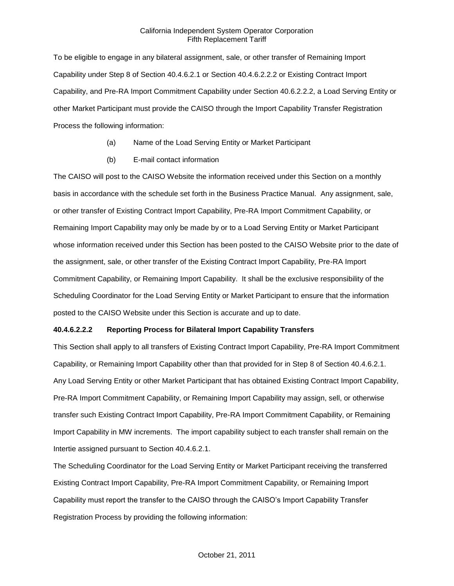To be eligible to engage in any bilateral assignment, sale, or other transfer of Remaining Import Capability under Step 8 of Section 40.4.6.2.1 or Section 40.4.6.2.2.2 or Existing Contract Import Capability, and Pre-RA Import Commitment Capability under Section 40.6.2.2.2, a Load Serving Entity or other Market Participant must provide the CAISO through the Import Capability Transfer Registration Process the following information:

- (a) Name of the Load Serving Entity or Market Participant
- (b) E-mail contact information

The CAISO will post to the CAISO Website the information received under this Section on a monthly basis in accordance with the schedule set forth in the Business Practice Manual. Any assignment, sale, or other transfer of Existing Contract Import Capability, Pre-RA Import Commitment Capability, or Remaining Import Capability may only be made by or to a Load Serving Entity or Market Participant whose information received under this Section has been posted to the CAISO Website prior to the date of the assignment, sale, or other transfer of the Existing Contract Import Capability, Pre-RA Import Commitment Capability, or Remaining Import Capability. It shall be the exclusive responsibility of the Scheduling Coordinator for the Load Serving Entity or Market Participant to ensure that the information posted to the CAISO Website under this Section is accurate and up to date.

## **40.4.6.2.2.2 Reporting Process for Bilateral Import Capability Transfers**

This Section shall apply to all transfers of Existing Contract Import Capability, Pre-RA Import Commitment Capability, or Remaining Import Capability other than that provided for in Step 8 of Section 40.4.6.2.1. Any Load Serving Entity or other Market Participant that has obtained Existing Contract Import Capability, Pre-RA Import Commitment Capability, or Remaining Import Capability may assign, sell, or otherwise transfer such Existing Contract Import Capability, Pre-RA Import Commitment Capability, or Remaining Import Capability in MW increments. The import capability subject to each transfer shall remain on the Intertie assigned pursuant to Section 40.4.6.2.1.

The Scheduling Coordinator for the Load Serving Entity or Market Participant receiving the transferred Existing Contract Import Capability, Pre-RA Import Commitment Capability, or Remaining Import Capability must report the transfer to the CAISO through the CAISO's Import Capability Transfer Registration Process by providing the following information: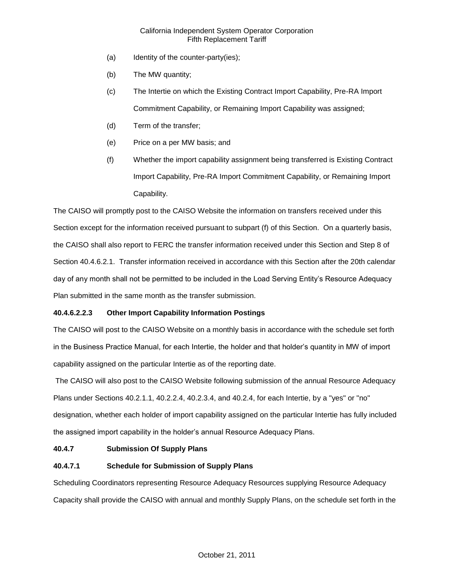- (a) Identity of the counter-party(ies);
- (b) The MW quantity;
- (c) The Intertie on which the Existing Contract Import Capability, Pre-RA Import Commitment Capability, or Remaining Import Capability was assigned;
- (d) Term of the transfer;
- (e) Price on a per MW basis; and
- (f) Whether the import capability assignment being transferred is Existing Contract Import Capability, Pre-RA Import Commitment Capability, or Remaining Import Capability.

The CAISO will promptly post to the CAISO Website the information on transfers received under this Section except for the information received pursuant to subpart (f) of this Section. On a quarterly basis, the CAISO shall also report to FERC the transfer information received under this Section and Step 8 of Section 40.4.6.2.1. Transfer information received in accordance with this Section after the 20th calendar day of any month shall not be permitted to be included in the Load Serving Entity's Resource Adequacy Plan submitted in the same month as the transfer submission.

## **40.4.6.2.2.3 Other Import Capability Information Postings**

The CAISO will post to the CAISO Website on a monthly basis in accordance with the schedule set forth in the Business Practice Manual, for each Intertie, the holder and that holder's quantity in MW of import capability assigned on the particular Intertie as of the reporting date.

The CAISO will also post to the CAISO Website following submission of the annual Resource Adequacy Plans under Sections 40.2.1.1, 40.2.2.4, 40.2.3.4, and 40.2.4, for each Intertie, by a "yes" or "no" designation, whether each holder of import capability assigned on the particular Intertie has fully included the assigned import capability in the holder's annual Resource Adequacy Plans.

## **40.4.7 Submission Of Supply Plans**

## **40.4.7.1 Schedule for Submission of Supply Plans**

Scheduling Coordinators representing Resource Adequacy Resources supplying Resource Adequacy Capacity shall provide the CAISO with annual and monthly Supply Plans, on the schedule set forth in the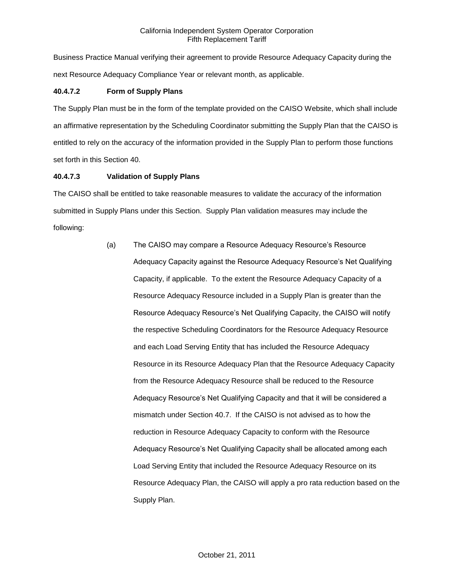Business Practice Manual verifying their agreement to provide Resource Adequacy Capacity during the next Resource Adequacy Compliance Year or relevant month, as applicable.

## **40.4.7.2 Form of Supply Plans**

The Supply Plan must be in the form of the template provided on the CAISO Website, which shall include an affirmative representation by the Scheduling Coordinator submitting the Supply Plan that the CAISO is entitled to rely on the accuracy of the information provided in the Supply Plan to perform those functions set forth in this Section 40.

## **40.4.7.3 Validation of Supply Plans**

The CAISO shall be entitled to take reasonable measures to validate the accuracy of the information submitted in Supply Plans under this Section. Supply Plan validation measures may include the following:

> (a) The CAISO may compare a Resource Adequacy Resource's Resource Adequacy Capacity against the Resource Adequacy Resource's Net Qualifying Capacity, if applicable. To the extent the Resource Adequacy Capacity of a Resource Adequacy Resource included in a Supply Plan is greater than the Resource Adequacy Resource's Net Qualifying Capacity, the CAISO will notify the respective Scheduling Coordinators for the Resource Adequacy Resource and each Load Serving Entity that has included the Resource Adequacy Resource in its Resource Adequacy Plan that the Resource Adequacy Capacity from the Resource Adequacy Resource shall be reduced to the Resource Adequacy Resource's Net Qualifying Capacity and that it will be considered a mismatch under Section 40.7. If the CAISO is not advised as to how the reduction in Resource Adequacy Capacity to conform with the Resource Adequacy Resource's Net Qualifying Capacity shall be allocated among each Load Serving Entity that included the Resource Adequacy Resource on its Resource Adequacy Plan, the CAISO will apply a pro rata reduction based on the Supply Plan.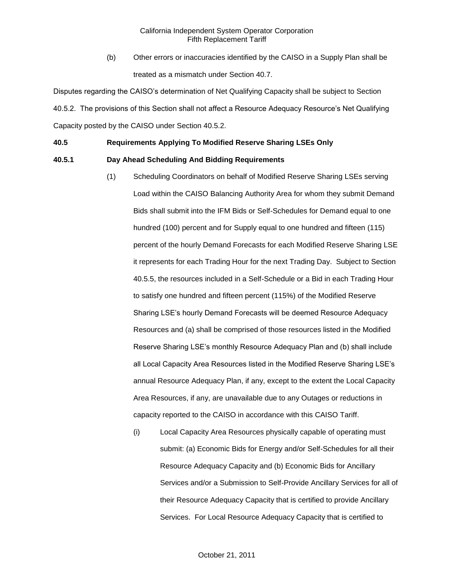(b) Other errors or inaccuracies identified by the CAISO in a Supply Plan shall be treated as a mismatch under Section 40.7.

Disputes regarding the CAISO's determination of Net Qualifying Capacity shall be subject to Section 40.5.2. The provisions of this Section shall not affect a Resource Adequacy Resource's Net Qualifying Capacity posted by the CAISO under Section 40.5.2.

## **40.5 Requirements Applying To Modified Reserve Sharing LSEs Only**

## **40.5.1 Day Ahead Scheduling And Bidding Requirements**

- (1) Scheduling Coordinators on behalf of Modified Reserve Sharing LSEs serving Load within the CAISO Balancing Authority Area for whom they submit Demand Bids shall submit into the IFM Bids or Self-Schedules for Demand equal to one hundred (100) percent and for Supply equal to one hundred and fifteen (115) percent of the hourly Demand Forecasts for each Modified Reserve Sharing LSE it represents for each Trading Hour for the next Trading Day. Subject to Section 40.5.5, the resources included in a Self-Schedule or a Bid in each Trading Hour to satisfy one hundred and fifteen percent (115%) of the Modified Reserve Sharing LSE's hourly Demand Forecasts will be deemed Resource Adequacy Resources and (a) shall be comprised of those resources listed in the Modified Reserve Sharing LSE's monthly Resource Adequacy Plan and (b) shall include all Local Capacity Area Resources listed in the Modified Reserve Sharing LSE's annual Resource Adequacy Plan, if any, except to the extent the Local Capacity Area Resources, if any, are unavailable due to any Outages or reductions in capacity reported to the CAISO in accordance with this CAISO Tariff.
	- (i) Local Capacity Area Resources physically capable of operating must submit: (a) Economic Bids for Energy and/or Self-Schedules for all their Resource Adequacy Capacity and (b) Economic Bids for Ancillary Services and/or a Submission to Self-Provide Ancillary Services for all of their Resource Adequacy Capacity that is certified to provide Ancillary Services. For Local Resource Adequacy Capacity that is certified to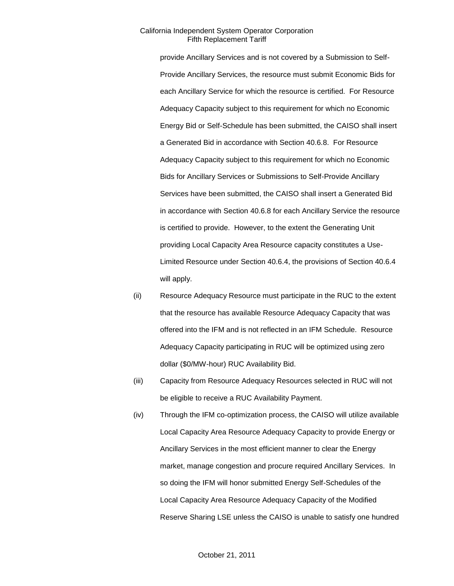provide Ancillary Services and is not covered by a Submission to Self-Provide Ancillary Services, the resource must submit Economic Bids for each Ancillary Service for which the resource is certified. For Resource Adequacy Capacity subject to this requirement for which no Economic Energy Bid or Self-Schedule has been submitted, the CAISO shall insert a Generated Bid in accordance with Section 40.6.8. For Resource Adequacy Capacity subject to this requirement for which no Economic Bids for Ancillary Services or Submissions to Self-Provide Ancillary Services have been submitted, the CAISO shall insert a Generated Bid in accordance with Section 40.6.8 for each Ancillary Service the resource is certified to provide. However, to the extent the Generating Unit providing Local Capacity Area Resource capacity constitutes a Use-Limited Resource under Section 40.6.4, the provisions of Section 40.6.4 will apply.

- (ii) Resource Adequacy Resource must participate in the RUC to the extent that the resource has available Resource Adequacy Capacity that was offered into the IFM and is not reflected in an IFM Schedule. Resource Adequacy Capacity participating in RUC will be optimized using zero dollar (\$0/MW-hour) RUC Availability Bid.
- (iii) Capacity from Resource Adequacy Resources selected in RUC will not be eligible to receive a RUC Availability Payment.
- (iv) Through the IFM co-optimization process, the CAISO will utilize available Local Capacity Area Resource Adequacy Capacity to provide Energy or Ancillary Services in the most efficient manner to clear the Energy market, manage congestion and procure required Ancillary Services. In so doing the IFM will honor submitted Energy Self-Schedules of the Local Capacity Area Resource Adequacy Capacity of the Modified Reserve Sharing LSE unless the CAISO is unable to satisfy one hundred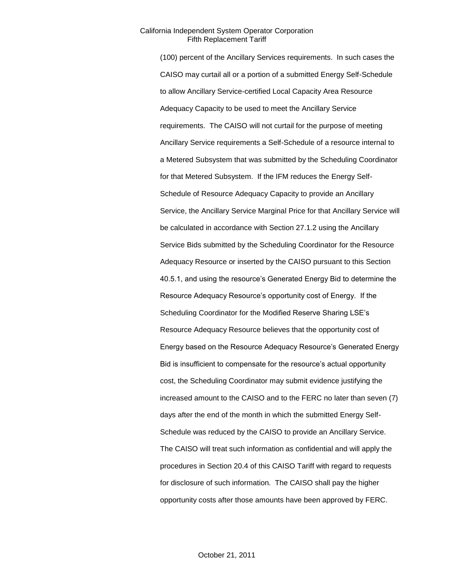(100) percent of the Ancillary Services requirements. In such cases the CAISO may curtail all or a portion of a submitted Energy Self-Schedule to allow Ancillary Service-certified Local Capacity Area Resource Adequacy Capacity to be used to meet the Ancillary Service requirements. The CAISO will not curtail for the purpose of meeting Ancillary Service requirements a Self-Schedule of a resource internal to a Metered Subsystem that was submitted by the Scheduling Coordinator for that Metered Subsystem. If the IFM reduces the Energy Self-Schedule of Resource Adequacy Capacity to provide an Ancillary Service, the Ancillary Service Marginal Price for that Ancillary Service will be calculated in accordance with Section 27.1.2 using the Ancillary Service Bids submitted by the Scheduling Coordinator for the Resource Adequacy Resource or inserted by the CAISO pursuant to this Section 40.5.1, and using the resource's Generated Energy Bid to determine the Resource Adequacy Resource's opportunity cost of Energy. If the Scheduling Coordinator for the Modified Reserve Sharing LSE's Resource Adequacy Resource believes that the opportunity cost of Energy based on the Resource Adequacy Resource's Generated Energy Bid is insufficient to compensate for the resource's actual opportunity cost, the Scheduling Coordinator may submit evidence justifying the increased amount to the CAISO and to the FERC no later than seven (7) days after the end of the month in which the submitted Energy Self-Schedule was reduced by the CAISO to provide an Ancillary Service. The CAISO will treat such information as confidential and will apply the procedures in Section 20.4 of this CAISO Tariff with regard to requests for disclosure of such information. The CAISO shall pay the higher opportunity costs after those amounts have been approved by FERC.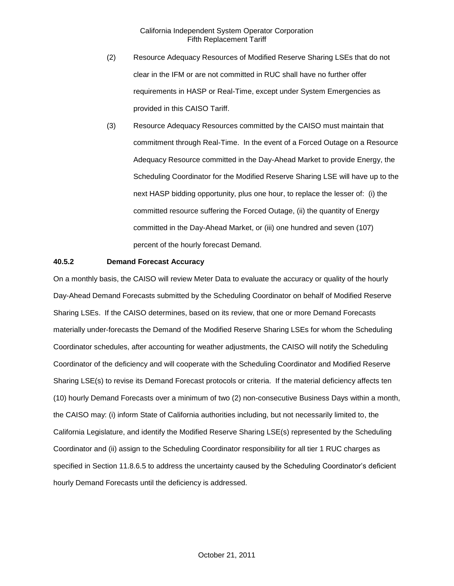- (2) Resource Adequacy Resources of Modified Reserve Sharing LSEs that do not clear in the IFM or are not committed in RUC shall have no further offer requirements in HASP or Real-Time, except under System Emergencies as provided in this CAISO Tariff.
- (3) Resource Adequacy Resources committed by the CAISO must maintain that commitment through Real-Time. In the event of a Forced Outage on a Resource Adequacy Resource committed in the Day-Ahead Market to provide Energy, the Scheduling Coordinator for the Modified Reserve Sharing LSE will have up to the next HASP bidding opportunity, plus one hour, to replace the lesser of: (i) the committed resource suffering the Forced Outage, (ii) the quantity of Energy committed in the Day-Ahead Market, or (iii) one hundred and seven (107) percent of the hourly forecast Demand.

### **40.5.2 Demand Forecast Accuracy**

On a monthly basis, the CAISO will review Meter Data to evaluate the accuracy or quality of the hourly Day-Ahead Demand Forecasts submitted by the Scheduling Coordinator on behalf of Modified Reserve Sharing LSEs. If the CAISO determines, based on its review, that one or more Demand Forecasts materially under-forecasts the Demand of the Modified Reserve Sharing LSEs for whom the Scheduling Coordinator schedules, after accounting for weather adjustments, the CAISO will notify the Scheduling Coordinator of the deficiency and will cooperate with the Scheduling Coordinator and Modified Reserve Sharing LSE(s) to revise its Demand Forecast protocols or criteria. If the material deficiency affects ten (10) hourly Demand Forecasts over a minimum of two (2) non-consecutive Business Days within a month, the CAISO may: (i) inform State of California authorities including, but not necessarily limited to, the California Legislature, and identify the Modified Reserve Sharing LSE(s) represented by the Scheduling Coordinator and (ii) assign to the Scheduling Coordinator responsibility for all tier 1 RUC charges as specified in Section 11.8.6.5 to address the uncertainty caused by the Scheduling Coordinator's deficient hourly Demand Forecasts until the deficiency is addressed.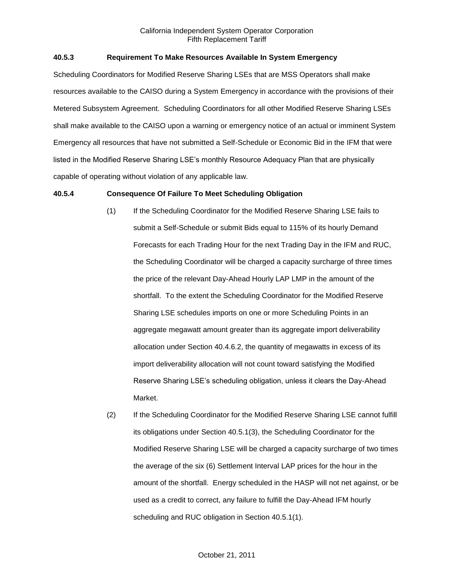## **40.5.3 Requirement To Make Resources Available In System Emergency**

Scheduling Coordinators for Modified Reserve Sharing LSEs that are MSS Operators shall make resources available to the CAISO during a System Emergency in accordance with the provisions of their Metered Subsystem Agreement. Scheduling Coordinators for all other Modified Reserve Sharing LSEs shall make available to the CAISO upon a warning or emergency notice of an actual or imminent System Emergency all resources that have not submitted a Self-Schedule or Economic Bid in the IFM that were listed in the Modified Reserve Sharing LSE's monthly Resource Adequacy Plan that are physically capable of operating without violation of any applicable law.

## **40.5.4 Consequence Of Failure To Meet Scheduling Obligation**

- (1) If the Scheduling Coordinator for the Modified Reserve Sharing LSE fails to submit a Self-Schedule or submit Bids equal to 115% of its hourly Demand Forecasts for each Trading Hour for the next Trading Day in the IFM and RUC, the Scheduling Coordinator will be charged a capacity surcharge of three times the price of the relevant Day-Ahead Hourly LAP LMP in the amount of the shortfall. To the extent the Scheduling Coordinator for the Modified Reserve Sharing LSE schedules imports on one or more Scheduling Points in an aggregate megawatt amount greater than its aggregate import deliverability allocation under Section 40.4.6.2, the quantity of megawatts in excess of its import deliverability allocation will not count toward satisfying the Modified Reserve Sharing LSE's scheduling obligation, unless it clears the Day-Ahead Market.
- (2) If the Scheduling Coordinator for the Modified Reserve Sharing LSE cannot fulfill its obligations under Section 40.5.1(3), the Scheduling Coordinator for the Modified Reserve Sharing LSE will be charged a capacity surcharge of two times the average of the six (6) Settlement Interval LAP prices for the hour in the amount of the shortfall. Energy scheduled in the HASP will not net against, or be used as a credit to correct, any failure to fulfill the Day-Ahead IFM hourly scheduling and RUC obligation in Section 40.5.1(1).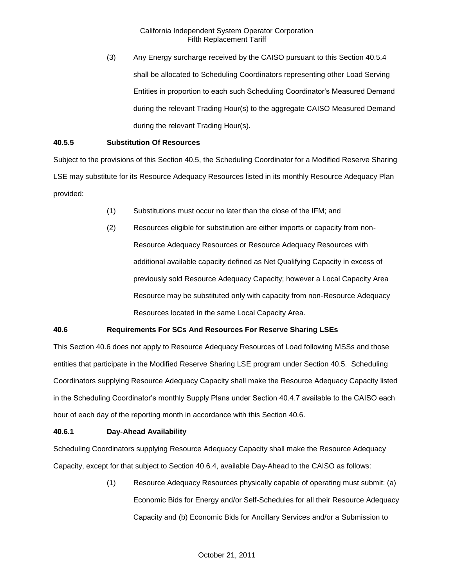(3) Any Energy surcharge received by the CAISO pursuant to this Section 40.5.4 shall be allocated to Scheduling Coordinators representing other Load Serving Entities in proportion to each such Scheduling Coordinator's Measured Demand during the relevant Trading Hour(s) to the aggregate CAISO Measured Demand during the relevant Trading Hour(s).

## **40.5.5 Substitution Of Resources**

Subject to the provisions of this Section 40.5, the Scheduling Coordinator for a Modified Reserve Sharing LSE may substitute for its Resource Adequacy Resources listed in its monthly Resource Adequacy Plan provided:

- (1) Substitutions must occur no later than the close of the IFM; and
- (2) Resources eligible for substitution are either imports or capacity from non-Resource Adequacy Resources or Resource Adequacy Resources with additional available capacity defined as Net Qualifying Capacity in excess of previously sold Resource Adequacy Capacity; however a Local Capacity Area Resource may be substituted only with capacity from non-Resource Adequacy Resources located in the same Local Capacity Area.

## **40.6 Requirements For SCs And Resources For Reserve Sharing LSEs**

This Section 40.6 does not apply to Resource Adequacy Resources of Load following MSSs and those entities that participate in the Modified Reserve Sharing LSE program under Section 40.5. Scheduling Coordinators supplying Resource Adequacy Capacity shall make the Resource Adequacy Capacity listed in the Scheduling Coordinator's monthly Supply Plans under Section 40.4.7 available to the CAISO each hour of each day of the reporting month in accordance with this Section 40.6.

## **40.6.1 Day-Ahead Availability**

Scheduling Coordinators supplying Resource Adequacy Capacity shall make the Resource Adequacy Capacity, except for that subject to Section 40.6.4, available Day-Ahead to the CAISO as follows:

> (1) Resource Adequacy Resources physically capable of operating must submit: (a) Economic Bids for Energy and/or Self-Schedules for all their Resource Adequacy Capacity and (b) Economic Bids for Ancillary Services and/or a Submission to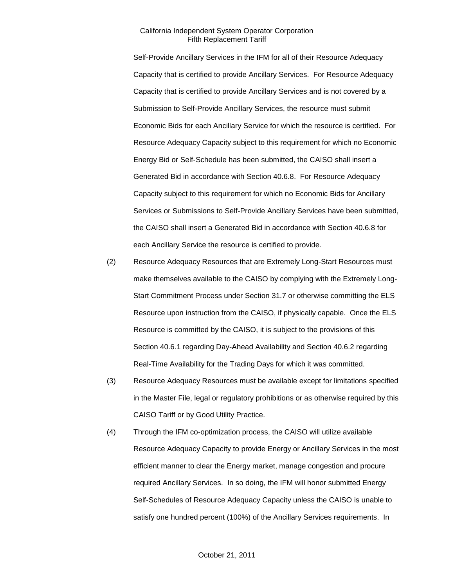Self-Provide Ancillary Services in the IFM for all of their Resource Adequacy Capacity that is certified to provide Ancillary Services. For Resource Adequacy Capacity that is certified to provide Ancillary Services and is not covered by a Submission to Self-Provide Ancillary Services, the resource must submit Economic Bids for each Ancillary Service for which the resource is certified. For Resource Adequacy Capacity subject to this requirement for which no Economic Energy Bid or Self-Schedule has been submitted, the CAISO shall insert a Generated Bid in accordance with Section 40.6.8. For Resource Adequacy Capacity subject to this requirement for which no Economic Bids for Ancillary Services or Submissions to Self-Provide Ancillary Services have been submitted, the CAISO shall insert a Generated Bid in accordance with Section 40.6.8 for each Ancillary Service the resource is certified to provide.

- (2) Resource Adequacy Resources that are Extremely Long-Start Resources must make themselves available to the CAISO by complying with the Extremely Long-Start Commitment Process under Section 31.7 or otherwise committing the ELS Resource upon instruction from the CAISO, if physically capable. Once the ELS Resource is committed by the CAISO, it is subject to the provisions of this Section 40.6.1 regarding Day-Ahead Availability and Section 40.6.2 regarding Real-Time Availability for the Trading Days for which it was committed.
- (3) Resource Adequacy Resources must be available except for limitations specified in the Master File, legal or regulatory prohibitions or as otherwise required by this CAISO Tariff or by Good Utility Practice.
- (4) Through the IFM co-optimization process, the CAISO will utilize available Resource Adequacy Capacity to provide Energy or Ancillary Services in the most efficient manner to clear the Energy market, manage congestion and procure required Ancillary Services. In so doing, the IFM will honor submitted Energy Self-Schedules of Resource Adequacy Capacity unless the CAISO is unable to satisfy one hundred percent (100%) of the Ancillary Services requirements. In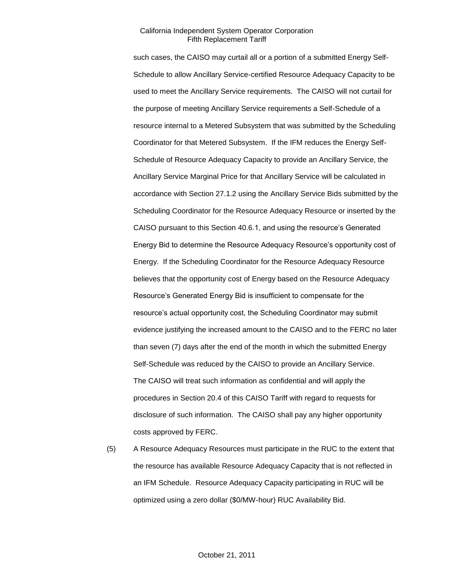such cases, the CAISO may curtail all or a portion of a submitted Energy Self-Schedule to allow Ancillary Service-certified Resource Adequacy Capacity to be used to meet the Ancillary Service requirements. The CAISO will not curtail for the purpose of meeting Ancillary Service requirements a Self-Schedule of a resource internal to a Metered Subsystem that was submitted by the Scheduling Coordinator for that Metered Subsystem. If the IFM reduces the Energy Self-Schedule of Resource Adequacy Capacity to provide an Ancillary Service, the Ancillary Service Marginal Price for that Ancillary Service will be calculated in accordance with Section 27.1.2 using the Ancillary Service Bids submitted by the Scheduling Coordinator for the Resource Adequacy Resource or inserted by the CAISO pursuant to this Section 40.6.1, and using the resource's Generated Energy Bid to determine the Resource Adequacy Resource's opportunity cost of Energy. If the Scheduling Coordinator for the Resource Adequacy Resource believes that the opportunity cost of Energy based on the Resource Adequacy Resource's Generated Energy Bid is insufficient to compensate for the resource's actual opportunity cost, the Scheduling Coordinator may submit evidence justifying the increased amount to the CAISO and to the FERC no later than seven (7) days after the end of the month in which the submitted Energy Self-Schedule was reduced by the CAISO to provide an Ancillary Service. The CAISO will treat such information as confidential and will apply the procedures in Section 20.4 of this CAISO Tariff with regard to requests for disclosure of such information. The CAISO shall pay any higher opportunity costs approved by FERC.

(5) A Resource Adequacy Resources must participate in the RUC to the extent that the resource has available Resource Adequacy Capacity that is not reflected in an IFM Schedule. Resource Adequacy Capacity participating in RUC will be optimized using a zero dollar (\$0/MW-hour) RUC Availability Bid.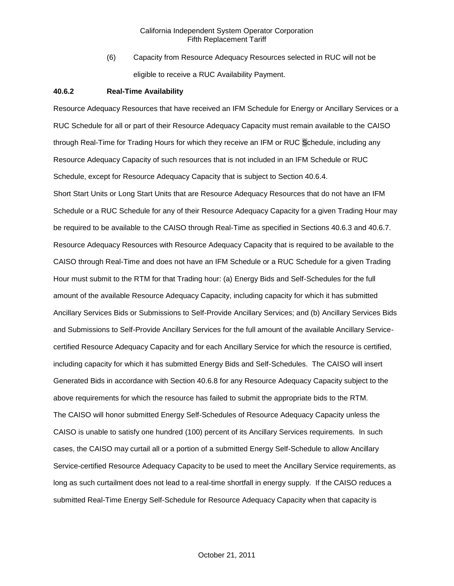(6) Capacity from Resource Adequacy Resources selected in RUC will not be eligible to receive a RUC Availability Payment.

#### **40.6.2 Real-Time Availability**

Resource Adequacy Resources that have received an IFM Schedule for Energy or Ancillary Services or a RUC Schedule for all or part of their Resource Adequacy Capacity must remain available to the CAISO through Real-Time for Trading Hours for which they receive an IFM or RUC Schedule, including any Resource Adequacy Capacity of such resources that is not included in an IFM Schedule or RUC Schedule, except for Resource Adequacy Capacity that is subject to Section 40.6.4.

Short Start Units or Long Start Units that are Resource Adequacy Resources that do not have an IFM Schedule or a RUC Schedule for any of their Resource Adequacy Capacity for a given Trading Hour may be required to be available to the CAISO through Real-Time as specified in Sections 40.6.3 and 40.6.7. Resource Adequacy Resources with Resource Adequacy Capacity that is required to be available to the CAISO through Real-Time and does not have an IFM Schedule or a RUC Schedule for a given Trading Hour must submit to the RTM for that Trading hour: (a) Energy Bids and Self-Schedules for the full amount of the available Resource Adequacy Capacity, including capacity for which it has submitted Ancillary Services Bids or Submissions to Self-Provide Ancillary Services; and (b) Ancillary Services Bids and Submissions to Self-Provide Ancillary Services for the full amount of the available Ancillary Servicecertified Resource Adequacy Capacity and for each Ancillary Service for which the resource is certified, including capacity for which it has submitted Energy Bids and Self-Schedules. The CAISO will insert Generated Bids in accordance with Section 40.6.8 for any Resource Adequacy Capacity subject to the above requirements for which the resource has failed to submit the appropriate bids to the RTM. The CAISO will honor submitted Energy Self-Schedules of Resource Adequacy Capacity unless the CAISO is unable to satisfy one hundred (100) percent of its Ancillary Services requirements. In such cases, the CAISO may curtail all or a portion of a submitted Energy Self-Schedule to allow Ancillary Service-certified Resource Adequacy Capacity to be used to meet the Ancillary Service requirements, as long as such curtailment does not lead to a real-time shortfall in energy supply. If the CAISO reduces a submitted Real-Time Energy Self-Schedule for Resource Adequacy Capacity when that capacity is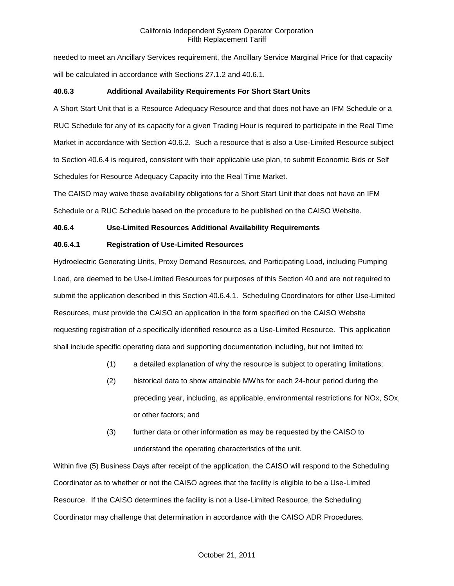needed to meet an Ancillary Services requirement, the Ancillary Service Marginal Price for that capacity will be calculated in accordance with Sections 27.1.2 and 40.6.1.

## **40.6.3 Additional Availability Requirements For Short Start Units**

A Short Start Unit that is a Resource Adequacy Resource and that does not have an IFM Schedule or a RUC Schedule for any of its capacity for a given Trading Hour is required to participate in the Real Time Market in accordance with Section 40.6.2. Such a resource that is also a Use-Limited Resource subject to Section 40.6.4 is required, consistent with their applicable use plan, to submit Economic Bids or Self Schedules for Resource Adequacy Capacity into the Real Time Market.

The CAISO may waive these availability obligations for a Short Start Unit that does not have an IFM Schedule or a RUC Schedule based on the procedure to be published on the CAISO Website.

## **40.6.4 Use-Limited Resources Additional Availability Requirements**

## **40.6.4.1 Registration of Use-Limited Resources**

Hydroelectric Generating Units, Proxy Demand Resources, and Participating Load, including Pumping Load, are deemed to be Use-Limited Resources for purposes of this Section 40 and are not required to submit the application described in this Section 40.6.4.1. Scheduling Coordinators for other Use-Limited Resources, must provide the CAISO an application in the form specified on the CAISO Website requesting registration of a specifically identified resource as a Use-Limited Resource. This application shall include specific operating data and supporting documentation including, but not limited to:

- (1) a detailed explanation of why the resource is subject to operating limitations;
- (2) historical data to show attainable MWhs for each 24-hour period during the preceding year, including, as applicable, environmental restrictions for NOx, SOx, or other factors; and
- (3) further data or other information as may be requested by the CAISO to understand the operating characteristics of the unit.

Within five (5) Business Days after receipt of the application, the CAISO will respond to the Scheduling Coordinator as to whether or not the CAISO agrees that the facility is eligible to be a Use-Limited Resource. If the CAISO determines the facility is not a Use-Limited Resource, the Scheduling Coordinator may challenge that determination in accordance with the CAISO ADR Procedures.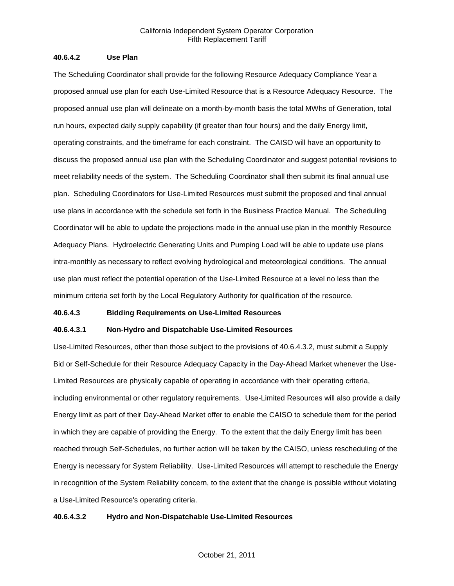## **40.6.4.2 Use Plan**

The Scheduling Coordinator shall provide for the following Resource Adequacy Compliance Year a proposed annual use plan for each Use-Limited Resource that is a Resource Adequacy Resource. The proposed annual use plan will delineate on a month-by-month basis the total MWhs of Generation, total run hours, expected daily supply capability (if greater than four hours) and the daily Energy limit, operating constraints, and the timeframe for each constraint. The CAISO will have an opportunity to discuss the proposed annual use plan with the Scheduling Coordinator and suggest potential revisions to meet reliability needs of the system. The Scheduling Coordinator shall then submit its final annual use plan. Scheduling Coordinators for Use-Limited Resources must submit the proposed and final annual use plans in accordance with the schedule set forth in the Business Practice Manual. The Scheduling Coordinator will be able to update the projections made in the annual use plan in the monthly Resource Adequacy Plans. Hydroelectric Generating Units and Pumping Load will be able to update use plans intra-monthly as necessary to reflect evolving hydrological and meteorological conditions. The annual use plan must reflect the potential operation of the Use-Limited Resource at a level no less than the minimum criteria set forth by the Local Regulatory Authority for qualification of the resource.

#### **40.6.4.3 Bidding Requirements on Use-Limited Resources**

## **40.6.4.3.1 Non-Hydro and Dispatchable Use-Limited Resources**

Use-Limited Resources, other than those subject to the provisions of 40.6.4.3.2, must submit a Supply Bid or Self-Schedule for their Resource Adequacy Capacity in the Day-Ahead Market whenever the Use-Limited Resources are physically capable of operating in accordance with their operating criteria, including environmental or other regulatory requirements. Use-Limited Resources will also provide a daily Energy limit as part of their Day-Ahead Market offer to enable the CAISO to schedule them for the period in which they are capable of providing the Energy. To the extent that the daily Energy limit has been reached through Self-Schedules, no further action will be taken by the CAISO, unless rescheduling of the Energy is necessary for System Reliability. Use-Limited Resources will attempt to reschedule the Energy in recognition of the System Reliability concern, to the extent that the change is possible without violating a Use-Limited Resource's operating criteria.

## **40.6.4.3.2 Hydro and Non-Dispatchable Use-Limited Resources**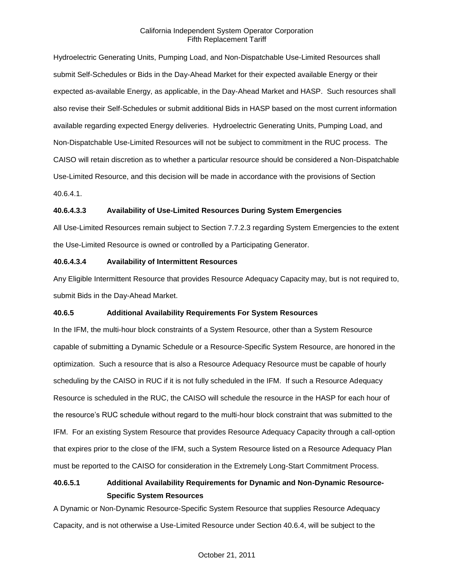Hydroelectric Generating Units, Pumping Load, and Non-Dispatchable Use-Limited Resources shall submit Self-Schedules or Bids in the Day-Ahead Market for their expected available Energy or their expected as-available Energy, as applicable, in the Day-Ahead Market and HASP. Such resources shall also revise their Self-Schedules or submit additional Bids in HASP based on the most current information available regarding expected Energy deliveries. Hydroelectric Generating Units, Pumping Load, and Non-Dispatchable Use-Limited Resources will not be subject to commitment in the RUC process. The CAISO will retain discretion as to whether a particular resource should be considered a Non-Dispatchable Use-Limited Resource, and this decision will be made in accordance with the provisions of Section 40.6.4.1.

## **40.6.4.3.3 Availability of Use-Limited Resources During System Emergencies**

All Use-Limited Resources remain subject to Section 7.7.2.3 regarding System Emergencies to the extent the Use-Limited Resource is owned or controlled by a Participating Generator.

## **40.6.4.3.4 Availability of Intermittent Resources**

Any Eligible Intermittent Resource that provides Resource Adequacy Capacity may, but is not required to, submit Bids in the Day-Ahead Market.

## **40.6.5 Additional Availability Requirements For System Resources**

In the IFM, the multi-hour block constraints of a System Resource, other than a System Resource capable of submitting a Dynamic Schedule or a Resource-Specific System Resource, are honored in the optimization. Such a resource that is also a Resource Adequacy Resource must be capable of hourly scheduling by the CAISO in RUC if it is not fully scheduled in the IFM. If such a Resource Adequacy Resource is scheduled in the RUC, the CAISO will schedule the resource in the HASP for each hour of the resource's RUC schedule without regard to the multi-hour block constraint that was submitted to the IFM. For an existing System Resource that provides Resource Adequacy Capacity through a call-option that expires prior to the close of the IFM, such a System Resource listed on a Resource Adequacy Plan must be reported to the CAISO for consideration in the Extremely Long-Start Commitment Process.

# **40.6.5.1 Additional Availability Requirements for Dynamic and Non-Dynamic Resource-Specific System Resources**

A Dynamic or Non-Dynamic Resource-Specific System Resource that supplies Resource Adequacy Capacity, and is not otherwise a Use-Limited Resource under Section 40.6.4, will be subject to the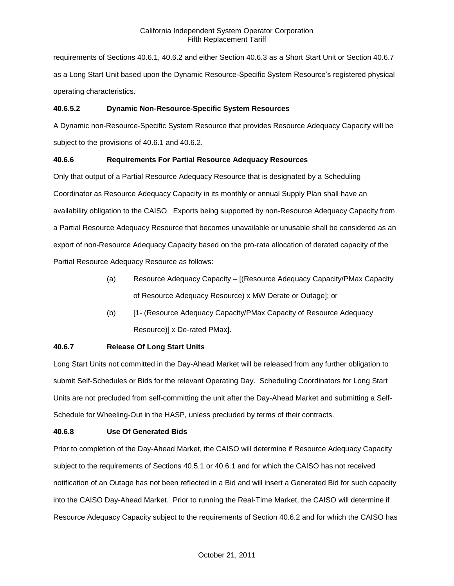requirements of Sections 40.6.1, 40.6.2 and either Section 40.6.3 as a Short Start Unit or Section 40.6.7 as a Long Start Unit based upon the Dynamic Resource-Specific System Resource's registered physical operating characteristics.

# **40.6.5.2 Dynamic Non-Resource-Specific System Resources**

A Dynamic non-Resource-Specific System Resource that provides Resource Adequacy Capacity will be subject to the provisions of 40.6.1 and 40.6.2.

# **40.6.6 Requirements For Partial Resource Adequacy Resources**

Only that output of a Partial Resource Adequacy Resource that is designated by a Scheduling Coordinator as Resource Adequacy Capacity in its monthly or annual Supply Plan shall have an availability obligation to the CAISO. Exports being supported by non-Resource Adequacy Capacity from a Partial Resource Adequacy Resource that becomes unavailable or unusable shall be considered as an export of non-Resource Adequacy Capacity based on the pro-rata allocation of derated capacity of the Partial Resource Adequacy Resource as follows:

- (a) Resource Adequacy Capacity [(Resource Adequacy Capacity/PMax Capacity of Resource Adequacy Resource) x MW Derate or Outage]; or
- (b) [1- (Resource Adequacy Capacity/PMax Capacity of Resource Adequacy Resource)] x De-rated PMax].

# **40.6.7 Release Of Long Start Units**

Long Start Units not committed in the Day-Ahead Market will be released from any further obligation to submit Self-Schedules or Bids for the relevant Operating Day. Scheduling Coordinators for Long Start Units are not precluded from self-committing the unit after the Day-Ahead Market and submitting a Self-Schedule for Wheeling-Out in the HASP, unless precluded by terms of their contracts.

# **40.6.8 Use Of Generated Bids**

Prior to completion of the Day-Ahead Market, the CAISO will determine if Resource Adequacy Capacity subject to the requirements of Sections 40.5.1 or 40.6.1 and for which the CAISO has not received notification of an Outage has not been reflected in a Bid and will insert a Generated Bid for such capacity into the CAISO Day-Ahead Market. Prior to running the Real-Time Market, the CAISO will determine if Resource Adequacy Capacity subject to the requirements of Section 40.6.2 and for which the CAISO has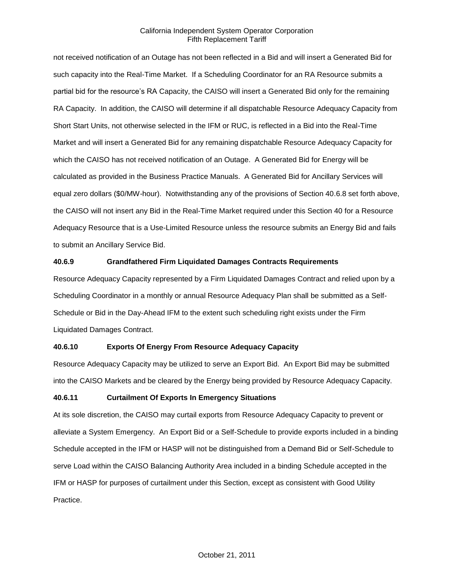not received notification of an Outage has not been reflected in a Bid and will insert a Generated Bid for such capacity into the Real-Time Market. If a Scheduling Coordinator for an RA Resource submits a partial bid for the resource's RA Capacity, the CAISO will insert a Generated Bid only for the remaining RA Capacity. In addition, the CAISO will determine if all dispatchable Resource Adequacy Capacity from Short Start Units, not otherwise selected in the IFM or RUC, is reflected in a Bid into the Real-Time Market and will insert a Generated Bid for any remaining dispatchable Resource Adequacy Capacity for which the CAISO has not received notification of an Outage. A Generated Bid for Energy will be calculated as provided in the Business Practice Manuals. A Generated Bid for Ancillary Services will equal zero dollars (\$0/MW-hour). Notwithstanding any of the provisions of Section 40.6.8 set forth above, the CAISO will not insert any Bid in the Real-Time Market required under this Section 40 for a Resource Adequacy Resource that is a Use-Limited Resource unless the resource submits an Energy Bid and fails to submit an Ancillary Service Bid.

# **40.6.9 Grandfathered Firm Liquidated Damages Contracts Requirements**

Resource Adequacy Capacity represented by a Firm Liquidated Damages Contract and relied upon by a Scheduling Coordinator in a monthly or annual Resource Adequacy Plan shall be submitted as a Self-Schedule or Bid in the Day-Ahead IFM to the extent such scheduling right exists under the Firm Liquidated Damages Contract.

#### **40.6.10 Exports Of Energy From Resource Adequacy Capacity**

Resource Adequacy Capacity may be utilized to serve an Export Bid. An Export Bid may be submitted into the CAISO Markets and be cleared by the Energy being provided by Resource Adequacy Capacity.

#### **40.6.11 Curtailment Of Exports In Emergency Situations**

At its sole discretion, the CAISO may curtail exports from Resource Adequacy Capacity to prevent or alleviate a System Emergency. An Export Bid or a Self-Schedule to provide exports included in a binding Schedule accepted in the IFM or HASP will not be distinguished from a Demand Bid or Self-Schedule to serve Load within the CAISO Balancing Authority Area included in a binding Schedule accepted in the IFM or HASP for purposes of curtailment under this Section, except as consistent with Good Utility Practice.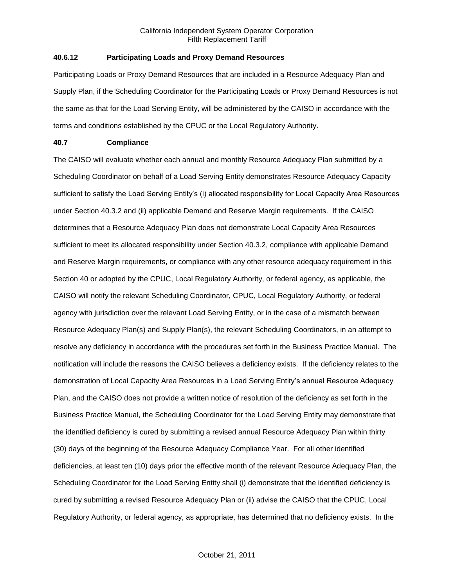# **40.6.12 Participating Loads and Proxy Demand Resources**

Participating Loads or Proxy Demand Resources that are included in a Resource Adequacy Plan and Supply Plan, if the Scheduling Coordinator for the Participating Loads or Proxy Demand Resources is not the same as that for the Load Serving Entity, will be administered by the CAISO in accordance with the terms and conditions established by the CPUC or the Local Regulatory Authority.

# **40.7 Compliance**

The CAISO will evaluate whether each annual and monthly Resource Adequacy Plan submitted by a Scheduling Coordinator on behalf of a Load Serving Entity demonstrates Resource Adequacy Capacity sufficient to satisfy the Load Serving Entity's (i) allocated responsibility for Local Capacity Area Resources under Section 40.3.2 and (ii) applicable Demand and Reserve Margin requirements. If the CAISO determines that a Resource Adequacy Plan does not demonstrate Local Capacity Area Resources sufficient to meet its allocated responsibility under Section 40.3.2, compliance with applicable Demand and Reserve Margin requirements, or compliance with any other resource adequacy requirement in this Section 40 or adopted by the CPUC, Local Regulatory Authority, or federal agency, as applicable, the CAISO will notify the relevant Scheduling Coordinator, CPUC, Local Regulatory Authority, or federal agency with jurisdiction over the relevant Load Serving Entity, or in the case of a mismatch between Resource Adequacy Plan(s) and Supply Plan(s), the relevant Scheduling Coordinators, in an attempt to resolve any deficiency in accordance with the procedures set forth in the Business Practice Manual. The notification will include the reasons the CAISO believes a deficiency exists. If the deficiency relates to the demonstration of Local Capacity Area Resources in a Load Serving Entity's annual Resource Adequacy Plan, and the CAISO does not provide a written notice of resolution of the deficiency as set forth in the Business Practice Manual, the Scheduling Coordinator for the Load Serving Entity may demonstrate that the identified deficiency is cured by submitting a revised annual Resource Adequacy Plan within thirty (30) days of the beginning of the Resource Adequacy Compliance Year. For all other identified deficiencies, at least ten (10) days prior the effective month of the relevant Resource Adequacy Plan, the Scheduling Coordinator for the Load Serving Entity shall (i) demonstrate that the identified deficiency is cured by submitting a revised Resource Adequacy Plan or (ii) advise the CAISO that the CPUC, Local Regulatory Authority, or federal agency, as appropriate, has determined that no deficiency exists. In the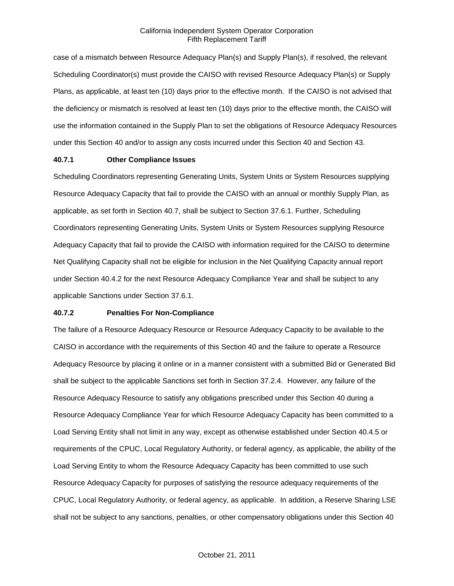case of a mismatch between Resource Adequacy Plan(s) and Supply Plan(s), if resolved, the relevant Scheduling Coordinator(s) must provide the CAISO with revised Resource Adequacy Plan(s) or Supply Plans, as applicable, at least ten (10) days prior to the effective month. If the CAISO is not advised that the deficiency or mismatch is resolved at least ten (10) days prior to the effective month, the CAISO will use the information contained in the Supply Plan to set the obligations of Resource Adequacy Resources under this Section 40 and/or to assign any costs incurred under this Section 40 and Section 43.

#### **40.7.1 Other Compliance Issues**

Scheduling Coordinators representing Generating Units, System Units or System Resources supplying Resource Adequacy Capacity that fail to provide the CAISO with an annual or monthly Supply Plan, as applicable, as set forth in Section 40.7, shall be subject to Section 37.6.1. Further, Scheduling Coordinators representing Generating Units, System Units or System Resources supplying Resource Adequacy Capacity that fail to provide the CAISO with information required for the CAISO to determine Net Qualifying Capacity shall not be eligible for inclusion in the Net Qualifying Capacity annual report under Section 40.4.2 for the next Resource Adequacy Compliance Year and shall be subject to any applicable Sanctions under Section 37.6.1.

#### **40.7.2 Penalties For Non-Compliance**

The failure of a Resource Adequacy Resource or Resource Adequacy Capacity to be available to the CAISO in accordance with the requirements of this Section 40 and the failure to operate a Resource Adequacy Resource by placing it online or in a manner consistent with a submitted Bid or Generated Bid shall be subject to the applicable Sanctions set forth in Section 37.2.4. However, any failure of the Resource Adequacy Resource to satisfy any obligations prescribed under this Section 40 during a Resource Adequacy Compliance Year for which Resource Adequacy Capacity has been committed to a Load Serving Entity shall not limit in any way, except as otherwise established under Section 40.4.5 or requirements of the CPUC, Local Regulatory Authority, or federal agency, as applicable, the ability of the Load Serving Entity to whom the Resource Adequacy Capacity has been committed to use such Resource Adequacy Capacity for purposes of satisfying the resource adequacy requirements of the CPUC, Local Regulatory Authority, or federal agency, as applicable. In addition, a Reserve Sharing LSE shall not be subject to any sanctions, penalties, or other compensatory obligations under this Section 40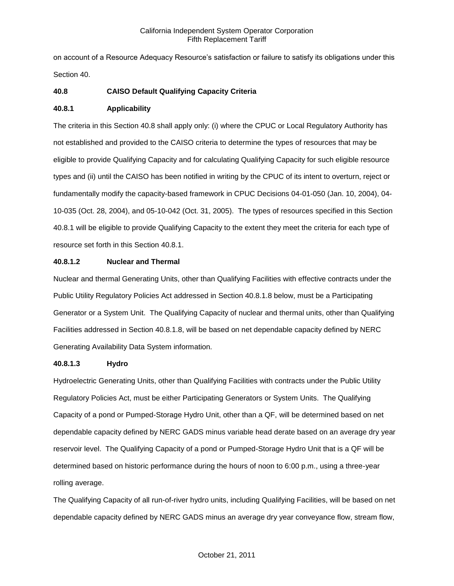on account of a Resource Adequacy Resource's satisfaction or failure to satisfy its obligations under this Section 40.

# **40.8 CAISO Default Qualifying Capacity Criteria**

# **40.8.1 Applicability**

The criteria in this Section 40.8 shall apply only: (i) where the CPUC or Local Regulatory Authority has not established and provided to the CAISO criteria to determine the types of resources that may be eligible to provide Qualifying Capacity and for calculating Qualifying Capacity for such eligible resource types and (ii) until the CAISO has been notified in writing by the CPUC of its intent to overturn, reject or fundamentally modify the capacity-based framework in CPUC Decisions 04-01-050 (Jan. 10, 2004), 04- 10-035 (Oct. 28, 2004), and 05-10-042 (Oct. 31, 2005). The types of resources specified in this Section 40.8.1 will be eligible to provide Qualifying Capacity to the extent they meet the criteria for each type of resource set forth in this Section 40.8.1.

# **40.8.1.2 Nuclear and Thermal**

Nuclear and thermal Generating Units, other than Qualifying Facilities with effective contracts under the Public Utility Regulatory Policies Act addressed in Section 40.8.1.8 below, must be a Participating Generator or a System Unit. The Qualifying Capacity of nuclear and thermal units, other than Qualifying Facilities addressed in Section 40.8.1.8, will be based on net dependable capacity defined by NERC Generating Availability Data System information.

# **40.8.1.3 Hydro**

Hydroelectric Generating Units, other than Qualifying Facilities with contracts under the Public Utility Regulatory Policies Act, must be either Participating Generators or System Units. The Qualifying Capacity of a pond or Pumped-Storage Hydro Unit, other than a QF, will be determined based on net dependable capacity defined by NERC GADS minus variable head derate based on an average dry year reservoir level. The Qualifying Capacity of a pond or Pumped-Storage Hydro Unit that is a QF will be determined based on historic performance during the hours of noon to 6:00 p.m., using a three-year rolling average.

The Qualifying Capacity of all run-of-river hydro units, including Qualifying Facilities, will be based on net dependable capacity defined by NERC GADS minus an average dry year conveyance flow, stream flow,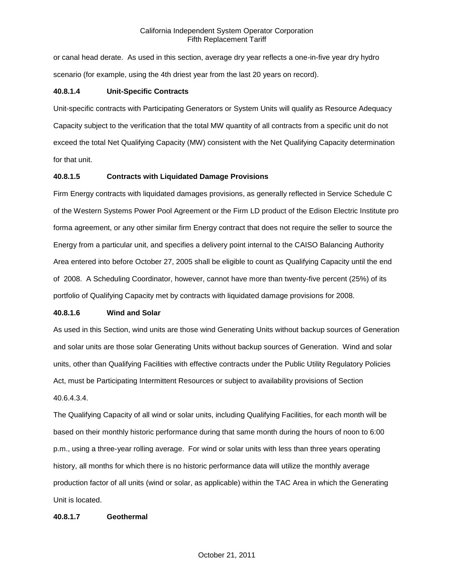or canal head derate. As used in this section, average dry year reflects a one-in-five year dry hydro scenario (for example, using the 4th driest year from the last 20 years on record).

# **40.8.1.4 Unit-Specific Contracts**

Unit-specific contracts with Participating Generators or System Units will qualify as Resource Adequacy Capacity subject to the verification that the total MW quantity of all contracts from a specific unit do not exceed the total Net Qualifying Capacity (MW) consistent with the Net Qualifying Capacity determination for that unit.

# **40.8.1.5 Contracts with Liquidated Damage Provisions**

Firm Energy contracts with liquidated damages provisions, as generally reflected in Service Schedule C of the Western Systems Power Pool Agreement or the Firm LD product of the Edison Electric Institute pro forma agreement, or any other similar firm Energy contract that does not require the seller to source the Energy from a particular unit, and specifies a delivery point internal to the CAISO Balancing Authority Area entered into before October 27, 2005 shall be eligible to count as Qualifying Capacity until the end of 2008. A Scheduling Coordinator, however, cannot have more than twenty-five percent (25%) of its portfolio of Qualifying Capacity met by contracts with liquidated damage provisions for 2008.

# **40.8.1.6 Wind and Solar**

As used in this Section, wind units are those wind Generating Units without backup sources of Generation and solar units are those solar Generating Units without backup sources of Generation. Wind and solar units, other than Qualifying Facilities with effective contracts under the Public Utility Regulatory Policies Act, must be Participating Intermittent Resources or subject to availability provisions of Section 40.6.4.3.4.

The Qualifying Capacity of all wind or solar units, including Qualifying Facilities, for each month will be based on their monthly historic performance during that same month during the hours of noon to 6:00 p.m., using a three-year rolling average. For wind or solar units with less than three years operating history, all months for which there is no historic performance data will utilize the monthly average production factor of all units (wind or solar, as applicable) within the TAC Area in which the Generating Unit is located.

# **40.8.1.7 Geothermal**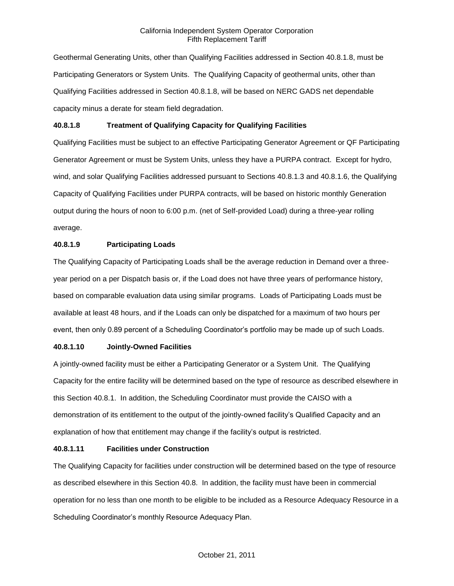Geothermal Generating Units, other than Qualifying Facilities addressed in Section 40.8.1.8, must be Participating Generators or System Units. The Qualifying Capacity of geothermal units, other than Qualifying Facilities addressed in Section 40.8.1.8, will be based on NERC GADS net dependable capacity minus a derate for steam field degradation.

# **40.8.1.8 Treatment of Qualifying Capacity for Qualifying Facilities**

Qualifying Facilities must be subject to an effective Participating Generator Agreement or QF Participating Generator Agreement or must be System Units, unless they have a PURPA contract. Except for hydro, wind, and solar Qualifying Facilities addressed pursuant to Sections 40.8.1.3 and 40.8.1.6, the Qualifying Capacity of Qualifying Facilities under PURPA contracts, will be based on historic monthly Generation output during the hours of noon to 6:00 p.m. (net of Self-provided Load) during a three-year rolling average.

# **40.8.1.9 Participating Loads**

The Qualifying Capacity of Participating Loads shall be the average reduction in Demand over a threeyear period on a per Dispatch basis or, if the Load does not have three years of performance history, based on comparable evaluation data using similar programs. Loads of Participating Loads must be available at least 48 hours, and if the Loads can only be dispatched for a maximum of two hours per event, then only 0.89 percent of a Scheduling Coordinator's portfolio may be made up of such Loads.

# **40.8.1.10 Jointly-Owned Facilities**

A jointly-owned facility must be either a Participating Generator or a System Unit. The Qualifying Capacity for the entire facility will be determined based on the type of resource as described elsewhere in this Section 40.8.1. In addition, the Scheduling Coordinator must provide the CAISO with a demonstration of its entitlement to the output of the jointly-owned facility's Qualified Capacity and an explanation of how that entitlement may change if the facility's output is restricted.

# **40.8.1.11 Facilities under Construction**

The Qualifying Capacity for facilities under construction will be determined based on the type of resource as described elsewhere in this Section 40.8. In addition, the facility must have been in commercial operation for no less than one month to be eligible to be included as a Resource Adequacy Resource in a Scheduling Coordinator's monthly Resource Adequacy Plan.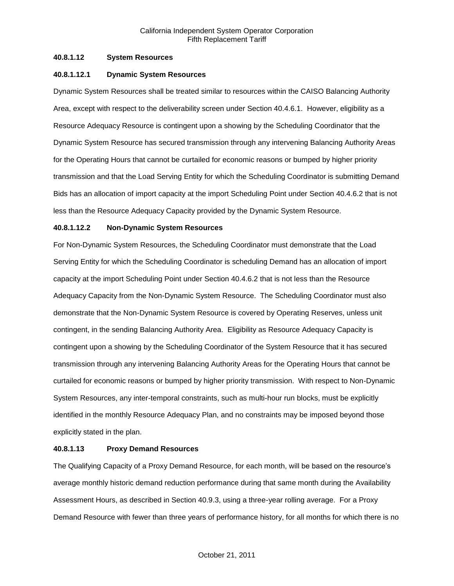# **40.8.1.12 System Resources**

# **40.8.1.12.1 Dynamic System Resources**

Dynamic System Resources shall be treated similar to resources within the CAISO Balancing Authority Area, except with respect to the deliverability screen under Section 40.4.6.1. However, eligibility as a Resource Adequacy Resource is contingent upon a showing by the Scheduling Coordinator that the Dynamic System Resource has secured transmission through any intervening Balancing Authority Areas for the Operating Hours that cannot be curtailed for economic reasons or bumped by higher priority transmission and that the Load Serving Entity for which the Scheduling Coordinator is submitting Demand Bids has an allocation of import capacity at the import Scheduling Point under Section 40.4.6.2 that is not less than the Resource Adequacy Capacity provided by the Dynamic System Resource.

# **40.8.1.12.2 Non-Dynamic System Resources**

For Non-Dynamic System Resources, the Scheduling Coordinator must demonstrate that the Load Serving Entity for which the Scheduling Coordinator is scheduling Demand has an allocation of import capacity at the import Scheduling Point under Section 40.4.6.2 that is not less than the Resource Adequacy Capacity from the Non-Dynamic System Resource. The Scheduling Coordinator must also demonstrate that the Non-Dynamic System Resource is covered by Operating Reserves, unless unit contingent, in the sending Balancing Authority Area. Eligibility as Resource Adequacy Capacity is contingent upon a showing by the Scheduling Coordinator of the System Resource that it has secured transmission through any intervening Balancing Authority Areas for the Operating Hours that cannot be curtailed for economic reasons or bumped by higher priority transmission. With respect to Non-Dynamic System Resources, any inter-temporal constraints, such as multi-hour run blocks, must be explicitly identified in the monthly Resource Adequacy Plan, and no constraints may be imposed beyond those explicitly stated in the plan.

# **40.8.1.13 Proxy Demand Resources**

The Qualifying Capacity of a Proxy Demand Resource, for each month, will be based on the resource's average monthly historic demand reduction performance during that same month during the Availability Assessment Hours, as described in Section 40.9.3, using a three-year rolling average. For a Proxy Demand Resource with fewer than three years of performance history, for all months for which there is no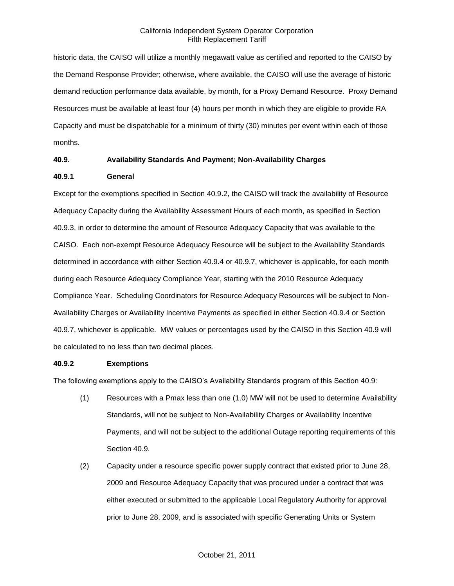historic data, the CAISO will utilize a monthly megawatt value as certified and reported to the CAISO by the Demand Response Provider; otherwise, where available, the CAISO will use the average of historic demand reduction performance data available, by month, for a Proxy Demand Resource. Proxy Demand Resources must be available at least four (4) hours per month in which they are eligible to provide RA Capacity and must be dispatchable for a minimum of thirty (30) minutes per event within each of those months.

# **40.9. Availability Standards And Payment; Non-Availability Charges**

# **40.9.1 General**

Except for the exemptions specified in Section 40.9.2, the CAISO will track the availability of Resource Adequacy Capacity during the Availability Assessment Hours of each month, as specified in Section 40.9.3, in order to determine the amount of Resource Adequacy Capacity that was available to the CAISO. Each non-exempt Resource Adequacy Resource will be subject to the Availability Standards determined in accordance with either Section 40.9.4 or 40.9.7, whichever is applicable, for each month during each Resource Adequacy Compliance Year, starting with the 2010 Resource Adequacy Compliance Year. Scheduling Coordinators for Resource Adequacy Resources will be subject to Non-Availability Charges or Availability Incentive Payments as specified in either Section 40.9.4 or Section 40.9.7, whichever is applicable. MW values or percentages used by the CAISO in this Section 40.9 will be calculated to no less than two decimal places.

# **40.9.2 Exemptions**

The following exemptions apply to the CAISO's Availability Standards program of this Section 40.9:

- (1) Resources with a Pmax less than one (1.0) MW will not be used to determine Availability Standards, will not be subject to Non-Availability Charges or Availability Incentive Payments, and will not be subject to the additional Outage reporting requirements of this Section 40.9.
- (2) Capacity under a resource specific power supply contract that existed prior to June 28, 2009 and Resource Adequacy Capacity that was procured under a contract that was either executed or submitted to the applicable Local Regulatory Authority for approval prior to June 28, 2009, and is associated with specific Generating Units or System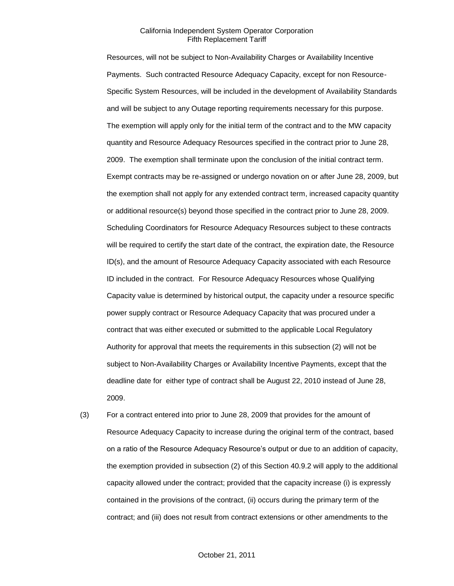Resources, will not be subject to Non-Availability Charges or Availability Incentive Payments. Such contracted Resource Adequacy Capacity, except for non Resource-Specific System Resources, will be included in the development of Availability Standards and will be subject to any Outage reporting requirements necessary for this purpose. The exemption will apply only for the initial term of the contract and to the MW capacity quantity and Resource Adequacy Resources specified in the contract prior to June 28, 2009. The exemption shall terminate upon the conclusion of the initial contract term. Exempt contracts may be re-assigned or undergo novation on or after June 28, 2009, but the exemption shall not apply for any extended contract term, increased capacity quantity or additional resource(s) beyond those specified in the contract prior to June 28, 2009. Scheduling Coordinators for Resource Adequacy Resources subject to these contracts will be required to certify the start date of the contract, the expiration date, the Resource ID(s), and the amount of Resource Adequacy Capacity associated with each Resource ID included in the contract. For Resource Adequacy Resources whose Qualifying Capacity value is determined by historical output, the capacity under a resource specific power supply contract or Resource Adequacy Capacity that was procured under a contract that was either executed or submitted to the applicable Local Regulatory Authority for approval that meets the requirements in this subsection (2) will not be subject to Non-Availability Charges or Availability Incentive Payments, except that the deadline date for either type of contract shall be August 22, 2010 instead of June 28, 2009.

(3) For a contract entered into prior to June 28, 2009 that provides for the amount of Resource Adequacy Capacity to increase during the original term of the contract, based on a ratio of the Resource Adequacy Resource's output or due to an addition of capacity, the exemption provided in subsection (2) of this Section 40.9.2 will apply to the additional capacity allowed under the contract; provided that the capacity increase (i) is expressly contained in the provisions of the contract, (ii) occurs during the primary term of the contract; and (iii) does not result from contract extensions or other amendments to the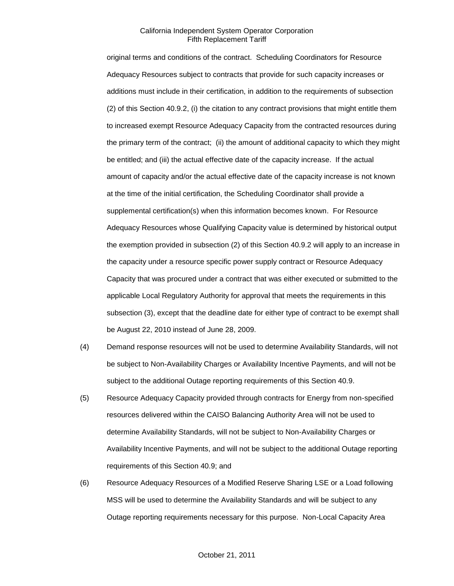original terms and conditions of the contract. Scheduling Coordinators for Resource Adequacy Resources subject to contracts that provide for such capacity increases or additions must include in their certification, in addition to the requirements of subsection (2) of this Section 40.9.2, (i) the citation to any contract provisions that might entitle them to increased exempt Resource Adequacy Capacity from the contracted resources during the primary term of the contract; (ii) the amount of additional capacity to which they might be entitled; and (iii) the actual effective date of the capacity increase. If the actual amount of capacity and/or the actual effective date of the capacity increase is not known at the time of the initial certification, the Scheduling Coordinator shall provide a supplemental certification(s) when this information becomes known. For Resource Adequacy Resources whose Qualifying Capacity value is determined by historical output the exemption provided in subsection (2) of this Section 40.9.2 will apply to an increase in the capacity under a resource specific power supply contract or Resource Adequacy Capacity that was procured under a contract that was either executed or submitted to the applicable Local Regulatory Authority for approval that meets the requirements in this subsection (3), except that the deadline date for either type of contract to be exempt shall be August 22, 2010 instead of June 28, 2009.

- (4) Demand response resources will not be used to determine Availability Standards, will not be subject to Non-Availability Charges or Availability Incentive Payments, and will not be subject to the additional Outage reporting requirements of this Section 40.9.
- (5) Resource Adequacy Capacity provided through contracts for Energy from non-specified resources delivered within the CAISO Balancing Authority Area will not be used to determine Availability Standards, will not be subject to Non-Availability Charges or Availability Incentive Payments, and will not be subject to the additional Outage reporting requirements of this Section 40.9; and
- (6) Resource Adequacy Resources of a Modified Reserve Sharing LSE or a Load following MSS will be used to determine the Availability Standards and will be subject to any Outage reporting requirements necessary for this purpose. Non-Local Capacity Area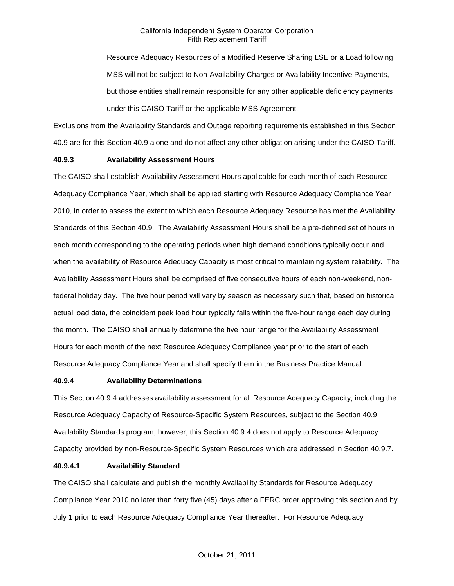Resource Adequacy Resources of a Modified Reserve Sharing LSE or a Load following MSS will not be subject to Non-Availability Charges or Availability Incentive Payments, but those entities shall remain responsible for any other applicable deficiency payments under this CAISO Tariff or the applicable MSS Agreement.

Exclusions from the Availability Standards and Outage reporting requirements established in this Section 40.9 are for this Section 40.9 alone and do not affect any other obligation arising under the CAISO Tariff.

# **40.9.3 Availability Assessment Hours**

The CAISO shall establish Availability Assessment Hours applicable for each month of each Resource Adequacy Compliance Year, which shall be applied starting with Resource Adequacy Compliance Year 2010, in order to assess the extent to which each Resource Adequacy Resource has met the Availability Standards of this Section 40.9. The Availability Assessment Hours shall be a pre-defined set of hours in each month corresponding to the operating periods when high demand conditions typically occur and when the availability of Resource Adequacy Capacity is most critical to maintaining system reliability. The Availability Assessment Hours shall be comprised of five consecutive hours of each non-weekend, nonfederal holiday day. The five hour period will vary by season as necessary such that, based on historical actual load data, the coincident peak load hour typically falls within the five-hour range each day during the month. The CAISO shall annually determine the five hour range for the Availability Assessment Hours for each month of the next Resource Adequacy Compliance year prior to the start of each Resource Adequacy Compliance Year and shall specify them in the Business Practice Manual.

#### **40.9.4 Availability Determinations**

This Section 40.9.4 addresses availability assessment for all Resource Adequacy Capacity, including the Resource Adequacy Capacity of Resource-Specific System Resources, subject to the Section 40.9 Availability Standards program; however, this Section 40.9.4 does not apply to Resource Adequacy Capacity provided by non-Resource-Specific System Resources which are addressed in Section 40.9.7.

#### **40.9.4.1 Availability Standard**

The CAISO shall calculate and publish the monthly Availability Standards for Resource Adequacy Compliance Year 2010 no later than forty five (45) days after a FERC order approving this section and by July 1 prior to each Resource Adequacy Compliance Year thereafter. For Resource Adequacy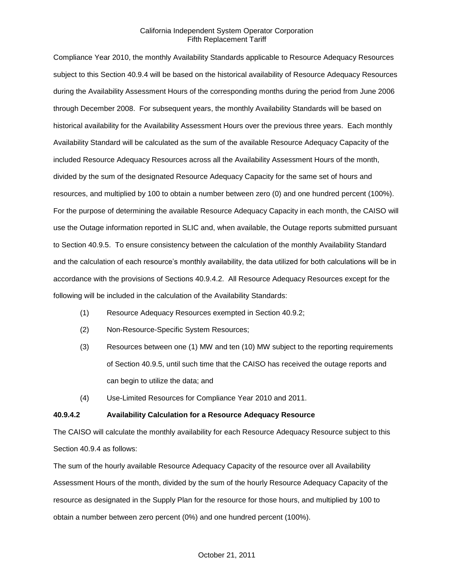Compliance Year 2010, the monthly Availability Standards applicable to Resource Adequacy Resources subject to this Section 40.9.4 will be based on the historical availability of Resource Adequacy Resources during the Availability Assessment Hours of the corresponding months during the period from June 2006 through December 2008. For subsequent years, the monthly Availability Standards will be based on historical availability for the Availability Assessment Hours over the previous three years. Each monthly Availability Standard will be calculated as the sum of the available Resource Adequacy Capacity of the included Resource Adequacy Resources across all the Availability Assessment Hours of the month, divided by the sum of the designated Resource Adequacy Capacity for the same set of hours and resources, and multiplied by 100 to obtain a number between zero (0) and one hundred percent (100%). For the purpose of determining the available Resource Adequacy Capacity in each month, the CAISO will use the Outage information reported in SLIC and, when available, the Outage reports submitted pursuant to Section 40.9.5. To ensure consistency between the calculation of the monthly Availability Standard and the calculation of each resource's monthly availability, the data utilized for both calculations will be in accordance with the provisions of Sections 40.9.4.2. All Resource Adequacy Resources except for the following will be included in the calculation of the Availability Standards:

- (1) Resource Adequacy Resources exempted in Section 40.9.2;
- (2) Non-Resource-Specific System Resources;
- (3) Resources between one (1) MW and ten (10) MW subject to the reporting requirements of Section 40.9.5, until such time that the CAISO has received the outage reports and can begin to utilize the data; and
- (4) Use-Limited Resources for Compliance Year 2010 and 2011.

#### **40.9.4.2 Availability Calculation for a Resource Adequacy Resource**

The CAISO will calculate the monthly availability for each Resource Adequacy Resource subject to this Section 40.9.4 as follows:

The sum of the hourly available Resource Adequacy Capacity of the resource over all Availability Assessment Hours of the month, divided by the sum of the hourly Resource Adequacy Capacity of the resource as designated in the Supply Plan for the resource for those hours, and multiplied by 100 to obtain a number between zero percent (0%) and one hundred percent (100%).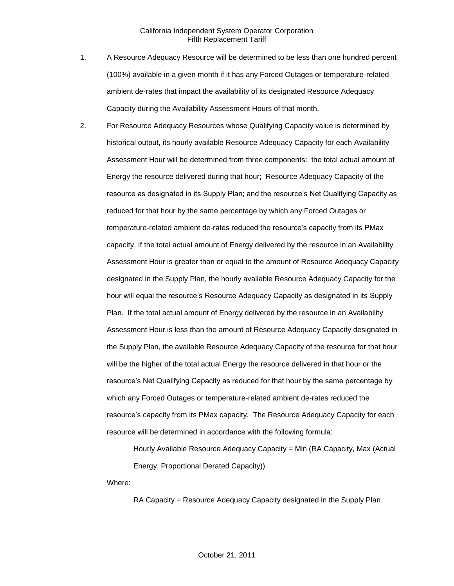- 1. A Resource Adequacy Resource will be determined to be less than one hundred percent (100%) available in a given month if it has any Forced Outages or temperature-related ambient de-rates that impact the availability of its designated Resource Adequacy Capacity during the Availability Assessment Hours of that month.
- 2. For Resource Adequacy Resources whose Qualifying Capacity value is determined by historical output, its hourly available Resource Adequacy Capacity for each Availability Assessment Hour will be determined from three components: the total actual amount of Energy the resource delivered during that hour; Resource Adequacy Capacity of the resource as designated in its Supply Plan; and the resource's Net Qualifying Capacity as reduced for that hour by the same percentage by which any Forced Outages or temperature-related ambient de-rates reduced the resource's capacity from its PMax capacity. If the total actual amount of Energy delivered by the resource in an Availability Assessment Hour is greater than or equal to the amount of Resource Adequacy Capacity designated in the Supply Plan, the hourly available Resource Adequacy Capacity for the hour will equal the resource's Resource Adequacy Capacity as designated in its Supply Plan. If the total actual amount of Energy delivered by the resource in an Availability Assessment Hour is less than the amount of Resource Adequacy Capacity designated in the Supply Plan, the available Resource Adequacy Capacity of the resource for that hour will be the higher of the total actual Energy the resource delivered in that hour or the resource's Net Qualifying Capacity as reduced for that hour by the same percentage by which any Forced Outages or temperature-related ambient de-rates reduced the resource's capacity from its PMax capacity. The Resource Adequacy Capacity for each resource will be determined in accordance with the following formula:

Hourly Available Resource Adequacy Capacity = Min (RA Capacity, Max (Actual Energy, Proportional Derated Capacity))

Where:

RA Capacity = Resource Adequacy Capacity designated in the Supply Plan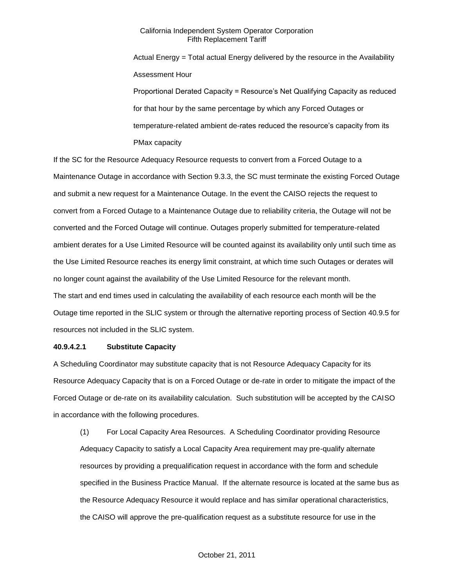Actual Energy = Total actual Energy delivered by the resource in the Availability Assessment Hour

Proportional Derated Capacity = Resource's Net Qualifying Capacity as reduced for that hour by the same percentage by which any Forced Outages or temperature-related ambient de-rates reduced the resource's capacity from its PMax capacity

If the SC for the Resource Adequacy Resource requests to convert from a Forced Outage to a Maintenance Outage in accordance with Section 9.3.3, the SC must terminate the existing Forced Outage and submit a new request for a Maintenance Outage. In the event the CAISO rejects the request to convert from a Forced Outage to a Maintenance Outage due to reliability criteria, the Outage will not be converted and the Forced Outage will continue. Outages properly submitted for temperature-related ambient derates for a Use Limited Resource will be counted against its availability only until such time as the Use Limited Resource reaches its energy limit constraint, at which time such Outages or derates will no longer count against the availability of the Use Limited Resource for the relevant month. The start and end times used in calculating the availability of each resource each month will be the Outage time reported in the SLIC system or through the alternative reporting process of Section 40.9.5 for resources not included in the SLIC system.

# **40.9.4.2.1 Substitute Capacity**

A Scheduling Coordinator may substitute capacity that is not Resource Adequacy Capacity for its Resource Adequacy Capacity that is on a Forced Outage or de-rate in order to mitigate the impact of the Forced Outage or de-rate on its availability calculation. Such substitution will be accepted by the CAISO in accordance with the following procedures.

(1) For Local Capacity Area Resources. A Scheduling Coordinator providing Resource Adequacy Capacity to satisfy a Local Capacity Area requirement may pre-qualify alternate resources by providing a prequalification request in accordance with the form and schedule specified in the Business Practice Manual. If the alternate resource is located at the same bus as the Resource Adequacy Resource it would replace and has similar operational characteristics, the CAISO will approve the pre-qualification request as a substitute resource for use in the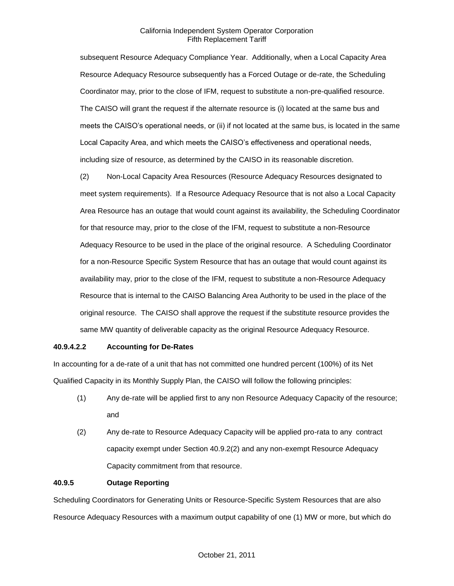subsequent Resource Adequacy Compliance Year. Additionally, when a Local Capacity Area Resource Adequacy Resource subsequently has a Forced Outage or de-rate, the Scheduling Coordinator may, prior to the close of IFM, request to substitute a non-pre-qualified resource. The CAISO will grant the request if the alternate resource is (i) located at the same bus and meets the CAISO's operational needs, or (ii) if not located at the same bus, is located in the same Local Capacity Area, and which meets the CAISO's effectiveness and operational needs, including size of resource, as determined by the CAISO in its reasonable discretion.

(2) Non-Local Capacity Area Resources (Resource Adequacy Resources designated to meet system requirements). If a Resource Adequacy Resource that is not also a Local Capacity Area Resource has an outage that would count against its availability, the Scheduling Coordinator for that resource may, prior to the close of the IFM, request to substitute a non-Resource Adequacy Resource to be used in the place of the original resource. A Scheduling Coordinator for a non-Resource Specific System Resource that has an outage that would count against its availability may, prior to the close of the IFM, request to substitute a non-Resource Adequacy Resource that is internal to the CAISO Balancing Area Authority to be used in the place of the original resource. The CAISO shall approve the request if the substitute resource provides the same MW quantity of deliverable capacity as the original Resource Adequacy Resource.

# **40.9.4.2.2 Accounting for De-Rates**

In accounting for a de-rate of a unit that has not committed one hundred percent (100%) of its Net Qualified Capacity in its Monthly Supply Plan, the CAISO will follow the following principles:

- (1) Any de-rate will be applied first to any non Resource Adequacy Capacity of the resource; and
- (2) Any de-rate to Resource Adequacy Capacity will be applied pro-rata to any contract capacity exempt under Section 40.9.2(2) and any non-exempt Resource Adequacy Capacity commitment from that resource.

#### **40.9.5 Outage Reporting**

Scheduling Coordinators for Generating Units or Resource-Specific System Resources that are also Resource Adequacy Resources with a maximum output capability of one (1) MW or more, but which do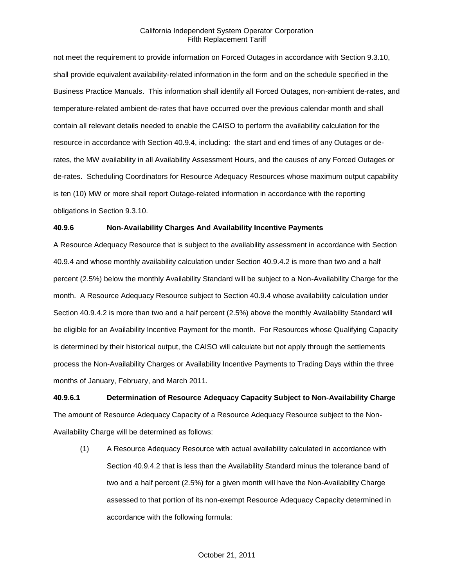not meet the requirement to provide information on Forced Outages in accordance with Section 9.3.10, shall provide equivalent availability-related information in the form and on the schedule specified in the Business Practice Manuals. This information shall identify all Forced Outages, non-ambient de-rates, and temperature-related ambient de-rates that have occurred over the previous calendar month and shall contain all relevant details needed to enable the CAISO to perform the availability calculation for the resource in accordance with Section 40.9.4, including: the start and end times of any Outages or derates, the MW availability in all Availability Assessment Hours, and the causes of any Forced Outages or de-rates. Scheduling Coordinators for Resource Adequacy Resources whose maximum output capability is ten (10) MW or more shall report Outage-related information in accordance with the reporting obligations in Section 9.3.10.

# **40.9.6 Non-Availability Charges And Availability Incentive Payments**

A Resource Adequacy Resource that is subject to the availability assessment in accordance with Section 40.9.4 and whose monthly availability calculation under Section 40.9.4.2 is more than two and a half percent (2.5%) below the monthly Availability Standard will be subject to a Non-Availability Charge for the month. A Resource Adequacy Resource subject to Section 40.9.4 whose availability calculation under Section 40.9.4.2 is more than two and a half percent (2.5%) above the monthly Availability Standard will be eligible for an Availability Incentive Payment for the month. For Resources whose Qualifying Capacity is determined by their historical output, the CAISO will calculate but not apply through the settlements process the Non-Availability Charges or Availability Incentive Payments to Trading Days within the three months of January, February, and March 2011.

**40.9.6.1 Determination of Resource Adequacy Capacity Subject to Non-Availability Charge** The amount of Resource Adequacy Capacity of a Resource Adequacy Resource subject to the Non-Availability Charge will be determined as follows:

(1) A Resource Adequacy Resource with actual availability calculated in accordance with Section 40.9.4.2 that is less than the Availability Standard minus the tolerance band of two and a half percent (2.5%) for a given month will have the Non-Availability Charge assessed to that portion of its non-exempt Resource Adequacy Capacity determined in accordance with the following formula: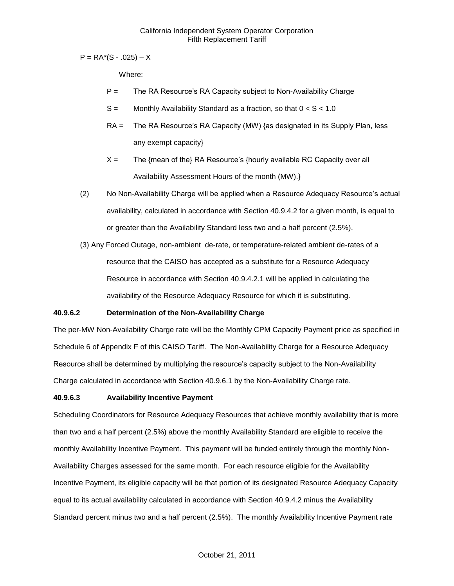$P = RA<sup>*</sup>(S - .025) - X$ 

Where:

- P = The RA Resource's RA Capacity subject to Non-Availability Charge
- $S =$  Monthly Availability Standard as a fraction, so that  $0 < S < 1.0$
- RA = The RA Resource's RA Capacity (MW) {as designated in its Supply Plan, less any exempt capacity}
- $X =$  The {mean of the} RA Resource's {hourly available RC Capacity over all Availability Assessment Hours of the month (MW).}
- (2) No Non-Availability Charge will be applied when a Resource Adequacy Resource's actual availability, calculated in accordance with Section 40.9.4.2 for a given month, is equal to or greater than the Availability Standard less two and a half percent (2.5%).
- (3) Any Forced Outage, non-ambient de-rate, or temperature-related ambient de-rates of a resource that the CAISO has accepted as a substitute for a Resource Adequacy Resource in accordance with Section 40.9.4.2.1 will be applied in calculating the availability of the Resource Adequacy Resource for which it is substituting.

# **40.9.6.2 Determination of the Non-Availability Charge**

The per-MW Non-Availability Charge rate will be the Monthly CPM Capacity Payment price as specified in Schedule 6 of Appendix F of this CAISO Tariff. The Non-Availability Charge for a Resource Adequacy Resource shall be determined by multiplying the resource's capacity subject to the Non-Availability Charge calculated in accordance with Section 40.9.6.1 by the Non-Availability Charge rate.

# **40.9.6.3 Availability Incentive Payment**

Scheduling Coordinators for Resource Adequacy Resources that achieve monthly availability that is more than two and a half percent (2.5%) above the monthly Availability Standard are eligible to receive the monthly Availability Incentive Payment. This payment will be funded entirely through the monthly Non-Availability Charges assessed for the same month. For each resource eligible for the Availability Incentive Payment, its eligible capacity will be that portion of its designated Resource Adequacy Capacity equal to its actual availability calculated in accordance with Section 40.9.4.2 minus the Availability Standard percent minus two and a half percent (2.5%). The monthly Availability Incentive Payment rate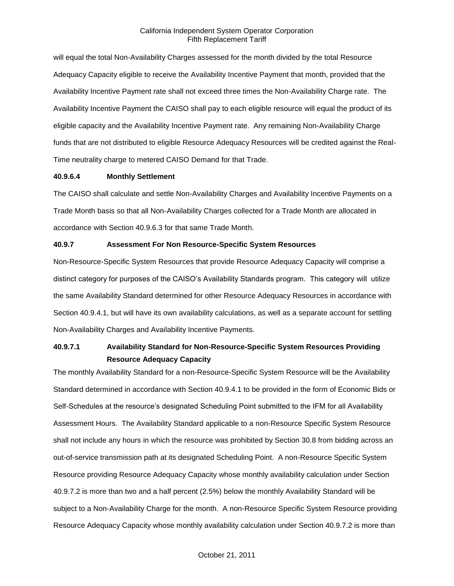will equal the total Non-Availability Charges assessed for the month divided by the total Resource Adequacy Capacity eligible to receive the Availability Incentive Payment that month, provided that the Availability Incentive Payment rate shall not exceed three times the Non-Availability Charge rate. The Availability Incentive Payment the CAISO shall pay to each eligible resource will equal the product of its eligible capacity and the Availability Incentive Payment rate. Any remaining Non-Availability Charge funds that are not distributed to eligible Resource Adequacy Resources will be credited against the Real-Time neutrality charge to metered CAISO Demand for that Trade.

#### **40.9.6.4 Monthly Settlement**

The CAISO shall calculate and settle Non-Availability Charges and Availability Incentive Payments on a Trade Month basis so that all Non-Availability Charges collected for a Trade Month are allocated in accordance with Section 40.9.6.3 for that same Trade Month.

#### **40.9.7 Assessment For Non Resource-Specific System Resources**

Non-Resource-Specific System Resources that provide Resource Adequacy Capacity will comprise a distinct category for purposes of the CAISO's Availability Standards program. This category will utilize the same Availability Standard determined for other Resource Adequacy Resources in accordance with Section 40.9.4.1, but will have its own availability calculations, as well as a separate account for settling Non-Availability Charges and Availability Incentive Payments.

# **40.9.7.1 Availability Standard for Non-Resource-Specific System Resources Providing Resource Adequacy Capacity**

The monthly Availability Standard for a non-Resource-Specific System Resource will be the Availability Standard determined in accordance with Section 40.9.4.1 to be provided in the form of Economic Bids or Self-Schedules at the resource's designated Scheduling Point submitted to the IFM for all Availability Assessment Hours. The Availability Standard applicable to a non-Resource Specific System Resource shall not include any hours in which the resource was prohibited by Section 30.8 from bidding across an out-of-service transmission path at its designated Scheduling Point. A non-Resource Specific System Resource providing Resource Adequacy Capacity whose monthly availability calculation under Section 40.9.7.2 is more than two and a half percent (2.5%) below the monthly Availability Standard will be subject to a Non-Availability Charge for the month. A non-Resource Specific System Resource providing Resource Adequacy Capacity whose monthly availability calculation under Section 40.9.7.2 is more than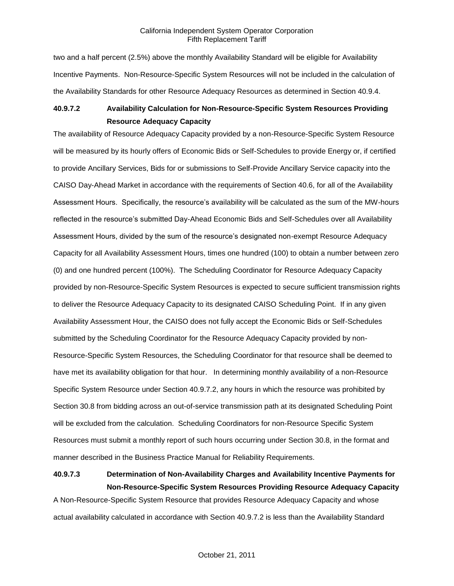two and a half percent (2.5%) above the monthly Availability Standard will be eligible for Availability Incentive Payments. Non-Resource-Specific System Resources will not be included in the calculation of the Availability Standards for other Resource Adequacy Resources as determined in Section 40.9.4.

# **40.9.7.2 Availability Calculation for Non-Resource-Specific System Resources Providing Resource Adequacy Capacity**

The availability of Resource Adequacy Capacity provided by a non-Resource-Specific System Resource will be measured by its hourly offers of Economic Bids or Self-Schedules to provide Energy or, if certified to provide Ancillary Services, Bids for or submissions to Self-Provide Ancillary Service capacity into the CAISO Day-Ahead Market in accordance with the requirements of Section 40.6, for all of the Availability Assessment Hours. Specifically, the resource's availability will be calculated as the sum of the MW-hours reflected in the resource's submitted Day-Ahead Economic Bids and Self-Schedules over all Availability Assessment Hours, divided by the sum of the resource's designated non-exempt Resource Adequacy Capacity for all Availability Assessment Hours, times one hundred (100) to obtain a number between zero (0) and one hundred percent (100%). The Scheduling Coordinator for Resource Adequacy Capacity provided by non-Resource-Specific System Resources is expected to secure sufficient transmission rights to deliver the Resource Adequacy Capacity to its designated CAISO Scheduling Point. If in any given Availability Assessment Hour, the CAISO does not fully accept the Economic Bids or Self-Schedules submitted by the Scheduling Coordinator for the Resource Adequacy Capacity provided by non-Resource-Specific System Resources, the Scheduling Coordinator for that resource shall be deemed to have met its availability obligation for that hour. In determining monthly availability of a non-Resource Specific System Resource under Section 40.9.7.2, any hours in which the resource was prohibited by Section 30.8 from bidding across an out-of-service transmission path at its designated Scheduling Point will be excluded from the calculation. Scheduling Coordinators for non-Resource Specific System Resources must submit a monthly report of such hours occurring under Section 30.8, in the format and manner described in the Business Practice Manual for Reliability Requirements.

# **40.9.7.3 Determination of Non-Availability Charges and Availability Incentive Payments for Non-Resource-Specific System Resources Providing Resource Adequacy Capacity**

A Non-Resource-Specific System Resource that provides Resource Adequacy Capacity and whose actual availability calculated in accordance with Section 40.9.7.2 is less than the Availability Standard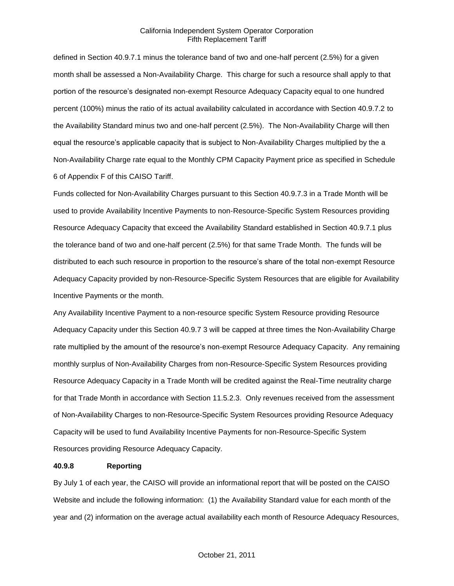defined in Section 40.9.7.1 minus the tolerance band of two and one-half percent (2.5%) for a given month shall be assessed a Non-Availability Charge. This charge for such a resource shall apply to that portion of the resource's designated non-exempt Resource Adequacy Capacity equal to one hundred percent (100%) minus the ratio of its actual availability calculated in accordance with Section 40.9.7.2 to the Availability Standard minus two and one-half percent (2.5%). The Non-Availability Charge will then equal the resource's applicable capacity that is subject to Non-Availability Charges multiplied by the a Non-Availability Charge rate equal to the Monthly CPM Capacity Payment price as specified in Schedule 6 of Appendix F of this CAISO Tariff.

Funds collected for Non-Availability Charges pursuant to this Section 40.9.7.3 in a Trade Month will be used to provide Availability Incentive Payments to non-Resource-Specific System Resources providing Resource Adequacy Capacity that exceed the Availability Standard established in Section 40.9.7.1 plus the tolerance band of two and one-half percent (2.5%) for that same Trade Month. The funds will be distributed to each such resource in proportion to the resource's share of the total non-exempt Resource Adequacy Capacity provided by non-Resource-Specific System Resources that are eligible for Availability Incentive Payments or the month.

Any Availability Incentive Payment to a non-resource specific System Resource providing Resource Adequacy Capacity under this Section 40.9.7 3 will be capped at three times the Non-Availability Charge rate multiplied by the amount of the resource's non-exempt Resource Adequacy Capacity. Any remaining monthly surplus of Non-Availability Charges from non-Resource-Specific System Resources providing Resource Adequacy Capacity in a Trade Month will be credited against the Real-Time neutrality charge for that Trade Month in accordance with Section 11.5.2.3. Only revenues received from the assessment of Non-Availability Charges to non-Resource-Specific System Resources providing Resource Adequacy Capacity will be used to fund Availability Incentive Payments for non-Resource-Specific System Resources providing Resource Adequacy Capacity.

# **40.9.8 Reporting**

By July 1 of each year, the CAISO will provide an informational report that will be posted on the CAISO Website and include the following information: (1) the Availability Standard value for each month of the year and (2) information on the average actual availability each month of Resource Adequacy Resources,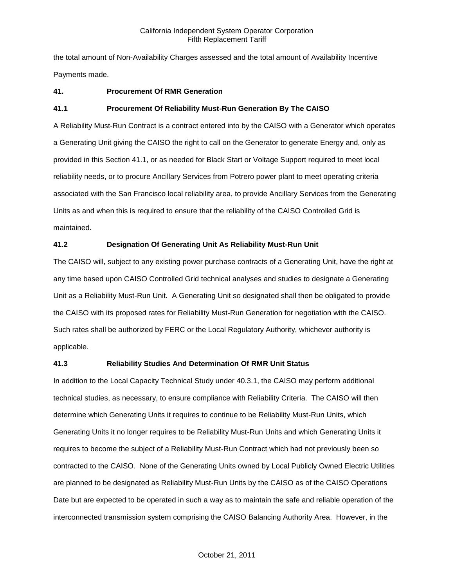the total amount of Non-Availability Charges assessed and the total amount of Availability Incentive Payments made.

# **41. Procurement Of RMR Generation**

# **41.1 Procurement Of Reliability Must-Run Generation By The CAISO**

A Reliability Must-Run Contract is a contract entered into by the CAISO with a Generator which operates a Generating Unit giving the CAISO the right to call on the Generator to generate Energy and, only as provided in this Section 41.1, or as needed for Black Start or Voltage Support required to meet local reliability needs, or to procure Ancillary Services from Potrero power plant to meet operating criteria associated with the San Francisco local reliability area, to provide Ancillary Services from the Generating Units as and when this is required to ensure that the reliability of the CAISO Controlled Grid is maintained.

# **41.2 Designation Of Generating Unit As Reliability Must-Run Unit**

The CAISO will, subject to any existing power purchase contracts of a Generating Unit, have the right at any time based upon CAISO Controlled Grid technical analyses and studies to designate a Generating Unit as a Reliability Must-Run Unit. A Generating Unit so designated shall then be obligated to provide the CAISO with its proposed rates for Reliability Must-Run Generation for negotiation with the CAISO. Such rates shall be authorized by FERC or the Local Regulatory Authority, whichever authority is applicable.

# **41.3 Reliability Studies And Determination Of RMR Unit Status**

In addition to the Local Capacity Technical Study under 40.3.1, the CAISO may perform additional technical studies, as necessary, to ensure compliance with Reliability Criteria. The CAISO will then determine which Generating Units it requires to continue to be Reliability Must-Run Units, which Generating Units it no longer requires to be Reliability Must-Run Units and which Generating Units it requires to become the subject of a Reliability Must-Run Contract which had not previously been so contracted to the CAISO. None of the Generating Units owned by Local Publicly Owned Electric Utilities are planned to be designated as Reliability Must-Run Units by the CAISO as of the CAISO Operations Date but are expected to be operated in such a way as to maintain the safe and reliable operation of the interconnected transmission system comprising the CAISO Balancing Authority Area. However, in the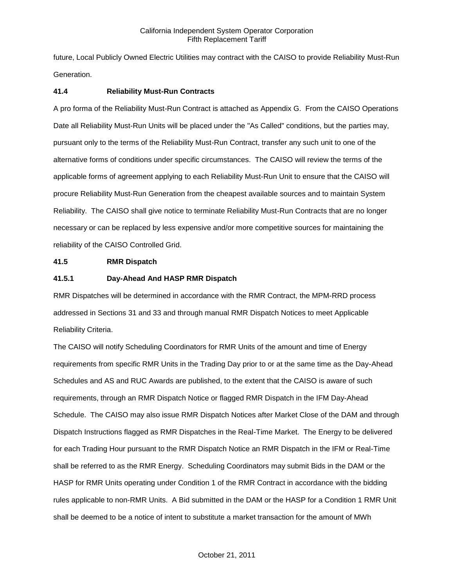future, Local Publicly Owned Electric Utilities may contract with the CAISO to provide Reliability Must-Run Generation.

#### **41.4 Reliability Must-Run Contracts**

A pro forma of the Reliability Must-Run Contract is attached as Appendix G. From the CAISO Operations Date all Reliability Must-Run Units will be placed under the "As Called" conditions, but the parties may, pursuant only to the terms of the Reliability Must-Run Contract, transfer any such unit to one of the alternative forms of conditions under specific circumstances. The CAISO will review the terms of the applicable forms of agreement applying to each Reliability Must-Run Unit to ensure that the CAISO will procure Reliability Must-Run Generation from the cheapest available sources and to maintain System Reliability. The CAISO shall give notice to terminate Reliability Must-Run Contracts that are no longer necessary or can be replaced by less expensive and/or more competitive sources for maintaining the reliability of the CAISO Controlled Grid.

#### **41.5 RMR Dispatch**

#### **41.5.1 Day-Ahead And HASP RMR Dispatch**

RMR Dispatches will be determined in accordance with the RMR Contract, the MPM-RRD process addressed in Sections 31 and 33 and through manual RMR Dispatch Notices to meet Applicable Reliability Criteria.

The CAISO will notify Scheduling Coordinators for RMR Units of the amount and time of Energy requirements from specific RMR Units in the Trading Day prior to or at the same time as the Day-Ahead Schedules and AS and RUC Awards are published, to the extent that the CAISO is aware of such requirements, through an RMR Dispatch Notice or flagged RMR Dispatch in the IFM Day-Ahead Schedule. The CAISO may also issue RMR Dispatch Notices after Market Close of the DAM and through Dispatch Instructions flagged as RMR Dispatches in the Real-Time Market. The Energy to be delivered for each Trading Hour pursuant to the RMR Dispatch Notice an RMR Dispatch in the IFM or Real-Time shall be referred to as the RMR Energy. Scheduling Coordinators may submit Bids in the DAM or the HASP for RMR Units operating under Condition 1 of the RMR Contract in accordance with the bidding rules applicable to non-RMR Units. A Bid submitted in the DAM or the HASP for a Condition 1 RMR Unit shall be deemed to be a notice of intent to substitute a market transaction for the amount of MWh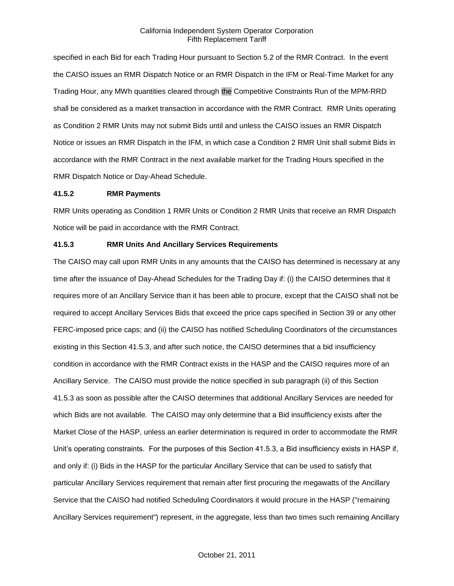specified in each Bid for each Trading Hour pursuant to Section 5.2 of the RMR Contract. In the event the CAISO issues an RMR Dispatch Notice or an RMR Dispatch in the IFM or Real-Time Market for any Trading Hour, any MWh quantities cleared through the Competitive Constraints Run of the MPM-RRD shall be considered as a market transaction in accordance with the RMR Contract. RMR Units operating as Condition 2 RMR Units may not submit Bids until and unless the CAISO issues an RMR Dispatch Notice or issues an RMR Dispatch in the IFM, in which case a Condition 2 RMR Unit shall submit Bids in accordance with the RMR Contract in the next available market for the Trading Hours specified in the RMR Dispatch Notice or Day-Ahead Schedule.

#### **41.5.2 RMR Payments**

RMR Units operating as Condition 1 RMR Units or Condition 2 RMR Units that receive an RMR Dispatch Notice will be paid in accordance with the RMR Contract.

#### **41.5.3 RMR Units And Ancillary Services Requirements**

The CAISO may call upon RMR Units in any amounts that the CAISO has determined is necessary at any time after the issuance of Day-Ahead Schedules for the Trading Day if: (i) the CAISO determines that it requires more of an Ancillary Service than it has been able to procure, except that the CAISO shall not be required to accept Ancillary Services Bids that exceed the price caps specified in Section 39 or any other FERC-imposed price caps; and (ii) the CAISO has notified Scheduling Coordinators of the circumstances existing in this Section 41.5.3, and after such notice, the CAISO determines that a bid insufficiency condition in accordance with the RMR Contract exists in the HASP and the CAISO requires more of an Ancillary Service. The CAISO must provide the notice specified in sub paragraph (ii) of this Section 41.5.3 as soon as possible after the CAISO determines that additional Ancillary Services are needed for which Bids are not available. The CAISO may only determine that a Bid insufficiency exists after the Market Close of the HASP, unless an earlier determination is required in order to accommodate the RMR Unit's operating constraints. For the purposes of this Section 41.5.3, a Bid insufficiency exists in HASP if, and only if: (i) Bids in the HASP for the particular Ancillary Service that can be used to satisfy that particular Ancillary Services requirement that remain after first procuring the megawatts of the Ancillary Service that the CAISO had notified Scheduling Coordinators it would procure in the HASP ("remaining Ancillary Services requirement") represent, in the aggregate, less than two times such remaining Ancillary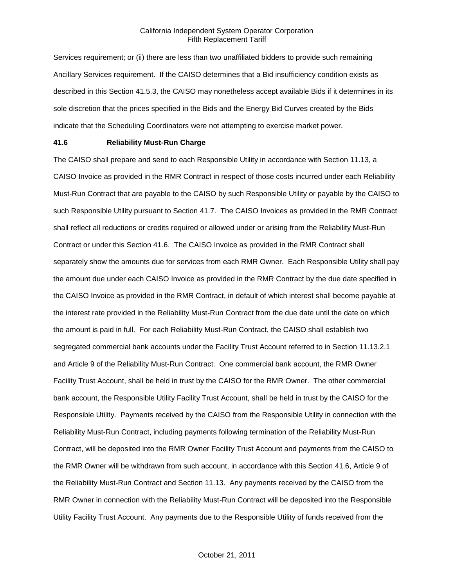Services requirement; or (ii) there are less than two unaffiliated bidders to provide such remaining Ancillary Services requirement. If the CAISO determines that a Bid insufficiency condition exists as described in this Section 41.5.3, the CAISO may nonetheless accept available Bids if it determines in its sole discretion that the prices specified in the Bids and the Energy Bid Curves created by the Bids indicate that the Scheduling Coordinators were not attempting to exercise market power.

### **41.6 Reliability Must-Run Charge**

The CAISO shall prepare and send to each Responsible Utility in accordance with Section 11.13, a CAISO Invoice as provided in the RMR Contract in respect of those costs incurred under each Reliability Must-Run Contract that are payable to the CAISO by such Responsible Utility or payable by the CAISO to such Responsible Utility pursuant to Section 41.7. The CAISO Invoices as provided in the RMR Contract shall reflect all reductions or credits required or allowed under or arising from the Reliability Must-Run Contract or under this Section 41.6. The CAISO Invoice as provided in the RMR Contract shall separately show the amounts due for services from each RMR Owner. Each Responsible Utility shall pay the amount due under each CAISO Invoice as provided in the RMR Contract by the due date specified in the CAISO Invoice as provided in the RMR Contract, in default of which interest shall become payable at the interest rate provided in the Reliability Must-Run Contract from the due date until the date on which the amount is paid in full. For each Reliability Must-Run Contract, the CAISO shall establish two segregated commercial bank accounts under the Facility Trust Account referred to in Section 11.13.2.1 and Article 9 of the Reliability Must-Run Contract. One commercial bank account, the RMR Owner Facility Trust Account, shall be held in trust by the CAISO for the RMR Owner. The other commercial bank account, the Responsible Utility Facility Trust Account, shall be held in trust by the CAISO for the Responsible Utility. Payments received by the CAISO from the Responsible Utility in connection with the Reliability Must-Run Contract, including payments following termination of the Reliability Must-Run Contract, will be deposited into the RMR Owner Facility Trust Account and payments from the CAISO to the RMR Owner will be withdrawn from such account, in accordance with this Section 41.6, Article 9 of the Reliability Must-Run Contract and Section 11.13. Any payments received by the CAISO from the RMR Owner in connection with the Reliability Must-Run Contract will be deposited into the Responsible Utility Facility Trust Account. Any payments due to the Responsible Utility of funds received from the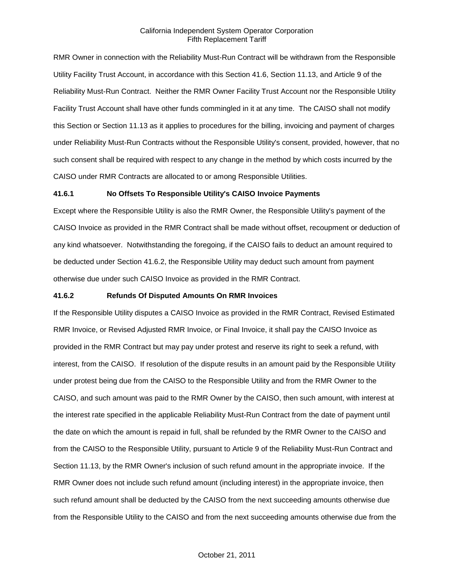RMR Owner in connection with the Reliability Must-Run Contract will be withdrawn from the Responsible Utility Facility Trust Account, in accordance with this Section 41.6, Section 11.13, and Article 9 of the Reliability Must-Run Contract. Neither the RMR Owner Facility Trust Account nor the Responsible Utility Facility Trust Account shall have other funds commingled in it at any time. The CAISO shall not modify this Section or Section 11.13 as it applies to procedures for the billing, invoicing and payment of charges under Reliability Must-Run Contracts without the Responsible Utility's consent, provided, however, that no such consent shall be required with respect to any change in the method by which costs incurred by the CAISO under RMR Contracts are allocated to or among Responsible Utilities.

#### **41.6.1 No Offsets To Responsible Utility's CAISO Invoice Payments**

Except where the Responsible Utility is also the RMR Owner, the Responsible Utility's payment of the CAISO Invoice as provided in the RMR Contract shall be made without offset, recoupment or deduction of any kind whatsoever. Notwithstanding the foregoing, if the CAISO fails to deduct an amount required to be deducted under Section 41.6.2, the Responsible Utility may deduct such amount from payment otherwise due under such CAISO Invoice as provided in the RMR Contract.

#### **41.6.2 Refunds Of Disputed Amounts On RMR Invoices**

If the Responsible Utility disputes a CAISO Invoice as provided in the RMR Contract, Revised Estimated RMR Invoice, or Revised Adjusted RMR Invoice, or Final Invoice, it shall pay the CAISO Invoice as provided in the RMR Contract but may pay under protest and reserve its right to seek a refund, with interest, from the CAISO. If resolution of the dispute results in an amount paid by the Responsible Utility under protest being due from the CAISO to the Responsible Utility and from the RMR Owner to the CAISO, and such amount was paid to the RMR Owner by the CAISO, then such amount, with interest at the interest rate specified in the applicable Reliability Must-Run Contract from the date of payment until the date on which the amount is repaid in full, shall be refunded by the RMR Owner to the CAISO and from the CAISO to the Responsible Utility, pursuant to Article 9 of the Reliability Must-Run Contract and Section 11.13, by the RMR Owner's inclusion of such refund amount in the appropriate invoice. If the RMR Owner does not include such refund amount (including interest) in the appropriate invoice, then such refund amount shall be deducted by the CAISO from the next succeeding amounts otherwise due from the Responsible Utility to the CAISO and from the next succeeding amounts otherwise due from the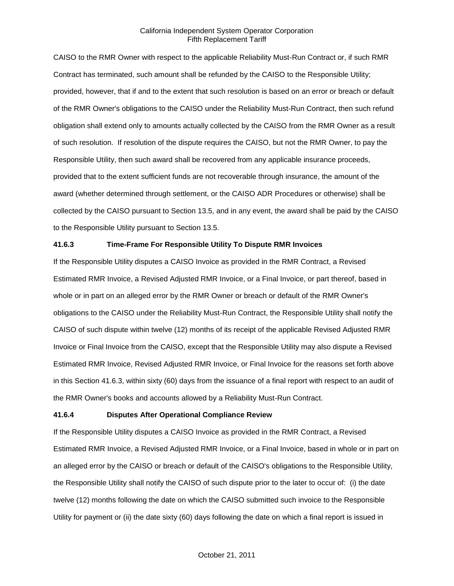CAISO to the RMR Owner with respect to the applicable Reliability Must-Run Contract or, if such RMR Contract has terminated, such amount shall be refunded by the CAISO to the Responsible Utility; provided, however, that if and to the extent that such resolution is based on an error or breach or default of the RMR Owner's obligations to the CAISO under the Reliability Must-Run Contract, then such refund obligation shall extend only to amounts actually collected by the CAISO from the RMR Owner as a result of such resolution. If resolution of the dispute requires the CAISO, but not the RMR Owner, to pay the Responsible Utility, then such award shall be recovered from any applicable insurance proceeds, provided that to the extent sufficient funds are not recoverable through insurance, the amount of the award (whether determined through settlement, or the CAISO ADR Procedures or otherwise) shall be collected by the CAISO pursuant to Section 13.5, and in any event, the award shall be paid by the CAISO to the Responsible Utility pursuant to Section 13.5.

# **41.6.3 Time-Frame For Responsible Utility To Dispute RMR Invoices**

If the Responsible Utility disputes a CAISO Invoice as provided in the RMR Contract, a Revised Estimated RMR Invoice, a Revised Adjusted RMR Invoice, or a Final Invoice, or part thereof, based in whole or in part on an alleged error by the RMR Owner or breach or default of the RMR Owner's obligations to the CAISO under the Reliability Must-Run Contract, the Responsible Utility shall notify the CAISO of such dispute within twelve (12) months of its receipt of the applicable Revised Adjusted RMR Invoice or Final Invoice from the CAISO, except that the Responsible Utility may also dispute a Revised Estimated RMR Invoice, Revised Adjusted RMR Invoice, or Final Invoice for the reasons set forth above in this Section 41.6.3, within sixty (60) days from the issuance of a final report with respect to an audit of the RMR Owner's books and accounts allowed by a Reliability Must-Run Contract.

# **41.6.4 Disputes After Operational Compliance Review**

If the Responsible Utility disputes a CAISO Invoice as provided in the RMR Contract, a Revised Estimated RMR Invoice, a Revised Adjusted RMR Invoice, or a Final Invoice, based in whole or in part on an alleged error by the CAISO or breach or default of the CAISO's obligations to the Responsible Utility, the Responsible Utility shall notify the CAISO of such dispute prior to the later to occur of: (i) the date twelve (12) months following the date on which the CAISO submitted such invoice to the Responsible Utility for payment or (ii) the date sixty (60) days following the date on which a final report is issued in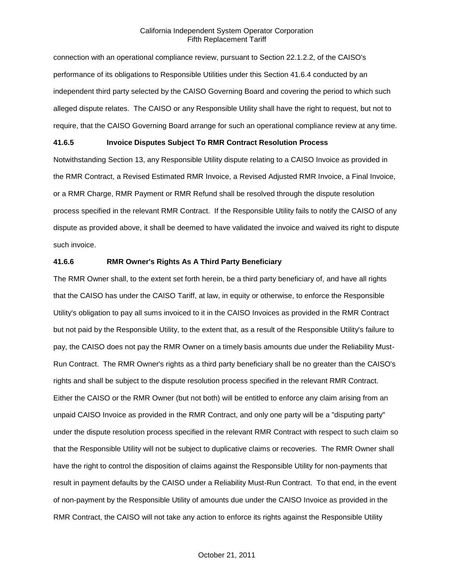connection with an operational compliance review, pursuant to Section 22.1.2.2, of the CAISO's performance of its obligations to Responsible Utilities under this Section 41.6.4 conducted by an independent third party selected by the CAISO Governing Board and covering the period to which such alleged dispute relates. The CAISO or any Responsible Utility shall have the right to request, but not to require, that the CAISO Governing Board arrange for such an operational compliance review at any time.

### **41.6.5 Invoice Disputes Subject To RMR Contract Resolution Process**

Notwithstanding Section 13, any Responsible Utility dispute relating to a CAISO Invoice as provided in the RMR Contract, a Revised Estimated RMR Invoice, a Revised Adjusted RMR Invoice, a Final Invoice, or a RMR Charge, RMR Payment or RMR Refund shall be resolved through the dispute resolution process specified in the relevant RMR Contract. If the Responsible Utility fails to notify the CAISO of any dispute as provided above, it shall be deemed to have validated the invoice and waived its right to dispute such invoice.

#### **41.6.6 RMR Owner's Rights As A Third Party Beneficiary**

The RMR Owner shall, to the extent set forth herein, be a third party beneficiary of, and have all rights that the CAISO has under the CAISO Tariff, at law, in equity or otherwise, to enforce the Responsible Utility's obligation to pay all sums invoiced to it in the CAISO Invoices as provided in the RMR Contract but not paid by the Responsible Utility, to the extent that, as a result of the Responsible Utility's failure to pay, the CAISO does not pay the RMR Owner on a timely basis amounts due under the Reliability Must-Run Contract. The RMR Owner's rights as a third party beneficiary shall be no greater than the CAISO's rights and shall be subject to the dispute resolution process specified in the relevant RMR Contract. Either the CAISO or the RMR Owner (but not both) will be entitled to enforce any claim arising from an unpaid CAISO Invoice as provided in the RMR Contract, and only one party will be a "disputing party" under the dispute resolution process specified in the relevant RMR Contract with respect to such claim so that the Responsible Utility will not be subject to duplicative claims or recoveries. The RMR Owner shall have the right to control the disposition of claims against the Responsible Utility for non-payments that result in payment defaults by the CAISO under a Reliability Must-Run Contract. To that end, in the event of non-payment by the Responsible Utility of amounts due under the CAISO Invoice as provided in the RMR Contract, the CAISO will not take any action to enforce its rights against the Responsible Utility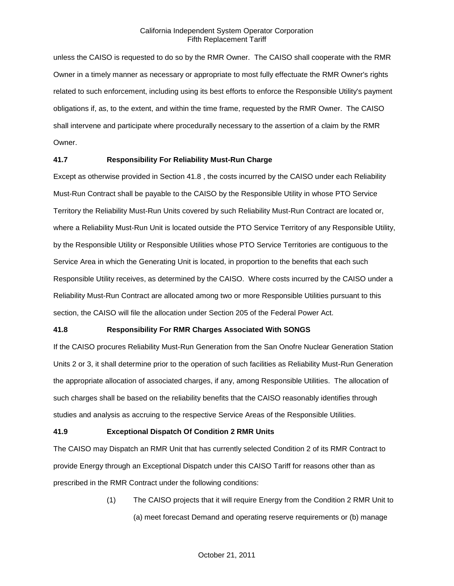unless the CAISO is requested to do so by the RMR Owner. The CAISO shall cooperate with the RMR Owner in a timely manner as necessary or appropriate to most fully effectuate the RMR Owner's rights related to such enforcement, including using its best efforts to enforce the Responsible Utility's payment obligations if, as, to the extent, and within the time frame, requested by the RMR Owner. The CAISO shall intervene and participate where procedurally necessary to the assertion of a claim by the RMR Owner.

# **41.7 Responsibility For Reliability Must-Run Charge**

Except as otherwise provided in Section 41.8 , the costs incurred by the CAISO under each Reliability Must-Run Contract shall be payable to the CAISO by the Responsible Utility in whose PTO Service Territory the Reliability Must-Run Units covered by such Reliability Must-Run Contract are located or, where a Reliability Must-Run Unit is located outside the PTO Service Territory of any Responsible Utility, by the Responsible Utility or Responsible Utilities whose PTO Service Territories are contiguous to the Service Area in which the Generating Unit is located, in proportion to the benefits that each such Responsible Utility receives, as determined by the CAISO. Where costs incurred by the CAISO under a Reliability Must-Run Contract are allocated among two or more Responsible Utilities pursuant to this section, the CAISO will file the allocation under Section 205 of the Federal Power Act.

# **41.8 Responsibility For RMR Charges Associated With SONGS**

If the CAISO procures Reliability Must-Run Generation from the San Onofre Nuclear Generation Station Units 2 or 3, it shall determine prior to the operation of such facilities as Reliability Must-Run Generation the appropriate allocation of associated charges, if any, among Responsible Utilities. The allocation of such charges shall be based on the reliability benefits that the CAISO reasonably identifies through studies and analysis as accruing to the respective Service Areas of the Responsible Utilities.

# **41.9 Exceptional Dispatch Of Condition 2 RMR Units**

The CAISO may Dispatch an RMR Unit that has currently selected Condition 2 of its RMR Contract to provide Energy through an Exceptional Dispatch under this CAISO Tariff for reasons other than as prescribed in the RMR Contract under the following conditions:

> (1) The CAISO projects that it will require Energy from the Condition 2 RMR Unit to (a) meet forecast Demand and operating reserve requirements or (b) manage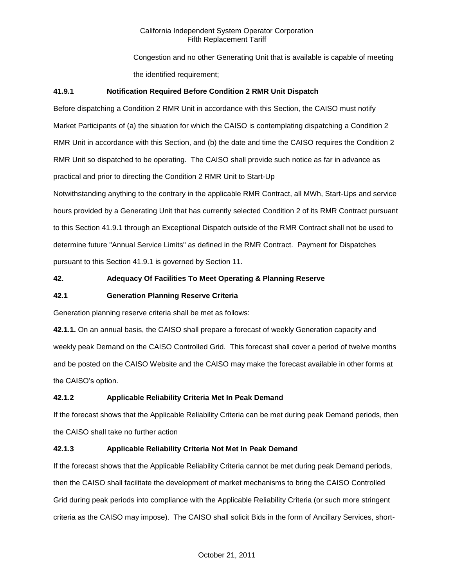Congestion and no other Generating Unit that is available is capable of meeting the identified requirement:

# **41.9.1 Notification Required Before Condition 2 RMR Unit Dispatch**

Before dispatching a Condition 2 RMR Unit in accordance with this Section, the CAISO must notify Market Participants of (a) the situation for which the CAISO is contemplating dispatching a Condition 2 RMR Unit in accordance with this Section, and (b) the date and time the CAISO requires the Condition 2 RMR Unit so dispatched to be operating. The CAISO shall provide such notice as far in advance as practical and prior to directing the Condition 2 RMR Unit to Start-Up

Notwithstanding anything to the contrary in the applicable RMR Contract, all MWh, Start-Ups and service hours provided by a Generating Unit that has currently selected Condition 2 of its RMR Contract pursuant to this Section 41.9.1 through an Exceptional Dispatch outside of the RMR Contract shall not be used to determine future "Annual Service Limits" as defined in the RMR Contract. Payment for Dispatches pursuant to this Section 41.9.1 is governed by Section 11.

# **42. Adequacy Of Facilities To Meet Operating & Planning Reserve**

# **42.1 Generation Planning Reserve Criteria**

Generation planning reserve criteria shall be met as follows:

**42.1.1.** On an annual basis, the CAISO shall prepare a forecast of weekly Generation capacity and weekly peak Demand on the CAISO Controlled Grid. This forecast shall cover a period of twelve months and be posted on the CAISO Website and the CAISO may make the forecast available in other forms at the CAISO's option.

# **42.1.2 Applicable Reliability Criteria Met In Peak Demand**

If the forecast shows that the Applicable Reliability Criteria can be met during peak Demand periods, then the CAISO shall take no further action

# **42.1.3 Applicable Reliability Criteria Not Met In Peak Demand**

If the forecast shows that the Applicable Reliability Criteria cannot be met during peak Demand periods, then the CAISO shall facilitate the development of market mechanisms to bring the CAISO Controlled Grid during peak periods into compliance with the Applicable Reliability Criteria (or such more stringent criteria as the CAISO may impose). The CAISO shall solicit Bids in the form of Ancillary Services, short-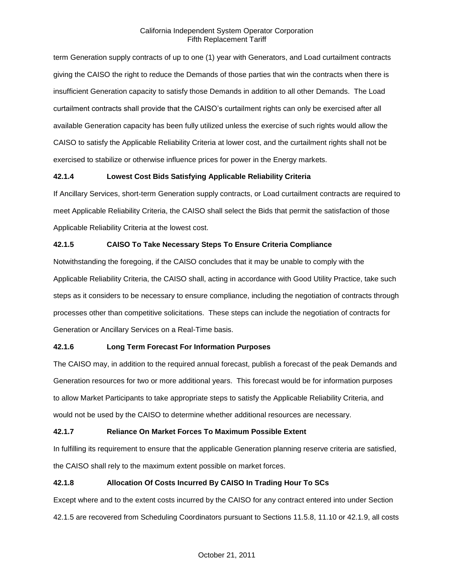term Generation supply contracts of up to one (1) year with Generators, and Load curtailment contracts giving the CAISO the right to reduce the Demands of those parties that win the contracts when there is insufficient Generation capacity to satisfy those Demands in addition to all other Demands. The Load curtailment contracts shall provide that the CAISO's curtailment rights can only be exercised after all available Generation capacity has been fully utilized unless the exercise of such rights would allow the CAISO to satisfy the Applicable Reliability Criteria at lower cost, and the curtailment rights shall not be exercised to stabilize or otherwise influence prices for power in the Energy markets.

# **42.1.4 Lowest Cost Bids Satisfying Applicable Reliability Criteria**

If Ancillary Services, short-term Generation supply contracts, or Load curtailment contracts are required to meet Applicable Reliability Criteria, the CAISO shall select the Bids that permit the satisfaction of those Applicable Reliability Criteria at the lowest cost.

# **42.1.5 CAISO To Take Necessary Steps To Ensure Criteria Compliance**

Notwithstanding the foregoing, if the CAISO concludes that it may be unable to comply with the Applicable Reliability Criteria, the CAISO shall, acting in accordance with Good Utility Practice, take such steps as it considers to be necessary to ensure compliance, including the negotiation of contracts through processes other than competitive solicitations. These steps can include the negotiation of contracts for Generation or Ancillary Services on a Real-Time basis.

# **42.1.6 Long Term Forecast For Information Purposes**

The CAISO may, in addition to the required annual forecast, publish a forecast of the peak Demands and Generation resources for two or more additional years. This forecast would be for information purposes to allow Market Participants to take appropriate steps to satisfy the Applicable Reliability Criteria, and would not be used by the CAISO to determine whether additional resources are necessary.

# **42.1.7 Reliance On Market Forces To Maximum Possible Extent**

In fulfilling its requirement to ensure that the applicable Generation planning reserve criteria are satisfied, the CAISO shall rely to the maximum extent possible on market forces.

# **42.1.8 Allocation Of Costs Incurred By CAISO In Trading Hour To SCs**

Except where and to the extent costs incurred by the CAISO for any contract entered into under Section 42.1.5 are recovered from Scheduling Coordinators pursuant to Sections 11.5.8, 11.10 or 42.1.9, all costs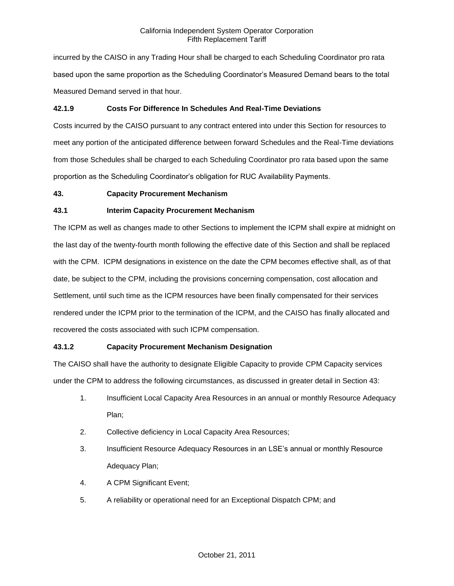incurred by the CAISO in any Trading Hour shall be charged to each Scheduling Coordinator pro rata based upon the same proportion as the Scheduling Coordinator's Measured Demand bears to the total Measured Demand served in that hour.

# **42.1.9 Costs For Difference In Schedules And Real-Time Deviations**

Costs incurred by the CAISO pursuant to any contract entered into under this Section for resources to meet any portion of the anticipated difference between forward Schedules and the Real-Time deviations from those Schedules shall be charged to each Scheduling Coordinator pro rata based upon the same proportion as the Scheduling Coordinator's obligation for RUC Availability Payments.

# **43. Capacity Procurement Mechanism**

# **43.1 Interim Capacity Procurement Mechanism**

The ICPM as well as changes made to other Sections to implement the ICPM shall expire at midnight on the last day of the twenty-fourth month following the effective date of this Section and shall be replaced with the CPM. ICPM designations in existence on the date the CPM becomes effective shall, as of that date, be subject to the CPM, including the provisions concerning compensation, cost allocation and Settlement, until such time as the ICPM resources have been finally compensated for their services rendered under the ICPM prior to the termination of the ICPM, and the CAISO has finally allocated and recovered the costs associated with such ICPM compensation.

# **43.1.2 Capacity Procurement Mechanism Designation**

The CAISO shall have the authority to designate Eligible Capacity to provide CPM Capacity services under the CPM to address the following circumstances, as discussed in greater detail in Section 43:

- 1. Insufficient Local Capacity Area Resources in an annual or monthly Resource Adequacy Plan;
- 2. Collective deficiency in Local Capacity Area Resources;
- 3. Insufficient Resource Adequacy Resources in an LSE's annual or monthly Resource Adequacy Plan;
- 4. A CPM Significant Event;
- 5. A reliability or operational need for an Exceptional Dispatch CPM; and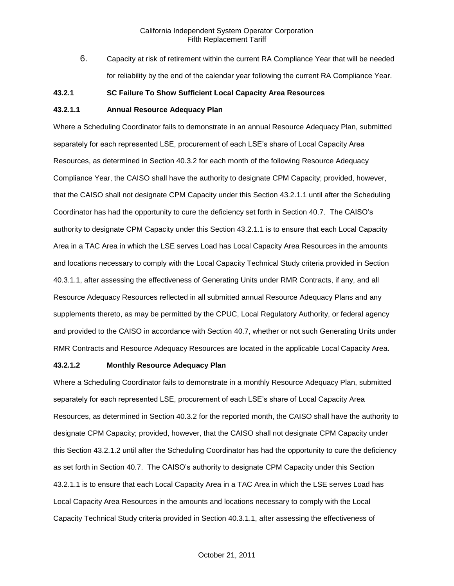6. Capacity at risk of retirement within the current RA Compliance Year that will be needed for reliability by the end of the calendar year following the current RA Compliance Year.

#### **43.2.1 SC Failure To Show Sufficient Local Capacity Area Resources**

# **43.2.1.1 Annual Resource Adequacy Plan**

Where a Scheduling Coordinator fails to demonstrate in an annual Resource Adequacy Plan, submitted separately for each represented LSE, procurement of each LSE's share of Local Capacity Area Resources, as determined in Section 40.3.2 for each month of the following Resource Adequacy Compliance Year, the CAISO shall have the authority to designate CPM Capacity; provided, however, that the CAISO shall not designate CPM Capacity under this Section 43.2.1.1 until after the Scheduling Coordinator has had the opportunity to cure the deficiency set forth in Section 40.7. The CAISO's authority to designate CPM Capacity under this Section 43.2.1.1 is to ensure that each Local Capacity Area in a TAC Area in which the LSE serves Load has Local Capacity Area Resources in the amounts and locations necessary to comply with the Local Capacity Technical Study criteria provided in Section 40.3.1.1, after assessing the effectiveness of Generating Units under RMR Contracts, if any, and all Resource Adequacy Resources reflected in all submitted annual Resource Adequacy Plans and any supplements thereto, as may be permitted by the CPUC, Local Regulatory Authority, or federal agency and provided to the CAISO in accordance with Section 40.7, whether or not such Generating Units under RMR Contracts and Resource Adequacy Resources are located in the applicable Local Capacity Area.

#### **43.2.1.2 Monthly Resource Adequacy Plan**

Where a Scheduling Coordinator fails to demonstrate in a monthly Resource Adequacy Plan, submitted separately for each represented LSE, procurement of each LSE's share of Local Capacity Area Resources, as determined in Section 40.3.2 for the reported month, the CAISO shall have the authority to designate CPM Capacity; provided, however, that the CAISO shall not designate CPM Capacity under this Section 43.2.1.2 until after the Scheduling Coordinator has had the opportunity to cure the deficiency as set forth in Section 40.7. The CAISO's authority to designate CPM Capacity under this Section 43.2.1.1 is to ensure that each Local Capacity Area in a TAC Area in which the LSE serves Load has Local Capacity Area Resources in the amounts and locations necessary to comply with the Local Capacity Technical Study criteria provided in Section 40.3.1.1, after assessing the effectiveness of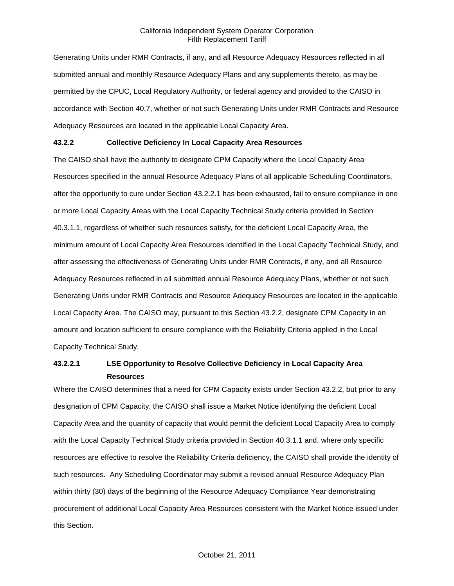Generating Units under RMR Contracts, if any, and all Resource Adequacy Resources reflected in all submitted annual and monthly Resource Adequacy Plans and any supplements thereto, as may be permitted by the CPUC, Local Regulatory Authority, or federal agency and provided to the CAISO in accordance with Section 40.7, whether or not such Generating Units under RMR Contracts and Resource Adequacy Resources are located in the applicable Local Capacity Area.

# **43.2.2 Collective Deficiency In Local Capacity Area Resources**

The CAISO shall have the authority to designate CPM Capacity where the Local Capacity Area Resources specified in the annual Resource Adequacy Plans of all applicable Scheduling Coordinators, after the opportunity to cure under Section 43.2.2.1 has been exhausted, fail to ensure compliance in one or more Local Capacity Areas with the Local Capacity Technical Study criteria provided in Section 40.3.1.1, regardless of whether such resources satisfy, for the deficient Local Capacity Area, the minimum amount of Local Capacity Area Resources identified in the Local Capacity Technical Study, and after assessing the effectiveness of Generating Units under RMR Contracts, if any, and all Resource Adequacy Resources reflected in all submitted annual Resource Adequacy Plans, whether or not such Generating Units under RMR Contracts and Resource Adequacy Resources are located in the applicable Local Capacity Area. The CAISO may, pursuant to this Section 43.2.2, designate CPM Capacity in an amount and location sufficient to ensure compliance with the Reliability Criteria applied in the Local Capacity Technical Study.

# **43.2.2.1 LSE Opportunity to Resolve Collective Deficiency in Local Capacity Area Resources**

Where the CAISO determines that a need for CPM Capacity exists under Section 43.2.2, but prior to any designation of CPM Capacity, the CAISO shall issue a Market Notice identifying the deficient Local Capacity Area and the quantity of capacity that would permit the deficient Local Capacity Area to comply with the Local Capacity Technical Study criteria provided in Section 40.3.1.1 and, where only specific resources are effective to resolve the Reliability Criteria deficiency, the CAISO shall provide the identity of such resources. Any Scheduling Coordinator may submit a revised annual Resource Adequacy Plan within thirty (30) days of the beginning of the Resource Adequacy Compliance Year demonstrating procurement of additional Local Capacity Area Resources consistent with the Market Notice issued under this Section.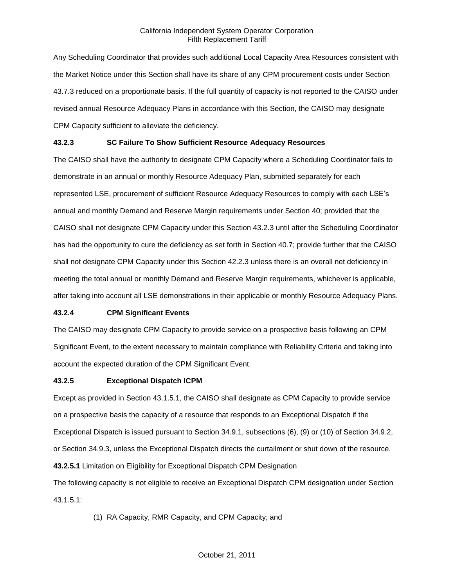Any Scheduling Coordinator that provides such additional Local Capacity Area Resources consistent with the Market Notice under this Section shall have its share of any CPM procurement costs under Section 43.7.3 reduced on a proportionate basis. If the full quantity of capacity is not reported to the CAISO under revised annual Resource Adequacy Plans in accordance with this Section, the CAISO may designate CPM Capacity sufficient to alleviate the deficiency.

# **43.2.3 SC Failure To Show Sufficient Resource Adequacy Resources**

The CAISO shall have the authority to designate CPM Capacity where a Scheduling Coordinator fails to demonstrate in an annual or monthly Resource Adequacy Plan, submitted separately for each represented LSE, procurement of sufficient Resource Adequacy Resources to comply with each LSE's annual and monthly Demand and Reserve Margin requirements under Section 40; provided that the CAISO shall not designate CPM Capacity under this Section 43.2.3 until after the Scheduling Coordinator has had the opportunity to cure the deficiency as set forth in Section 40.7; provide further that the CAISO shall not designate CPM Capacity under this Section 42.2.3 unless there is an overall net deficiency in meeting the total annual or monthly Demand and Reserve Margin requirements, whichever is applicable, after taking into account all LSE demonstrations in their applicable or monthly Resource Adequacy Plans.

# **43.2.4 CPM Significant Events**

The CAISO may designate CPM Capacity to provide service on a prospective basis following an CPM Significant Event, to the extent necessary to maintain compliance with Reliability Criteria and taking into account the expected duration of the CPM Significant Event.

#### **43.2.5 Exceptional Dispatch ICPM**

Except as provided in Section 43.1.5.1, the CAISO shall designate as CPM Capacity to provide service on a prospective basis the capacity of a resource that responds to an Exceptional Dispatch if the Exceptional Dispatch is issued pursuant to Section 34.9.1, subsections (6), (9) or (10) of Section 34.9.2, or Section 34.9.3, unless the Exceptional Dispatch directs the curtailment or shut down of the resource. **43.2.5.1** Limitation on Eligibility for Exceptional Dispatch CPM Designation

The following capacity is not eligible to receive an Exceptional Dispatch CPM designation under Section 43.1.5.1:

(1) RA Capacity, RMR Capacity, and CPM Capacity; and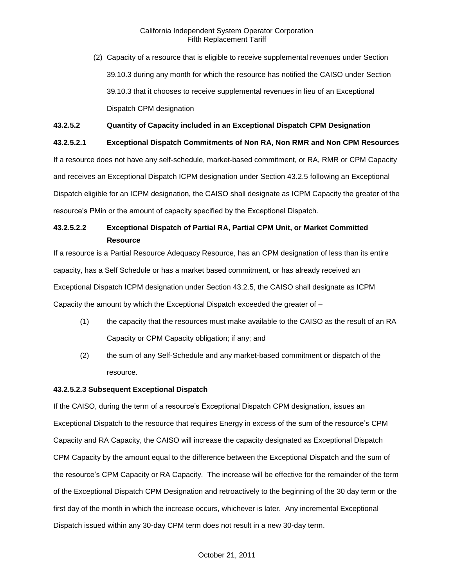(2) Capacity of a resource that is eligible to receive supplemental revenues under Section 39.10.3 during any month for which the resource has notified the CAISO under Section 39.10.3 that it chooses to receive supplemental revenues in lieu of an Exceptional Dispatch CPM designation

# **43.2.5.2 Quantity of Capacity included in an Exceptional Dispatch CPM Designation**

# **43.2.5.2.1 Exceptional Dispatch Commitments of Non RA, Non RMR and Non CPM Resources**

If a resource does not have any self-schedule, market-based commitment, or RA, RMR or CPM Capacity and receives an Exceptional Dispatch ICPM designation under Section 43.2.5 following an Exceptional Dispatch eligible for an ICPM designation, the CAISO shall designate as ICPM Capacity the greater of the resource's PMin or the amount of capacity specified by the Exceptional Dispatch.

# **43.2.5.2.2 Exceptional Dispatch of Partial RA, Partial CPM Unit, or Market Committed Resource**

If a resource is a Partial Resource Adequacy Resource, has an CPM designation of less than its entire capacity, has a Self Schedule or has a market based commitment, or has already received an Exceptional Dispatch ICPM designation under Section 43.2.5, the CAISO shall designate as ICPM Capacity the amount by which the Exceptional Dispatch exceeded the greater of –

- (1) the capacity that the resources must make available to the CAISO as the result of an RA Capacity or CPM Capacity obligation; if any; and
- (2) the sum of any Self-Schedule and any market-based commitment or dispatch of the resource.

# **43.2.5.2.3 Subsequent Exceptional Dispatch**

If the CAISO, during the term of a resource's Exceptional Dispatch CPM designation, issues an Exceptional Dispatch to the resource that requires Energy in excess of the sum of the resource's CPM Capacity and RA Capacity, the CAISO will increase the capacity designated as Exceptional Dispatch CPM Capacity by the amount equal to the difference between the Exceptional Dispatch and the sum of the resource's CPM Capacity or RA Capacity. The increase will be effective for the remainder of the term of the Exceptional Dispatch CPM Designation and retroactively to the beginning of the 30 day term or the first day of the month in which the increase occurs, whichever is later. Any incremental Exceptional Dispatch issued within any 30-day CPM term does not result in a new 30-day term.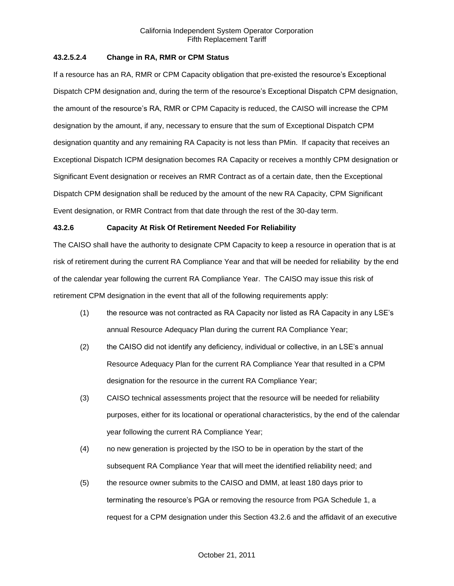## **43.2.5.2.4 Change in RA, RMR or CPM Status**

If a resource has an RA, RMR or CPM Capacity obligation that pre-existed the resource's Exceptional Dispatch CPM designation and, during the term of the resource's Exceptional Dispatch CPM designation, the amount of the resource's RA, RMR or CPM Capacity is reduced, the CAISO will increase the CPM designation by the amount, if any, necessary to ensure that the sum of Exceptional Dispatch CPM designation quantity and any remaining RA Capacity is not less than PMin. If capacity that receives an Exceptional Dispatch ICPM designation becomes RA Capacity or receives a monthly CPM designation or Significant Event designation or receives an RMR Contract as of a certain date, then the Exceptional Dispatch CPM designation shall be reduced by the amount of the new RA Capacity, CPM Significant Event designation, or RMR Contract from that date through the rest of the 30-day term.

## **43.2.6 Capacity At Risk Of Retirement Needed For Reliability**

The CAISO shall have the authority to designate CPM Capacity to keep a resource in operation that is at risk of retirement during the current RA Compliance Year and that will be needed for reliability by the end of the calendar year following the current RA Compliance Year. The CAISO may issue this risk of retirement CPM designation in the event that all of the following requirements apply:

- (1) the resource was not contracted as RA Capacity nor listed as RA Capacity in any LSE's annual Resource Adequacy Plan during the current RA Compliance Year;
- (2) the CAISO did not identify any deficiency, individual or collective, in an LSE's annual Resource Adequacy Plan for the current RA Compliance Year that resulted in a CPM designation for the resource in the current RA Compliance Year;
- (3) CAISO technical assessments project that the resource will be needed for reliability purposes, either for its locational or operational characteristics, by the end of the calendar year following the current RA Compliance Year;
- (4) no new generation is projected by the ISO to be in operation by the start of the subsequent RA Compliance Year that will meet the identified reliability need; and
- (5) the resource owner submits to the CAISO and DMM, at least 180 days prior to terminating the resource's PGA or removing the resource from PGA Schedule 1, a request for a CPM designation under this Section 43.2.6 and the affidavit of an executive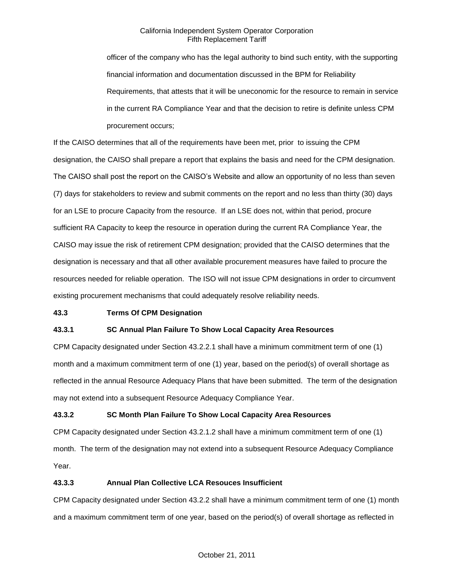officer of the company who has the legal authority to bind such entity, with the supporting financial information and documentation discussed in the BPM for Reliability Requirements, that attests that it will be uneconomic for the resource to remain in service in the current RA Compliance Year and that the decision to retire is definite unless CPM procurement occurs;

If the CAISO determines that all of the requirements have been met, prior to issuing the CPM designation, the CAISO shall prepare a report that explains the basis and need for the CPM designation. The CAISO shall post the report on the CAISO's Website and allow an opportunity of no less than seven (7) days for stakeholders to review and submit comments on the report and no less than thirty (30) days for an LSE to procure Capacity from the resource. If an LSE does not, within that period, procure sufficient RA Capacity to keep the resource in operation during the current RA Compliance Year, the CAISO may issue the risk of retirement CPM designation; provided that the CAISO determines that the designation is necessary and that all other available procurement measures have failed to procure the resources needed for reliable operation. The ISO will not issue CPM designations in order to circumvent existing procurement mechanisms that could adequately resolve reliability needs.

### **43.3 Terms Of CPM Designation**

### **43.3.1 SC Annual Plan Failure To Show Local Capacity Area Resources**

CPM Capacity designated under Section 43.2.2.1 shall have a minimum commitment term of one (1) month and a maximum commitment term of one (1) year, based on the period(s) of overall shortage as reflected in the annual Resource Adequacy Plans that have been submitted. The term of the designation may not extend into a subsequent Resource Adequacy Compliance Year.

### **43.3.2 SC Month Plan Failure To Show Local Capacity Area Resources**

CPM Capacity designated under Section 43.2.1.2 shall have a minimum commitment term of one (1) month. The term of the designation may not extend into a subsequent Resource Adequacy Compliance Year.

#### **43.3.3 Annual Plan Collective LCA Resouces Insufficient**

CPM Capacity designated under Section 43.2.2 shall have a minimum commitment term of one (1) month and a maximum commitment term of one year, based on the period(s) of overall shortage as reflected in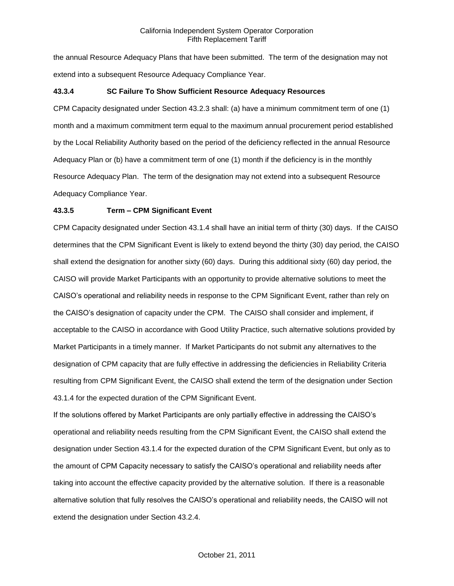the annual Resource Adequacy Plans that have been submitted. The term of the designation may not extend into a subsequent Resource Adequacy Compliance Year.

## **43.3.4 SC Failure To Show Sufficient Resource Adequacy Resources**

CPM Capacity designated under Section 43.2.3 shall: (a) have a minimum commitment term of one (1) month and a maximum commitment term equal to the maximum annual procurement period established by the Local Reliability Authority based on the period of the deficiency reflected in the annual Resource Adequacy Plan or (b) have a commitment term of one (1) month if the deficiency is in the monthly Resource Adequacy Plan. The term of the designation may not extend into a subsequent Resource Adequacy Compliance Year.

## **43.3.5 Term – CPM Significant Event**

CPM Capacity designated under Section 43.1.4 shall have an initial term of thirty (30) days. If the CAISO determines that the CPM Significant Event is likely to extend beyond the thirty (30) day period, the CAISO shall extend the designation for another sixty (60) days. During this additional sixty (60) day period, the CAISO will provide Market Participants with an opportunity to provide alternative solutions to meet the CAISO's operational and reliability needs in response to the CPM Significant Event, rather than rely on the CAISO's designation of capacity under the CPM. The CAISO shall consider and implement, if acceptable to the CAISO in accordance with Good Utility Practice, such alternative solutions provided by Market Participants in a timely manner. If Market Participants do not submit any alternatives to the designation of CPM capacity that are fully effective in addressing the deficiencies in Reliability Criteria resulting from CPM Significant Event, the CAISO shall extend the term of the designation under Section 43.1.4 for the expected duration of the CPM Significant Event.

If the solutions offered by Market Participants are only partially effective in addressing the CAISO's operational and reliability needs resulting from the CPM Significant Event, the CAISO shall extend the designation under Section 43.1.4 for the expected duration of the CPM Significant Event, but only as to the amount of CPM Capacity necessary to satisfy the CAISO's operational and reliability needs after taking into account the effective capacity provided by the alternative solution. If there is a reasonable alternative solution that fully resolves the CAISO's operational and reliability needs, the CAISO will not extend the designation under Section 43.2.4.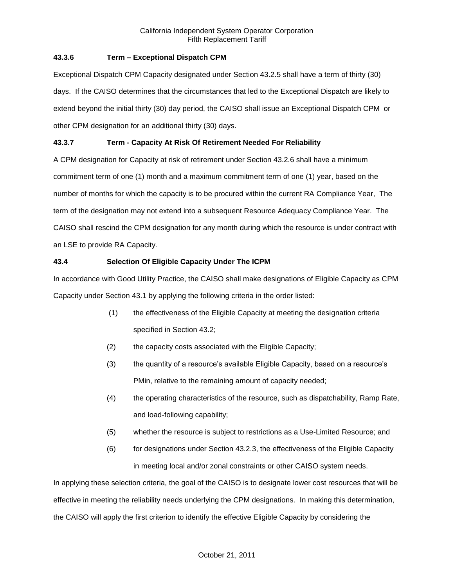# **43.3.6 Term – Exceptional Dispatch CPM**

Exceptional Dispatch CPM Capacity designated under Section 43.2.5 shall have a term of thirty (30) days. If the CAISO determines that the circumstances that led to the Exceptional Dispatch are likely to extend beyond the initial thirty (30) day period, the CAISO shall issue an Exceptional Dispatch CPM or other CPM designation for an additional thirty (30) days.

# **43.3.7 Term - Capacity At Risk Of Retirement Needed For Reliability**

A CPM designation for Capacity at risk of retirement under Section 43.2.6 shall have a minimum commitment term of one (1) month and a maximum commitment term of one (1) year, based on the number of months for which the capacity is to be procured within the current RA Compliance Year, The term of the designation may not extend into a subsequent Resource Adequacy Compliance Year. The CAISO shall rescind the CPM designation for any month during which the resource is under contract with an LSE to provide RA Capacity.

## **43.4 Selection Of Eligible Capacity Under The ICPM**

In accordance with Good Utility Practice, the CAISO shall make designations of Eligible Capacity as CPM Capacity under Section 43.1 by applying the following criteria in the order listed:

- (1) the effectiveness of the Eligible Capacity at meeting the designation criteria specified in Section 43.2;
- (2) the capacity costs associated with the Eligible Capacity;
- (3) the quantity of a resource's available Eligible Capacity, based on a resource's PMin, relative to the remaining amount of capacity needed;
- (4) the operating characteristics of the resource, such as dispatchability, Ramp Rate, and load-following capability;
- (5) whether the resource is subject to restrictions as a Use-Limited Resource; and
- (6) for designations under Section 43.2.3, the effectiveness of the Eligible Capacity in meeting local and/or zonal constraints or other CAISO system needs.

In applying these selection criteria, the goal of the CAISO is to designate lower cost resources that will be effective in meeting the reliability needs underlying the CPM designations. In making this determination, the CAISO will apply the first criterion to identify the effective Eligible Capacity by considering the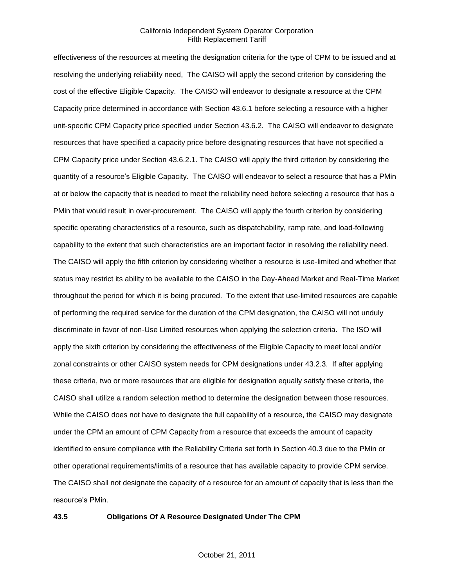effectiveness of the resources at meeting the designation criteria for the type of CPM to be issued and at resolving the underlying reliability need, The CAISO will apply the second criterion by considering the cost of the effective Eligible Capacity. The CAISO will endeavor to designate a resource at the CPM Capacity price determined in accordance with Section 43.6.1 before selecting a resource with a higher unit-specific CPM Capacity price specified under Section 43.6.2. The CAISO will endeavor to designate resources that have specified a capacity price before designating resources that have not specified a CPM Capacity price under Section 43.6.2.1. The CAISO will apply the third criterion by considering the quantity of a resource's Eligible Capacity. The CAISO will endeavor to select a resource that has a PMin at or below the capacity that is needed to meet the reliability need before selecting a resource that has a PMin that would result in over-procurement. The CAISO will apply the fourth criterion by considering specific operating characteristics of a resource, such as dispatchability, ramp rate, and load-following capability to the extent that such characteristics are an important factor in resolving the reliability need. The CAISO will apply the fifth criterion by considering whether a resource is use-limited and whether that status may restrict its ability to be available to the CAISO in the Day-Ahead Market and Real-Time Market throughout the period for which it is being procured. To the extent that use-limited resources are capable of performing the required service for the duration of the CPM designation, the CAISO will not unduly discriminate in favor of non-Use Limited resources when applying the selection criteria. The ISO will apply the sixth criterion by considering the effectiveness of the Eligible Capacity to meet local and/or zonal constraints or other CAISO system needs for CPM designations under 43.2.3. If after applying these criteria, two or more resources that are eligible for designation equally satisfy these criteria, the CAISO shall utilize a random selection method to determine the designation between those resources. While the CAISO does not have to designate the full capability of a resource, the CAISO may designate under the CPM an amount of CPM Capacity from a resource that exceeds the amount of capacity identified to ensure compliance with the Reliability Criteria set forth in Section 40.3 due to the PMin or other operational requirements/limits of a resource that has available capacity to provide CPM service. The CAISO shall not designate the capacity of a resource for an amount of capacity that is less than the resource's PMin.

#### **43.5 Obligations Of A Resource Designated Under The CPM**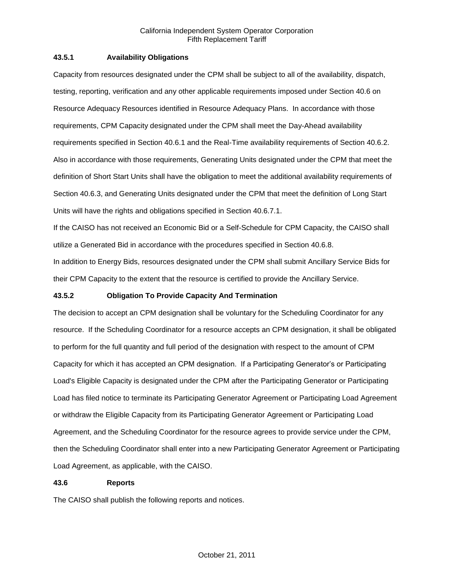## **43.5.1 Availability Obligations**

Capacity from resources designated under the CPM shall be subject to all of the availability, dispatch, testing, reporting, verification and any other applicable requirements imposed under Section 40.6 on Resource Adequacy Resources identified in Resource Adequacy Plans. In accordance with those requirements, CPM Capacity designated under the CPM shall meet the Day-Ahead availability requirements specified in Section 40.6.1 and the Real-Time availability requirements of Section 40.6.2. Also in accordance with those requirements, Generating Units designated under the CPM that meet the definition of Short Start Units shall have the obligation to meet the additional availability requirements of Section 40.6.3, and Generating Units designated under the CPM that meet the definition of Long Start Units will have the rights and obligations specified in Section 40.6.7.1.

If the CAISO has not received an Economic Bid or a Self-Schedule for CPM Capacity, the CAISO shall utilize a Generated Bid in accordance with the procedures specified in Section 40.6.8.

In addition to Energy Bids, resources designated under the CPM shall submit Ancillary Service Bids for their CPM Capacity to the extent that the resource is certified to provide the Ancillary Service.

## **43.5.2 Obligation To Provide Capacity And Termination**

The decision to accept an CPM designation shall be voluntary for the Scheduling Coordinator for any resource. If the Scheduling Coordinator for a resource accepts an CPM designation, it shall be obligated to perform for the full quantity and full period of the designation with respect to the amount of CPM Capacity for which it has accepted an CPM designation. If a Participating Generator's or Participating Load's Eligible Capacity is designated under the CPM after the Participating Generator or Participating Load has filed notice to terminate its Participating Generator Agreement or Participating Load Agreement or withdraw the Eligible Capacity from its Participating Generator Agreement or Participating Load Agreement, and the Scheduling Coordinator for the resource agrees to provide service under the CPM, then the Scheduling Coordinator shall enter into a new Participating Generator Agreement or Participating Load Agreement, as applicable, with the CAISO.

### **43.6 Reports**

The CAISO shall publish the following reports and notices.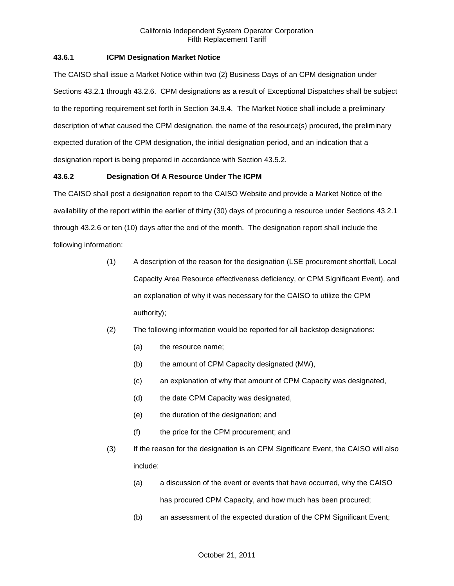# **43.6.1 ICPM Designation Market Notice**

The CAISO shall issue a Market Notice within two (2) Business Days of an CPM designation under Sections 43.2.1 through 43.2.6. CPM designations as a result of Exceptional Dispatches shall be subject to the reporting requirement set forth in Section 34.9.4. The Market Notice shall include a preliminary description of what caused the CPM designation, the name of the resource(s) procured, the preliminary expected duration of the CPM designation, the initial designation period, and an indication that a designation report is being prepared in accordance with Section 43.5.2.

## **43.6.2 Designation Of A Resource Under The ICPM**

The CAISO shall post a designation report to the CAISO Website and provide a Market Notice of the availability of the report within the earlier of thirty (30) days of procuring a resource under Sections 43.2.1 through 43.2.6 or ten (10) days after the end of the month. The designation report shall include the following information:

- (1) A description of the reason for the designation (LSE procurement shortfall, Local Capacity Area Resource effectiveness deficiency, or CPM Significant Event), and an explanation of why it was necessary for the CAISO to utilize the CPM authority);
- (2) The following information would be reported for all backstop designations:
	- (a) the resource name;
	- (b) the amount of CPM Capacity designated (MW),
	- (c) an explanation of why that amount of CPM Capacity was designated,
	- (d) the date CPM Capacity was designated,
	- (e) the duration of the designation; and
	- (f) the price for the CPM procurement; and
- (3) If the reason for the designation is an CPM Significant Event, the CAISO will also include:
	- (a) a discussion of the event or events that have occurred, why the CAISO has procured CPM Capacity, and how much has been procured;
	- (b) an assessment of the expected duration of the CPM Significant Event;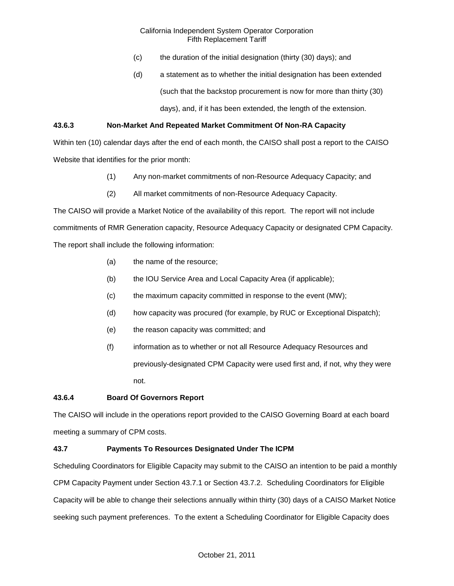- (c) the duration of the initial designation (thirty (30) days); and
- (d) a statement as to whether the initial designation has been extended (such that the backstop procurement is now for more than thirty (30) days), and, if it has been extended, the length of the extension.

# **43.6.3 Non-Market And Repeated Market Commitment Of Non-RA Capacity**

Within ten (10) calendar days after the end of each month, the CAISO shall post a report to the CAISO Website that identifies for the prior month:

- (1) Any non-market commitments of non-Resource Adequacy Capacity; and
- (2) All market commitments of non-Resource Adequacy Capacity.

The CAISO will provide a Market Notice of the availability of this report. The report will not include commitments of RMR Generation capacity, Resource Adequacy Capacity or designated CPM Capacity. The report shall include the following information:

- (a) the name of the resource;
- (b) the IOU Service Area and Local Capacity Area (if applicable);
- (c) the maximum capacity committed in response to the event (MW);
- (d) how capacity was procured (for example, by RUC or Exceptional Dispatch);
- (e) the reason capacity was committed; and
- (f) information as to whether or not all Resource Adequacy Resources and previously-designated CPM Capacity were used first and, if not, why they were not.

### **43.6.4 Board Of Governors Report**

The CAISO will include in the operations report provided to the CAISO Governing Board at each board meeting a summary of CPM costs.

### **43.7 Payments To Resources Designated Under The ICPM**

Scheduling Coordinators for Eligible Capacity may submit to the CAISO an intention to be paid a monthly CPM Capacity Payment under Section 43.7.1 or Section 43.7.2. Scheduling Coordinators for Eligible Capacity will be able to change their selections annually within thirty (30) days of a CAISO Market Notice seeking such payment preferences. To the extent a Scheduling Coordinator for Eligible Capacity does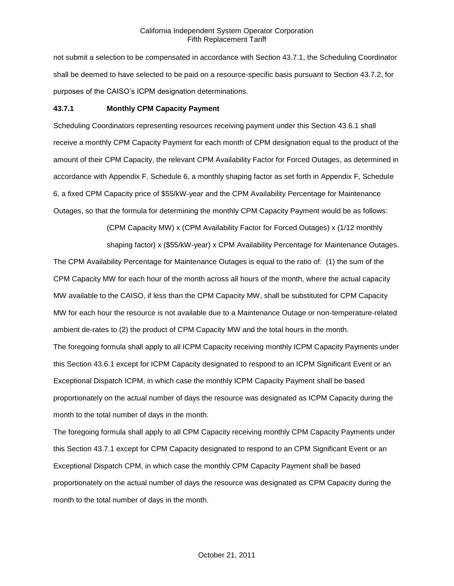not submit a selection to be compensated in accordance with Section 43.7.1, the Scheduling Coordinator shall be deemed to have selected to be paid on a resource-specific basis pursuant to Section 43.7.2, for purposes of the CAISO's ICPM designation determinations.

#### **43.7.1 Monthly CPM Capacity Payment**

Scheduling Coordinators representing resources receiving payment under this Section 43.6.1 shall receive a monthly CPM Capacity Payment for each month of CPM designation equal to the product of the amount of their CPM Capacity, the relevant CPM Availability Factor for Forced Outages, as determined in accordance with Appendix F, Schedule 6, a monthly shaping factor as set forth in Appendix F, Schedule 6, a fixed CPM Capacity price of \$55/kW-year and the CPM Availability Percentage for Maintenance Outages, so that the formula for determining the monthly CPM Capacity Payment would be as follows:

(CPM Capacity MW) x (CPM Availability Factor for Forced Outages) x (1/12 monthly

shaping factor) x (\$55/kW-year) x CPM Availability Percentage for Maintenance Outages. The CPM Availability Percentage for Maintenance Outages is equal to the ratio of: (1) the sum of the

CPM Capacity MW for each hour of the month across all hours of the month, where the actual capacity MW available to the CAISO, if less than the CPM Capacity MW, shall be substituted for CPM Capacity MW for each hour the resource is not available due to a Maintenance Outage or non-temperature-related ambient de-rates to (2) the product of CPM Capacity MW and the total hours in the month.

The foregoing formula shall apply to all ICPM Capacity receiving monthly ICPM Capacity Payments under this Section 43.6.1 except for ICPM Capacity designated to respond to an ICPM Significant Event or an Exceptional Dispatch ICPM, in which case the monthly ICPM Capacity Payment shall be based proportionately on the actual number of days the resource was designated as ICPM Capacity during the month to the total number of days in the month.

The foregoing formula shall apply to all CPM Capacity receiving monthly CPM Capacity Payments under this Section 43.7.1 except for CPM Capacity designated to respond to an CPM Significant Event or an Exceptional Dispatch CPM, in which case the monthly CPM Capacity Payment shall be based proportionately on the actual number of days the resource was designated as CPM Capacity during the month to the total number of days in the month.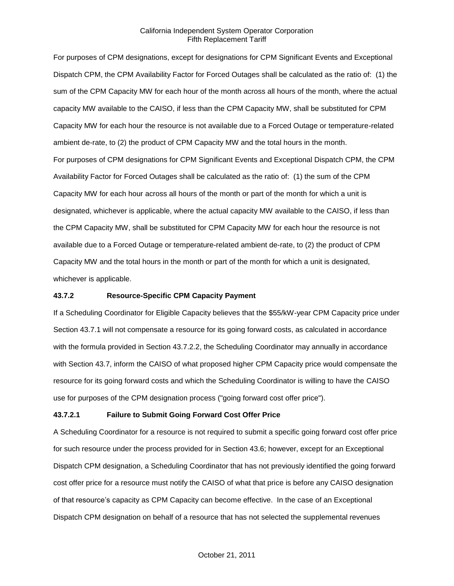For purposes of CPM designations, except for designations for CPM Significant Events and Exceptional Dispatch CPM, the CPM Availability Factor for Forced Outages shall be calculated as the ratio of: (1) the sum of the CPM Capacity MW for each hour of the month across all hours of the month, where the actual capacity MW available to the CAISO, if less than the CPM Capacity MW, shall be substituted for CPM Capacity MW for each hour the resource is not available due to a Forced Outage or temperature-related ambient de-rate, to (2) the product of CPM Capacity MW and the total hours in the month. For purposes of CPM designations for CPM Significant Events and Exceptional Dispatch CPM, the CPM Availability Factor for Forced Outages shall be calculated as the ratio of: (1) the sum of the CPM Capacity MW for each hour across all hours of the month or part of the month for which a unit is designated, whichever is applicable, where the actual capacity MW available to the CAISO, if less than the CPM Capacity MW, shall be substituted for CPM Capacity MW for each hour the resource is not available due to a Forced Outage or temperature-related ambient de-rate, to (2) the product of CPM Capacity MW and the total hours in the month or part of the month for which a unit is designated, whichever is applicable.

### **43.7.2 Resource-Specific CPM Capacity Payment**

If a Scheduling Coordinator for Eligible Capacity believes that the \$55/kW-year CPM Capacity price under Section 43.7.1 will not compensate a resource for its going forward costs, as calculated in accordance with the formula provided in Section 43.7.2.2, the Scheduling Coordinator may annually in accordance with Section 43.7, inform the CAISO of what proposed higher CPM Capacity price would compensate the resource for its going forward costs and which the Scheduling Coordinator is willing to have the CAISO use for purposes of the CPM designation process ("going forward cost offer price").

### **43.7.2.1 Failure to Submit Going Forward Cost Offer Price**

A Scheduling Coordinator for a resource is not required to submit a specific going forward cost offer price for such resource under the process provided for in Section 43.6; however, except for an Exceptional Dispatch CPM designation, a Scheduling Coordinator that has not previously identified the going forward cost offer price for a resource must notify the CAISO of what that price is before any CAISO designation of that resource's capacity as CPM Capacity can become effective. In the case of an Exceptional Dispatch CPM designation on behalf of a resource that has not selected the supplemental revenues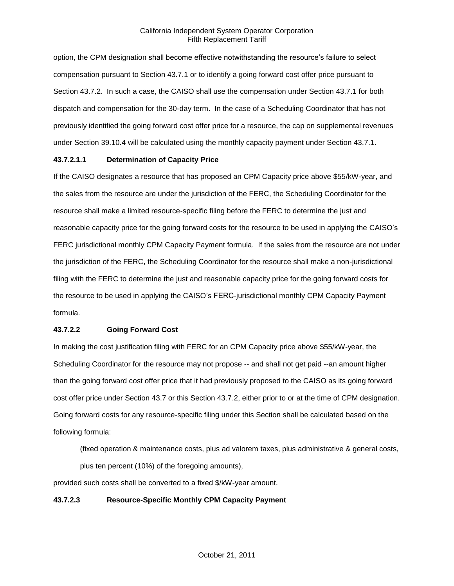option, the CPM designation shall become effective notwithstanding the resource's failure to select compensation pursuant to Section 43.7.1 or to identify a going forward cost offer price pursuant to Section 43.7.2. In such a case, the CAISO shall use the compensation under Section 43.7.1 for both dispatch and compensation for the 30-day term. In the case of a Scheduling Coordinator that has not previously identified the going forward cost offer price for a resource, the cap on supplemental revenues under Section 39.10.4 will be calculated using the monthly capacity payment under Section 43.7.1.

## **43.7.2.1.1 Determination of Capacity Price**

If the CAISO designates a resource that has proposed an CPM Capacity price above \$55/kW-year, and the sales from the resource are under the jurisdiction of the FERC, the Scheduling Coordinator for the resource shall make a limited resource-specific filing before the FERC to determine the just and reasonable capacity price for the going forward costs for the resource to be used in applying the CAISO's FERC jurisdictional monthly CPM Capacity Payment formula. If the sales from the resource are not under the jurisdiction of the FERC, the Scheduling Coordinator for the resource shall make a non-jurisdictional filing with the FERC to determine the just and reasonable capacity price for the going forward costs for the resource to be used in applying the CAISO's FERC-jurisdictional monthly CPM Capacity Payment formula.

# **43.7.2.2 Going Forward Cost**

In making the cost justification filing with FERC for an CPM Capacity price above \$55/kW-year, the Scheduling Coordinator for the resource may not propose -- and shall not get paid --an amount higher than the going forward cost offer price that it had previously proposed to the CAISO as its going forward cost offer price under Section 43.7 or this Section 43.7.2, either prior to or at the time of CPM designation. Going forward costs for any resource-specific filing under this Section shall be calculated based on the following formula:

(fixed operation & maintenance costs, plus ad valorem taxes, plus administrative & general costs, plus ten percent (10%) of the foregoing amounts),

provided such costs shall be converted to a fixed \$/kW-year amount.

### **43.7.2.3 Resource-Specific Monthly CPM Capacity Payment**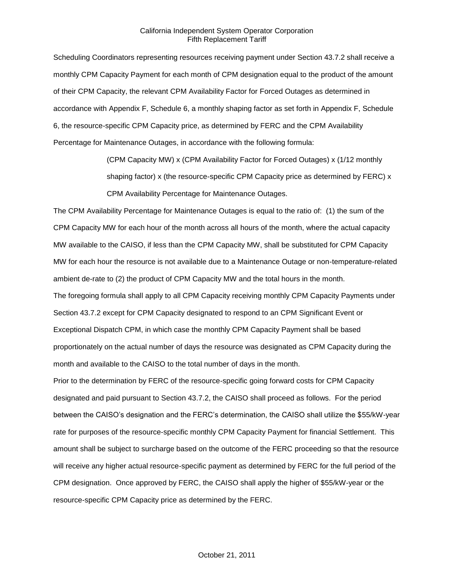Scheduling Coordinators representing resources receiving payment under Section 43.7.2 shall receive a monthly CPM Capacity Payment for each month of CPM designation equal to the product of the amount of their CPM Capacity, the relevant CPM Availability Factor for Forced Outages as determined in accordance with Appendix F, Schedule 6, a monthly shaping factor as set forth in Appendix F, Schedule 6, the resource-specific CPM Capacity price, as determined by FERC and the CPM Availability Percentage for Maintenance Outages, in accordance with the following formula:

> (CPM Capacity MW) x (CPM Availability Factor for Forced Outages) x (1/12 monthly shaping factor) x (the resource-specific CPM Capacity price as determined by FERC) x CPM Availability Percentage for Maintenance Outages.

The CPM Availability Percentage for Maintenance Outages is equal to the ratio of: (1) the sum of the CPM Capacity MW for each hour of the month across all hours of the month, where the actual capacity MW available to the CAISO, if less than the CPM Capacity MW, shall be substituted for CPM Capacity MW for each hour the resource is not available due to a Maintenance Outage or non-temperature-related ambient de-rate to (2) the product of CPM Capacity MW and the total hours in the month.

The foregoing formula shall apply to all CPM Capacity receiving monthly CPM Capacity Payments under Section 43.7.2 except for CPM Capacity designated to respond to an CPM Significant Event or Exceptional Dispatch CPM, in which case the monthly CPM Capacity Payment shall be based proportionately on the actual number of days the resource was designated as CPM Capacity during the month and available to the CAISO to the total number of days in the month.

Prior to the determination by FERC of the resource-specific going forward costs for CPM Capacity designated and paid pursuant to Section 43.7.2, the CAISO shall proceed as follows. For the period between the CAISO's designation and the FERC's determination, the CAISO shall utilize the \$55/kW-year rate for purposes of the resource-specific monthly CPM Capacity Payment for financial Settlement. This amount shall be subject to surcharge based on the outcome of the FERC proceeding so that the resource will receive any higher actual resource-specific payment as determined by FERC for the full period of the CPM designation. Once approved by FERC, the CAISO shall apply the higher of \$55/kW-year or the resource-specific CPM Capacity price as determined by the FERC.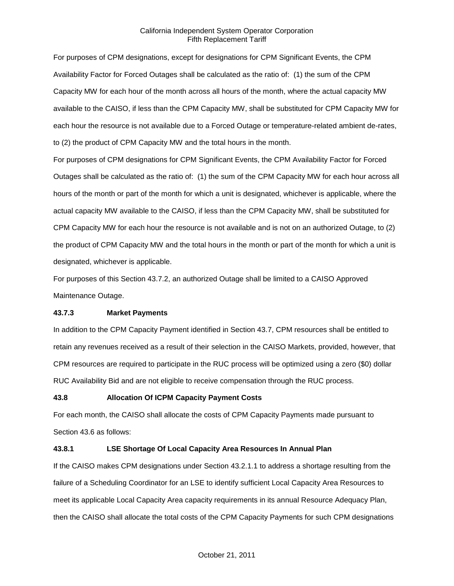For purposes of CPM designations, except for designations for CPM Significant Events, the CPM Availability Factor for Forced Outages shall be calculated as the ratio of: (1) the sum of the CPM Capacity MW for each hour of the month across all hours of the month, where the actual capacity MW available to the CAISO, if less than the CPM Capacity MW, shall be substituted for CPM Capacity MW for each hour the resource is not available due to a Forced Outage or temperature-related ambient de-rates, to (2) the product of CPM Capacity MW and the total hours in the month.

For purposes of CPM designations for CPM Significant Events, the CPM Availability Factor for Forced Outages shall be calculated as the ratio of: (1) the sum of the CPM Capacity MW for each hour across all hours of the month or part of the month for which a unit is designated, whichever is applicable, where the actual capacity MW available to the CAISO, if less than the CPM Capacity MW, shall be substituted for CPM Capacity MW for each hour the resource is not available and is not on an authorized Outage, to (2) the product of CPM Capacity MW and the total hours in the month or part of the month for which a unit is designated, whichever is applicable.

For purposes of this Section 43.7.2, an authorized Outage shall be limited to a CAISO Approved Maintenance Outage.

## **43.7.3 Market Payments**

In addition to the CPM Capacity Payment identified in Section 43.7, CPM resources shall be entitled to retain any revenues received as a result of their selection in the CAISO Markets, provided, however, that CPM resources are required to participate in the RUC process will be optimized using a zero (\$0) dollar RUC Availability Bid and are not eligible to receive compensation through the RUC process.

### **43.8 Allocation Of ICPM Capacity Payment Costs**

For each month, the CAISO shall allocate the costs of CPM Capacity Payments made pursuant to Section 43.6 as follows:

# **43.8.1 LSE Shortage Of Local Capacity Area Resources In Annual Plan**

If the CAISO makes CPM designations under Section 43.2.1.1 to address a shortage resulting from the failure of a Scheduling Coordinator for an LSE to identify sufficient Local Capacity Area Resources to meet its applicable Local Capacity Area capacity requirements in its annual Resource Adequacy Plan, then the CAISO shall allocate the total costs of the CPM Capacity Payments for such CPM designations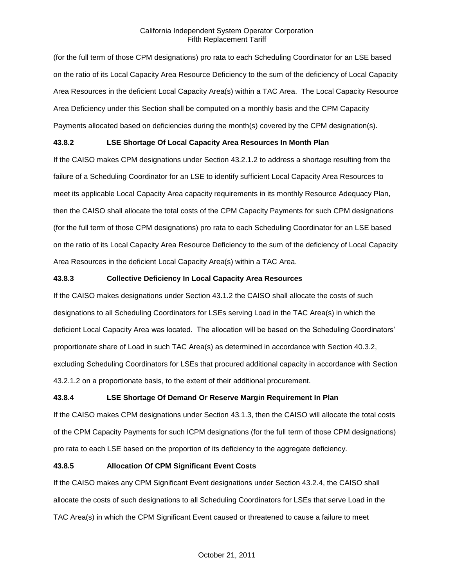(for the full term of those CPM designations) pro rata to each Scheduling Coordinator for an LSE based on the ratio of its Local Capacity Area Resource Deficiency to the sum of the deficiency of Local Capacity Area Resources in the deficient Local Capacity Area(s) within a TAC Area. The Local Capacity Resource Area Deficiency under this Section shall be computed on a monthly basis and the CPM Capacity Payments allocated based on deficiencies during the month(s) covered by the CPM designation(s).

# **43.8.2 LSE Shortage Of Local Capacity Area Resources In Month Plan**

If the CAISO makes CPM designations under Section 43.2.1.2 to address a shortage resulting from the failure of a Scheduling Coordinator for an LSE to identify sufficient Local Capacity Area Resources to meet its applicable Local Capacity Area capacity requirements in its monthly Resource Adequacy Plan, then the CAISO shall allocate the total costs of the CPM Capacity Payments for such CPM designations (for the full term of those CPM designations) pro rata to each Scheduling Coordinator for an LSE based on the ratio of its Local Capacity Area Resource Deficiency to the sum of the deficiency of Local Capacity Area Resources in the deficient Local Capacity Area(s) within a TAC Area.

## **43.8.3 Collective Deficiency In Local Capacity Area Resources**

If the CAISO makes designations under Section 43.1.2 the CAISO shall allocate the costs of such designations to all Scheduling Coordinators for LSEs serving Load in the TAC Area(s) in which the deficient Local Capacity Area was located. The allocation will be based on the Scheduling Coordinators' proportionate share of Load in such TAC Area(s) as determined in accordance with Section 40.3.2, excluding Scheduling Coordinators for LSEs that procured additional capacity in accordance with Section 43.2.1.2 on a proportionate basis, to the extent of their additional procurement.

# **43.8.4 LSE Shortage Of Demand Or Reserve Margin Requirement In Plan**

If the CAISO makes CPM designations under Section 43.1.3, then the CAISO will allocate the total costs of the CPM Capacity Payments for such ICPM designations (for the full term of those CPM designations) pro rata to each LSE based on the proportion of its deficiency to the aggregate deficiency.

## **43.8.5 Allocation Of CPM Significant Event Costs**

If the CAISO makes any CPM Significant Event designations under Section 43.2.4, the CAISO shall allocate the costs of such designations to all Scheduling Coordinators for LSEs that serve Load in the TAC Area(s) in which the CPM Significant Event caused or threatened to cause a failure to meet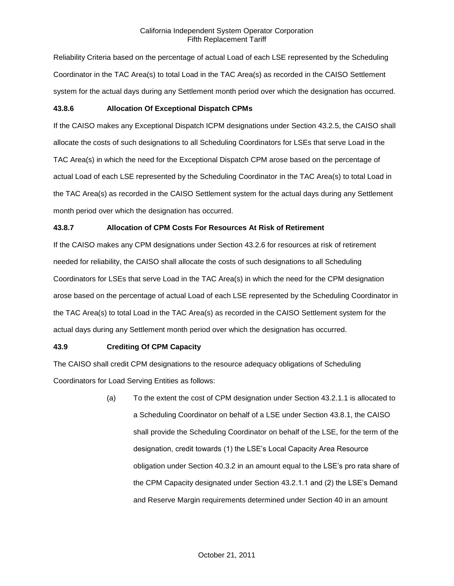Reliability Criteria based on the percentage of actual Load of each LSE represented by the Scheduling Coordinator in the TAC Area(s) to total Load in the TAC Area(s) as recorded in the CAISO Settlement system for the actual days during any Settlement month period over which the designation has occurred.

## **43.8.6 Allocation Of Exceptional Dispatch CPMs**

If the CAISO makes any Exceptional Dispatch ICPM designations under Section 43.2.5, the CAISO shall allocate the costs of such designations to all Scheduling Coordinators for LSEs that serve Load in the TAC Area(s) in which the need for the Exceptional Dispatch CPM arose based on the percentage of actual Load of each LSE represented by the Scheduling Coordinator in the TAC Area(s) to total Load in the TAC Area(s) as recorded in the CAISO Settlement system for the actual days during any Settlement month period over which the designation has occurred.

## **43.8.7 Allocation of CPM Costs For Resources At Risk of Retirement**

If the CAISO makes any CPM designations under Section 43.2.6 for resources at risk of retirement needed for reliability, the CAISO shall allocate the costs of such designations to all Scheduling Coordinators for LSEs that serve Load in the TAC Area(s) in which the need for the CPM designation arose based on the percentage of actual Load of each LSE represented by the Scheduling Coordinator in the TAC Area(s) to total Load in the TAC Area(s) as recorded in the CAISO Settlement system for the actual days during any Settlement month period over which the designation has occurred.

### **43.9 Crediting Of CPM Capacity**

The CAISO shall credit CPM designations to the resource adequacy obligations of Scheduling Coordinators for Load Serving Entities as follows:

> (a) To the extent the cost of CPM designation under Section 43.2.1.1 is allocated to a Scheduling Coordinator on behalf of a LSE under Section 43.8.1, the CAISO shall provide the Scheduling Coordinator on behalf of the LSE, for the term of the designation, credit towards (1) the LSE's Local Capacity Area Resource obligation under Section 40.3.2 in an amount equal to the LSE's pro rata share of the CPM Capacity designated under Section 43.2.1.1 and (2) the LSE's Demand and Reserve Margin requirements determined under Section 40 in an amount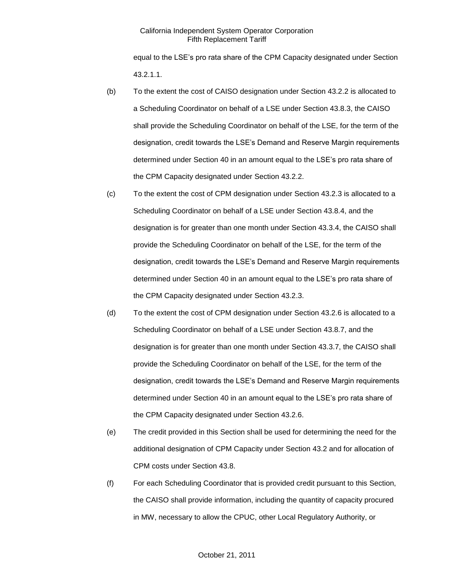equal to the LSE's pro rata share of the CPM Capacity designated under Section 43.2.1.1.

- (b) To the extent the cost of CAISO designation under Section 43.2.2 is allocated to a Scheduling Coordinator on behalf of a LSE under Section 43.8.3, the CAISO shall provide the Scheduling Coordinator on behalf of the LSE, for the term of the designation, credit towards the LSE's Demand and Reserve Margin requirements determined under Section 40 in an amount equal to the LSE's pro rata share of the CPM Capacity designated under Section 43.2.2.
- (c) To the extent the cost of CPM designation under Section 43.2.3 is allocated to a Scheduling Coordinator on behalf of a LSE under Section 43.8.4, and the designation is for greater than one month under Section 43.3.4, the CAISO shall provide the Scheduling Coordinator on behalf of the LSE, for the term of the designation, credit towards the LSE's Demand and Reserve Margin requirements determined under Section 40 in an amount equal to the LSE's pro rata share of the CPM Capacity designated under Section 43.2.3.
- (d) To the extent the cost of CPM designation under Section 43.2.6 is allocated to a Scheduling Coordinator on behalf of a LSE under Section 43.8.7, and the designation is for greater than one month under Section 43.3.7, the CAISO shall provide the Scheduling Coordinator on behalf of the LSE, for the term of the designation, credit towards the LSE's Demand and Reserve Margin requirements determined under Section 40 in an amount equal to the LSE's pro rata share of the CPM Capacity designated under Section 43.2.6.
- (e) The credit provided in this Section shall be used for determining the need for the additional designation of CPM Capacity under Section 43.2 and for allocation of CPM costs under Section 43.8.
- (f) For each Scheduling Coordinator that is provided credit pursuant to this Section, the CAISO shall provide information, including the quantity of capacity procured in MW, necessary to allow the CPUC, other Local Regulatory Authority, or